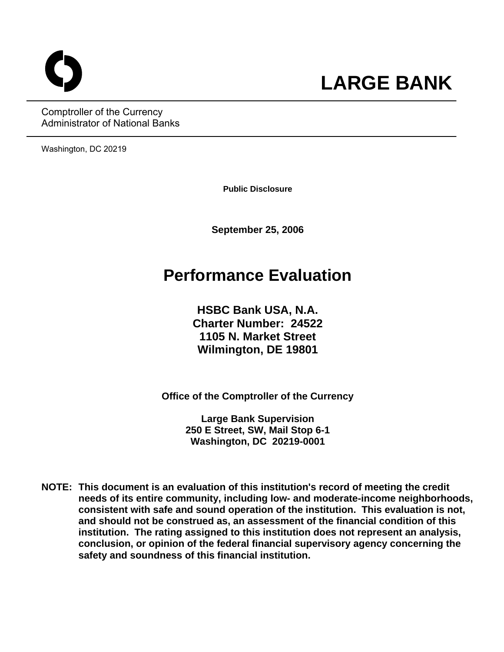Comptroller of the Currency Administrator of National Banks

Washington, DC 20219

**Public Disclosure**

o **LARGE BANK**

**September 25, 2006** 

# **Performance Evaluation**

**HSBC Bank USA, N.A. Charter Number: 24522 1105 N. Market Street Wilmington, DE 19801**

**Office of the Comptroller of the Currency** 

**Large Bank Supervision 250 E Street, SW, Mail Stop 6-1 Washington, DC 20219-0001** 

**NOTE: This document is an evaluation of this institution's record of meeting the credit needs of its entire community, including low- and moderate-income neighborhoods, consistent with safe and sound operation of the institution.****This evaluation is not, and should not be construed as, an assessment of the financial condition of this institution. The rating assigned to this institution does not represent an analysis, conclusion, or opinion of the federal financial supervisory agency concerning the safety and soundness of this financial institution.**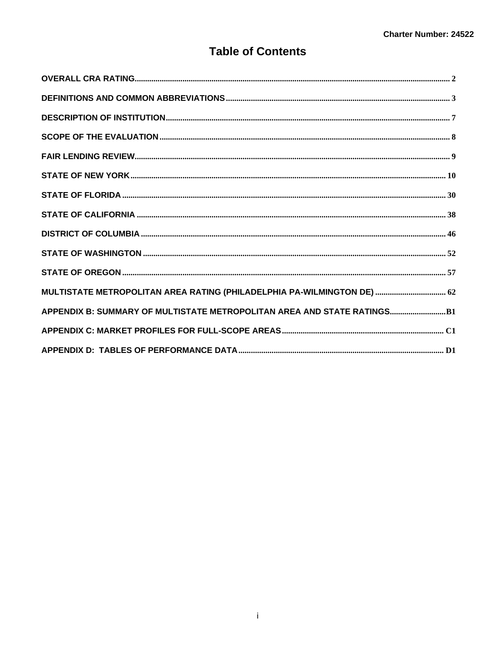## **Table of Contents**

| MULTISTATE METROPOLITAN AREA RATING (PHILADELPHIA PA-WILMINGTON DE)  62  |  |
|--------------------------------------------------------------------------|--|
| APPENDIX B: SUMMARY OF MULTISTATE METROPOLITAN AREA AND STATE RATINGS B1 |  |
|                                                                          |  |
|                                                                          |  |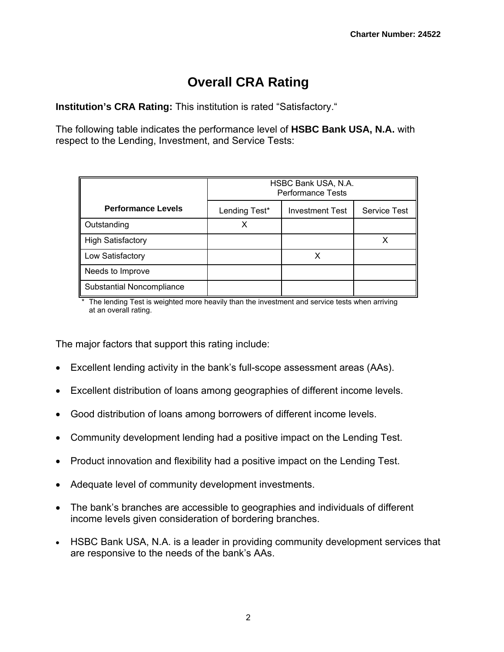# **Overall CRA Rating**

**Institution's CRA Rating:** This institution is rated "Satisfactory."

The following table indicates the performance level of **HSBC Bank USA, N.A.** with respect to the Lending, Investment, and Service Tests:

|                           | HSBC Bank USA, N.A.<br><b>Performance Tests</b> |                        |                     |
|---------------------------|-------------------------------------------------|------------------------|---------------------|
| <b>Performance Levels</b> | Lending Test*                                   | <b>Investment Test</b> | <b>Service Test</b> |
| Outstanding               | х                                               |                        |                     |
| <b>High Satisfactory</b>  |                                                 |                        |                     |
| Low Satisfactory          |                                                 |                        |                     |
| Needs to Improve          |                                                 |                        |                     |
| Substantial Noncompliance |                                                 |                        |                     |

\* The lending Test is weighted more heavily than the investment and service tests when arriving at an overall rating.

The major factors that support this rating include:

- Excellent lending activity in the bank's full-scope assessment areas (AAs).
- Excellent distribution of loans among geographies of different income levels.
- Good distribution of loans among borrowers of different income levels.
- Community development lending had a positive impact on the Lending Test.
- Product innovation and flexibility had a positive impact on the Lending Test.
- Adequate level of community development investments.
- The bank's branches are accessible to geographies and individuals of different income levels given consideration of bordering branches.
- HSBC Bank USA, N.A. is a leader in providing community development services that are responsive to the needs of the bank's AAs.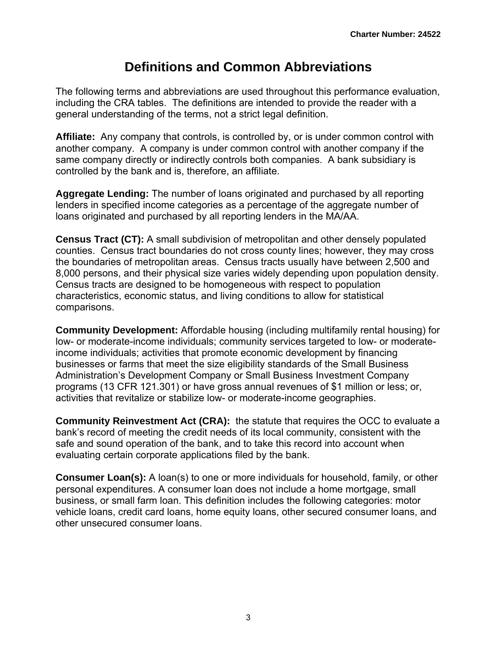# **Definitions and Common Abbreviations**

The following terms and abbreviations are used throughout this performance evaluation, including the CRA tables. The definitions are intended to provide the reader with a general understanding of the terms, not a strict legal definition.

**Affiliate:** Any company that controls, is controlled by, or is under common control with another company. A company is under common control with another company if the same company directly or indirectly controls both companies. A bank subsidiary is controlled by the bank and is, therefore, an affiliate.

**Aggregate Lending:** The number of loans originated and purchased by all reporting lenders in specified income categories as a percentage of the aggregate number of loans originated and purchased by all reporting lenders in the MA/AA.

**Census Tract (CT):** A small subdivision of metropolitan and other densely populated counties. Census tract boundaries do not cross county lines; however, they may cross the boundaries of metropolitan areas. Census tracts usually have between 2,500 and 8,000 persons, and their physical size varies widely depending upon population density. Census tracts are designed to be homogeneous with respect to population characteristics, economic status, and living conditions to allow for statistical comparisons.

**Community Development:** Affordable housing (including multifamily rental housing) for low- or moderate-income individuals; community services targeted to low- or moderateincome individuals; activities that promote economic development by financing businesses or farms that meet the size eligibility standards of the Small Business Administration's Development Company or Small Business Investment Company programs (13 CFR 121.301) or have gross annual revenues of \$1 million or less; or, activities that revitalize or stabilize low- or moderate-income geographies.

**Community Reinvestment Act (CRA):** the statute that requires the OCC to evaluate a bank's record of meeting the credit needs of its local community, consistent with the safe and sound operation of the bank, and to take this record into account when evaluating certain corporate applications filed by the bank.

**Consumer Loan(s):** A loan(s) to one or more individuals for household, family, or other personal expenditures. A consumer loan does not include a home mortgage, small business, or small farm loan. This definition includes the following categories: motor vehicle loans, credit card loans, home equity loans, other secured consumer loans, and other unsecured consumer loans.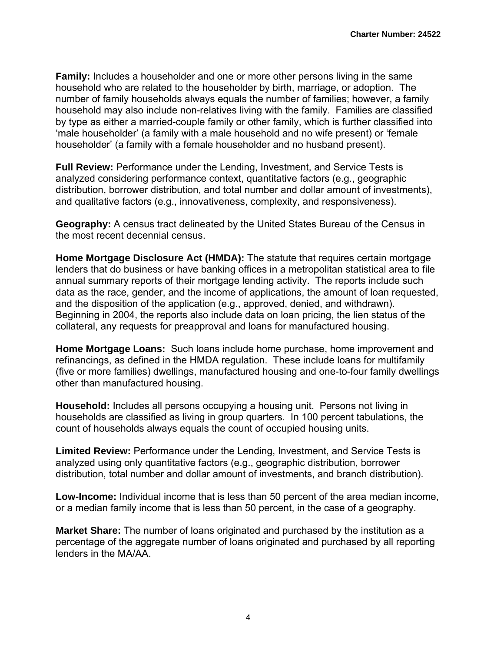**Family:** Includes a householder and one or more other persons living in the same household who are related to the householder by birth, marriage, or adoption. The number of family households always equals the number of families; however, a family household may also include non-relatives living with the family. Families are classified by type as either a married-couple family or other family, which is further classified into 'male householder' (a family with a male household and no wife present) or 'female householder' (a family with a female householder and no husband present).

**Full Review:** Performance under the Lending, Investment, and Service Tests is analyzed considering performance context, quantitative factors (e.g., geographic distribution, borrower distribution, and total number and dollar amount of investments), and qualitative factors (e.g., innovativeness, complexity, and responsiveness).

**Geography:** A census tract delineated by the United States Bureau of the Census in the most recent decennial census.

**Home Mortgage Disclosure Act (HMDA):** The statute that requires certain mortgage lenders that do business or have banking offices in a metropolitan statistical area to file annual summary reports of their mortgage lending activity. The reports include such data as the race, gender, and the income of applications, the amount of loan requested, and the disposition of the application (e.g., approved, denied, and withdrawn). Beginning in 2004, the reports also include data on loan pricing, the lien status of the collateral, any requests for preapproval and loans for manufactured housing.

**Home Mortgage Loans:** Such loans include home purchase, home improvement and refinancings, as defined in the HMDA regulation. These include loans for multifamily (five or more families) dwellings, manufactured housing and one-to-four family dwellings other than manufactured housing.

**Household:** Includes all persons occupying a housing unit. Persons not living in households are classified as living in group quarters. In 100 percent tabulations, the count of households always equals the count of occupied housing units.

**Limited Review:** Performance under the Lending, Investment, and Service Tests is analyzed using only quantitative factors (e.g., geographic distribution, borrower distribution, total number and dollar amount of investments, and branch distribution).

**Low-Income:** Individual income that is less than 50 percent of the area median income, or a median family income that is less than 50 percent, in the case of a geography.

**Market Share:** The number of loans originated and purchased by the institution as a percentage of the aggregate number of loans originated and purchased by all reporting lenders in the MA/AA.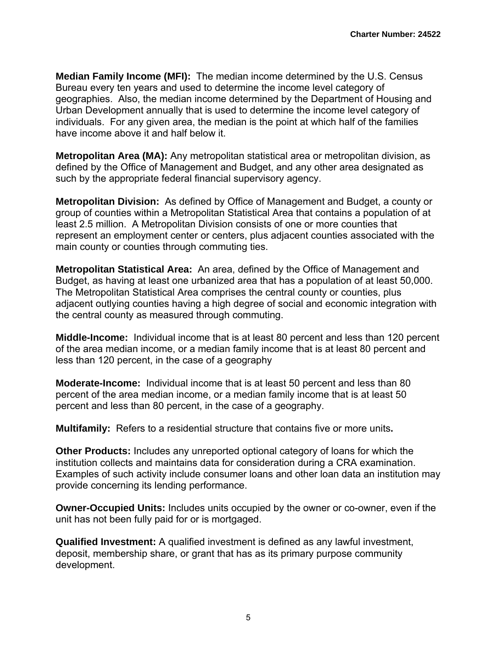**Median Family Income (MFI):** The median income determined by the U.S. Census Bureau every ten years and used to determine the income level category of geographies. Also, the median income determined by the Department of Housing and Urban Development annually that is used to determine the income level category of individuals. For any given area, the median is the point at which half of the families have income above it and half below it.

**Metropolitan Area (MA):** Any metropolitan statistical area or metropolitan division, as defined by the Office of Management and Budget, and any other area designated as such by the appropriate federal financial supervisory agency.

**Metropolitan Division:** As defined by Office of Management and Budget, a county or group of counties within a Metropolitan Statistical Area that contains a population of at least 2.5 million. A Metropolitan Division consists of one or more counties that represent an employment center or centers, plus adjacent counties associated with the main county or counties through commuting ties.

**Metropolitan Statistical Area:** An area, defined by the Office of Management and Budget, as having at least one urbanized area that has a population of at least 50,000. The Metropolitan Statistical Area comprises the central county or counties, plus adjacent outlying counties having a high degree of social and economic integration with the central county as measured through commuting.

**Middle-Income:** Individual income that is at least 80 percent and less than 120 percent of the area median income, or a median family income that is at least 80 percent and less than 120 percent, in the case of a geography

**Moderate-Income:** Individual income that is at least 50 percent and less than 80 percent of the area median income, or a median family income that is at least 50 percent and less than 80 percent, in the case of a geography.

**Multifamily:** Refers to a residential structure that contains five or more units**.**

**Other Products:** Includes any unreported optional category of loans for which the institution collects and maintains data for consideration during a CRA examination. Examples of such activity include consumer loans and other loan data an institution may provide concerning its lending performance.

**Owner-Occupied Units:** Includes units occupied by the owner or co-owner, even if the unit has not been fully paid for or is mortgaged.

**Qualified Investment:** A qualified investment is defined as any lawful investment, deposit, membership share, or grant that has as its primary purpose community development.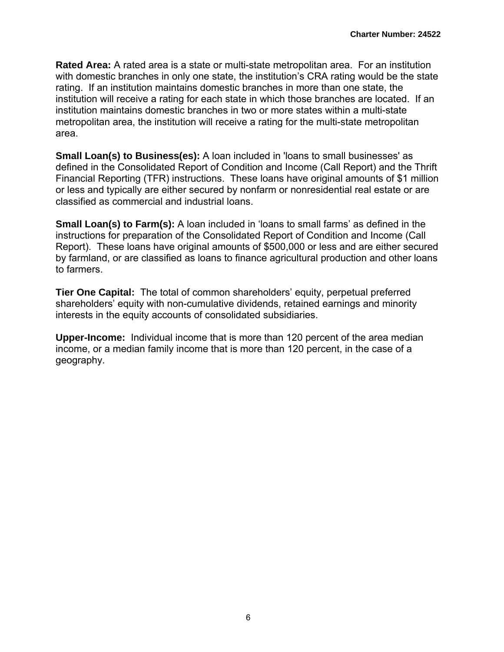**Rated Area:** A rated area is a state or multi-state metropolitan area. For an institution with domestic branches in only one state, the institution's CRA rating would be the state rating. If an institution maintains domestic branches in more than one state, the institution will receive a rating for each state in which those branches are located. If an institution maintains domestic branches in two or more states within a multi-state metropolitan area, the institution will receive a rating for the multi-state metropolitan area.

**Small Loan(s) to Business(es):** A loan included in 'loans to small businesses' as defined in the Consolidated Report of Condition and Income (Call Report) and the Thrift Financial Reporting (TFR) instructions. These loans have original amounts of \$1 million or less and typically are either secured by nonfarm or nonresidential real estate or are classified as commercial and industrial loans.

**Small Loan(s) to Farm(s):** A loan included in 'loans to small farms' as defined in the instructions for preparation of the Consolidated Report of Condition and Income (Call Report). These loans have original amounts of \$500,000 or less and are either secured by farmland, or are classified as loans to finance agricultural production and other loans to farmers.

**Tier One Capital:** The total of common shareholders' equity, perpetual preferred shareholders' equity with non-cumulative dividends, retained earnings and minority interests in the equity accounts of consolidated subsidiaries.

**Upper-Income:** Individual income that is more than 120 percent of the area median income, or a median family income that is more than 120 percent, in the case of a geography.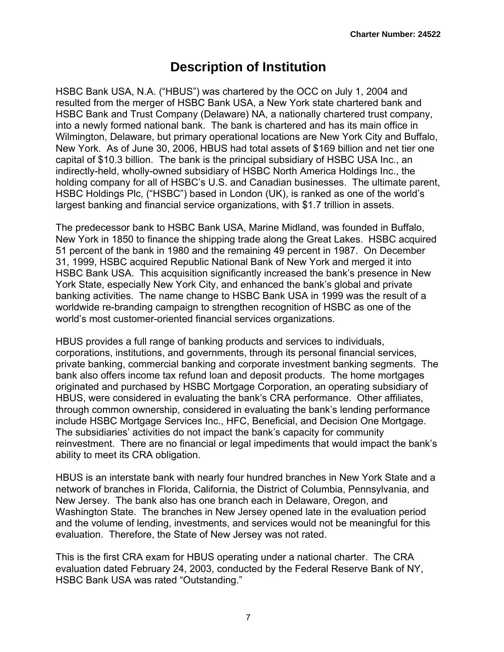# **Description of Institution**

HSBC Bank USA, N.A. ("HBUS") was chartered by the OCC on July 1, 2004 and resulted from the merger of HSBC Bank USA, a New York state chartered bank and HSBC Bank and Trust Company (Delaware) NA, a nationally chartered trust company, into a newly formed national bank. The bank is chartered and has its main office in Wilmington, Delaware, but primary operational locations are New York City and Buffalo, New York. As of June 30, 2006, HBUS had total assets of \$169 billion and net tier one capital of \$10.3 billion. The bank is the principal subsidiary of HSBC USA Inc., an indirectly-held, wholly-owned subsidiary of HSBC North America Holdings Inc., the holding company for all of HSBC's U.S. and Canadian businesses. The ultimate parent, HSBC Holdings Plc, ("HSBC") based in London (UK), is ranked as one of the world's largest banking and financial service organizations, with \$1.7 trillion in assets.

The predecessor bank to HSBC Bank USA, Marine Midland, was founded in Buffalo, New York in 1850 to finance the shipping trade along the Great Lakes. HSBC acquired 51 percent of the bank in 1980 and the remaining 49 percent in 1987. On December 31, 1999, HSBC acquired Republic National Bank of New York and merged it into HSBC Bank USA. This acquisition significantly increased the bank's presence in New York State, especially New York City, and enhanced the bank's global and private banking activities. The name change to HSBC Bank USA in 1999 was the result of a worldwide re-branding campaign to strengthen recognition of HSBC as one of the world's most customer-oriented financial services organizations.

HBUS provides a full range of banking products and services to individuals, corporations, institutions, and governments, through its personal financial services, private banking, commercial banking and corporate investment banking segments. The bank also offers income tax refund loan and deposit products. The home mortgages originated and purchased by HSBC Mortgage Corporation, an operating subsidiary of HBUS, were considered in evaluating the bank's CRA performance. Other affiliates, through common ownership, considered in evaluating the bank's lending performance include HSBC Mortgage Services Inc., HFC, Beneficial, and Decision One Mortgage. The subsidiaries' activities do not impact the bank's capacity for community reinvestment. There are no financial or legal impediments that would impact the bank's ability to meet its CRA obligation.

HBUS is an interstate bank with nearly four hundred branches in New York State and a network of branches in Florida, California, the District of Columbia, Pennsylvania, and New Jersey. The bank also has one branch each in Delaware, Oregon, and Washington State. The branches in New Jersey opened late in the evaluation period and the volume of lending, investments, and services would not be meaningful for this evaluation. Therefore, the State of New Jersey was not rated.

This is the first CRA exam for HBUS operating under a national charter. The CRA evaluation dated February 24, 2003, conducted by the Federal Reserve Bank of NY, HSBC Bank USA was rated "Outstanding."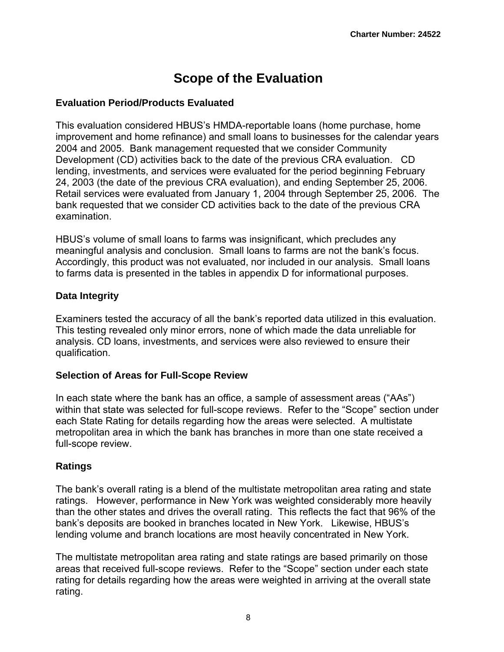# **Scope of the Evaluation**

#### **Evaluation Period/Products Evaluated**

This evaluation considered HBUS's HMDA-reportable loans (home purchase, home improvement and home refinance) and small loans to businesses for the calendar years 2004 and 2005. Bank management requested that we consider Community Development (CD) activities back to the date of the previous CRA evaluation. CD lending, investments, and services were evaluated for the period beginning February 24, 2003 (the date of the previous CRA evaluation), and ending September 25, 2006. Retail services were evaluated from January 1, 2004 through September 25, 2006. The bank requested that we consider CD activities back to the date of the previous CRA examination.

HBUS's volume of small loans to farms was insignificant, which precludes any meaningful analysis and conclusion. Small loans to farms are not the bank's focus. Accordingly, this product was not evaluated, nor included in our analysis. Small loans to farms data is presented in the tables in appendix D for informational purposes.

#### **Data Integrity**

Examiners tested the accuracy of all the bank's reported data utilized in this evaluation. This testing revealed only minor errors, none of which made the data unreliable for analysis. CD loans, investments, and services were also reviewed to ensure their qualification.

#### **Selection of Areas for Full-Scope Review**

In each state where the bank has an office, a sample of assessment areas ("AAs") within that state was selected for full-scope reviews. Refer to the "Scope" section under each State Rating for details regarding how the areas were selected. A multistate metropolitan area in which the bank has branches in more than one state received a full-scope review.

#### **Ratings**

The bank's overall rating is a blend of the multistate metropolitan area rating and state ratings. However, performance in New York was weighted considerably more heavily than the other states and drives the overall rating. This reflects the fact that 96% of the bank's deposits are booked in branches located in New York. Likewise, HBUS's lending volume and branch locations are most heavily concentrated in New York.

The multistate metropolitan area rating and state ratings are based primarily on those areas that received full-scope reviews. Refer to the "Scope" section under each state rating for details regarding how the areas were weighted in arriving at the overall state rating.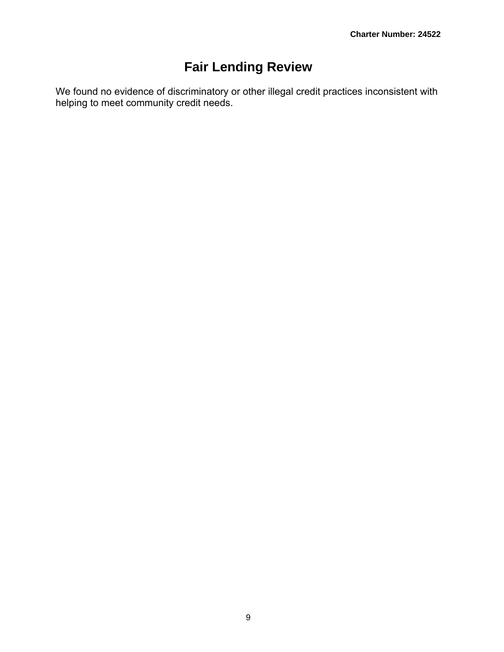# **Fair Lending Review**

We found no evidence of discriminatory or other illegal credit practices inconsistent with helping to meet community credit needs.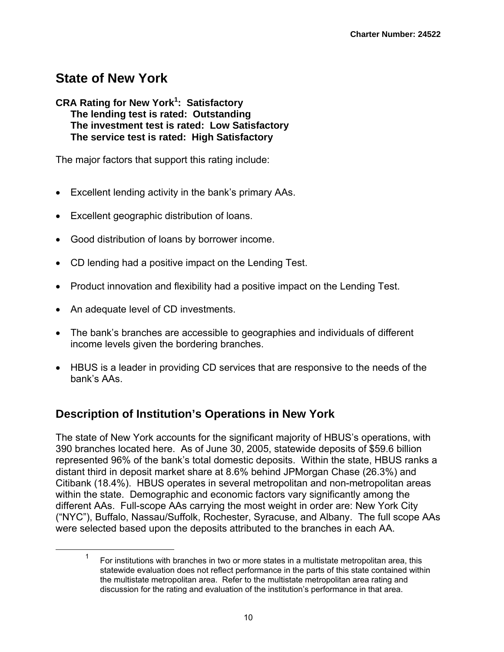# **State of New York**

#### **CRA Rating for New York<sup>1</sup> : Satisfactory The lending test is rated: Outstanding The investment test is rated: Low Satisfactory The service test is rated: High Satisfactory**

The major factors that support this rating include:

- Excellent lending activity in the bank's primary AAs.
- Excellent geographic distribution of loans.
- Good distribution of loans by borrower income.
- CD lending had a positive impact on the Lending Test.
- Product innovation and flexibility had a positive impact on the Lending Test.
- An adequate level of CD investments.
- The bank's branches are accessible to geographies and individuals of different income levels given the bordering branches.
- HBUS is a leader in providing CD services that are responsive to the needs of the bank's AAs.

## **Description of Institution's Operations in New York**

The state of New York accounts for the significant majority of HBUS's operations, with 390 branches located here. As of June 30, 2005, statewide deposits of \$59.6 billion represented 96% of the bank's total domestic deposits. Within the state, HBUS ranks a distant third in deposit market share at 8.6% behind JPMorgan Chase (26.3%) and Citibank (18.4%). HBUS operates in several metropolitan and non-metropolitan areas within the state. Demographic and economic factors vary significantly among the different AAs. Full-scope AAs carrying the most weight in order are: New York City ("NYC"), Buffalo, Nassau/Suffolk, Rochester, Syracuse, and Albany. The full scope AAs were selected based upon the deposits attributed to the branches in each AA.

 <sup>1</sup> For institutions with branches in two or more states in a multistate metropolitan area, this statewide evaluation does not reflect performance in the parts of this state contained within the multistate metropolitan area. Refer to the multistate metropolitan area rating and discussion for the rating and evaluation of the institution's performance in that area.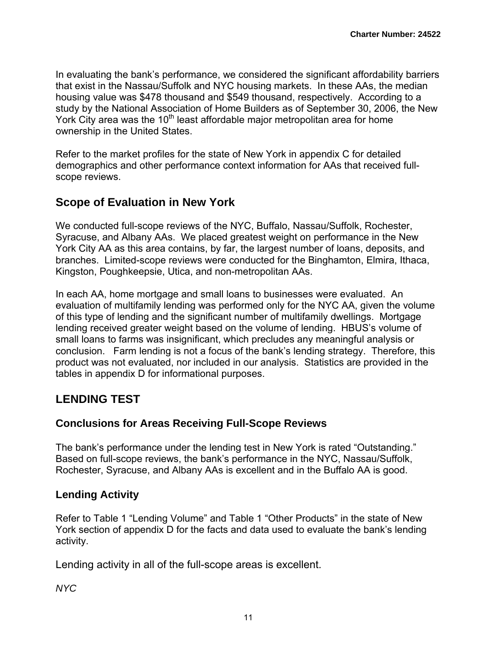In evaluating the bank's performance, we considered the significant affordability barriers that exist in the Nassau/Suffolk and NYC housing markets. In these AAs, the median housing value was \$478 thousand and \$549 thousand, respectively. According to a study by the National Association of Home Builders as of September 30, 2006, the New York City area was the 10<sup>th</sup> least affordable major metropolitan area for home ownership in the United States.

Refer to the market profiles for the state of New York in appendix C for detailed demographics and other performance context information for AAs that received fullscope reviews.

## **Scope of Evaluation in New York**

We conducted full-scope reviews of the NYC, Buffalo, Nassau/Suffolk, Rochester, Syracuse, and Albany AAs. We placed greatest weight on performance in the New York City AA as this area contains, by far, the largest number of loans, deposits, and branches. Limited-scope reviews were conducted for the Binghamton, Elmira, Ithaca, Kingston, Poughkeepsie, Utica, and non-metropolitan AAs.

In each AA, home mortgage and small loans to businesses were evaluated. An evaluation of multifamily lending was performed only for the NYC AA, given the volume of this type of lending and the significant number of multifamily dwellings. Mortgage lending received greater weight based on the volume of lending. HBUS's volume of small loans to farms was insignificant, which precludes any meaningful analysis or conclusion. Farm lending is not a focus of the bank's lending strategy. Therefore, this product was not evaluated, nor included in our analysis. Statistics are provided in the tables in appendix D for informational purposes.

## **LENDING TEST**

## **Conclusions for Areas Receiving Full-Scope Reviews**

The bank's performance under the lending test in New York is rated "Outstanding." Based on full-scope reviews, the bank's performance in the NYC, Nassau/Suffolk, Rochester, Syracuse, and Albany AAs is excellent and in the Buffalo AA is good.

## **Lending Activity**

Refer to Table 1 "Lending Volume" and Table 1 "Other Products" in the state of New York section of appendix D for the facts and data used to evaluate the bank's lending activity.

Lending activity in all of the full-scope areas is excellent.

*NYC*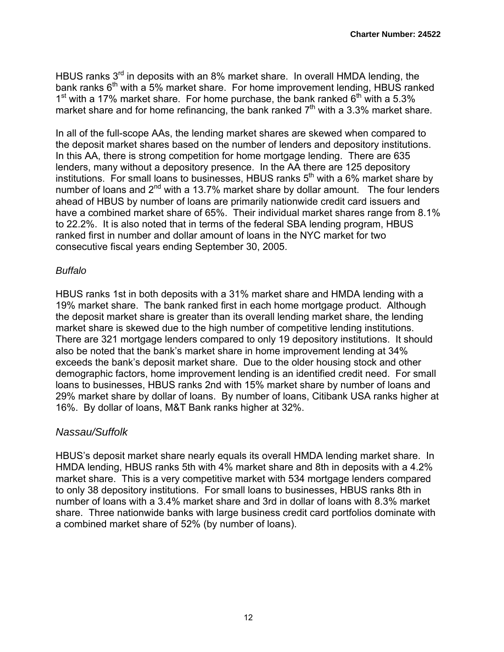HBUS ranks 3<sup>rd</sup> in deposits with an 8% market share. In overall HMDA lending, the bank ranks 6<sup>th</sup> with a 5% market share. For home improvement lending, HBUS ranked  $1^{\text{st}}$  with a 17% market share. For home purchase, the bank ranked  $6^{\text{th}}$  with a 5.3% market share and for home refinancing, the bank ranked  $7<sup>th</sup>$  with a 3.3% market share.

In all of the full-scope AAs, the lending market shares are skewed when compared to the deposit market shares based on the number of lenders and depository institutions. In this AA, there is strong competition for home mortgage lending. There are 635 lenders, many without a depository presence. In the AA there are 125 depository institutions. For small loans to businesses, HBUS ranks  $5<sup>th</sup>$  with a 6% market share by number of loans and  $2^{nd}$  with a 13.7% market share by dollar amount. The four lenders ahead of HBUS by number of loans are primarily nationwide credit card issuers and have a combined market share of 65%. Their individual market shares range from 8.1% to 22.2%. It is also noted that in terms of the federal SBA lending program, HBUS ranked first in number and dollar amount of loans in the NYC market for two consecutive fiscal years ending September 30, 2005.

#### *Buffalo*

HBUS ranks 1st in both deposits with a 31% market share and HMDA lending with a 19% market share. The bank ranked first in each home mortgage product. Although the deposit market share is greater than its overall lending market share, the lending market share is skewed due to the high number of competitive lending institutions. There are 321 mortgage lenders compared to only 19 depository institutions. It should also be noted that the bank's market share in home improvement lending at 34% exceeds the bank's deposit market share. Due to the older housing stock and other demographic factors, home improvement lending is an identified credit need. For small loans to businesses, HBUS ranks 2nd with 15% market share by number of loans and 29% market share by dollar of loans. By number of loans, Citibank USA ranks higher at 16%. By dollar of loans, M&T Bank ranks higher at 32%.

#### *Nassau/Suffolk*

HBUS's deposit market share nearly equals its overall HMDA lending market share. In HMDA lending, HBUS ranks 5th with 4% market share and 8th in deposits with a 4.2% market share. This is a very competitive market with 534 mortgage lenders compared to only 38 depository institutions. For small loans to businesses, HBUS ranks 8th in number of loans with a 3.4% market share and 3rd in dollar of loans with 8.3% market share. Three nationwide banks with large business credit card portfolios dominate with a combined market share of 52% (by number of loans).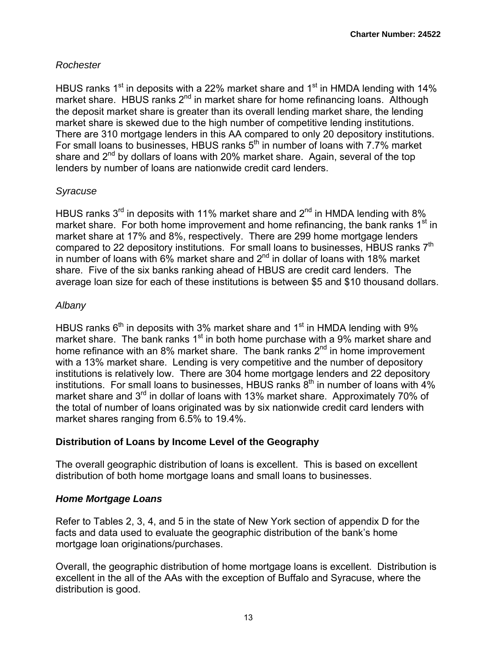### *Rochester*

HBUS ranks 1<sup>st</sup> in deposits with a 22% market share and 1<sup>st</sup> in HMDA lending with 14% market share. HBUS ranks 2<sup>nd</sup> in market share for home refinancing loans. Although the deposit market share is greater than its overall lending market share, the lending market share is skewed due to the high number of competitive lending institutions. There are 310 mortgage lenders in this AA compared to only 20 depository institutions. For small loans to businesses, HBUS ranks  $5<sup>th</sup>$  in number of loans with 7.7% market share and  $2^{nd}$  by dollars of loans with 20% market share. Again, several of the top lenders by number of loans are nationwide credit card lenders.

#### *Syracuse*

HBUS ranks  $3<sup>rd</sup>$  in deposits with 11% market share and  $2<sup>nd</sup>$  in HMDA lending with 8% market share. For both home improvement and home refinancing, the bank ranks  $1<sup>st</sup>$  in market share at 17% and 8%, respectively. There are 299 home mortgage lenders compared to 22 depository institutions. For small loans to businesses, HBUS ranks 7<sup>th</sup> in number of loans with  $6\%$  market share and  $2<sup>nd</sup>$  in dollar of loans with 18% market share. Five of the six banks ranking ahead of HBUS are credit card lenders. The average loan size for each of these institutions is between \$5 and \$10 thousand dollars.

### *Albany*

HBUS ranks  $6<sup>th</sup>$  in deposits with 3% market share and 1<sup>st</sup> in HMDA lending with 9% market share. The bank ranks  $1<sup>st</sup>$  in both home purchase with a 9% market share and home refinance with an 8% market share. The bank ranks  $2^{nd}$  in home improvement with a 13% market share. Lending is very competitive and the number of depository institutions is relatively low. There are 304 home mortgage lenders and 22 depository institutions. For small loans to businesses, HBUS ranks  $8<sup>th</sup>$  in number of loans with  $4\%$ market share and 3<sup>rd</sup> in dollar of loans with 13% market share. Approximately 70% of the total of number of loans originated was by six nationwide credit card lenders with market shares ranging from 6.5% to 19.4%.

## **Distribution of Loans by Income Level of the Geography**

The overall geographic distribution of loans is excellent. This is based on excellent distribution of both home mortgage loans and small loans to businesses.

## *Home Mortgage Loans*

Refer to Tables 2, 3, 4, and 5 in the state of New York section of appendix D for the facts and data used to evaluate the geographic distribution of the bank's home mortgage loan originations/purchases.

Overall, the geographic distribution of home mortgage loans is excellent. Distribution is excellent in the all of the AAs with the exception of Buffalo and Syracuse, where the distribution is good.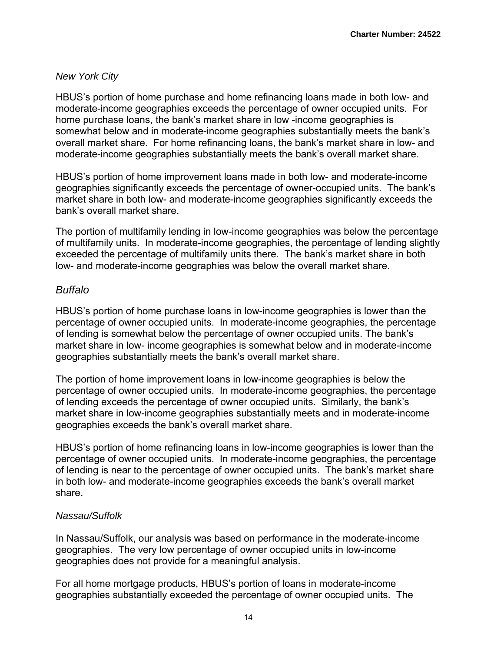### *New York City*

HBUS's portion of home purchase and home refinancing loans made in both low- and moderate-income geographies exceeds the percentage of owner occupied units. For home purchase loans, the bank's market share in low -income geographies is somewhat below and in moderate-income geographies substantially meets the bank's overall market share. For home refinancing loans, the bank's market share in low- and moderate-income geographies substantially meets the bank's overall market share.

HBUS's portion of home improvement loans made in both low- and moderate-income geographies significantly exceeds the percentage of owner-occupied units. The bank's market share in both low- and moderate-income geographies significantly exceeds the bank's overall market share.

The portion of multifamily lending in low-income geographies was below the percentage of multifamily units. In moderate-income geographies, the percentage of lending slightly exceeded the percentage of multifamily units there. The bank's market share in both low- and moderate-income geographies was below the overall market share.

### *Buffalo*

HBUS's portion of home purchase loans in low-income geographies is lower than the percentage of owner occupied units. In moderate-income geographies, the percentage of lending is somewhat below the percentage of owner occupied units. The bank's market share in low- income geographies is somewhat below and in moderate-income geographies substantially meets the bank's overall market share.

The portion of home improvement loans in low-income geographies is below the percentage of owner occupied units. In moderate-income geographies, the percentage of lending exceeds the percentage of owner occupied units. Similarly, the bank's market share in low-income geographies substantially meets and in moderate-income geographies exceeds the bank's overall market share.

HBUS's portion of home refinancing loans in low-income geographies is lower than the percentage of owner occupied units. In moderate-income geographies, the percentage of lending is near to the percentage of owner occupied units. The bank's market share in both low- and moderate-income geographies exceeds the bank's overall market share.

#### *Nassau/Suffolk*

In Nassau/Suffolk, our analysis was based on performance in the moderate-income geographies. The very low percentage of owner occupied units in low-income geographies does not provide for a meaningful analysis.

For all home mortgage products, HBUS's portion of loans in moderate-income geographies substantially exceeded the percentage of owner occupied units. The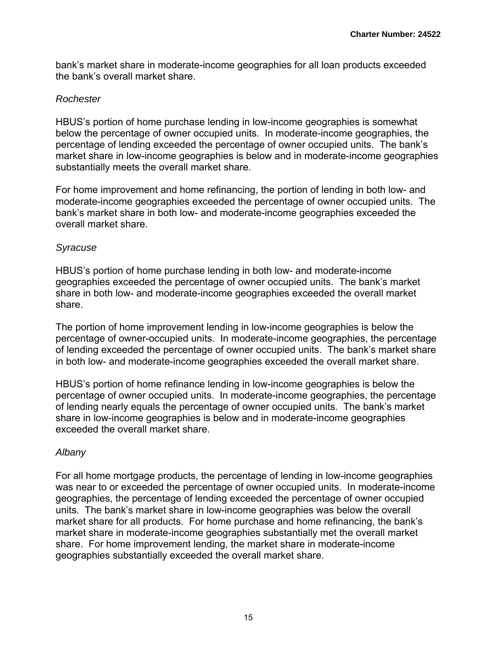bank's market share in moderate-income geographies for all loan products exceeded the bank's overall market share.

#### *Rochester*

HBUS's portion of home purchase lending in low-income geographies is somewhat below the percentage of owner occupied units. In moderate-income geographies, the percentage of lending exceeded the percentage of owner occupied units. The bank's market share in low-income geographies is below and in moderate-income geographies substantially meets the overall market share.

For home improvement and home refinancing, the portion of lending in both low- and moderate-income geographies exceeded the percentage of owner occupied units. The bank's market share in both low- and moderate-income geographies exceeded the overall market share.

#### *Syracuse*

HBUS's portion of home purchase lending in both low- and moderate-income geographies exceeded the percentage of owner occupied units. The bank's market share in both low- and moderate-income geographies exceeded the overall market share.

The portion of home improvement lending in low-income geographies is below the percentage of owner-occupied units. In moderate-income geographies, the percentage of lending exceeded the percentage of owner occupied units. The bank's market share in both low- and moderate-income geographies exceeded the overall market share.

HBUS's portion of home refinance lending in low-income geographies is below the percentage of owner occupied units. In moderate-income geographies, the percentage of lending nearly equals the percentage of owner occupied units. The bank's market share in low-income geographies is below and in moderate-income geographies exceeded the overall market share.

## *Albany*

For all home mortgage products, the percentage of lending in low-income geographies was near to or exceeded the percentage of owner occupied units. In moderate-income geographies, the percentage of lending exceeded the percentage of owner occupied units. The bank's market share in low-income geographies was below the overall market share for all products. For home purchase and home refinancing, the bank's market share in moderate-income geographies substantially met the overall market share. For home improvement lending, the market share in moderate-income geographies substantially exceeded the overall market share.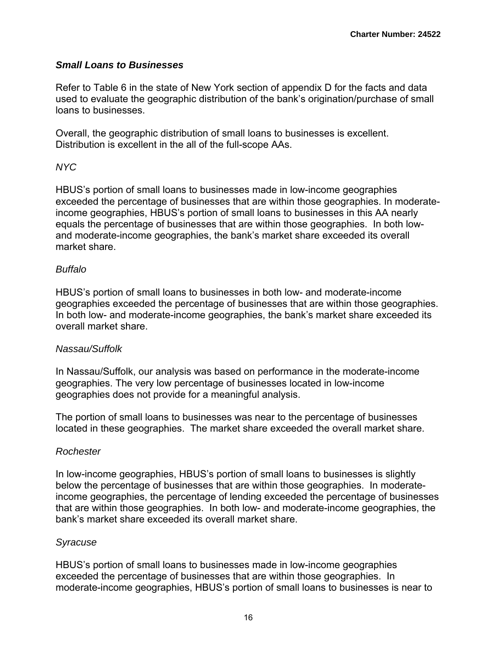#### *Small Loans to Businesses*

Refer to Table 6 in the state of New York section of appendix D for the facts and data used to evaluate the geographic distribution of the bank's origination/purchase of small loans to businesses.

Overall, the geographic distribution of small loans to businesses is excellent. Distribution is excellent in the all of the full-scope AAs.

### *NYC*

HBUS's portion of small loans to businesses made in low-income geographies exceeded the percentage of businesses that are within those geographies. In moderateincome geographies, HBUS's portion of small loans to businesses in this AA nearly equals the percentage of businesses that are within those geographies. In both lowand moderate-income geographies, the bank's market share exceeded its overall market share.

#### *Buffalo*

HBUS's portion of small loans to businesses in both low- and moderate-income geographies exceeded the percentage of businesses that are within those geographies. In both low- and moderate-income geographies, the bank's market share exceeded its overall market share.

#### *Nassau/Suffolk*

In Nassau/Suffolk, our analysis was based on performance in the moderate-income geographies. The very low percentage of businesses located in low-income geographies does not provide for a meaningful analysis.

The portion of small loans to businesses was near to the percentage of businesses located in these geographies. The market share exceeded the overall market share.

## *Rochester*

In low-income geographies, HBUS's portion of small loans to businesses is slightly below the percentage of businesses that are within those geographies. In moderateincome geographies, the percentage of lending exceeded the percentage of businesses that are within those geographies. In both low- and moderate-income geographies, the bank's market share exceeded its overall market share.

#### *Syracuse*

HBUS's portion of small loans to businesses made in low-income geographies exceeded the percentage of businesses that are within those geographies. In moderate-income geographies, HBUS's portion of small loans to businesses is near to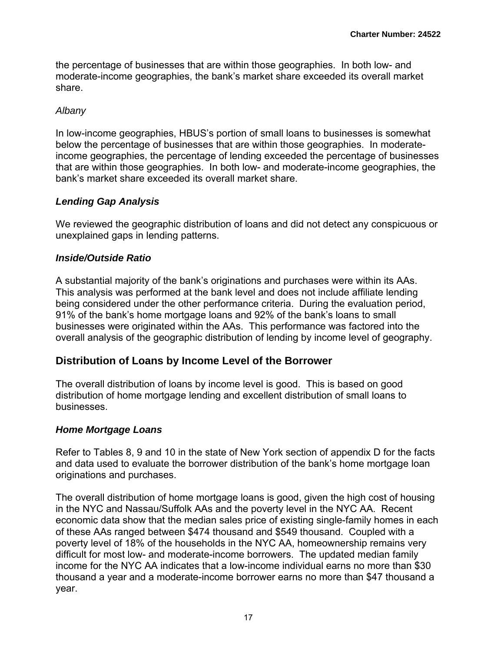the percentage of businesses that are within those geographies. In both low- and moderate-income geographies, the bank's market share exceeded its overall market share.

#### *Albany*

In low-income geographies, HBUS's portion of small loans to businesses is somewhat below the percentage of businesses that are within those geographies. In moderateincome geographies, the percentage of lending exceeded the percentage of businesses that are within those geographies. In both low- and moderate-income geographies, the bank's market share exceeded its overall market share.

### *Lending Gap Analysis*

We reviewed the geographic distribution of loans and did not detect any conspicuous or unexplained gaps in lending patterns.

### *Inside/Outside Ratio*

A substantial majority of the bank's originations and purchases were within its AAs. This analysis was performed at the bank level and does not include affiliate lending being considered under the other performance criteria. During the evaluation period, 91% of the bank's home mortgage loans and 92% of the bank's loans to small businesses were originated within the AAs. This performance was factored into the overall analysis of the geographic distribution of lending by income level of geography.

## **Distribution of Loans by Income Level of the Borrower**

The overall distribution of loans by income level is good. This is based on good distribution of home mortgage lending and excellent distribution of small loans to businesses.

#### *Home Mortgage Loans*

Refer to Tables 8, 9 and 10 in the state of New York section of appendix D for the facts and data used to evaluate the borrower distribution of the bank's home mortgage loan originations and purchases.

The overall distribution of home mortgage loans is good, given the high cost of housing in the NYC and Nassau/Suffolk AAs and the poverty level in the NYC AA. Recent economic data show that the median sales price of existing single-family homes in each of these AAs ranged between \$474 thousand and \$549 thousand. Coupled with a poverty level of 18% of the households in the NYC AA, homeownership remains very difficult for most low- and moderate-income borrowers. The updated median family income for the NYC AA indicates that a low-income individual earns no more than \$30 thousand a year and a moderate-income borrower earns no more than \$47 thousand a year.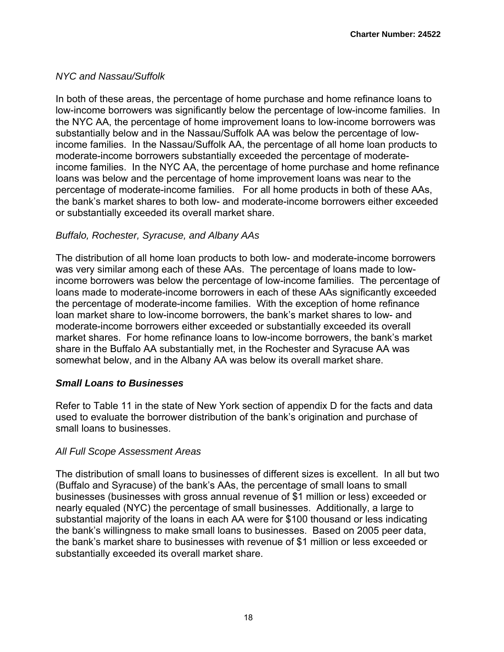### *NYC and Nassau/Suffolk*

In both of these areas, the percentage of home purchase and home refinance loans to low-income borrowers was significantly below the percentage of low-income families. In the NYC AA, the percentage of home improvement loans to low-income borrowers was substantially below and in the Nassau/Suffolk AA was below the percentage of lowincome families. In the Nassau/Suffolk AA, the percentage of all home loan products to moderate-income borrowers substantially exceeded the percentage of moderateincome families. In the NYC AA, the percentage of home purchase and home refinance loans was below and the percentage of home improvement loans was near to the percentage of moderate-income families. For all home products in both of these AAs, the bank's market shares to both low- and moderate-income borrowers either exceeded or substantially exceeded its overall market share.

#### *Buffalo, Rochester, Syracuse, and Albany AAs*

The distribution of all home loan products to both low- and moderate-income borrowers was very similar among each of these AAs. The percentage of loans made to lowincome borrowers was below the percentage of low-income families. The percentage of loans made to moderate-income borrowers in each of these AAs significantly exceeded the percentage of moderate-income families. With the exception of home refinance loan market share to low-income borrowers, the bank's market shares to low- and moderate-income borrowers either exceeded or substantially exceeded its overall market shares. For home refinance loans to low-income borrowers, the bank's market share in the Buffalo AA substantially met, in the Rochester and Syracuse AA was somewhat below, and in the Albany AA was below its overall market share.

#### *Small Loans to Businesses*

Refer to Table 11 in the state of New York section of appendix D for the facts and data used to evaluate the borrower distribution of the bank's origination and purchase of small loans to businesses.

#### *All Full Scope Assessment Areas*

The distribution of small loans to businesses of different sizes is excellent. In all but two (Buffalo and Syracuse) of the bank's AAs, the percentage of small loans to small businesses (businesses with gross annual revenue of \$1 million or less) exceeded or nearly equaled (NYC) the percentage of small businesses. Additionally, a large to substantial majority of the loans in each AA were for \$100 thousand or less indicating the bank's willingness to make small loans to businesses. Based on 2005 peer data, the bank's market share to businesses with revenue of \$1 million or less exceeded or substantially exceeded its overall market share.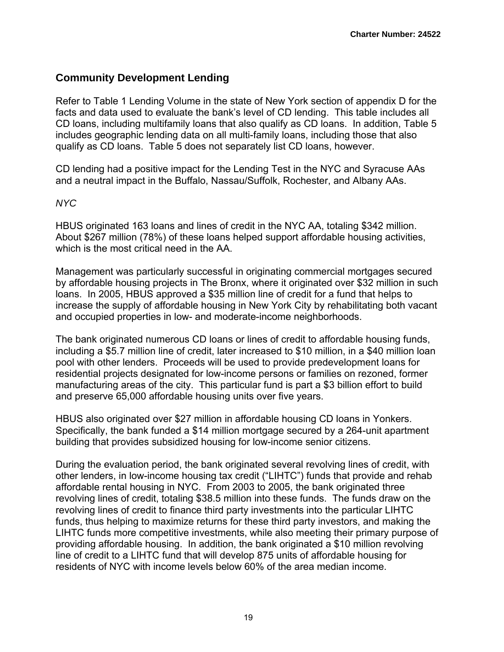## **Community Development Lending**

Refer to Table 1 Lending Volume in the state of New York section of appendix D for the facts and data used to evaluate the bank's level of CD lending. This table includes all CD loans, including multifamily loans that also qualify as CD loans. In addition, Table 5 includes geographic lending data on all multi-family loans, including those that also qualify as CD loans. Table 5 does not separately list CD loans, however.

CD lending had a positive impact for the Lending Test in the NYC and Syracuse AAs and a neutral impact in the Buffalo, Nassau/Suffolk, Rochester, and Albany AAs.

#### *NYC*

HBUS originated 163 loans and lines of credit in the NYC AA, totaling \$342 million. About \$267 million (78%) of these loans helped support affordable housing activities, which is the most critical need in the AA.

Management was particularly successful in originating commercial mortgages secured by affordable housing projects in The Bronx, where it originated over \$32 million in such loans. In 2005, HBUS approved a \$35 million line of credit for a fund that helps to increase the supply of affordable housing in New York City by rehabilitating both vacant and occupied properties in low- and moderate-income neighborhoods.

The bank originated numerous CD loans or lines of credit to affordable housing funds, including a \$5.7 million line of credit, later increased to \$10 million, in a \$40 million loan pool with other lenders. Proceeds will be used to provide predevelopment loans for residential projects designated for low-income persons or families on rezoned, former manufacturing areas of the city. This particular fund is part a \$3 billion effort to build and preserve 65,000 affordable housing units over five years.

HBUS also originated over \$27 million in affordable housing CD loans in Yonkers. Specifically, the bank funded a \$14 million mortgage secured by a 264-unit apartment building that provides subsidized housing for low-income senior citizens.

During the evaluation period, the bank originated several revolving lines of credit, with other lenders, in low-income housing tax credit ("LIHTC") funds that provide and rehab affordable rental housing in NYC. From 2003 to 2005, the bank originated three revolving lines of credit, totaling \$38.5 million into these funds. The funds draw on the revolving lines of credit to finance third party investments into the particular LIHTC funds, thus helping to maximize returns for these third party investors, and making the LIHTC funds more competitive investments, while also meeting their primary purpose of providing affordable housing. In addition, the bank originated a \$10 million revolving line of credit to a LIHTC fund that will develop 875 units of affordable housing for residents of NYC with income levels below 60% of the area median income.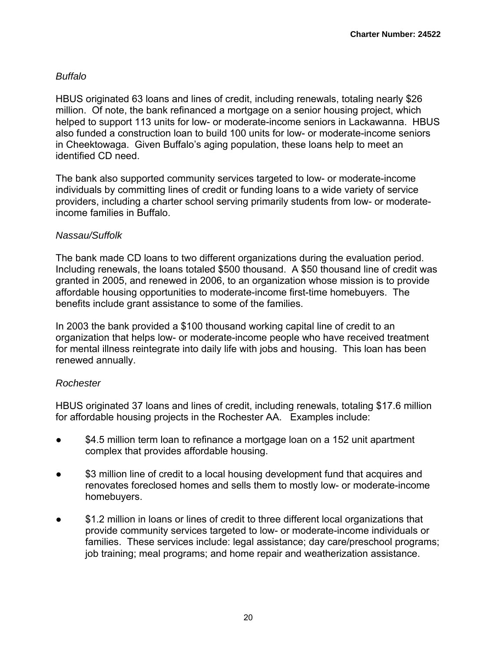#### *Buffalo*

HBUS originated 63 loans and lines of credit, including renewals, totaling nearly \$26 million. Of note, the bank refinanced a mortgage on a senior housing project, which helped to support 113 units for low- or moderate-income seniors in Lackawanna. HBUS also funded a construction loan to build 100 units for low- or moderate-income seniors in Cheektowaga. Given Buffalo's aging population, these loans help to meet an identified CD need.

The bank also supported community services targeted to low- or moderate-income individuals by committing lines of credit or funding loans to a wide variety of service providers, including a charter school serving primarily students from low- or moderateincome families in Buffalo.

#### *Nassau/Suffolk*

The bank made CD loans to two different organizations during the evaluation period. Including renewals, the loans totaled \$500 thousand. A \$50 thousand line of credit was granted in 2005, and renewed in 2006, to an organization whose mission is to provide affordable housing opportunities to moderate-income first-time homebuyers. The benefits include grant assistance to some of the families.

In 2003 the bank provided a \$100 thousand working capital line of credit to an organization that helps low- or moderate-income people who have received treatment for mental illness reintegrate into daily life with jobs and housing. This loan has been renewed annually.

#### *Rochester*

HBUS originated 37 loans and lines of credit, including renewals, totaling \$17.6 million for affordable housing projects in the Rochester AA. Examples include:

- \$4.5 million term loan to refinance a mortgage loan on a 152 unit apartment complex that provides affordable housing.
- \$3 million line of credit to a local housing development fund that acquires and renovates foreclosed homes and sells them to mostly low- or moderate-income homebuyers.
- \$1.2 million in loans or lines of credit to three different local organizations that provide community services targeted to low- or moderate-income individuals or families. These services include: legal assistance; day care/preschool programs; job training; meal programs; and home repair and weatherization assistance.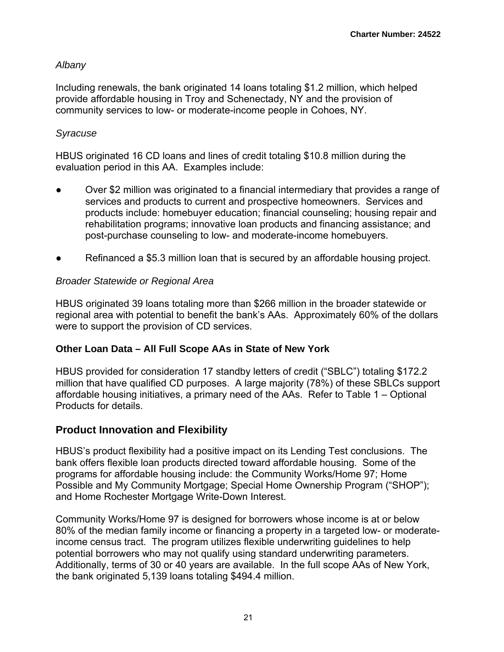#### *Albany*

Including renewals, the bank originated 14 loans totaling \$1.2 million, which helped provide affordable housing in Troy and Schenectady, NY and the provision of community services to low- or moderate-income people in Cohoes, NY.

#### *Syracuse*

HBUS originated 16 CD loans and lines of credit totaling \$10.8 million during the evaluation period in this AA. Examples include:

- Over \$2 million was originated to a financial intermediary that provides a range of services and products to current and prospective homeowners. Services and products include: homebuyer education; financial counseling; housing repair and rehabilitation programs; innovative loan products and financing assistance; and post-purchase counseling to low- and moderate-income homebuyers.
- Refinanced a \$5.3 million loan that is secured by an affordable housing project.

#### *Broader Statewide or Regional Area*

HBUS originated 39 loans totaling more than \$266 million in the broader statewide or regional area with potential to benefit the bank's AAs. Approximately 60% of the dollars were to support the provision of CD services.

#### **Other Loan Data – All Full Scope AAs in State of New York**

HBUS provided for consideration 17 standby letters of credit ("SBLC") totaling \$172.2 million that have qualified CD purposes. A large majority (78%) of these SBLCs support affordable housing initiatives, a primary need of the AAs. Refer to Table 1 – Optional Products for details.

## **Product Innovation and Flexibility**

HBUS's product flexibility had a positive impact on its Lending Test conclusions. The bank offers flexible loan products directed toward affordable housing. Some of the programs for affordable housing include: the Community Works/Home 97; Home Possible and My Community Mortgage; Special Home Ownership Program ("SHOP"); and Home Rochester Mortgage Write-Down Interest.

Community Works/Home 97 is designed for borrowers whose income is at or below 80% of the median family income or financing a property in a targeted low- or moderateincome census tract. The program utilizes flexible underwriting guidelines to help potential borrowers who may not qualify using standard underwriting parameters. Additionally, terms of 30 or 40 years are available. In the full scope AAs of New York, the bank originated 5,139 loans totaling \$494.4 million.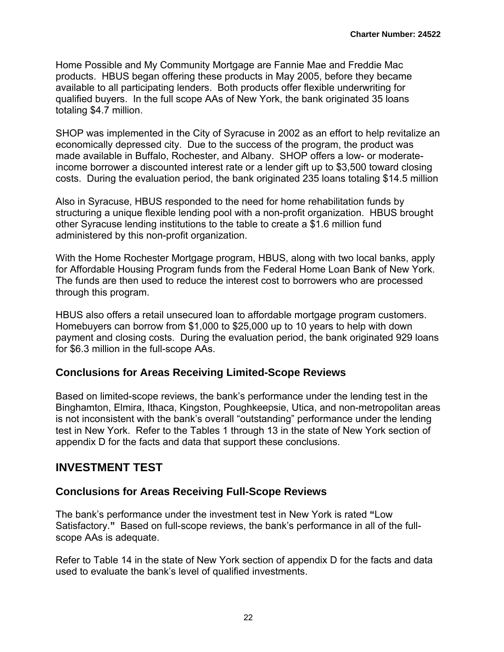Home Possible and My Community Mortgage are Fannie Mae and Freddie Mac products. HBUS began offering these products in May 2005, before they became available to all participating lenders. Both products offer flexible underwriting for qualified buyers. In the full scope AAs of New York, the bank originated 35 loans totaling \$4.7 million.

SHOP was implemented in the City of Syracuse in 2002 as an effort to help revitalize an economically depressed city. Due to the success of the program, the product was made available in Buffalo, Rochester, and Albany. SHOP offers a low- or moderateincome borrower a discounted interest rate or a lender gift up to \$3,500 toward closing costs. During the evaluation period, the bank originated 235 loans totaling \$14.5 million

Also in Syracuse, HBUS responded to the need for home rehabilitation funds by structuring a unique flexible lending pool with a non-profit organization. HBUS brought other Syracuse lending institutions to the table to create a \$1.6 million fund administered by this non-profit organization.

With the Home Rochester Mortgage program, HBUS, along with two local banks, apply for Affordable Housing Program funds from the Federal Home Loan Bank of New York. The funds are then used to reduce the interest cost to borrowers who are processed through this program.

HBUS also offers a retail unsecured loan to affordable mortgage program customers. Homebuyers can borrow from \$1,000 to \$25,000 up to 10 years to help with down payment and closing costs. During the evaluation period, the bank originated 929 loans for \$6.3 million in the full-scope AAs.

#### **Conclusions for Areas Receiving Limited-Scope Reviews**

Based on limited-scope reviews, the bank's performance under the lending test in the Binghamton, Elmira, Ithaca, Kingston, Poughkeepsie, Utica, and non-metropolitan areas is not inconsistent with the bank's overall "outstanding" performance under the lending test in New York. Refer to the Tables 1 through 13 in the state of New York section of appendix D for the facts and data that support these conclusions.

## **INVESTMENT TEST**

#### **Conclusions for Areas Receiving Full-Scope Reviews**

The bank's performance under the investment test in New York is rated **"**Low Satisfactory.**"** Based on full-scope reviews, the bank's performance in all of the fullscope AAs is adequate.

Refer to Table 14 in the state of New York section of appendix D for the facts and data used to evaluate the bank's level of qualified investments.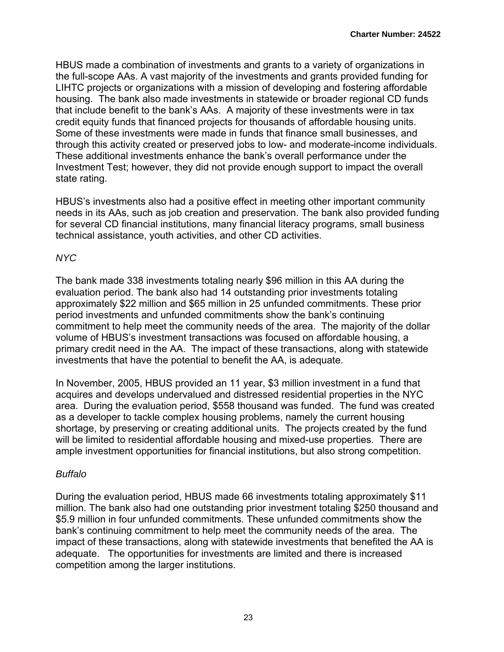HBUS made a combination of investments and grants to a variety of organizations in the full-scope AAs. A vast majority of the investments and grants provided funding for LIHTC projects or organizations with a mission of developing and fostering affordable housing. The bank also made investments in statewide or broader regional CD funds that include benefit to the bank's AAs. A majority of these investments were in tax credit equity funds that financed projects for thousands of affordable housing units. Some of these investments were made in funds that finance small businesses, and through this activity created or preserved jobs to low- and moderate-income individuals. These additional investments enhance the bank's overall performance under the Investment Test; however, they did not provide enough support to impact the overall state rating.

HBUS's investments also had a positive effect in meeting other important community needs in its AAs, such as job creation and preservation. The bank also provided funding for several CD financial institutions, many financial literacy programs, small business technical assistance, youth activities, and other CD activities.

### *NYC*

The bank made 338 investments totaling nearly \$96 million in this AA during the evaluation period. The bank also had 14 outstanding prior investments totaling approximately \$22 million and \$65 million in 25 unfunded commitments. These prior period investments and unfunded commitments show the bank's continuing commitment to help meet the community needs of the area. The majority of the dollar volume of HBUS's investment transactions was focused on affordable housing, a primary credit need in the AA. The impact of these transactions, along with statewide investments that have the potential to benefit the AA, is adequate.

In November, 2005, HBUS provided an 11 year, \$3 million investment in a fund that acquires and develops undervalued and distressed residential properties in the NYC area. During the evaluation period, \$558 thousand was funded. The fund was created as a developer to tackle complex housing problems, namely the current housing shortage, by preserving or creating additional units. The projects created by the fund will be limited to residential affordable housing and mixed-use properties. There are ample investment opportunities for financial institutions, but also strong competition.

#### *Buffalo*

During the evaluation period, HBUS made 66 investments totaling approximately \$11 million. The bank also had one outstanding prior investment totaling \$250 thousand and \$5.9 million in four unfunded commitments. These unfunded commitments show the bank's continuing commitment to help meet the community needs of the area. The impact of these transactions, along with statewide investments that benefited the AA is adequate. The opportunities for investments are limited and there is increased competition among the larger institutions.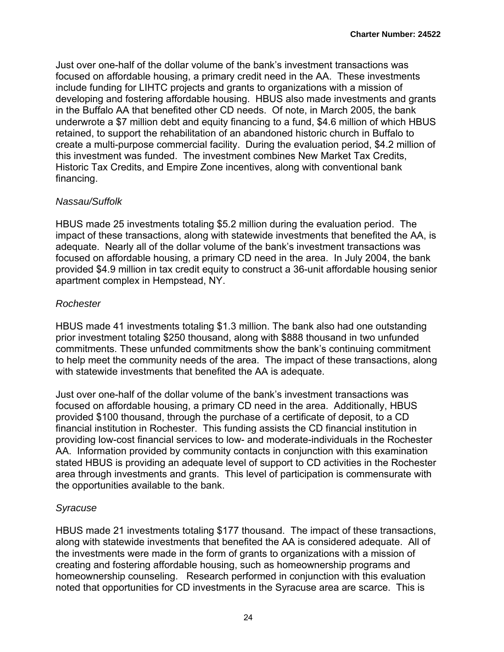Just over one-half of the dollar volume of the bank's investment transactions was focused on affordable housing, a primary credit need in the AA. These investments include funding for LIHTC projects and grants to organizations with a mission of developing and fostering affordable housing. HBUS also made investments and grants in the Buffalo AA that benefited other CD needs. Of note, in March 2005, the bank underwrote a \$7 million debt and equity financing to a fund, \$4.6 million of which HBUS retained, to support the rehabilitation of an abandoned historic church in Buffalo to create a multi-purpose commercial facility. During the evaluation period, \$4.2 million of this investment was funded. The investment combines New Market Tax Credits, Historic Tax Credits, and Empire Zone incentives, along with conventional bank financing.

#### *Nassau/Suffolk*

HBUS made 25 investments totaling \$5.2 million during the evaluation period. The impact of these transactions, along with statewide investments that benefited the AA, is adequate. Nearly all of the dollar volume of the bank's investment transactions was focused on affordable housing, a primary CD need in the area. In July 2004, the bank provided \$4.9 million in tax credit equity to construct a 36-unit affordable housing senior apartment complex in Hempstead, NY.

#### *Rochester*

HBUS made 41 investments totaling \$1.3 million. The bank also had one outstanding prior investment totaling \$250 thousand, along with \$888 thousand in two unfunded commitments. These unfunded commitments show the bank's continuing commitment to help meet the community needs of the area. The impact of these transactions, along with statewide investments that benefited the AA is adequate.

Just over one-half of the dollar volume of the bank's investment transactions was focused on affordable housing, a primary CD need in the area. Additionally, HBUS provided \$100 thousand, through the purchase of a certificate of deposit, to a CD financial institution in Rochester. This funding assists the CD financial institution in providing low-cost financial services to low- and moderate-individuals in the Rochester AA. Information provided by community contacts in conjunction with this examination stated HBUS is providing an adequate level of support to CD activities in the Rochester area through investments and grants. This level of participation is commensurate with the opportunities available to the bank.

#### *Syracuse*

HBUS made 21 investments totaling \$177 thousand. The impact of these transactions, along with statewide investments that benefited the AA is considered adequate. All of the investments were made in the form of grants to organizations with a mission of creating and fostering affordable housing, such as homeownership programs and homeownership counseling. Research performed in conjunction with this evaluation noted that opportunities for CD investments in the Syracuse area are scarce. This is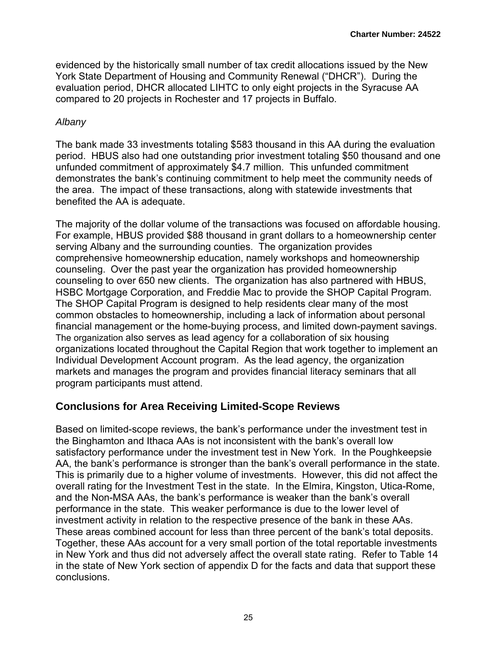evidenced by the historically small number of tax credit allocations issued by the New York State Department of Housing and Community Renewal ("DHCR"). During the evaluation period, DHCR allocated LIHTC to only eight projects in the Syracuse AA compared to 20 projects in Rochester and 17 projects in Buffalo.

#### *Albany*

The bank made 33 investments totaling \$583 thousand in this AA during the evaluation period. HBUS also had one outstanding prior investment totaling \$50 thousand and one unfunded commitment of approximately \$4.7 million. This unfunded commitment demonstrates the bank's continuing commitment to help meet the community needs of the area. The impact of these transactions, along with statewide investments that benefited the AA is adequate.

The majority of the dollar volume of the transactions was focused on affordable housing. For example, HBUS provided \$88 thousand in grant dollars to a homeownership center serving Albany and the surrounding counties. The organization provides comprehensive homeownership education, namely workshops and homeownership counseling. Over the past year the organization has provided homeownership counseling to over 650 new clients. The organization has also partnered with HBUS, HSBC Mortgage Corporation, and Freddie Mac to provide the SHOP Capital Program. The SHOP Capital Program is designed to help residents clear many of the most common obstacles to homeownership, including a lack of information about personal financial management or the home-buying process, and limited down-payment savings. The organization also serves as lead agency for a collaboration of six housing organizations located throughout the Capital Region that work together to implement an Individual Development Account program. As the lead agency, the organization markets and manages the program and provides financial literacy seminars that all program participants must attend.

## **Conclusions for Area Receiving Limited-Scope Reviews**

Based on limited-scope reviews, the bank's performance under the investment test in the Binghamton and Ithaca AAs is not inconsistent with the bank's overall low satisfactory performance under the investment test in New York. In the Poughkeepsie AA, the bank's performance is stronger than the bank's overall performance in the state. This is primarily due to a higher volume of investments. However, this did not affect the overall rating for the Investment Test in the state. In the Elmira, Kingston, Utica-Rome, and the Non-MSA AAs, the bank's performance is weaker than the bank's overall performance in the state. This weaker performance is due to the lower level of investment activity in relation to the respective presence of the bank in these AAs. These areas combined account for less than three percent of the bank's total deposits. Together, these AAs account for a very small portion of the total reportable investments in New York and thus did not adversely affect the overall state rating. Refer to Table 14 in the state of New York section of appendix D for the facts and data that support these conclusions.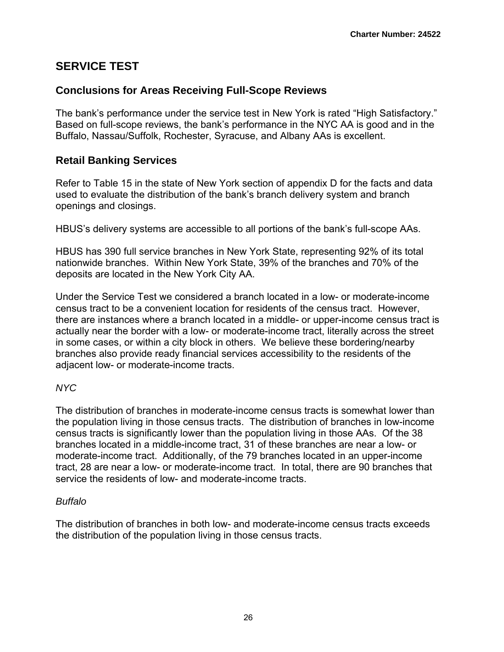## **SERVICE TEST**

## **Conclusions for Areas Receiving Full-Scope Reviews**

The bank's performance under the service test in New York is rated "High Satisfactory." Based on full-scope reviews, the bank's performance in the NYC AA is good and in the Buffalo, Nassau/Suffolk, Rochester, Syracuse, and Albany AAs is excellent.

## **Retail Banking Services**

Refer to Table 15 in the state of New York section of appendix D for the facts and data used to evaluate the distribution of the bank's branch delivery system and branch openings and closings.

HBUS's delivery systems are accessible to all portions of the bank's full-scope AAs.

HBUS has 390 full service branches in New York State, representing 92% of its total nationwide branches. Within New York State, 39% of the branches and 70% of the deposits are located in the New York City AA.

Under the Service Test we considered a branch located in a low- or moderate-income census tract to be a convenient location for residents of the census tract. However, there are instances where a branch located in a middle- or upper-income census tract is actually near the border with a low- or moderate-income tract, literally across the street in some cases, or within a city block in others. We believe these bordering/nearby branches also provide ready financial services accessibility to the residents of the adjacent low- or moderate-income tracts.

#### *NYC*

The distribution of branches in moderate-income census tracts is somewhat lower than the population living in those census tracts. The distribution of branches in low-income census tracts is significantly lower than the population living in those AAs. Of the 38 branches located in a middle-income tract, 31 of these branches are near a low- or moderate-income tract. Additionally, of the 79 branches located in an upper-income tract, 28 are near a low- or moderate-income tract. In total, there are 90 branches that service the residents of low- and moderate-income tracts.

#### *Buffalo*

The distribution of branches in both low- and moderate-income census tracts exceeds the distribution of the population living in those census tracts.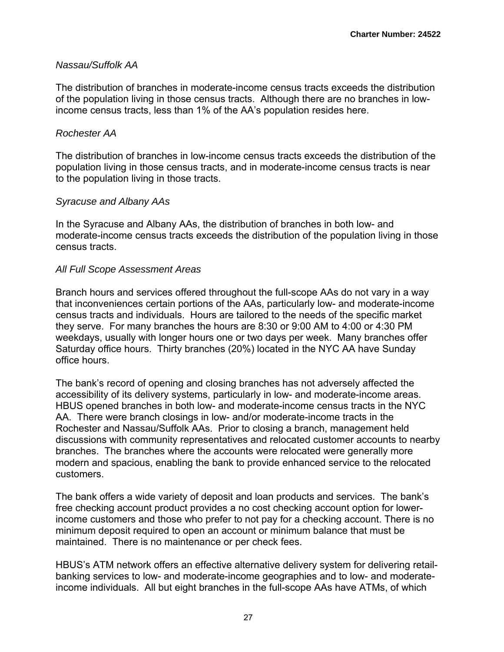#### *Nassau/Suffolk AA*

The distribution of branches in moderate-income census tracts exceeds the distribution of the population living in those census tracts. Although there are no branches in lowincome census tracts, less than 1% of the AA's population resides here.

#### *Rochester AA*

The distribution of branches in low-income census tracts exceeds the distribution of the population living in those census tracts, and in moderate-income census tracts is near to the population living in those tracts.

#### *Syracuse and Albany AAs*

In the Syracuse and Albany AAs, the distribution of branches in both low- and moderate-income census tracts exceeds the distribution of the population living in those census tracts.

#### *All Full Scope Assessment Areas*

Branch hours and services offered throughout the full-scope AAs do not vary in a way that inconveniences certain portions of the AAs, particularly low- and moderate-income census tracts and individuals. Hours are tailored to the needs of the specific market they serve. For many branches the hours are 8:30 or 9:00 AM to 4:00 or 4:30 PM weekdays, usually with longer hours one or two days per week. Many branches offer Saturday office hours. Thirty branches (20%) located in the NYC AA have Sunday office hours.

The bank's record of opening and closing branches has not adversely affected the accessibility of its delivery systems, particularly in low- and moderate-income areas. HBUS opened branches in both low- and moderate-income census tracts in the NYC AA. There were branch closings in low- and/or moderate-income tracts in the Rochester and Nassau/Suffolk AAs. Prior to closing a branch, management held discussions with community representatives and relocated customer accounts to nearby branches. The branches where the accounts were relocated were generally more modern and spacious, enabling the bank to provide enhanced service to the relocated customers.

The bank offers a wide variety of deposit and loan products and services. The bank's free checking account product provides a no cost checking account option for lowerincome customers and those who prefer to not pay for a checking account. There is no minimum deposit required to open an account or minimum balance that must be maintained. There is no maintenance or per check fees.

HBUS's ATM network offers an effective alternative delivery system for delivering retailbanking services to low- and moderate-income geographies and to low- and moderateincome individuals. All but eight branches in the full-scope AAs have ATMs, of which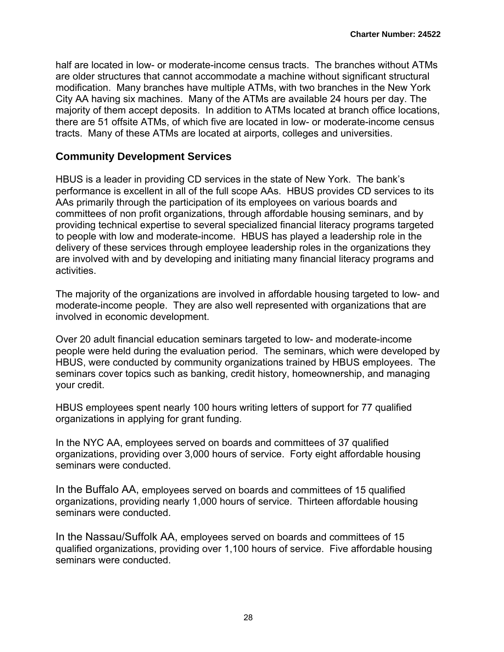half are located in low- or moderate-income census tracts. The branches without ATMs are older structures that cannot accommodate a machine without significant structural modification. Many branches have multiple ATMs, with two branches in the New York City AA having six machines. Many of the ATMs are available 24 hours per day. The majority of them accept deposits. In addition to ATMs located at branch office locations, there are 51 offsite ATMs, of which five are located in low- or moderate-income census tracts. Many of these ATMs are located at airports, colleges and universities.

#### **Community Development Services**

HBUS is a leader in providing CD services in the state of New York. The bank's performance is excellent in all of the full scope AAs. HBUS provides CD services to its AAs primarily through the participation of its employees on various boards and committees of non profit organizations, through affordable housing seminars, and by providing technical expertise to several specialized financial literacy programs targeted to people with low and moderate-income. HBUS has played a leadership role in the delivery of these services through employee leadership roles in the organizations they are involved with and by developing and initiating many financial literacy programs and activities.

The majority of the organizations are involved in affordable housing targeted to low- and moderate-income people. They are also well represented with organizations that are involved in economic development.

Over 20 adult financial education seminars targeted to low- and moderate-income people were held during the evaluation period. The seminars, which were developed by HBUS, were conducted by community organizations trained by HBUS employees. The seminars cover topics such as banking, credit history, homeownership, and managing your credit.

HBUS employees spent nearly 100 hours writing letters of support for 77 qualified organizations in applying for grant funding.

In the NYC AA, employees served on boards and committees of 37 qualified organizations, providing over 3,000 hours of service. Forty eight affordable housing seminars were conducted.

In the Buffalo AA, employees served on boards and committees of 15 qualified organizations, providing nearly 1,000 hours of service. Thirteen affordable housing seminars were conducted.

In the Nassau/Suffolk AA, employees served on boards and committees of 15 qualified organizations, providing over 1,100 hours of service. Five affordable housing seminars were conducted.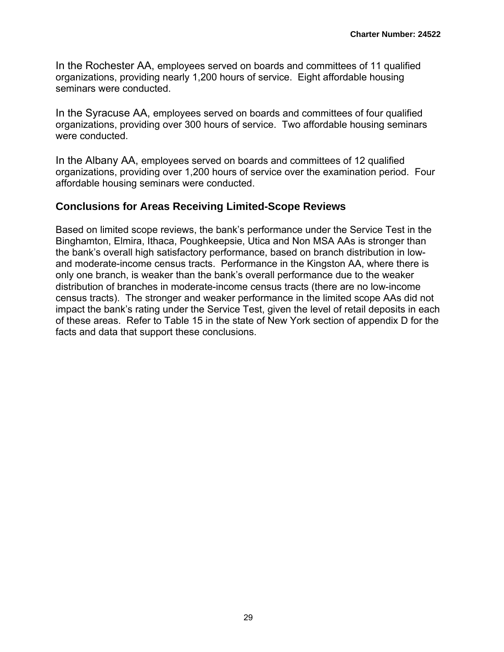In the Rochester AA, employees served on boards and committees of 11 qualified organizations, providing nearly 1,200 hours of service. Eight affordable housing seminars were conducted.

In the Syracuse AA, employees served on boards and committees of four qualified organizations, providing over 300 hours of service. Two affordable housing seminars were conducted.

In the Albany AA, employees served on boards and committees of 12 qualified organizations, providing over 1,200 hours of service over the examination period. Four affordable housing seminars were conducted.

### **Conclusions for Areas Receiving Limited-Scope Reviews**

Based on limited scope reviews, the bank's performance under the Service Test in the Binghamton, Elmira, Ithaca, Poughkeepsie, Utica and Non MSA AAs is stronger than the bank's overall high satisfactory performance, based on branch distribution in lowand moderate-income census tracts. Performance in the Kingston AA, where there is only one branch, is weaker than the bank's overall performance due to the weaker distribution of branches in moderate-income census tracts (there are no low-income census tracts). The stronger and weaker performance in the limited scope AAs did not impact the bank's rating under the Service Test, given the level of retail deposits in each of these areas. Refer to Table 15 in the state of New York section of appendix D for the facts and data that support these conclusions.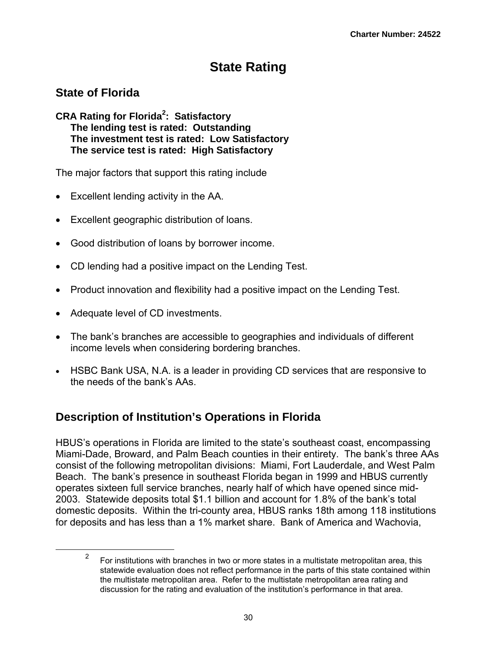# **State Rating**

## **State of Florida**

**CRA Rating for Florida2 : Satisfactory The lending test is rated: Outstanding The investment test is rated: Low Satisfactory The service test is rated: High Satisfactory**

The major factors that support this rating include

- Excellent lending activity in the AA.
- Excellent geographic distribution of loans.
- Good distribution of loans by borrower income.
- CD lending had a positive impact on the Lending Test.
- Product innovation and flexibility had a positive impact on the Lending Test.
- Adequate level of CD investments.
- The bank's branches are accessible to geographies and individuals of different income levels when considering bordering branches.
- HSBC Bank USA, N.A. is a leader in providing CD services that are responsive to the needs of the bank's AAs.

# **Description of Institution's Operations in Florida**

HBUS's operations in Florida are limited to the state's southeast coast, encompassing Miami-Dade, Broward, and Palm Beach counties in their entirety. The bank's three AAs consist of the following metropolitan divisions: Miami, Fort Lauderdale, and West Palm Beach. The bank's presence in southeast Florida began in 1999 and HBUS currently operates sixteen full service branches, nearly half of which have opened since mid-2003. Statewide deposits total \$1.1 billion and account for 1.8% of the bank's total domestic deposits. Within the tri-county area, HBUS ranks 18th among 118 institutions for deposits and has less than a 1% market share. Bank of America and Wachovia,

 $\frac{1}{2}$  For institutions with branches in two or more states in a multistate metropolitan area, this statewide evaluation does not reflect performance in the parts of this state contained within the multistate metropolitan area. Refer to the multistate metropolitan area rating and discussion for the rating and evaluation of the institution's performance in that area.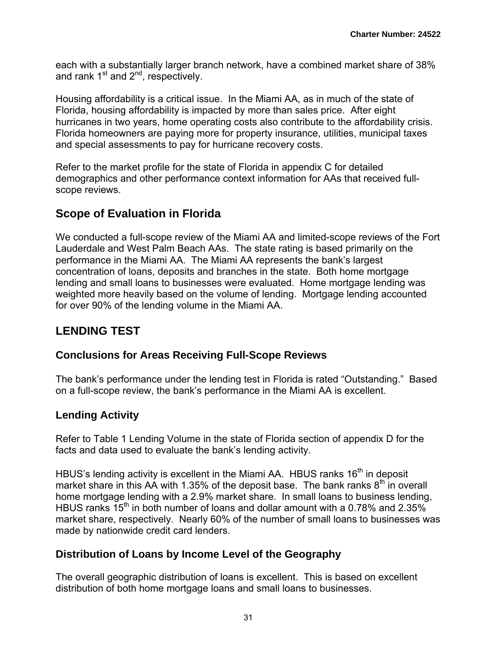each with a substantially larger branch network, have a combined market share of 38% and rank  $1<sup>st</sup>$  and  $2<sup>nd</sup>$ , respectively.

Housing affordability is a critical issue. In the Miami AA, as in much of the state of Florida, housing affordability is impacted by more than sales price. After eight hurricanes in two years, home operating costs also contribute to the affordability crisis. Florida homeowners are paying more for property insurance, utilities, municipal taxes and special assessments to pay for hurricane recovery costs.

Refer to the market profile for the state of Florida in appendix C for detailed demographics and other performance context information for AAs that received fullscope reviews.

## **Scope of Evaluation in Florida**

We conducted a full-scope review of the Miami AA and limited-scope reviews of the Fort Lauderdale and West Palm Beach AAs. The state rating is based primarily on the performance in the Miami AA. The Miami AA represents the bank's largest concentration of loans, deposits and branches in the state. Both home mortgage lending and small loans to businesses were evaluated. Home mortgage lending was weighted more heavily based on the volume of lending. Mortgage lending accounted for over 90% of the lending volume in the Miami AA.

# **LENDING TEST**

## **Conclusions for Areas Receiving Full-Scope Reviews**

The bank's performance under the lending test in Florida is rated "Outstanding." Based on a full-scope review, the bank's performance in the Miami AA is excellent.

## **Lending Activity**

Refer to Table 1 Lending Volume in the state of Florida section of appendix D for the facts and data used to evaluate the bank's lending activity.

HBUS's lending activity is excellent in the Miami AA. HBUS ranks 16<sup>th</sup> in deposit market share in this AA with 1.35% of the deposit base. The bank ranks  $8<sup>th</sup>$  in overall home mortgage lending with a 2.9% market share. In small loans to business lending, HBUS ranks 15<sup>th</sup> in both number of loans and dollar amount with a 0.78% and 2.35% market share, respectively. Nearly 60% of the number of small loans to businesses was made by nationwide credit card lenders.

## **Distribution of Loans by Income Level of the Geography**

The overall geographic distribution of loans is excellent. This is based on excellent distribution of both home mortgage loans and small loans to businesses.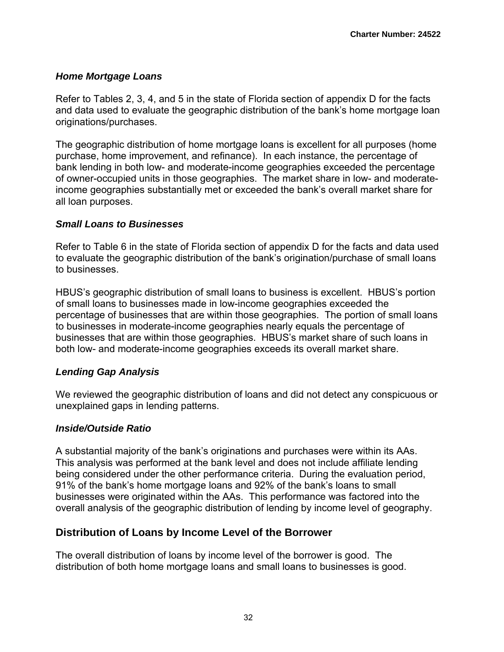#### *Home Mortgage Loans*

Refer to Tables 2, 3, 4, and 5 in the state of Florida section of appendix D for the facts and data used to evaluate the geographic distribution of the bank's home mortgage loan originations/purchases.

The geographic distribution of home mortgage loans is excellent for all purposes (home purchase, home improvement, and refinance). In each instance, the percentage of bank lending in both low- and moderate-income geographies exceeded the percentage of owner-occupied units in those geographies. The market share in low- and moderateincome geographies substantially met or exceeded the bank's overall market share for all loan purposes.

#### *Small Loans to Businesses*

Refer to Table 6 in the state of Florida section of appendix D for the facts and data used to evaluate the geographic distribution of the bank's origination/purchase of small loans to businesses.

HBUS's geographic distribution of small loans to business is excellent. HBUS's portion of small loans to businesses made in low-income geographies exceeded the percentage of businesses that are within those geographies. The portion of small loans to businesses in moderate-income geographies nearly equals the percentage of businesses that are within those geographies. HBUS's market share of such loans in both low- and moderate-income geographies exceeds its overall market share.

#### *Lending Gap Analysis*

We reviewed the geographic distribution of loans and did not detect any conspicuous or unexplained gaps in lending patterns.

#### *Inside/Outside Ratio*

A substantial majority of the bank's originations and purchases were within its AAs. This analysis was performed at the bank level and does not include affiliate lending being considered under the other performance criteria. During the evaluation period, 91% of the bank's home mortgage loans and 92% of the bank's loans to small businesses were originated within the AAs. This performance was factored into the overall analysis of the geographic distribution of lending by income level of geography.

## **Distribution of Loans by Income Level of the Borrower**

The overall distribution of loans by income level of the borrower is good. The distribution of both home mortgage loans and small loans to businesses is good.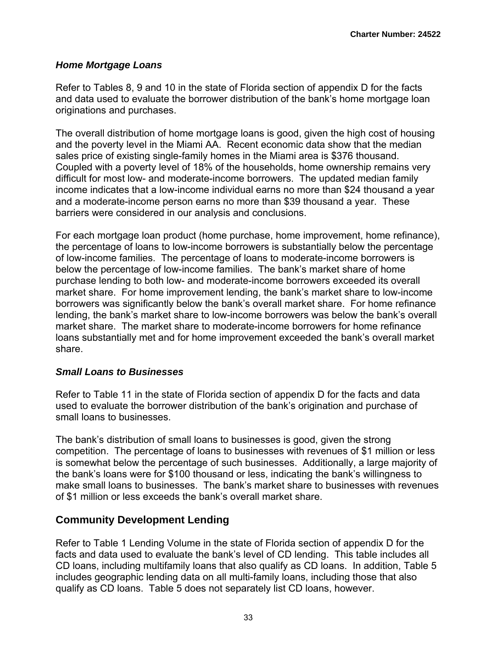#### *Home Mortgage Loans*

Refer to Tables 8, 9 and 10 in the state of Florida section of appendix D for the facts and data used to evaluate the borrower distribution of the bank's home mortgage loan originations and purchases.

The overall distribution of home mortgage loans is good, given the high cost of housing and the poverty level in the Miami AA. Recent economic data show that the median sales price of existing single-family homes in the Miami area is \$376 thousand. Coupled with a poverty level of 18% of the households, home ownership remains very difficult for most low- and moderate-income borrowers. The updated median family income indicates that a low-income individual earns no more than \$24 thousand a year and a moderate-income person earns no more than \$39 thousand a year. These barriers were considered in our analysis and conclusions.

For each mortgage loan product (home purchase, home improvement, home refinance), the percentage of loans to low-income borrowers is substantially below the percentage of low-income families. The percentage of loans to moderate-income borrowers is below the percentage of low-income families. The bank's market share of home purchase lending to both low- and moderate-income borrowers exceeded its overall market share. For home improvement lending, the bank's market share to low-income borrowers was significantly below the bank's overall market share. For home refinance lending, the bank's market share to low-income borrowers was below the bank's overall market share. The market share to moderate-income borrowers for home refinance loans substantially met and for home improvement exceeded the bank's overall market share.

#### *Small Loans to Businesses*

Refer to Table 11 in the state of Florida section of appendix D for the facts and data used to evaluate the borrower distribution of the bank's origination and purchase of small loans to businesses.

The bank's distribution of small loans to businesses is good, given the strong competition. The percentage of loans to businesses with revenues of \$1 million or less is somewhat below the percentage of such businesses. Additionally, a large majority of the bank's loans were for \$100 thousand or less, indicating the bank's willingness to make small loans to businesses. The bank's market share to businesses with revenues of \$1 million or less exceeds the bank's overall market share.

#### **Community Development Lending**

Refer to Table 1 Lending Volume in the state of Florida section of appendix D for the facts and data used to evaluate the bank's level of CD lending. This table includes all CD loans, including multifamily loans that also qualify as CD loans. In addition, Table 5 includes geographic lending data on all multi-family loans, including those that also qualify as CD loans. Table 5 does not separately list CD loans, however.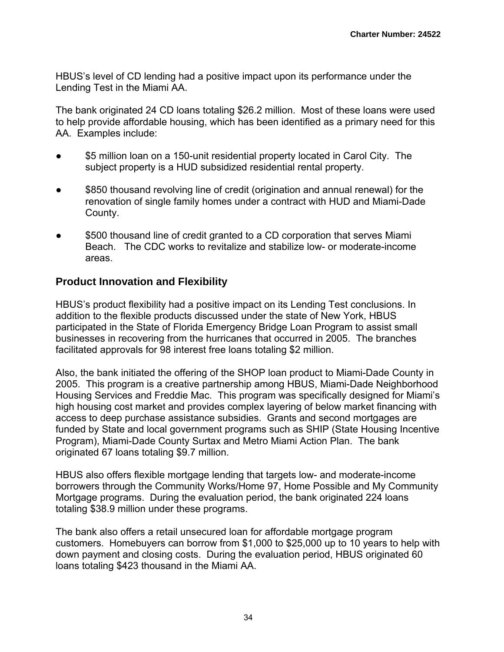HBUS's level of CD lending had a positive impact upon its performance under the Lending Test in the Miami AA.

The bank originated 24 CD loans totaling \$26.2 million. Most of these loans were used to help provide affordable housing, which has been identified as a primary need for this AA. Examples include:

- **\$5 million loan on a 150-unit residential property located in Carol City.** The subject property is a HUD subsidized residential rental property.
- \$850 thousand revolving line of credit (origination and annual renewal) for the renovation of single family homes under a contract with HUD and Miami-Dade County.
- \$500 thousand line of credit granted to a CD corporation that serves Miami Beach. The CDC works to revitalize and stabilize low- or moderate-income areas.

## **Product Innovation and Flexibility**

HBUS's product flexibility had a positive impact on its Lending Test conclusions. In addition to the flexible products discussed under the state of New York, HBUS participated in the State of Florida Emergency Bridge Loan Program to assist small businesses in recovering from the hurricanes that occurred in 2005. The branches facilitated approvals for 98 interest free loans totaling \$2 million.

Also, the bank initiated the offering of the SHOP loan product to Miami-Dade County in 2005. This program is a creative partnership among HBUS, Miami-Dade Neighborhood Housing Services and Freddie Mac. This program was specifically designed for Miami's high housing cost market and provides complex layering of below market financing with access to deep purchase assistance subsidies. Grants and second mortgages are funded by State and local government programs such as SHIP (State Housing Incentive Program), Miami-Dade County Surtax and Metro Miami Action Plan. The bank originated 67 loans totaling \$9.7 million.

HBUS also offers flexible mortgage lending that targets low- and moderate-income borrowers through the Community Works/Home 97, Home Possible and My Community Mortgage programs. During the evaluation period, the bank originated 224 loans totaling \$38.9 million under these programs.

The bank also offers a retail unsecured loan for affordable mortgage program customers. Homebuyers can borrow from \$1,000 to \$25,000 up to 10 years to help with down payment and closing costs. During the evaluation period, HBUS originated 60 loans totaling \$423 thousand in the Miami AA.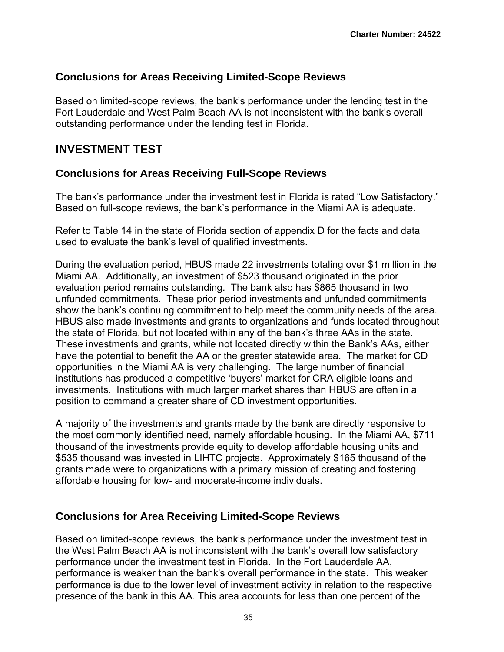## **Conclusions for Areas Receiving Limited-Scope Reviews**

Based on limited-scope reviews, the bank's performance under the lending test in the Fort Lauderdale and West Palm Beach AA is not inconsistent with the bank's overall outstanding performance under the lending test in Florida.

## **INVESTMENT TEST**

## **Conclusions for Areas Receiving Full-Scope Reviews**

The bank's performance under the investment test in Florida is rated "Low Satisfactory." Based on full-scope reviews, the bank's performance in the Miami AA is adequate.

Refer to Table 14 in the state of Florida section of appendix D for the facts and data used to evaluate the bank's level of qualified investments.

During the evaluation period, HBUS made 22 investments totaling over \$1 million in the Miami AA. Additionally, an investment of \$523 thousand originated in the prior evaluation period remains outstanding. The bank also has \$865 thousand in two unfunded commitments. These prior period investments and unfunded commitments show the bank's continuing commitment to help meet the community needs of the area. HBUS also made investments and grants to organizations and funds located throughout the state of Florida, but not located within any of the bank's three AAs in the state. These investments and grants, while not located directly within the Bank's AAs, either have the potential to benefit the AA or the greater statewide area. The market for CD opportunities in the Miami AA is very challenging. The large number of financial institutions has produced a competitive 'buyers' market for CRA eligible loans and investments. Institutions with much larger market shares than HBUS are often in a position to command a greater share of CD investment opportunities.

A majority of the investments and grants made by the bank are directly responsive to the most commonly identified need, namely affordable housing. In the Miami AA, \$711 thousand of the investments provide equity to develop affordable housing units and \$535 thousand was invested in LIHTC projects. Approximately \$165 thousand of the grants made were to organizations with a primary mission of creating and fostering affordable housing for low- and moderate-income individuals.

## **Conclusions for Area Receiving Limited-Scope Reviews**

Based on limited-scope reviews, the bank's performance under the investment test in the West Palm Beach AA is not inconsistent with the bank's overall low satisfactory performance under the investment test in Florida. In the Fort Lauderdale AA, performance is weaker than the bank's overall performance in the state. This weaker performance is due to the lower level of investment activity in relation to the respective presence of the bank in this AA. This area accounts for less than one percent of the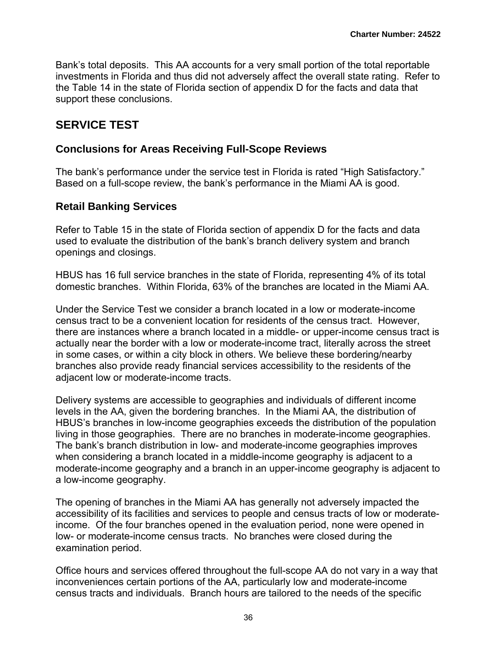Bank's total deposits. This AA accounts for a very small portion of the total reportable investments in Florida and thus did not adversely affect the overall state rating. Refer to the Table 14 in the state of Florida section of appendix D for the facts and data that support these conclusions.

## **SERVICE TEST**

## **Conclusions for Areas Receiving Full-Scope Reviews**

The bank's performance under the service test in Florida is rated "High Satisfactory." Based on a full-scope review, the bank's performance in the Miami AA is good.

## **Retail Banking Services**

Refer to Table 15 in the state of Florida section of appendix D for the facts and data used to evaluate the distribution of the bank's branch delivery system and branch openings and closings.

HBUS has 16 full service branches in the state of Florida, representing 4% of its total domestic branches. Within Florida, 63% of the branches are located in the Miami AA.

Under the Service Test we consider a branch located in a low or moderate-income census tract to be a convenient location for residents of the census tract. However, there are instances where a branch located in a middle- or upper-income census tract is actually near the border with a low or moderate-income tract, literally across the street in some cases, or within a city block in others. We believe these bordering/nearby branches also provide ready financial services accessibility to the residents of the adjacent low or moderate-income tracts.

Delivery systems are accessible to geographies and individuals of different income levels in the AA, given the bordering branches. In the Miami AA, the distribution of HBUS's branches in low-income geographies exceeds the distribution of the population living in those geographies. There are no branches in moderate-income geographies. The bank's branch distribution in low- and moderate-income geographies improves when considering a branch located in a middle-income geography is adjacent to a moderate-income geography and a branch in an upper-income geography is adjacent to a low-income geography.

The opening of branches in the Miami AA has generally not adversely impacted the accessibility of its facilities and services to people and census tracts of low or moderateincome. Of the four branches opened in the evaluation period, none were opened in low- or moderate-income census tracts. No branches were closed during the examination period.

Office hours and services offered throughout the full-scope AA do not vary in a way that inconveniences certain portions of the AA, particularly low and moderate-income census tracts and individuals. Branch hours are tailored to the needs of the specific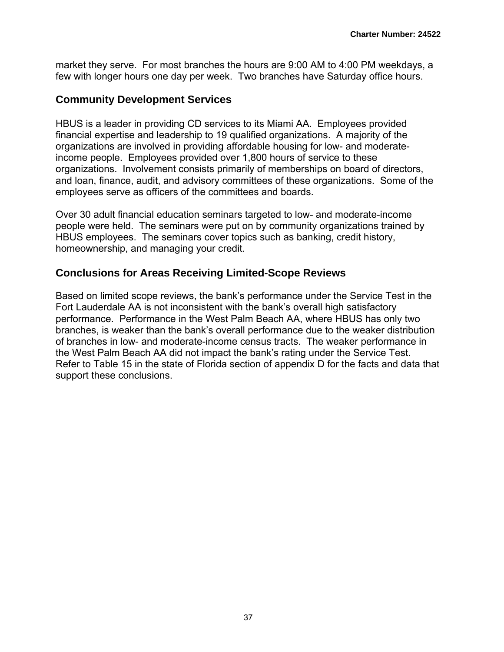market they serve. For most branches the hours are 9:00 AM to 4:00 PM weekdays, a few with longer hours one day per week. Two branches have Saturday office hours.

## **Community Development Services**

HBUS is a leader in providing CD services to its Miami AA. Employees provided financial expertise and leadership to 19 qualified organizations. A majority of the organizations are involved in providing affordable housing for low- and moderateincome people. Employees provided over 1,800 hours of service to these organizations. Involvement consists primarily of memberships on board of directors, and loan, finance, audit, and advisory committees of these organizations. Some of the employees serve as officers of the committees and boards.

Over 30 adult financial education seminars targeted to low- and moderate-income people were held. The seminars were put on by community organizations trained by HBUS employees. The seminars cover topics such as banking, credit history, homeownership, and managing your credit.

## **Conclusions for Areas Receiving Limited-Scope Reviews**

Based on limited scope reviews, the bank's performance under the Service Test in the Fort Lauderdale AA is not inconsistent with the bank's overall high satisfactory performance. Performance in the West Palm Beach AA, where HBUS has only two branches, is weaker than the bank's overall performance due to the weaker distribution of branches in low- and moderate-income census tracts. The weaker performance in the West Palm Beach AA did not impact the bank's rating under the Service Test. Refer to Table 15 in the state of Florida section of appendix D for the facts and data that support these conclusions.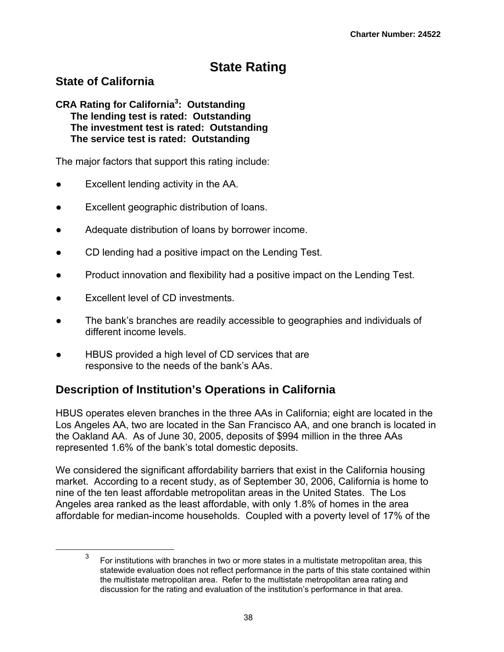# **State Rating**

## **State of California**

#### **CRA Rating for California3 : Outstanding The lending test is rated: Outstanding The investment test is rated: Outstanding The service test is rated: Outstanding**

The major factors that support this rating include:

- Excellent lending activity in the AA.
- Excellent geographic distribution of loans.
- Adequate distribution of loans by borrower income.
- CD lending had a positive impact on the Lending Test.
- Product innovation and flexibility had a positive impact on the Lending Test.
- Excellent level of CD investments.
- The bank's branches are readily accessible to geographies and individuals of different income levels.
- HBUS provided a high level of CD services that are responsive to the needs of the bank's AAs.

# **Description of Institution's Operations in California**

HBUS operates eleven branches in the three AAs in California; eight are located in the Los Angeles AA, two are located in the San Francisco AA, and one branch is located in the Oakland AA. As of June 30, 2005, deposits of \$994 million in the three AAs represented 1.6% of the bank's total domestic deposits.

We considered the significant affordability barriers that exist in the California housing market. According to a recent study, as of September 30, 2006, California is home to nine of the ten least affordable metropolitan areas in the United States. The Los Angeles area ranked as the least affordable, with only 1.8% of homes in the area affordable for median-income households. Coupled with a poverty level of 17% of the

 <sup>3</sup> For institutions with branches in two or more states in a multistate metropolitan area, this statewide evaluation does not reflect performance in the parts of this state contained within the multistate metropolitan area. Refer to the multistate metropolitan area rating and discussion for the rating and evaluation of the institution's performance in that area.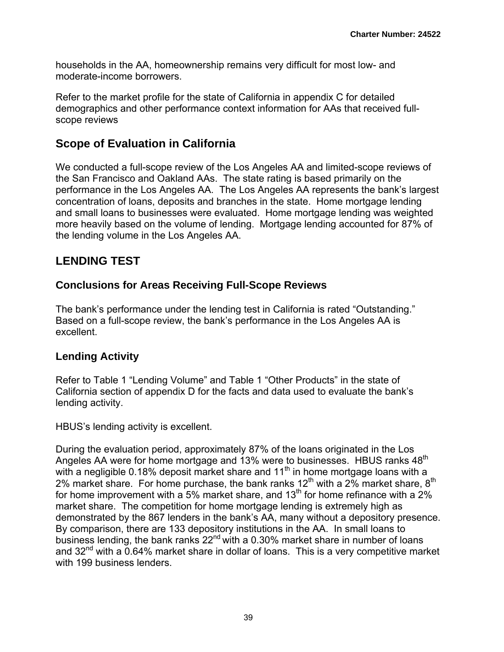households in the AA, homeownership remains very difficult for most low- and moderate-income borrowers.

Refer to the market profile for the state of California in appendix C for detailed demographics and other performance context information for AAs that received fullscope reviews

## **Scope of Evaluation in California**

We conducted a full-scope review of the Los Angeles AA and limited-scope reviews of the San Francisco and Oakland AAs. The state rating is based primarily on the performance in the Los Angeles AA. The Los Angeles AA represents the bank's largest concentration of loans, deposits and branches in the state. Home mortgage lending and small loans to businesses were evaluated. Home mortgage lending was weighted more heavily based on the volume of lending. Mortgage lending accounted for 87% of the lending volume in the Los Angeles AA.

# **LENDING TEST**

## **Conclusions for Areas Receiving Full-Scope Reviews**

The bank's performance under the lending test in California is rated "Outstanding." Based on a full-scope review, the bank's performance in the Los Angeles AA is excellent.

## **Lending Activity**

Refer to Table 1 "Lending Volume" and Table 1 "Other Products" in the state of California section of appendix D for the facts and data used to evaluate the bank's lending activity.

HBUS's lending activity is excellent.

During the evaluation period, approximately 87% of the loans originated in the Los Angeles AA were for home mortgage and 13% were to businesses. HBUS ranks 48<sup>th</sup> with a negligible 0.18% deposit market share and  $11<sup>th</sup>$  in home mortgage loans with a 2% market share. For home purchase, the bank ranks  $12<sup>th</sup>$  with a 2% market share,  $8<sup>th</sup>$ for home improvement with a 5% market share, and 13<sup>th</sup> for home refinance with a 2% market share. The competition for home mortgage lending is extremely high as demonstrated by the 867 lenders in the bank's AA, many without a depository presence. By comparison, there are 133 depository institutions in the AA. In small loans to business lending, the bank ranks  $22^{nd}$  with a 0.30% market share in number of loans and  $32<sup>nd</sup>$  with a 0.64% market share in dollar of loans. This is a very competitive market with 199 business lenders.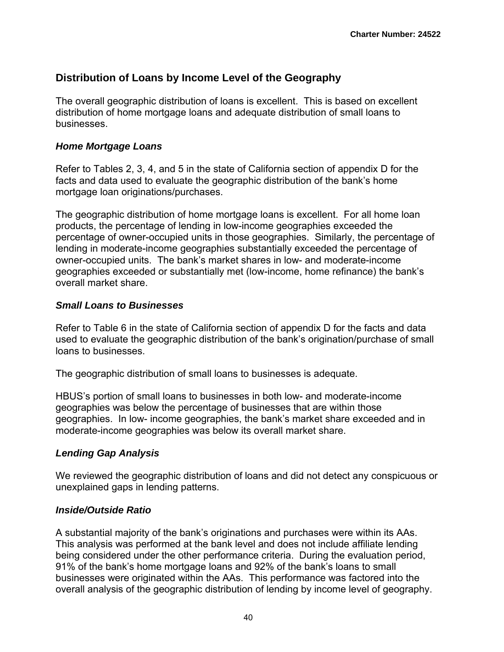## **Distribution of Loans by Income Level of the Geography**

The overall geographic distribution of loans is excellent. This is based on excellent distribution of home mortgage loans and adequate distribution of small loans to businesses.

## *Home Mortgage Loans*

Refer to Tables 2, 3, 4, and 5 in the state of California section of appendix D for the facts and data used to evaluate the geographic distribution of the bank's home mortgage loan originations/purchases.

The geographic distribution of home mortgage loans is excellent. For all home loan products, the percentage of lending in low-income geographies exceeded the percentage of owner-occupied units in those geographies. Similarly, the percentage of lending in moderate-income geographies substantially exceeded the percentage of owner-occupied units. The bank's market shares in low- and moderate-income geographies exceeded or substantially met (low-income, home refinance) the bank's overall market share.

## *Small Loans to Businesses*

Refer to Table 6 in the state of California section of appendix D for the facts and data used to evaluate the geographic distribution of the bank's origination/purchase of small loans to businesses.

The geographic distribution of small loans to businesses is adequate.

HBUS's portion of small loans to businesses in both low- and moderate-income geographies was below the percentage of businesses that are within those geographies. In low- income geographies, the bank's market share exceeded and in moderate-income geographies was below its overall market share.

## *Lending Gap Analysis*

We reviewed the geographic distribution of loans and did not detect any conspicuous or unexplained gaps in lending patterns.

## *Inside/Outside Ratio*

A substantial majority of the bank's originations and purchases were within its AAs. This analysis was performed at the bank level and does not include affiliate lending being considered under the other performance criteria. During the evaluation period, 91% of the bank's home mortgage loans and 92% of the bank's loans to small businesses were originated within the AAs. This performance was factored into the overall analysis of the geographic distribution of lending by income level of geography.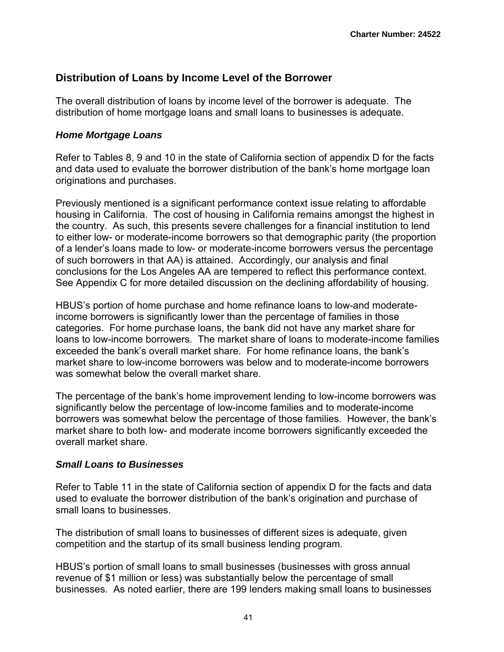## **Distribution of Loans by Income Level of the Borrower**

The overall distribution of loans by income level of the borrower is adequate. The distribution of home mortgage loans and small loans to businesses is adequate.

### *Home Mortgage Loans*

Refer to Tables 8, 9 and 10 in the state of California section of appendix D for the facts and data used to evaluate the borrower distribution of the bank's home mortgage loan originations and purchases.

Previously mentioned is a significant performance context issue relating to affordable housing in California. The cost of housing in California remains amongst the highest in the country. As such, this presents severe challenges for a financial institution to lend to either low- or moderate-income borrowers so that demographic parity (the proportion of a lender's loans made to low- or moderate-income borrowers versus the percentage of such borrowers in that AA) is attained. Accordingly, our analysis and final conclusions for the Los Angeles AA are tempered to reflect this performance context. See Appendix C for more detailed discussion on the declining affordability of housing.

HBUS's portion of home purchase and home refinance loans to low-and moderateincome borrowers is significantly lower than the percentage of families in those categories. For home purchase loans, the bank did not have any market share for loans to low-income borrowers. The market share of loans to moderate-income families exceeded the bank's overall market share. For home refinance loans, the bank's market share to low-income borrowers was below and to moderate-income borrowers was somewhat below the overall market share.

The percentage of the bank's home improvement lending to low-income borrowers was significantly below the percentage of low-income families and to moderate-income borrowers was somewhat below the percentage of those families. However, the bank's market share to both low- and moderate income borrowers significantly exceeded the overall market share.

#### *Small Loans to Businesses*

Refer to Table 11 in the state of California section of appendix D for the facts and data used to evaluate the borrower distribution of the bank's origination and purchase of small loans to businesses.

The distribution of small loans to businesses of different sizes is adequate, given competition and the startup of its small business lending program.

HBUS's portion of small loans to small businesses (businesses with gross annual revenue of \$1 million or less) was substantially below the percentage of small businesses. As noted earlier, there are 199 lenders making small loans to businesses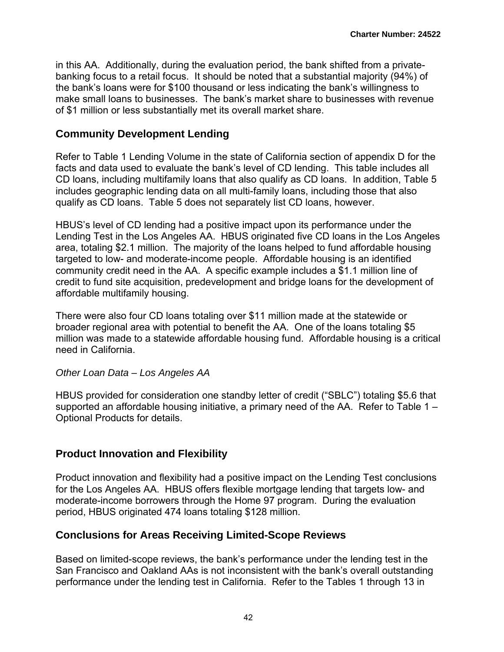in this AA. Additionally, during the evaluation period, the bank shifted from a privatebanking focus to a retail focus. It should be noted that a substantial majority (94%) of the bank's loans were for \$100 thousand or less indicating the bank's willingness to make small loans to businesses. The bank's market share to businesses with revenue of \$1 million or less substantially met its overall market share.

## **Community Development Lending**

Refer to Table 1 Lending Volume in the state of California section of appendix D for the facts and data used to evaluate the bank's level of CD lending. This table includes all CD loans, including multifamily loans that also qualify as CD loans. In addition, Table 5 includes geographic lending data on all multi-family loans, including those that also qualify as CD loans. Table 5 does not separately list CD loans, however.

HBUS's level of CD lending had a positive impact upon its performance under the Lending Test in the Los Angeles AA. HBUS originated five CD loans in the Los Angeles area, totaling \$2.1 million. The majority of the loans helped to fund affordable housing targeted to low- and moderate-income people. Affordable housing is an identified community credit need in the AA. A specific example includes a \$1.1 million line of credit to fund site acquisition, predevelopment and bridge loans for the development of affordable multifamily housing.

There were also four CD loans totaling over \$11 million made at the statewide or broader regional area with potential to benefit the AA. One of the loans totaling \$5 million was made to a statewide affordable housing fund. Affordable housing is a critical need in California.

#### *Other Loan Data – Los Angeles AA*

HBUS provided for consideration one standby letter of credit ("SBLC") totaling \$5.6 that supported an affordable housing initiative, a primary need of the AA. Refer to Table 1 – Optional Products for details.

## **Product Innovation and Flexibility**

Product innovation and flexibility had a positive impact on the Lending Test conclusions for the Los Angeles AA. HBUS offers flexible mortgage lending that targets low- and moderate-income borrowers through the Home 97 program. During the evaluation period, HBUS originated 474 loans totaling \$128 million.

### **Conclusions for Areas Receiving Limited-Scope Reviews**

Based on limited-scope reviews, the bank's performance under the lending test in the San Francisco and Oakland AAs is not inconsistent with the bank's overall outstanding performance under the lending test in California. Refer to the Tables 1 through 13 in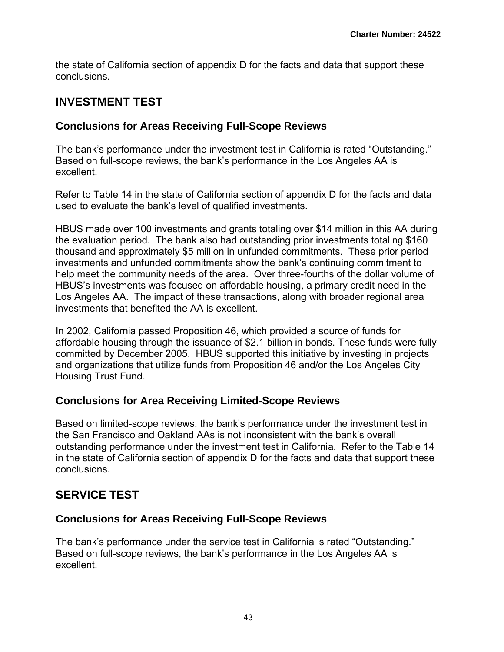the state of California section of appendix D for the facts and data that support these conclusions.

## **INVESTMENT TEST**

## **Conclusions for Areas Receiving Full-Scope Reviews**

The bank's performance under the investment test in California is rated "Outstanding." Based on full-scope reviews, the bank's performance in the Los Angeles AA is excellent.

Refer to Table 14 in the state of California section of appendix D for the facts and data used to evaluate the bank's level of qualified investments.

HBUS made over 100 investments and grants totaling over \$14 million in this AA during the evaluation period. The bank also had outstanding prior investments totaling \$160 thousand and approximately \$5 million in unfunded commitments. These prior period investments and unfunded commitments show the bank's continuing commitment to help meet the community needs of the area. Over three-fourths of the dollar volume of HBUS's investments was focused on affordable housing, a primary credit need in the Los Angeles AA. The impact of these transactions, along with broader regional area investments that benefited the AA is excellent.

In 2002, California passed Proposition 46, which provided a source of funds for affordable housing through the issuance of \$2.1 billion in bonds. These funds were fully committed by December 2005. HBUS supported this initiative by investing in projects and organizations that utilize funds from Proposition 46 and/or the Los Angeles City Housing Trust Fund.

## **Conclusions for Area Receiving Limited-Scope Reviews**

Based on limited-scope reviews, the bank's performance under the investment test in the San Francisco and Oakland AAs is not inconsistent with the bank's overall outstanding performance under the investment test in California. Refer to the Table 14 in the state of California section of appendix D for the facts and data that support these conclusions.

# **SERVICE TEST**

## **Conclusions for Areas Receiving Full-Scope Reviews**

The bank's performance under the service test in California is rated "Outstanding." Based on full-scope reviews, the bank's performance in the Los Angeles AA is excellent.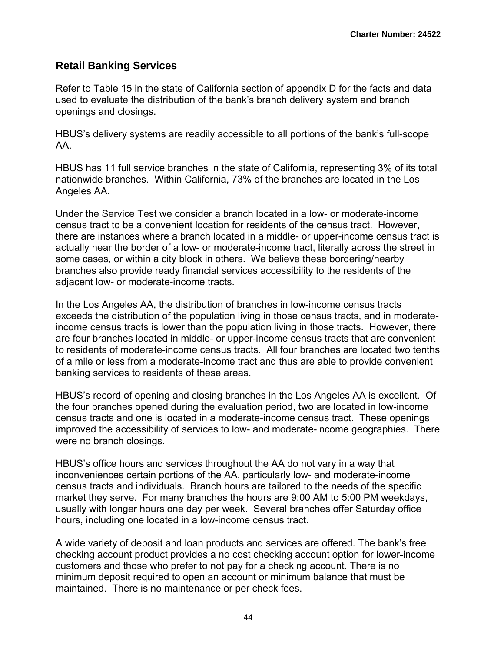## **Retail Banking Services**

Refer to Table 15 in the state of California section of appendix D for the facts and data used to evaluate the distribution of the bank's branch delivery system and branch openings and closings.

HBUS's delivery systems are readily accessible to all portions of the bank's full-scope AA.

HBUS has 11 full service branches in the state of California, representing 3% of its total nationwide branches. Within California, 73% of the branches are located in the Los Angeles AA.

Under the Service Test we consider a branch located in a low- or moderate-income census tract to be a convenient location for residents of the census tract. However, there are instances where a branch located in a middle- or upper-income census tract is actually near the border of a low- or moderate-income tract, literally across the street in some cases, or within a city block in others. We believe these bordering/nearby branches also provide ready financial services accessibility to the residents of the adjacent low- or moderate-income tracts.

In the Los Angeles AA, the distribution of branches in low-income census tracts exceeds the distribution of the population living in those census tracts, and in moderateincome census tracts is lower than the population living in those tracts. However, there are four branches located in middle- or upper-income census tracts that are convenient to residents of moderate-income census tracts. All four branches are located two tenths of a mile or less from a moderate-income tract and thus are able to provide convenient banking services to residents of these areas.

HBUS's record of opening and closing branches in the Los Angeles AA is excellent. Of the four branches opened during the evaluation period, two are located in low-income census tracts and one is located in a moderate-income census tract. These openings improved the accessibility of services to low- and moderate-income geographies. There were no branch closings.

HBUS's office hours and services throughout the AA do not vary in a way that inconveniences certain portions of the AA, particularly low- and moderate-income census tracts and individuals. Branch hours are tailored to the needs of the specific market they serve. For many branches the hours are 9:00 AM to 5:00 PM weekdays, usually with longer hours one day per week. Several branches offer Saturday office hours, including one located in a low-income census tract.

A wide variety of deposit and loan products and services are offered. The bank's free checking account product provides a no cost checking account option for lower-income customers and those who prefer to not pay for a checking account. There is no minimum deposit required to open an account or minimum balance that must be maintained. There is no maintenance or per check fees.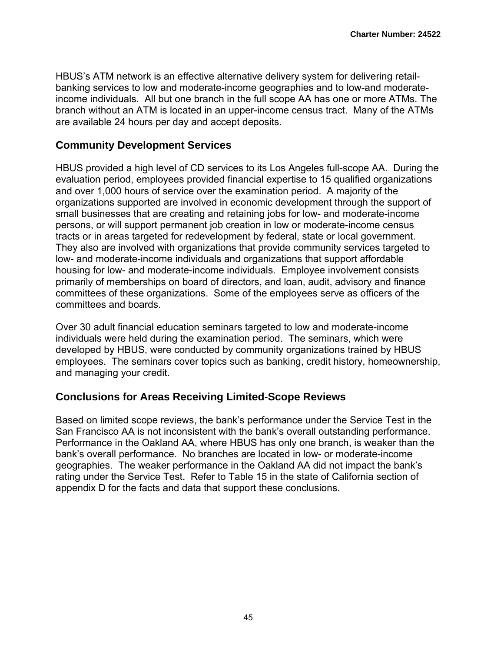HBUS's ATM network is an effective alternative delivery system for delivering retailbanking services to low and moderate-income geographies and to low-and moderateincome individuals. All but one branch in the full scope AA has one or more ATMs. The branch without an ATM is located in an upper-income census tract. Many of the ATMs are available 24 hours per day and accept deposits.

## **Community Development Services**

HBUS provided a high level of CD services to its Los Angeles full-scope AA. During the evaluation period, employees provided financial expertise to 15 qualified organizations and over 1,000 hours of service over the examination period. A majority of the organizations supported are involved in economic development through the support of small businesses that are creating and retaining jobs for low- and moderate-income persons, or will support permanent job creation in low or moderate-income census tracts or in areas targeted for redevelopment by federal, state or local government. They also are involved with organizations that provide community services targeted to low- and moderate-income individuals and organizations that support affordable housing for low- and moderate-income individuals. Employee involvement consists primarily of memberships on board of directors, and loan, audit, advisory and finance committees of these organizations. Some of the employees serve as officers of the committees and boards.

Over 30 adult financial education seminars targeted to low and moderate-income individuals were held during the examination period. The seminars, which were developed by HBUS, were conducted by community organizations trained by HBUS employees. The seminars cover topics such as banking, credit history, homeownership, and managing your credit.

## **Conclusions for Areas Receiving Limited-Scope Reviews**

Based on limited scope reviews, the bank's performance under the Service Test in the San Francisco AA is not inconsistent with the bank's overall outstanding performance. Performance in the Oakland AA, where HBUS has only one branch, is weaker than the bank's overall performance. No branches are located in low- or moderate-income geographies. The weaker performance in the Oakland AA did not impact the bank's rating under the Service Test. Refer to Table 15 in the state of California section of appendix D for the facts and data that support these conclusions.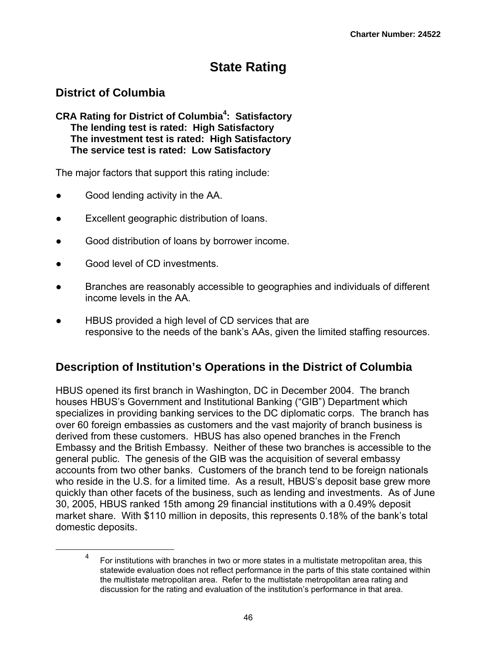# **State Rating**

# **District of Columbia**

**CRA Rating for District of Columbia4 : Satisfactory The lending test is rated: High Satisfactory The investment test is rated: High Satisfactory The service test is rated: Low Satisfactory**

The major factors that support this rating include:

- Good lending activity in the AA.
- Excellent geographic distribution of loans.
- Good distribution of loans by borrower income.
- Good level of CD investments.
- Branches are reasonably accessible to geographies and individuals of different income levels in the AA.
- HBUS provided a high level of CD services that are responsive to the needs of the bank's AAs, given the limited staffing resources.

# **Description of Institution's Operations in the District of Columbia**

HBUS opened its first branch in Washington, DC in December 2004. The branch houses HBUS's Government and Institutional Banking ("GIB") Department which specializes in providing banking services to the DC diplomatic corps. The branch has over 60 foreign embassies as customers and the vast majority of branch business is derived from these customers. HBUS has also opened branches in the French Embassy and the British Embassy. Neither of these two branches is accessible to the general public. The genesis of the GIB was the acquisition of several embassy accounts from two other banks. Customers of the branch tend to be foreign nationals who reside in the U.S. for a limited time. As a result, HBUS's deposit base grew more quickly than other facets of the business, such as lending and investments. As of June 30, 2005, HBUS ranked 15th among 29 financial institutions with a 0.49% deposit market share. With \$110 million in deposits, this represents 0.18% of the bank's total domestic deposits.

 $\overline{\phantom{a}}$  For institutions with branches in two or more states in a multistate metropolitan area, this statewide evaluation does not reflect performance in the parts of this state contained within the multistate metropolitan area. Refer to the multistate metropolitan area rating and discussion for the rating and evaluation of the institution's performance in that area.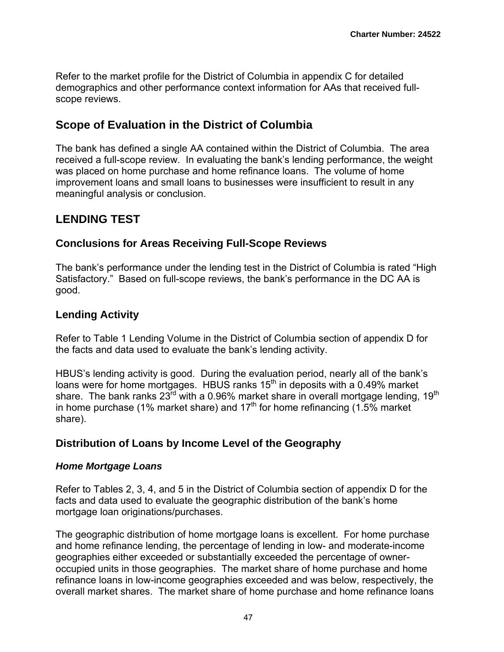Refer to the market profile for the District of Columbia in appendix C for detailed demographics and other performance context information for AAs that received fullscope reviews.

## **Scope of Evaluation in the District of Columbia**

The bank has defined a single AA contained within the District of Columbia. The area received a full-scope review. In evaluating the bank's lending performance, the weight was placed on home purchase and home refinance loans. The volume of home improvement loans and small loans to businesses were insufficient to result in any meaningful analysis or conclusion.

## **LENDING TEST**

## **Conclusions for Areas Receiving Full-Scope Reviews**

The bank's performance under the lending test in the District of Columbia is rated "High Satisfactory." Based on full-scope reviews, the bank's performance in the DC AA is good.

## **Lending Activity**

Refer to Table 1 Lending Volume in the District of Columbia section of appendix D for the facts and data used to evaluate the bank's lending activity.

HBUS's lending activity is good. During the evaluation period, nearly all of the bank's loans were for home mortgages. HBUS ranks  $15<sup>th</sup>$  in deposits with a 0.49% market share. The bank ranks  $23^{\text{rd}}$  with a 0.96% market share in overall mortgage lending, 19<sup>th</sup> in home purchase (1% market share) and 17<sup>th</sup> for home refinancing (1.5% market share).

## **Distribution of Loans by Income Level of the Geography**

### *Home Mortgage Loans*

Refer to Tables 2, 3, 4, and 5 in the District of Columbia section of appendix D for the facts and data used to evaluate the geographic distribution of the bank's home mortgage loan originations/purchases.

The geographic distribution of home mortgage loans is excellent. For home purchase and home refinance lending, the percentage of lending in low- and moderate-income geographies either exceeded or substantially exceeded the percentage of owneroccupied units in those geographies. The market share of home purchase and home refinance loans in low-income geographies exceeded and was below, respectively, the overall market shares. The market share of home purchase and home refinance loans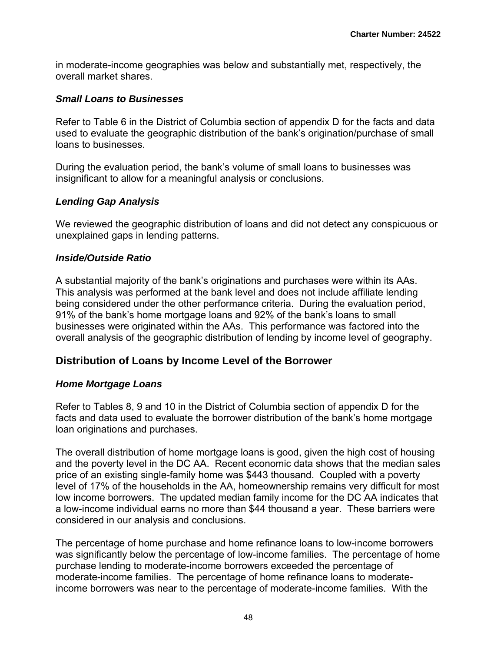in moderate-income geographies was below and substantially met, respectively, the overall market shares.

#### *Small Loans to Businesses*

Refer to Table 6 in the District of Columbia section of appendix D for the facts and data used to evaluate the geographic distribution of the bank's origination/purchase of small loans to businesses.

During the evaluation period, the bank's volume of small loans to businesses was insignificant to allow for a meaningful analysis or conclusions.

### *Lending Gap Analysis*

We reviewed the geographic distribution of loans and did not detect any conspicuous or unexplained gaps in lending patterns.

#### *Inside/Outside Ratio*

A substantial majority of the bank's originations and purchases were within its AAs. This analysis was performed at the bank level and does not include affiliate lending being considered under the other performance criteria. During the evaluation period, 91% of the bank's home mortgage loans and 92% of the bank's loans to small businesses were originated within the AAs. This performance was factored into the overall analysis of the geographic distribution of lending by income level of geography.

### **Distribution of Loans by Income Level of the Borrower**

#### *Home Mortgage Loans*

Refer to Tables 8, 9 and 10 in the District of Columbia section of appendix D for the facts and data used to evaluate the borrower distribution of the bank's home mortgage loan originations and purchases.

The overall distribution of home mortgage loans is good, given the high cost of housing and the poverty level in the DC AA. Recent economic data shows that the median sales price of an existing single-family home was \$443 thousand. Coupled with a poverty level of 17% of the households in the AA, homeownership remains very difficult for most low income borrowers. The updated median family income for the DC AA indicates that a low-income individual earns no more than \$44 thousand a year. These barriers were considered in our analysis and conclusions.

The percentage of home purchase and home refinance loans to low-income borrowers was significantly below the percentage of low-income families. The percentage of home purchase lending to moderate-income borrowers exceeded the percentage of moderate-income families. The percentage of home refinance loans to moderateincome borrowers was near to the percentage of moderate-income families. With the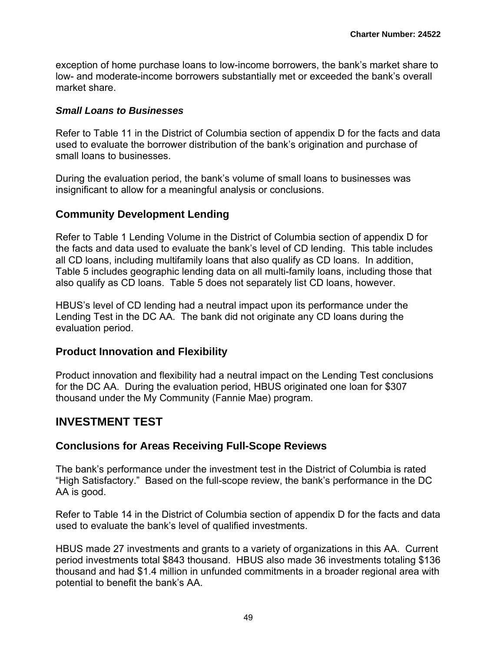exception of home purchase loans to low-income borrowers, the bank's market share to low- and moderate-income borrowers substantially met or exceeded the bank's overall market share.

#### *Small Loans to Businesses*

Refer to Table 11 in the District of Columbia section of appendix D for the facts and data used to evaluate the borrower distribution of the bank's origination and purchase of small loans to businesses.

During the evaluation period, the bank's volume of small loans to businesses was insignificant to allow for a meaningful analysis or conclusions.

## **Community Development Lending**

Refer to Table 1 Lending Volume in the District of Columbia section of appendix D for the facts and data used to evaluate the bank's level of CD lending. This table includes all CD loans, including multifamily loans that also qualify as CD loans. In addition, Table 5 includes geographic lending data on all multi-family loans, including those that also qualify as CD loans. Table 5 does not separately list CD loans, however.

HBUS's level of CD lending had a neutral impact upon its performance under the Lending Test in the DC AA. The bank did not originate any CD loans during the evaluation period.

### **Product Innovation and Flexibility**

Product innovation and flexibility had a neutral impact on the Lending Test conclusions for the DC AA. During the evaluation period, HBUS originated one loan for \$307 thousand under the My Community (Fannie Mae) program.

## **INVESTMENT TEST**

### **Conclusions for Areas Receiving Full-Scope Reviews**

The bank's performance under the investment test in the District of Columbia is rated "High Satisfactory." Based on the full-scope review, the bank's performance in the DC AA is good.

Refer to Table 14 in the District of Columbia section of appendix D for the facts and data used to evaluate the bank's level of qualified investments.

HBUS made 27 investments and grants to a variety of organizations in this AA. Current period investments total \$843 thousand. HBUS also made 36 investments totaling \$136 thousand and had \$1.4 million in unfunded commitments in a broader regional area with potential to benefit the bank's AA.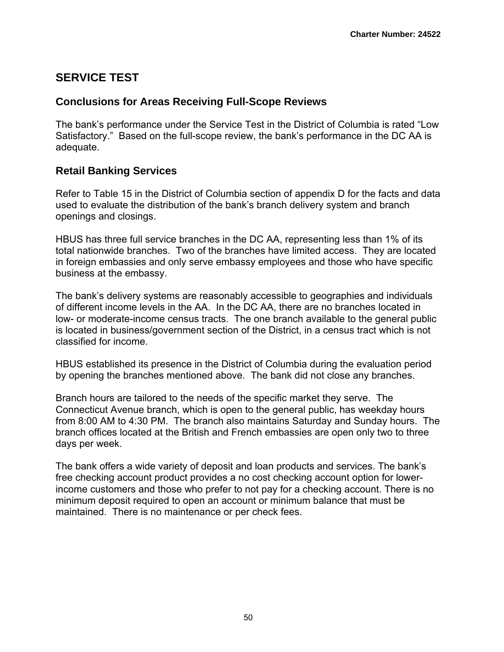# **SERVICE TEST**

## **Conclusions for Areas Receiving Full-Scope Reviews**

The bank's performance under the Service Test in the District of Columbia is rated "Low Satisfactory." Based on the full-scope review, the bank's performance in the DC AA is adequate.

## **Retail Banking Services**

Refer to Table 15 in the District of Columbia section of appendix D for the facts and data used to evaluate the distribution of the bank's branch delivery system and branch openings and closings.

HBUS has three full service branches in the DC AA, representing less than 1% of its total nationwide branches. Two of the branches have limited access. They are located in foreign embassies and only serve embassy employees and those who have specific business at the embassy.

The bank's delivery systems are reasonably accessible to geographies and individuals of different income levels in the AA. In the DC AA, there are no branches located in low- or moderate-income census tracts. The one branch available to the general public is located in business/government section of the District, in a census tract which is not classified for income.

HBUS established its presence in the District of Columbia during the evaluation period by opening the branches mentioned above. The bank did not close any branches.

Branch hours are tailored to the needs of the specific market they serve. The Connecticut Avenue branch, which is open to the general public, has weekday hours from 8:00 AM to 4:30 PM. The branch also maintains Saturday and Sunday hours. The branch offices located at the British and French embassies are open only two to three days per week.

The bank offers a wide variety of deposit and loan products and services. The bank's free checking account product provides a no cost checking account option for lowerincome customers and those who prefer to not pay for a checking account. There is no minimum deposit required to open an account or minimum balance that must be maintained. There is no maintenance or per check fees.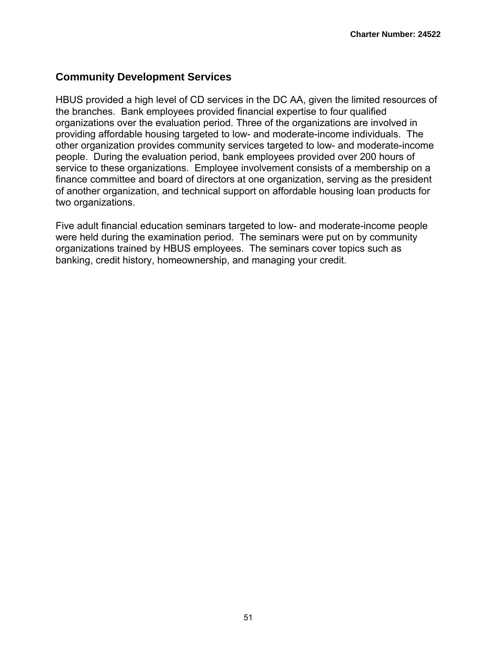## **Community Development Services**

HBUS provided a high level of CD services in the DC AA, given the limited resources of the branches. Bank employees provided financial expertise to four qualified organizations over the evaluation period. Three of the organizations are involved in providing affordable housing targeted to low- and moderate-income individuals. The other organization provides community services targeted to low- and moderate-income people. During the evaluation period, bank employees provided over 200 hours of service to these organizations. Employee involvement consists of a membership on a finance committee and board of directors at one organization, serving as the president of another organization, and technical support on affordable housing loan products for two organizations.

Five adult financial education seminars targeted to low- and moderate-income people were held during the examination period. The seminars were put on by community organizations trained by HBUS employees. The seminars cover topics such as banking, credit history, homeownership, and managing your credit.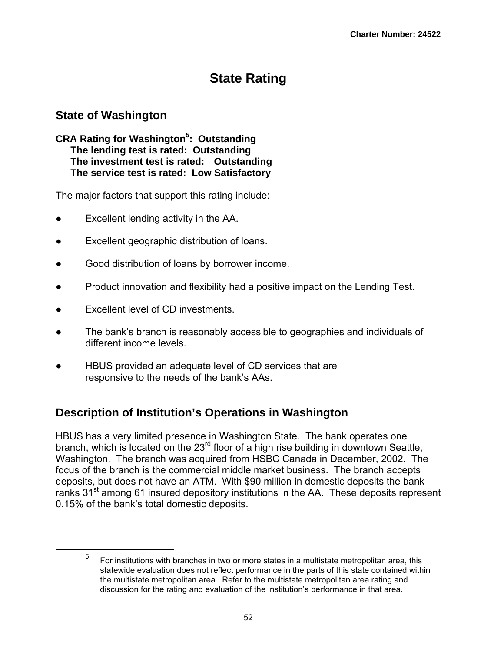# **State Rating**

## **State of Washington**

#### **CRA Rating for Washington5 : Outstanding The lending test is rated: Outstanding The investment test is rated: Outstanding The service test is rated: Low Satisfactory**

The major factors that support this rating include:

- Excellent lending activity in the AA.
- Excellent geographic distribution of loans.
- Good distribution of loans by borrower income.
- Product innovation and flexibility had a positive impact on the Lending Test.
- Excellent level of CD investments.
- The bank's branch is reasonably accessible to geographies and individuals of different income levels.
- HBUS provided an adequate level of CD services that are responsive to the needs of the bank's AAs.

## **Description of Institution's Operations in Washington**

HBUS has a very limited presence in Washington State. The bank operates one branch, which is located on the  $23<sup>rd</sup>$  floor of a high rise building in downtown Seattle, Washington. The branch was acquired from HSBC Canada in December, 2002. The focus of the branch is the commercial middle market business. The branch accepts deposits, but does not have an ATM. With \$90 million in domestic deposits the bank ranks  $31<sup>st</sup>$  among 61 insured depository institutions in the AA. These deposits represent 0.15% of the bank's total domestic deposits.

 $\frac{1}{5}$  For institutions with branches in two or more states in a multistate metropolitan area, this statewide evaluation does not reflect performance in the parts of this state contained within the multistate metropolitan area. Refer to the multistate metropolitan area rating and discussion for the rating and evaluation of the institution's performance in that area.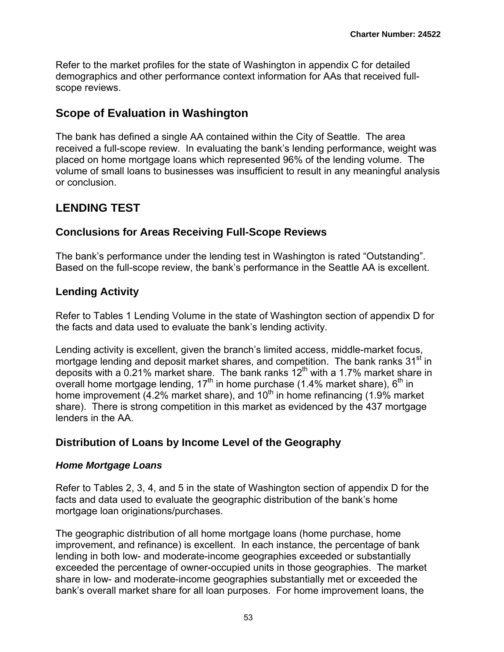Refer to the market profiles for the state of Washington in appendix C for detailed demographics and other performance context information for AAs that received fullscope reviews.

## **Scope of Evaluation in Washington**

The bank has defined a single AA contained within the City of Seattle. The area received a full-scope review. In evaluating the bank's lending performance, weight was placed on home mortgage loans which represented 96% of the lending volume. The volume of small loans to businesses was insufficient to result in any meaningful analysis or conclusion.

# **LENDING TEST**

## **Conclusions for Areas Receiving Full-Scope Reviews**

The bank's performance under the lending test in Washington is rated "Outstanding". Based on the full-scope review, the bank's performance in the Seattle AA is excellent.

## **Lending Activity**

Refer to Tables 1 Lending Volume in the state of Washington section of appendix D for the facts and data used to evaluate the bank's lending activity.

Lending activity is excellent, given the branch's limited access, middle-market focus, mortgage lending and deposit market shares, and competition. The bank ranks  $31<sup>st</sup>$  in deposits with a 0.21% market share. The bank ranks  $12<sup>th</sup>$  with a 1.7% market share in overall home mortgage lending,  $17<sup>th</sup>$  in home purchase (1.4% market share),  $6<sup>th</sup>$  in home improvement  $(4.2\%$  market share), and  $10<sup>th</sup>$  in home refinancing (1.9% market share). There is strong competition in this market as evidenced by the 437 mortgage lenders in the AA.

## **Distribution of Loans by Income Level of the Geography**

### *Home Mortgage Loans*

Refer to Tables 2, 3, 4, and 5 in the state of Washington section of appendix D for the facts and data used to evaluate the geographic distribution of the bank's home mortgage loan originations/purchases.

The geographic distribution of all home mortgage loans (home purchase, home improvement, and refinance) is excellent. In each instance, the percentage of bank lending in both low- and moderate-income geographies exceeded or substantially exceeded the percentage of owner-occupied units in those geographies. The market share in low- and moderate-income geographies substantially met or exceeded the bank's overall market share for all loan purposes. For home improvement loans, the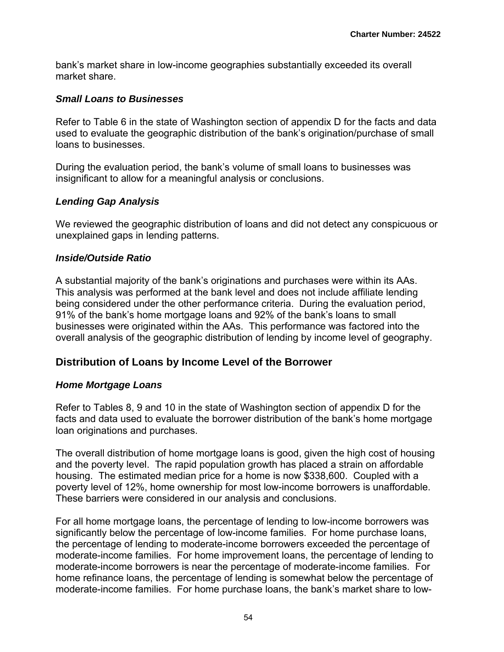bank's market share in low-income geographies substantially exceeded its overall market share.

#### *Small Loans to Businesses*

Refer to Table 6 in the state of Washington section of appendix D for the facts and data used to evaluate the geographic distribution of the bank's origination/purchase of small loans to businesses.

During the evaluation period, the bank's volume of small loans to businesses was insignificant to allow for a meaningful analysis or conclusions.

### *Lending Gap Analysis*

We reviewed the geographic distribution of loans and did not detect any conspicuous or unexplained gaps in lending patterns.

#### *Inside/Outside Ratio*

A substantial majority of the bank's originations and purchases were within its AAs. This analysis was performed at the bank level and does not include affiliate lending being considered under the other performance criteria. During the evaluation period, 91% of the bank's home mortgage loans and 92% of the bank's loans to small businesses were originated within the AAs. This performance was factored into the overall analysis of the geographic distribution of lending by income level of geography.

### **Distribution of Loans by Income Level of the Borrower**

### *Home Mortgage Loans*

Refer to Tables 8, 9 and 10 in the state of Washington section of appendix D for the facts and data used to evaluate the borrower distribution of the bank's home mortgage loan originations and purchases.

The overall distribution of home mortgage loans is good, given the high cost of housing and the poverty level. The rapid population growth has placed a strain on affordable housing. The estimated median price for a home is now \$338,600. Coupled with a poverty level of 12%, home ownership for most low-income borrowers is unaffordable. These barriers were considered in our analysis and conclusions.

For all home mortgage loans, the percentage of lending to low-income borrowers was significantly below the percentage of low-income families. For home purchase loans, the percentage of lending to moderate-income borrowers exceeded the percentage of moderate-income families. For home improvement loans, the percentage of lending to moderate-income borrowers is near the percentage of moderate-income families. For home refinance loans, the percentage of lending is somewhat below the percentage of moderate-income families. For home purchase loans, the bank's market share to low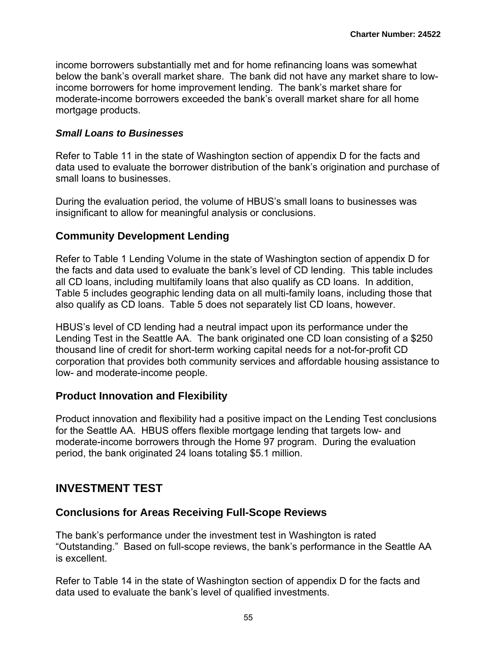income borrowers substantially met and for home refinancing loans was somewhat below the bank's overall market share. The bank did not have any market share to lowincome borrowers for home improvement lending. The bank's market share for moderate-income borrowers exceeded the bank's overall market share for all home mortgage products.

#### *Small Loans to Businesses*

Refer to Table 11 in the state of Washington section of appendix D for the facts and data used to evaluate the borrower distribution of the bank's origination and purchase of small loans to businesses.

During the evaluation period, the volume of HBUS's small loans to businesses was insignificant to allow for meaningful analysis or conclusions.

### **Community Development Lending**

Refer to Table 1 Lending Volume in the state of Washington section of appendix D for the facts and data used to evaluate the bank's level of CD lending. This table includes all CD loans, including multifamily loans that also qualify as CD loans. In addition, Table 5 includes geographic lending data on all multi-family loans, including those that also qualify as CD loans. Table 5 does not separately list CD loans, however.

HBUS's level of CD lending had a neutral impact upon its performance under the Lending Test in the Seattle AA. The bank originated one CD loan consisting of a \$250 thousand line of credit for short-term working capital needs for a not-for-profit CD corporation that provides both community services and affordable housing assistance to low- and moderate-income people.

### **Product Innovation and Flexibility**

Product innovation and flexibility had a positive impact on the Lending Test conclusions for the Seattle AA. HBUS offers flexible mortgage lending that targets low- and moderate-income borrowers through the Home 97 program. During the evaluation period, the bank originated 24 loans totaling \$5.1 million.

## **INVESTMENT TEST**

### **Conclusions for Areas Receiving Full-Scope Reviews**

The bank's performance under the investment test in Washington is rated "Outstanding." Based on full-scope reviews, the bank's performance in the Seattle AA is excellent.

Refer to Table 14 in the state of Washington section of appendix D for the facts and data used to evaluate the bank's level of qualified investments.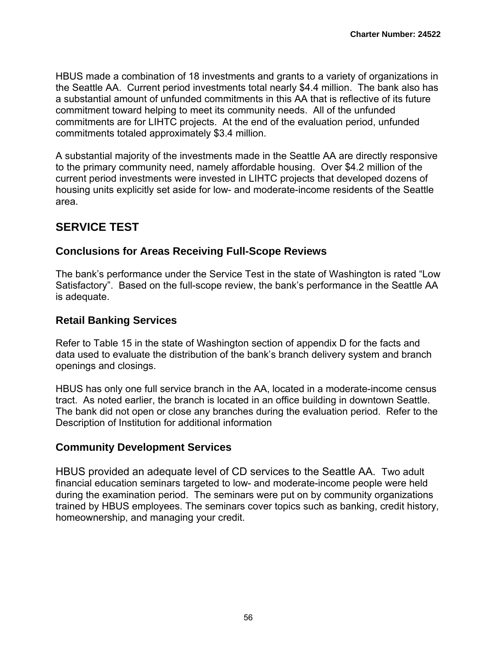HBUS made a combination of 18 investments and grants to a variety of organizations in the Seattle AA. Current period investments total nearly \$4.4 million. The bank also has a substantial amount of unfunded commitments in this AA that is reflective of its future commitment toward helping to meet its community needs. All of the unfunded commitments are for LIHTC projects. At the end of the evaluation period, unfunded commitments totaled approximately \$3.4 million.

A substantial majority of the investments made in the Seattle AA are directly responsive to the primary community need, namely affordable housing. Over \$4.2 million of the current period investments were invested in LIHTC projects that developed dozens of housing units explicitly set aside for low- and moderate-income residents of the Seattle area.

# **SERVICE TEST**

## **Conclusions for Areas Receiving Full-Scope Reviews**

The bank's performance under the Service Test in the state of Washington is rated "Low Satisfactory". Based on the full-scope review, the bank's performance in the Seattle AA is adequate.

## **Retail Banking Services**

Refer to Table 15 in the state of Washington section of appendix D for the facts and data used to evaluate the distribution of the bank's branch delivery system and branch openings and closings.

HBUS has only one full service branch in the AA, located in a moderate-income census tract. As noted earlier, the branch is located in an office building in downtown Seattle. The bank did not open or close any branches during the evaluation period. Refer to the Description of Institution for additional information

### **Community Development Services**

HBUS provided an adequate level of CD services to the Seattle AA. Two adult financial education seminars targeted to low- and moderate-income people were held during the examination period. The seminars were put on by community organizations trained by HBUS employees. The seminars cover topics such as banking, credit history, homeownership, and managing your credit.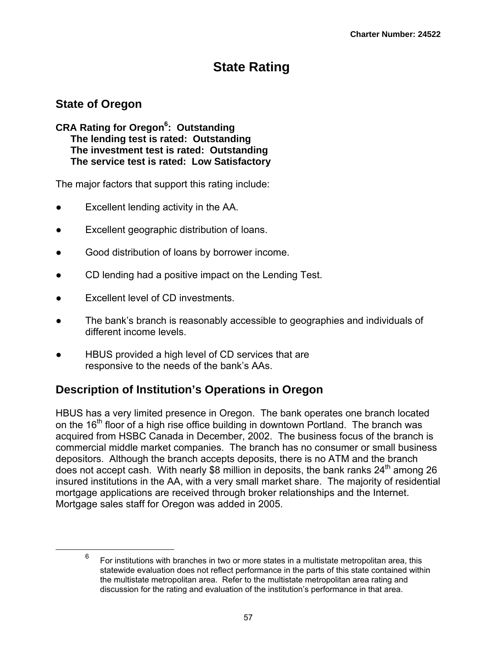# **State Rating**

# **State of Oregon**

**CRA Rating for Oregon<sup>6</sup> : Outstanding The lending test is rated: Outstanding The investment test is rated: Outstanding The service test is rated: Low Satisfactory**

The major factors that support this rating include:

- Excellent lending activity in the AA.
- Excellent geographic distribution of loans.
- Good distribution of loans by borrower income.
- CD lending had a positive impact on the Lending Test.
- Excellent level of CD investments.
- The bank's branch is reasonably accessible to geographies and individuals of different income levels.
- HBUS provided a high level of CD services that are responsive to the needs of the bank's AAs.

# **Description of Institution's Operations in Oregon**

HBUS has a very limited presence in Oregon. The bank operates one branch located on the  $16<sup>th</sup>$  floor of a high rise office building in downtown Portland. The branch was acquired from HSBC Canada in December, 2002. The business focus of the branch is commercial middle market companies. The branch has no consumer or small business depositors. Although the branch accepts deposits, there is no ATM and the branch does not accept cash. With nearly \$8 million in deposits, the bank ranks  $24<sup>th</sup>$  among 26 insured institutions in the AA, with a very small market share. The majority of residential mortgage applications are received through broker relationships and the Internet. Mortgage sales staff for Oregon was added in 2005.

 <sup>6</sup> For institutions with branches in two or more states in a multistate metropolitan area, this statewide evaluation does not reflect performance in the parts of this state contained within the multistate metropolitan area. Refer to the multistate metropolitan area rating and discussion for the rating and evaluation of the institution's performance in that area.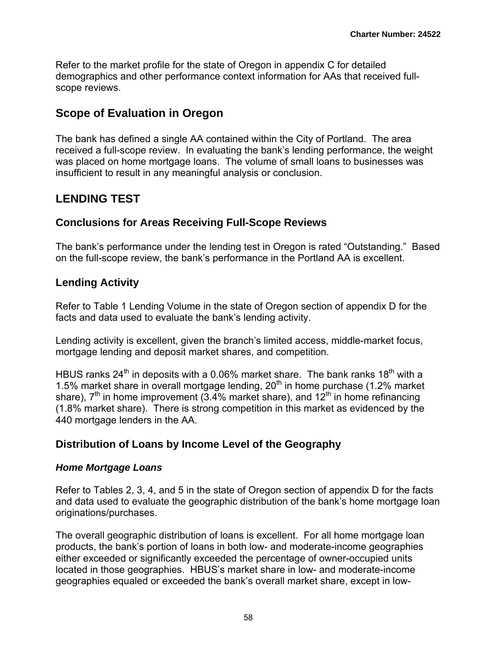Refer to the market profile for the state of Oregon in appendix C for detailed demographics and other performance context information for AAs that received fullscope reviews.

## **Scope of Evaluation in Oregon**

The bank has defined a single AA contained within the City of Portland. The area received a full-scope review. In evaluating the bank's lending performance, the weight was placed on home mortgage loans. The volume of small loans to businesses was insufficient to result in any meaningful analysis or conclusion.

# **LENDING TEST**

## **Conclusions for Areas Receiving Full-Scope Reviews**

The bank's performance under the lending test in Oregon is rated "Outstanding." Based on the full-scope review, the bank's performance in the Portland AA is excellent.

## **Lending Activity**

Refer to Table 1 Lending Volume in the state of Oregon section of appendix D for the facts and data used to evaluate the bank's lending activity.

Lending activity is excellent, given the branch's limited access, middle-market focus, mortgage lending and deposit market shares, and competition.

HBUS ranks  $24<sup>th</sup>$  in deposits with a 0.06% market share. The bank ranks  $18<sup>th</sup>$  with a 1.5% market share in overall mortgage lending, 20<sup>th</sup> in home purchase (1.2% market share),  $7<sup>th</sup>$  in home improvement (3.4% market share), and 12<sup>th</sup> in home refinancing (1.8% market share). There is strong competition in this market as evidenced by the 440 mortgage lenders in the AA.

## **Distribution of Loans by Income Level of the Geography**

### *Home Mortgage Loans*

Refer to Tables 2, 3, 4, and 5 in the state of Oregon section of appendix D for the facts and data used to evaluate the geographic distribution of the bank's home mortgage loan originations/purchases.

The overall geographic distribution of loans is excellent. For all home mortgage loan products, the bank's portion of loans in both low- and moderate-income geographies either exceeded or significantly exceeded the percentage of owner-occupied units located in those geographies. HBUS's market share in low- and moderate-income geographies equaled or exceeded the bank's overall market share, except in low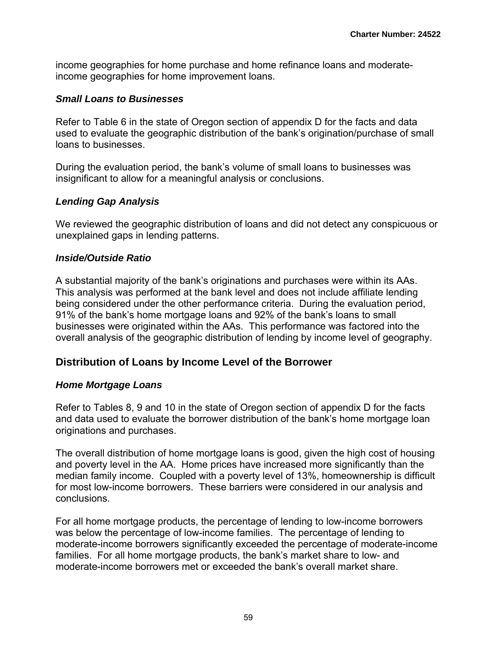income geographies for home purchase and home refinance loans and moderateincome geographies for home improvement loans.

#### *Small Loans to Businesses*

Refer to Table 6 in the state of Oregon section of appendix D for the facts and data used to evaluate the geographic distribution of the bank's origination/purchase of small loans to businesses.

During the evaluation period, the bank's volume of small loans to businesses was insignificant to allow for a meaningful analysis or conclusions.

### *Lending Gap Analysis*

We reviewed the geographic distribution of loans and did not detect any conspicuous or unexplained gaps in lending patterns.

### *Inside/Outside Ratio*

A substantial majority of the bank's originations and purchases were within its AAs. This analysis was performed at the bank level and does not include affiliate lending being considered under the other performance criteria. During the evaluation period, 91% of the bank's home mortgage loans and 92% of the bank's loans to small businesses were originated within the AAs. This performance was factored into the overall analysis of the geographic distribution of lending by income level of geography.

## **Distribution of Loans by Income Level of the Borrower**

### *Home Mortgage Loans*

Refer to Tables 8, 9 and 10 in the state of Oregon section of appendix D for the facts and data used to evaluate the borrower distribution of the bank's home mortgage loan originations and purchases.

The overall distribution of home mortgage loans is good, given the high cost of housing and poverty level in the AA. Home prices have increased more significantly than the median family income. Coupled with a poverty level of 13%, homeownership is difficult for most low-income borrowers. These barriers were considered in our analysis and conclusions.

For all home mortgage products, the percentage of lending to low-income borrowers was below the percentage of low-income families. The percentage of lending to moderate-income borrowers significantly exceeded the percentage of moderate-income families. For all home mortgage products, the bank's market share to low- and moderate-income borrowers met or exceeded the bank's overall market share.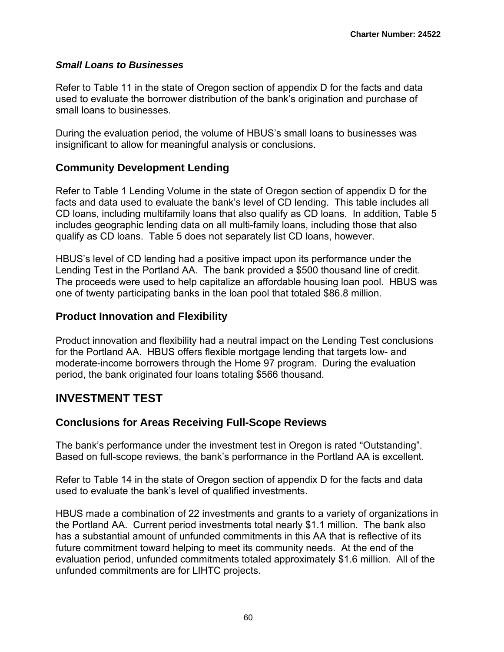### *Small Loans to Businesses*

Refer to Table 11 in the state of Oregon section of appendix D for the facts and data used to evaluate the borrower distribution of the bank's origination and purchase of small loans to businesses.

During the evaluation period, the volume of HBUS's small loans to businesses was insignificant to allow for meaningful analysis or conclusions.

## **Community Development Lending**

Refer to Table 1 Lending Volume in the state of Oregon section of appendix D for the facts and data used to evaluate the bank's level of CD lending. This table includes all CD loans, including multifamily loans that also qualify as CD loans. In addition, Table 5 includes geographic lending data on all multi-family loans, including those that also qualify as CD loans. Table 5 does not separately list CD loans, however.

HBUS's level of CD lending had a positive impact upon its performance under the Lending Test in the Portland AA. The bank provided a \$500 thousand line of credit. The proceeds were used to help capitalize an affordable housing loan pool. HBUS was one of twenty participating banks in the loan pool that totaled \$86.8 million.

## **Product Innovation and Flexibility**

Product innovation and flexibility had a neutral impact on the Lending Test conclusions for the Portland AA. HBUS offers flexible mortgage lending that targets low- and moderate-income borrowers through the Home 97 program. During the evaluation period, the bank originated four loans totaling \$566 thousand.

## **INVESTMENT TEST**

## **Conclusions for Areas Receiving Full-Scope Reviews**

The bank's performance under the investment test in Oregon is rated "Outstanding". Based on full-scope reviews, the bank's performance in the Portland AA is excellent.

Refer to Table 14 in the state of Oregon section of appendix D for the facts and data used to evaluate the bank's level of qualified investments.

HBUS made a combination of 22 investments and grants to a variety of organizations in the Portland AA. Current period investments total nearly \$1.1 million. The bank also has a substantial amount of unfunded commitments in this AA that is reflective of its future commitment toward helping to meet its community needs. At the end of the evaluation period, unfunded commitments totaled approximately \$1.6 million. All of the unfunded commitments are for LIHTC projects.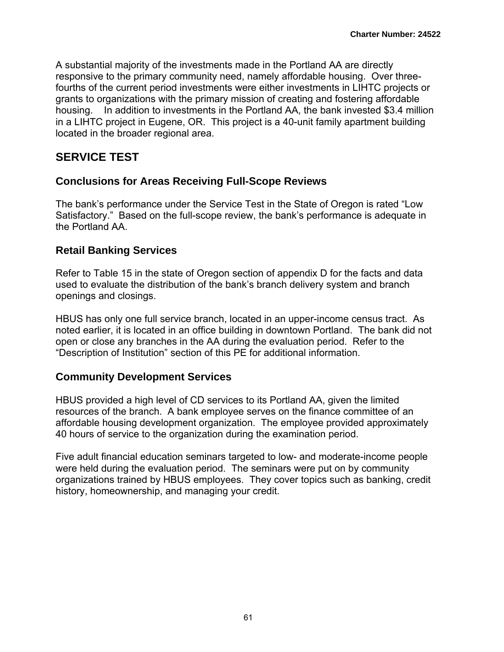A substantial majority of the investments made in the Portland AA are directly responsive to the primary community need, namely affordable housing. Over threefourths of the current period investments were either investments in LIHTC projects or grants to organizations with the primary mission of creating and fostering affordable housing. In addition to investments in the Portland AA, the bank invested \$3.4 million in a LIHTC project in Eugene, OR. This project is a 40-unit family apartment building located in the broader regional area.

## **SERVICE TEST**

## **Conclusions for Areas Receiving Full-Scope Reviews**

The bank's performance under the Service Test in the State of Oregon is rated "Low Satisfactory." Based on the full-scope review, the bank's performance is adequate in the Portland AA.

## **Retail Banking Services**

Refer to Table 15 in the state of Oregon section of appendix D for the facts and data used to evaluate the distribution of the bank's branch delivery system and branch openings and closings.

HBUS has only one full service branch, located in an upper-income census tract. As noted earlier, it is located in an office building in downtown Portland. The bank did not open or close any branches in the AA during the evaluation period. Refer to the "Description of Institution" section of this PE for additional information.

## **Community Development Services**

HBUS provided a high level of CD services to its Portland AA, given the limited resources of the branch. A bank employee serves on the finance committee of an affordable housing development organization. The employee provided approximately 40 hours of service to the organization during the examination period.

Five adult financial education seminars targeted to low- and moderate-income people were held during the evaluation period. The seminars were put on by community organizations trained by HBUS employees. They cover topics such as banking, credit history, homeownership, and managing your credit.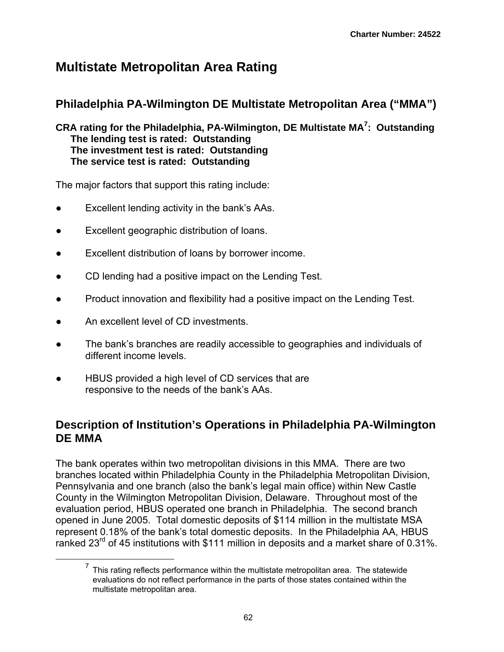# **Multistate Metropolitan Area Rating**

# **Philadelphia PA-Wilmington DE Multistate Metropolitan Area ("MMA")**

**CRA rating for the Philadelphia, PA-Wilmington, DE Multistate MA7 : Outstanding The lending test is rated: Outstanding The investment test is rated: Outstanding The service test is rated: Outstanding**

The major factors that support this rating include:

- Excellent lending activity in the bank's AAs.
- Excellent geographic distribution of loans.
- Excellent distribution of loans by borrower income.
- CD lending had a positive impact on the Lending Test.
- Product innovation and flexibility had a positive impact on the Lending Test.
- An excellent level of CD investments.
- The bank's branches are readily accessible to geographies and individuals of different income levels.
- HBUS provided a high level of CD services that are responsive to the needs of the bank's AAs.

# **Description of Institution's Operations in Philadelphia PA-Wilmington DE MMA**

The bank operates within two metropolitan divisions in this MMA. There are two branches located within Philadelphia County in the Philadelphia Metropolitan Division, Pennsylvania and one branch (also the bank's legal main office) within New Castle County in the Wilmington Metropolitan Division, Delaware. Throughout most of the evaluation period, HBUS operated one branch in Philadelphia. The second branch opened in June 2005. Total domestic deposits of \$114 million in the multistate MSA represent 0.18% of the bank's total domestic deposits. In the Philadelphia AA, HBUS ranked 23 $^{\text{rd}}$  of 45 institutions with \$111 million in deposits and a market share of 0.31%.

 $7$  This rating reflects performance within the multistate metropolitan area. The statewide evaluations do not reflect performance in the parts of those states contained within the multistate metropolitan area.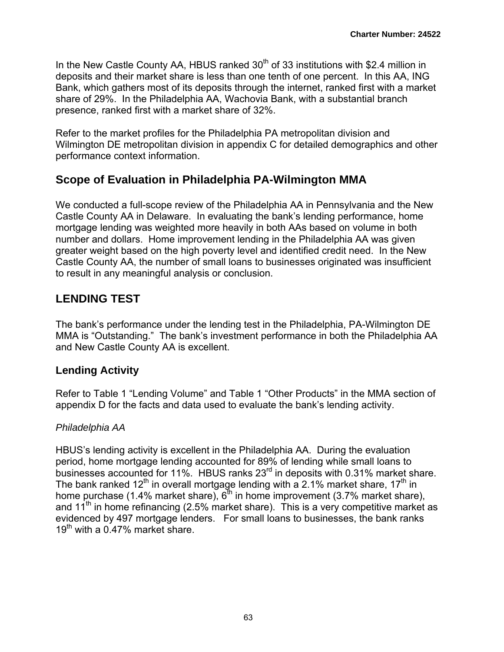In the New Castle County AA, HBUS ranked  $30<sup>th</sup>$  of 33 institutions with \$2.4 million in deposits and their market share is less than one tenth of one percent. In this AA, ING Bank, which gathers most of its deposits through the internet, ranked first with a market share of 29%. In the Philadelphia AA, Wachovia Bank, with a substantial branch presence, ranked first with a market share of 32%.

Refer to the market profiles for the Philadelphia PA metropolitan division and Wilmington DE metropolitan division in appendix C for detailed demographics and other performance context information.

## **Scope of Evaluation in Philadelphia PA-Wilmington MMA**

We conducted a full-scope review of the Philadelphia AA in Pennsylvania and the New Castle County AA in Delaware. In evaluating the bank's lending performance, home mortgage lending was weighted more heavily in both AAs based on volume in both number and dollars. Home improvement lending in the Philadelphia AA was given greater weight based on the high poverty level and identified credit need. In the New Castle County AA, the number of small loans to businesses originated was insufficient to result in any meaningful analysis or conclusion.

# **LENDING TEST**

The bank's performance under the lending test in the Philadelphia, PA-Wilmington DE MMA is "Outstanding." The bank's investment performance in both the Philadelphia AA and New Castle County AA is excellent.

## **Lending Activity**

Refer to Table 1 "Lending Volume" and Table 1 "Other Products" in the MMA section of appendix D for the facts and data used to evaluate the bank's lending activity.

## *Philadelphia AA*

HBUS's lending activity is excellent in the Philadelphia AA. During the evaluation period, home mortgage lending accounted for 89% of lending while small loans to businesses accounted for 11%. HBUS ranks 23<sup>rd</sup> in deposits with 0.31% market share. The bank ranked 12<sup>th</sup> in overall mortgage lending with a 2.1% market share, 17<sup>th</sup> in home purchase (1.4% market share),  $6<sup>th</sup>$  in home improvement (3.7% market share), and  $11<sup>th</sup>$  in home refinancing (2.5% market share). This is a very competitive market as evidenced by 497 mortgage lenders. For small loans to businesses, the bank ranks  $19<sup>th</sup>$  with a 0.47% market share.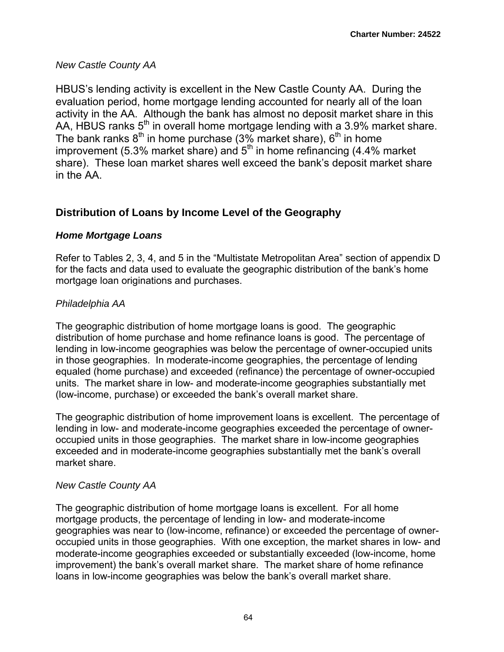## *New Castle County AA*

HBUS's lending activity is excellent in the New Castle County AA. During the evaluation period, home mortgage lending accounted for nearly all of the loan activity in the AA. Although the bank has almost no deposit market share in this AA, HBUS ranks 5<sup>th</sup> in overall home mortgage lending with a 3.9% market share. The bank ranks  $8<sup>th</sup>$  in home purchase (3% market share),  $6<sup>th</sup>$  in home improvement (5.3% market share) and  $5<sup>th</sup>$  in home refinancing (4.4% market share). These loan market shares well exceed the bank's deposit market share in the AA.

## **Distribution of Loans by Income Level of the Geography**

## *Home Mortgage Loans*

Refer to Tables 2, 3, 4, and 5 in the "Multistate Metropolitan Area" section of appendix D for the facts and data used to evaluate the geographic distribution of the bank's home mortgage loan originations and purchases.

## *Philadelphia AA*

The geographic distribution of home mortgage loans is good. The geographic distribution of home purchase and home refinance loans is good. The percentage of lending in low-income geographies was below the percentage of owner-occupied units in those geographies. In moderate-income geographies, the percentage of lending equaled (home purchase) and exceeded (refinance) the percentage of owner-occupied units. The market share in low- and moderate-income geographies substantially met (low-income, purchase) or exceeded the bank's overall market share.

The geographic distribution of home improvement loans is excellent. The percentage of lending in low- and moderate-income geographies exceeded the percentage of owneroccupied units in those geographies. The market share in low-income geographies exceeded and in moderate-income geographies substantially met the bank's overall market share.

### *New Castle County AA*

The geographic distribution of home mortgage loans is excellent. For all home mortgage products, the percentage of lending in low- and moderate-income geographies was near to (low-income, refinance) or exceeded the percentage of owneroccupied units in those geographies. With one exception, the market shares in low- and moderate-income geographies exceeded or substantially exceeded (low-income, home improvement) the bank's overall market share. The market share of home refinance loans in low-income geographies was below the bank's overall market share.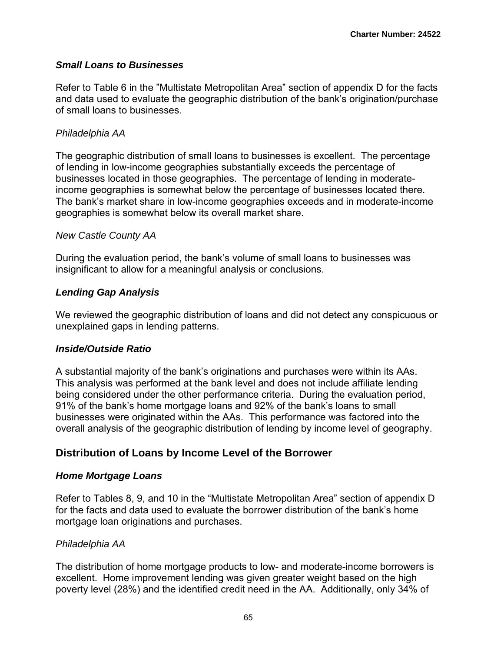### *Small Loans to Businesses*

Refer to Table 6 in the "Multistate Metropolitan Area" section of appendix D for the facts and data used to evaluate the geographic distribution of the bank's origination/purchase of small loans to businesses.

#### *Philadelphia AA*

The geographic distribution of small loans to businesses is excellent. The percentage of lending in low-income geographies substantially exceeds the percentage of businesses located in those geographies. The percentage of lending in moderateincome geographies is somewhat below the percentage of businesses located there. The bank's market share in low-income geographies exceeds and in moderate-income geographies is somewhat below its overall market share.

#### *New Castle County AA*

During the evaluation period, the bank's volume of small loans to businesses was insignificant to allow for a meaningful analysis or conclusions.

#### *Lending Gap Analysis*

We reviewed the geographic distribution of loans and did not detect any conspicuous or unexplained gaps in lending patterns.

#### *Inside/Outside Ratio*

A substantial majority of the bank's originations and purchases were within its AAs. This analysis was performed at the bank level and does not include affiliate lending being considered under the other performance criteria. During the evaluation period, 91% of the bank's home mortgage loans and 92% of the bank's loans to small businesses were originated within the AAs. This performance was factored into the overall analysis of the geographic distribution of lending by income level of geography.

## **Distribution of Loans by Income Level of the Borrower**

#### *Home Mortgage Loans*

Refer to Tables 8, 9, and 10 in the "Multistate Metropolitan Area" section of appendix D for the facts and data used to evaluate the borrower distribution of the bank's home mortgage loan originations and purchases.

#### *Philadelphia AA*

The distribution of home mortgage products to low- and moderate-income borrowers is excellent. Home improvement lending was given greater weight based on the high poverty level (28%) and the identified credit need in the AA. Additionally, only 34% of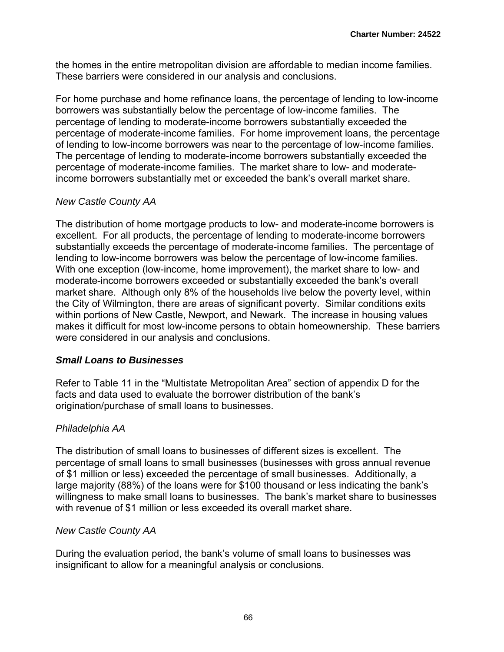the homes in the entire metropolitan division are affordable to median income families. These barriers were considered in our analysis and conclusions.

For home purchase and home refinance loans, the percentage of lending to low-income borrowers was substantially below the percentage of low-income families. The percentage of lending to moderate-income borrowers substantially exceeded the percentage of moderate-income families. For home improvement loans, the percentage of lending to low-income borrowers was near to the percentage of low-income families. The percentage of lending to moderate-income borrowers substantially exceeded the percentage of moderate-income families. The market share to low- and moderateincome borrowers substantially met or exceeded the bank's overall market share.

#### *New Castle County AA*

The distribution of home mortgage products to low- and moderate-income borrowers is excellent. For all products, the percentage of lending to moderate-income borrowers substantially exceeds the percentage of moderate-income families. The percentage of lending to low-income borrowers was below the percentage of low-income families. With one exception (low-income, home improvement), the market share to low- and moderate-income borrowers exceeded or substantially exceeded the bank's overall market share. Although only 8% of the households live below the poverty level, within the City of Wilmington, there are areas of significant poverty. Similar conditions exits within portions of New Castle, Newport, and Newark. The increase in housing values makes it difficult for most low-income persons to obtain homeownership. These barriers were considered in our analysis and conclusions.

#### *Small Loans to Businesses*

Refer to Table 11 in the "Multistate Metropolitan Area" section of appendix D for the facts and data used to evaluate the borrower distribution of the bank's origination/purchase of small loans to businesses.

### *Philadelphia AA*

The distribution of small loans to businesses of different sizes is excellent. The percentage of small loans to small businesses (businesses with gross annual revenue of \$1 million or less) exceeded the percentage of small businesses. Additionally, a large majority (88%) of the loans were for \$100 thousand or less indicating the bank's willingness to make small loans to businesses. The bank's market share to businesses with revenue of \$1 million or less exceeded its overall market share.

#### *New Castle County AA*

During the evaluation period, the bank's volume of small loans to businesses was insignificant to allow for a meaningful analysis or conclusions.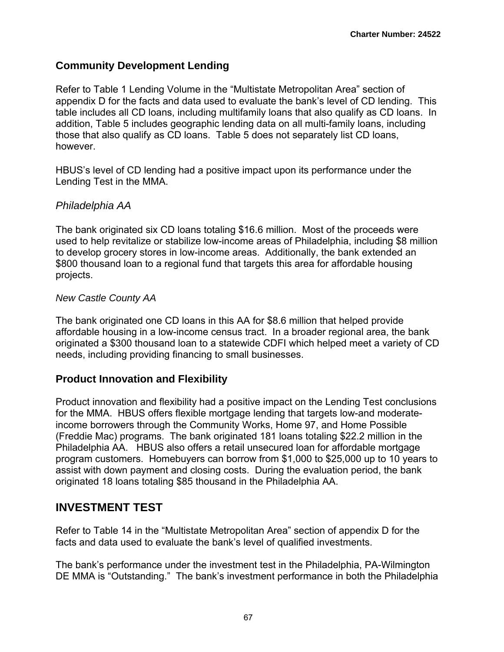## **Community Development Lending**

Refer to Table 1 Lending Volume in the "Multistate Metropolitan Area" section of appendix D for the facts and data used to evaluate the bank's level of CD lending. This table includes all CD loans, including multifamily loans that also qualify as CD loans. In addition, Table 5 includes geographic lending data on all multi-family loans, including those that also qualify as CD loans. Table 5 does not separately list CD loans, however.

HBUS's level of CD lending had a positive impact upon its performance under the Lending Test in the MMA.

## *Philadelphia AA*

The bank originated six CD loans totaling \$16.6 million. Most of the proceeds were used to help revitalize or stabilize low-income areas of Philadelphia, including \$8 million to develop grocery stores in low-income areas. Additionally, the bank extended an \$800 thousand loan to a regional fund that targets this area for affordable housing projects.

#### *New Castle County AA*

The bank originated one CD loans in this AA for \$8.6 million that helped provide affordable housing in a low-income census tract. In a broader regional area, the bank originated a \$300 thousand loan to a statewide CDFI which helped meet a variety of CD needs, including providing financing to small businesses.

### **Product Innovation and Flexibility**

Product innovation and flexibility had a positive impact on the Lending Test conclusions for the MMA. HBUS offers flexible mortgage lending that targets low-and moderateincome borrowers through the Community Works, Home 97, and Home Possible (Freddie Mac) programs. The bank originated 181 loans totaling \$22.2 million in the Philadelphia AA. HBUS also offers a retail unsecured loan for affordable mortgage program customers. Homebuyers can borrow from \$1,000 to \$25,000 up to 10 years to assist with down payment and closing costs. During the evaluation period, the bank originated 18 loans totaling \$85 thousand in the Philadelphia AA.

## **INVESTMENT TEST**

Refer to Table 14 in the "Multistate Metropolitan Area" section of appendix D for the facts and data used to evaluate the bank's level of qualified investments.

The bank's performance under the investment test in the Philadelphia, PA-Wilmington DE MMA is "Outstanding." The bank's investment performance in both the Philadelphia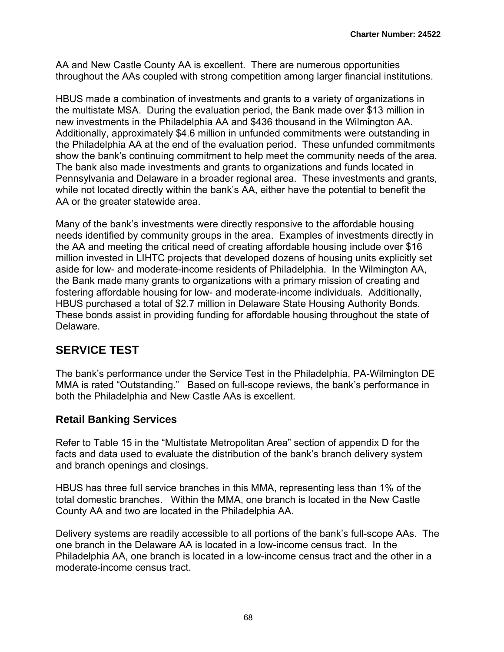AA and New Castle County AA is excellent. There are numerous opportunities throughout the AAs coupled with strong competition among larger financial institutions.

HBUS made a combination of investments and grants to a variety of organizations in the multistate MSA. During the evaluation period, the Bank made over \$13 million in new investments in the Philadelphia AA and \$436 thousand in the Wilmington AA. Additionally, approximately \$4.6 million in unfunded commitments were outstanding in the Philadelphia AA at the end of the evaluation period. These unfunded commitments show the bank's continuing commitment to help meet the community needs of the area. The bank also made investments and grants to organizations and funds located in Pennsylvania and Delaware in a broader regional area. These investments and grants, while not located directly within the bank's AA, either have the potential to benefit the AA or the greater statewide area.

Many of the bank's investments were directly responsive to the affordable housing needs identified by community groups in the area. Examples of investments directly in the AA and meeting the critical need of creating affordable housing include over \$16 million invested in LIHTC projects that developed dozens of housing units explicitly set aside for low- and moderate-income residents of Philadelphia. In the Wilmington AA, the Bank made many grants to organizations with a primary mission of creating and fostering affordable housing for low- and moderate-income individuals. Additionally, HBUS purchased a total of \$2.7 million in Delaware State Housing Authority Bonds. These bonds assist in providing funding for affordable housing throughout the state of Delaware.

# **SERVICE TEST**

The bank's performance under the Service Test in the Philadelphia, PA-Wilmington DE MMA is rated "Outstanding." Based on full-scope reviews, the bank's performance in both the Philadelphia and New Castle AAs is excellent.

## **Retail Banking Services**

Refer to Table 15 in the "Multistate Metropolitan Area" section of appendix D for the facts and data used to evaluate the distribution of the bank's branch delivery system and branch openings and closings.

HBUS has three full service branches in this MMA, representing less than 1% of the total domestic branches. Within the MMA, one branch is located in the New Castle County AA and two are located in the Philadelphia AA.

Delivery systems are readily accessible to all portions of the bank's full-scope AAs. The one branch in the Delaware AA is located in a low-income census tract. In the Philadelphia AA, one branch is located in a low-income census tract and the other in a moderate-income census tract.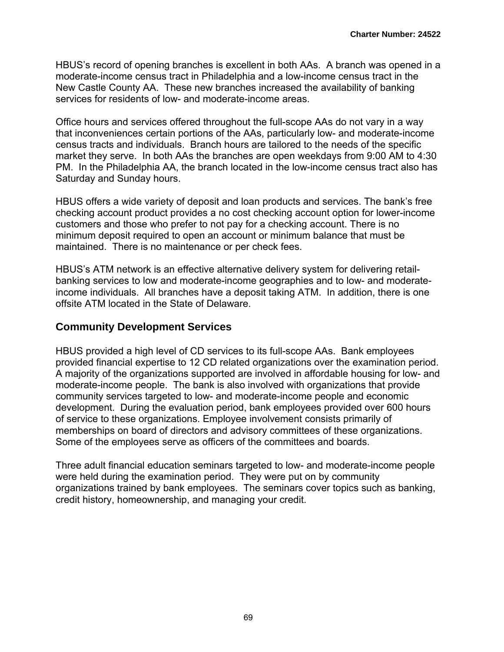HBUS's record of opening branches is excellent in both AAs. A branch was opened in a moderate-income census tract in Philadelphia and a low-income census tract in the New Castle County AA. These new branches increased the availability of banking services for residents of low- and moderate-income areas.

Office hours and services offered throughout the full-scope AAs do not vary in a way that inconveniences certain portions of the AAs, particularly low- and moderate-income census tracts and individuals. Branch hours are tailored to the needs of the specific market they serve. In both AAs the branches are open weekdays from 9:00 AM to 4:30 PM. In the Philadelphia AA, the branch located in the low-income census tract also has Saturday and Sunday hours.

HBUS offers a wide variety of deposit and loan products and services. The bank's free checking account product provides a no cost checking account option for lower-income customers and those who prefer to not pay for a checking account. There is no minimum deposit required to open an account or minimum balance that must be maintained. There is no maintenance or per check fees.

HBUS's ATM network is an effective alternative delivery system for delivering retailbanking services to low and moderate-income geographies and to low- and moderateincome individuals. All branches have a deposit taking ATM. In addition, there is one offsite ATM located in the State of Delaware.

### **Community Development Services**

HBUS provided a high level of CD services to its full-scope AAs. Bank employees provided financial expertise to 12 CD related organizations over the examination period. A majority of the organizations supported are involved in affordable housing for low- and moderate-income people. The bank is also involved with organizations that provide community services targeted to low- and moderate-income people and economic development. During the evaluation period, bank employees provided over 600 hours of service to these organizations. Employee involvement consists primarily of memberships on board of directors and advisory committees of these organizations. Some of the employees serve as officers of the committees and boards.

Three adult financial education seminars targeted to low- and moderate-income people were held during the examination period. They were put on by community organizations trained by bank employees. The seminars cover topics such as banking, credit history, homeownership, and managing your credit.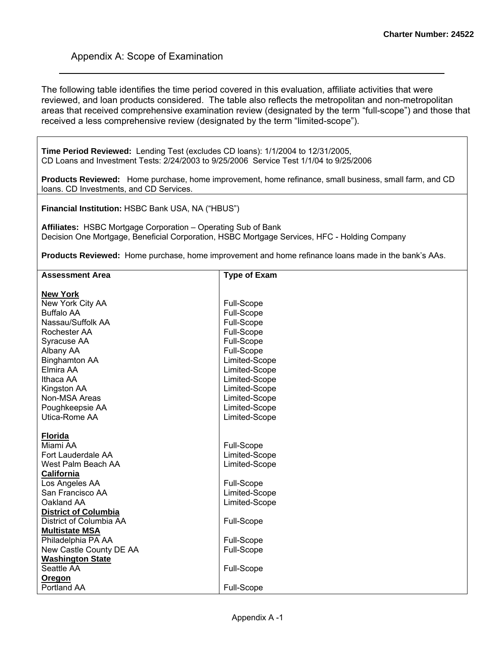The following table identifies the time period covered in this evaluation, affiliate activities that were reviewed, and loan products considered. The table also reflects the metropolitan and non-metropolitan areas that received comprehensive examination review (designated by the term "full-scope") and those that received a less comprehensive review (designated by the term "limited-scope").

**Time Period Reviewed:** Lending Test (excludes CD loans): 1/1/2004 to 12/31/2005, CD Loans and Investment Tests: 2/24/2003 to 9/25/2006 Service Test 1/1/04 to 9/25/2006

**Products Reviewed:** Home purchase, home improvement, home refinance, small business, small farm, and CD loans. CD Investments, and CD Services.

**Financial Institution:** HSBC Bank USA, NA ("HBUS")

**Affiliates:** HSBC Mortgage Corporation – Operating Sub of Bank Decision One Mortgage, Beneficial Corporation, HSBC Mortgage Services, HFC - Holding Company

**Products Reviewed:** Home purchase, home improvement and home refinance loans made in the bank's AAs.

| <b>Assessment Area</b>      | <b>Type of Exam</b> |
|-----------------------------|---------------------|
|                             |                     |
| <b>New York</b>             |                     |
| New York City AA            | Full-Scope          |
| <b>Buffalo AA</b>           | Full-Scope          |
| Nassau/Suffolk AA           | Full-Scope          |
| Rochester AA                | Full-Scope          |
| Syracuse AA                 | Full-Scope          |
| Albany AA                   | Full-Scope          |
| <b>Binghamton AA</b>        | Limited-Scope       |
| Elmira AA                   | Limited-Scope       |
| Ithaca AA                   | Limited-Scope       |
| Kingston AA                 | Limited-Scope       |
| Non-MSA Areas               | Limited-Scope       |
| Poughkeepsie AA             | Limited-Scope       |
| Utica-Rome AA               | Limited-Scope       |
|                             |                     |
| <b>Florida</b>              |                     |
| Miami AA                    | Full-Scope          |
| Fort Lauderdale AA          | Limited-Scope       |
| West Palm Beach AA          | Limited-Scope       |
| California                  |                     |
| Los Angeles AA              | Full-Scope          |
| San Francisco AA            | Limited-Scope       |
| Oakland AA                  | Limited-Scope       |
| <b>District of Columbia</b> |                     |
| District of Columbia AA     | Full-Scope          |
| <b>Multistate MSA</b>       |                     |
| Philadelphia PA AA          | Full-Scope          |
| New Castle County DE AA     | Full-Scope          |
| <b>Washington State</b>     |                     |
| Seattle AA                  | Full-Scope          |
| <b>Oregon</b>               |                     |
| Portland AA                 | Full-Scope          |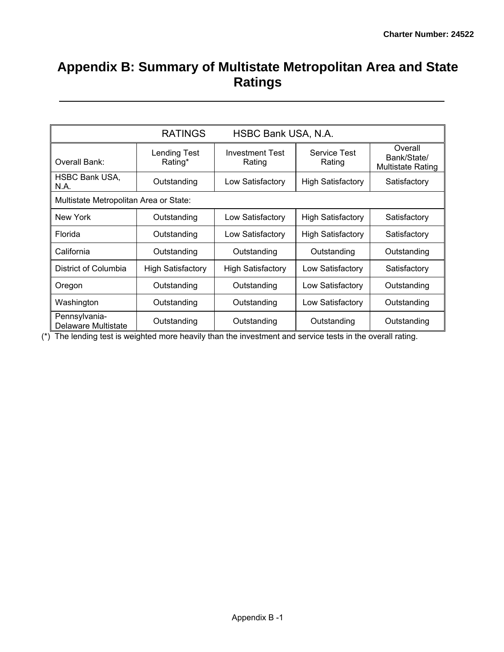# **Appendix B: Summary of Multistate Metropolitan Area and State Ratings**

|                                        | <b>RATINGS</b>                 | HSBC Bank USA, N.A.              |                          |                                                    |  |
|----------------------------------------|--------------------------------|----------------------------------|--------------------------|----------------------------------------------------|--|
| Overall Bank:                          | <b>Lending Test</b><br>Rating* | <b>Investment Test</b><br>Rating | Service Test<br>Rating   | Overall<br>Bank/State/<br><b>Multistate Rating</b> |  |
| <b>HSBC Bank USA,</b><br>N.A.          | Outstanding                    | Low Satisfactory                 | <b>High Satisfactory</b> | Satisfactory                                       |  |
| Multistate Metropolitan Area or State: |                                |                                  |                          |                                                    |  |
| New York                               | Outstanding                    | Low Satisfactory                 | <b>High Satisfactory</b> | Satisfactory                                       |  |
| Florida                                | Outstanding                    | Low Satisfactory                 | <b>High Satisfactory</b> | Satisfactory                                       |  |
| California                             | Outstanding                    | Outstanding                      | Outstanding              | Outstanding                                        |  |
| District of Columbia                   | <b>High Satisfactory</b>       | <b>High Satisfactory</b>         | Low Satisfactory         | Satisfactory                                       |  |
| Oregon                                 | Outstanding                    | Outstanding                      | Low Satisfactory         | Outstanding                                        |  |
| Washington                             | Outstanding                    | Outstanding                      | Low Satisfactory         | Outstanding                                        |  |
| Pennsylvania-<br>Delaware Multistate   | Outstanding                    | Outstanding                      | Outstanding              | Outstanding                                        |  |

(\*) The lending test is weighted more heavily than the investment and service tests in the overall rating.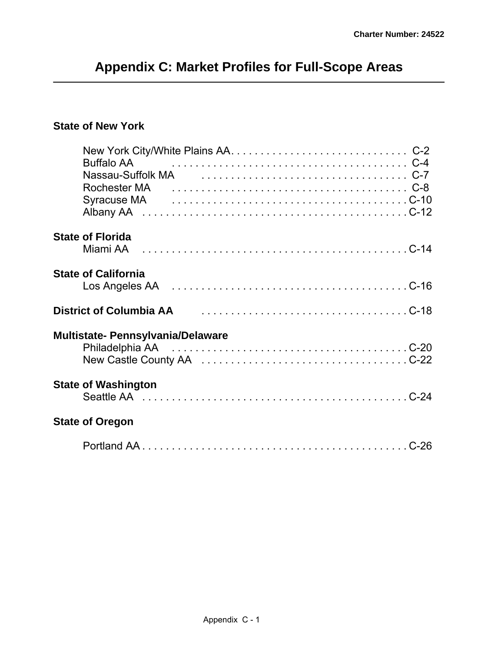# **Appendix C: Market Profiles for Full-Scope Areas**

### **State of New York**

| <b>Buffalo AA</b>                                  |  |
|----------------------------------------------------|--|
|                                                    |  |
|                                                    |  |
|                                                    |  |
|                                                    |  |
| <b>State of Florida</b>                            |  |
|                                                    |  |
| <b>State of California</b>                         |  |
|                                                    |  |
| District of Columbia AA Fig. 2014. The Columbia AA |  |
| <b>Multistate- Pennsylvania/Delaware</b>           |  |
|                                                    |  |
|                                                    |  |
| <b>State of Washington</b>                         |  |
|                                                    |  |
| <b>State of Oregon</b>                             |  |
|                                                    |  |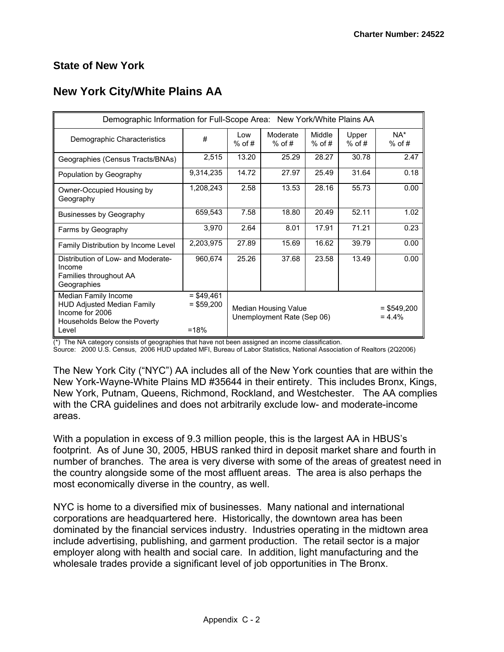#### **State of New York**

### **New York City/White Plains AA**

| Demographic Information for Full-Scope Area: New York/White Plains AA                                                 |                                        |                 |                                                    |                    |                   |                            |  |
|-----------------------------------------------------------------------------------------------------------------------|----------------------------------------|-----------------|----------------------------------------------------|--------------------|-------------------|----------------------------|--|
| Demographic Characteristics                                                                                           | #                                      | Low<br>$%$ of # | Moderate<br>$%$ of #                               | Middle<br>$%$ of # | Upper<br>$%$ of # | $NA^*$<br>$%$ of #         |  |
| Geographies (Census Tracts/BNAs)                                                                                      | 2,515                                  | 13.20           | 25.29                                              | 28.27              | 30.78             | 2.47                       |  |
| Population by Geography                                                                                               | 9,314,235                              | 14.72           | 27.97                                              | 25.49              | 31.64             | 0.18                       |  |
| Owner-Occupied Housing by<br>Geography                                                                                | 1,208,243                              | 2.58            | 13.53                                              | 28.16              | 55.73             | 0.00                       |  |
| <b>Businesses by Geography</b>                                                                                        | 659,543                                | 7.58            | 18.80                                              | 20.49              | 52.11             | 1.02                       |  |
| Farms by Geography                                                                                                    | 3,970                                  | 2.64            | 8.01                                               | 17.91              | 71.21             | 0.23                       |  |
| Family Distribution by Income Level                                                                                   | 2,203,975                              | 27.89           | 15.69                                              | 16.62              | 39.79             | 0.00                       |  |
| Distribution of Low- and Moderate-<br>Income<br>Families throughout AA<br>Geographies                                 | 960,674                                | 25.26           | 37.68                                              | 23.58              | 13.49             | 0.00                       |  |
| Median Family Income<br><b>HUD Adjusted Median Family</b><br>Income for 2006<br>Households Below the Poverty<br>Level | $=$ \$49,461<br>$=$ \$59,200<br>$=18%$ |                 | Median Housing Value<br>Unemployment Rate (Sep 06) |                    |                   | $=$ \$549,200<br>$= 4.4\%$ |  |

(\*) The NA category consists of geographies that have not been assigned an income classification.

Source: 2000 U.S. Census, 2006 HUD updated MFI, Bureau of Labor Statistics, National Association of Realtors (2Q2006)

The New York City ("NYC") AA includes all of the New York counties that are within the New York-Wayne-White Plains MD #35644 in their entirety. This includes Bronx, Kings, New York, Putnam, Queens, Richmond, Rockland, and Westchester. The AA complies with the CRA guidelines and does not arbitrarily exclude low- and moderate-income areas.

With a population in excess of 9.3 million people, this is the largest AA in HBUS's footprint. As of June 30, 2005, HBUS ranked third in deposit market share and fourth in number of branches. The area is very diverse with some of the areas of greatest need in the country alongside some of the most affluent areas. The area is also perhaps the most economically diverse in the country, as well.

NYC is home to a diversified mix of businesses. Many national and international corporations are headquartered here. Historically, the downtown area has been dominated by the financial services industry. Industries operating in the midtown area include advertising, publishing, and garment production. The retail sector is a major employer along with health and social care. In addition, light manufacturing and the wholesale trades provide a significant level of job opportunities in The Bronx.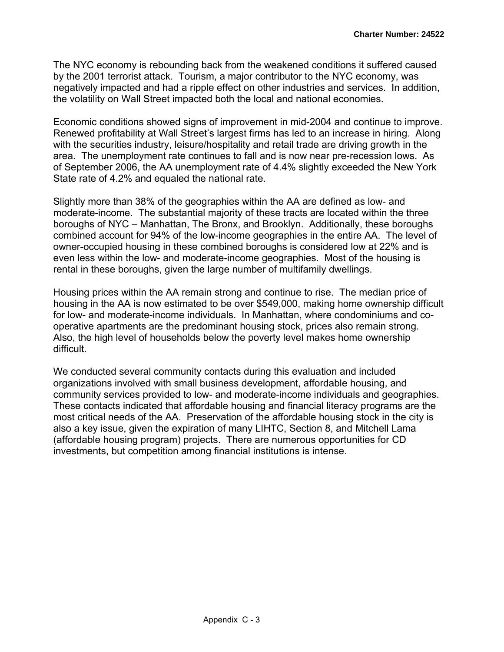The NYC economy is rebounding back from the weakened conditions it suffered caused by the 2001 terrorist attack. Tourism, a major contributor to the NYC economy, was negatively impacted and had a ripple effect on other industries and services. In addition, the volatility on Wall Street impacted both the local and national economies.

Economic conditions showed signs of improvement in mid-2004 and continue to improve. Renewed profitability at Wall Street's largest firms has led to an increase in hiring. Along with the securities industry, leisure/hospitality and retail trade are driving growth in the area. The unemployment rate continues to fall and is now near pre-recession lows. As of September 2006, the AA unemployment rate of 4.4% slightly exceeded the New York State rate of 4.2% and equaled the national rate.

Slightly more than 38% of the geographies within the AA are defined as low- and moderate-income. The substantial majority of these tracts are located within the three boroughs of NYC – Manhattan, The Bronx, and Brooklyn. Additionally, these boroughs combined account for 94% of the low-income geographies in the entire AA. The level of owner-occupied housing in these combined boroughs is considered low at 22% and is even less within the low- and moderate-income geographies. Most of the housing is rental in these boroughs, given the large number of multifamily dwellings.

Housing prices within the AA remain strong and continue to rise. The median price of housing in the AA is now estimated to be over \$549,000, making home ownership difficult for low- and moderate-income individuals. In Manhattan, where condominiums and cooperative apartments are the predominant housing stock, prices also remain strong. Also, the high level of households below the poverty level makes home ownership difficult.

We conducted several community contacts during this evaluation and included organizations involved with small business development, affordable housing, and community services provided to low- and moderate-income individuals and geographies. These contacts indicated that affordable housing and financial literacy programs are the most critical needs of the AA. Preservation of the affordable housing stock in the city is also a key issue, given the expiration of many LIHTC, Section 8, and Mitchell Lama (affordable housing program) projects. There are numerous opportunities for CD investments, but competition among financial institutions is intense.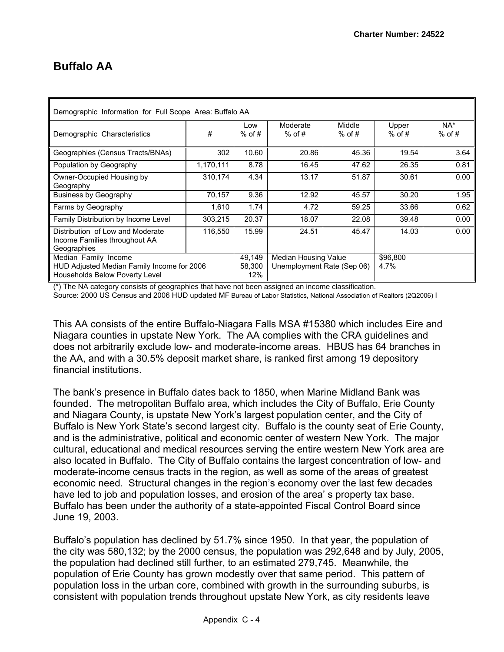### **Buffalo AA**

| Demographic Information for Full Scope Area: Buffalo AA                             |           |                 |                                    |                    |                   |                    |  |  |  |
|-------------------------------------------------------------------------------------|-----------|-----------------|------------------------------------|--------------------|-------------------|--------------------|--|--|--|
| Demographic Characteristics                                                         | #         | Low<br>$%$ of # | Moderate<br>$%$ of #               | Middle<br>$%$ of # | Upper<br>$%$ of # | $NA^*$<br>$%$ of # |  |  |  |
| Geographies (Census Tracts/BNAs)                                                    | 302       | 10.60           | 20.86                              | 45.36              | 19.54             | 3.64               |  |  |  |
| Population by Geography                                                             | 1,170,111 | 8.78            | 16.45                              | 47.62              | 26.35             | 0.81               |  |  |  |
| Owner-Occupied Housing by<br>Geography                                              | 310,174   | 4.34            | 13.17                              | 51.87              | 30.61             | 0.00               |  |  |  |
| <b>Business by Geography</b>                                                        | 70,157    | 9.36            | 12.92                              | 45.57              | 30.20             | 1.95               |  |  |  |
| Farms by Geography                                                                  | 1.610     | 1.74            | 4.72                               | 59.25              | 33.66             | 0.62               |  |  |  |
| Family Distribution by Income Level                                                 | 303.215   | 20.37           | 18.07                              | 22.08              | 39.48             | 0.00               |  |  |  |
| Distribution of Low and Moderate<br>Income Families throughout AA<br>Geographies    | 116,550   | 15.99           | 24.51                              | 45.47              | 14.03             | 0.00               |  |  |  |
| Median Family Income                                                                |           | 49,149          | Median Housing Value               |                    | \$96,800          |                    |  |  |  |
| HUD Adjusted Median Family Income for 2006<br><b>Households Below Poverty Level</b> |           | 58,300<br>12%   | Unemployment Rate (Sep 06)<br>4.7% |                    |                   |                    |  |  |  |

(\*) The NA category consists of geographies that have not been assigned an income classification.

Source: 2000 US Census and 2006 HUD updated MF Bureau of Labor Statistics, National Association of Realtors (2Q2006) I

This AA consists of the entire Buffalo-Niagara Falls MSA #15380 which includes Eire and Niagara counties in upstate New York. The AA complies with the CRA guidelines and does not arbitrarily exclude low- and moderate-income areas. HBUS has 64 branches in the AA, and with a 30.5% deposit market share, is ranked first among 19 depository financial institutions.

The bank's presence in Buffalo dates back to 1850, when Marine Midland Bank was founded. The metropolitan Buffalo area, which includes the City of Buffalo, Erie County and Niagara County, is upstate New York's largest population center, and the City of Buffalo is New York State's second largest city. Buffalo is the county seat of Erie County, and is the administrative, political and economic center of western New York. The major cultural, educational and medical resources serving the entire western New York area are also located in Buffalo. The City of Buffalo contains the largest concentration of low- and moderate-income census tracts in the region, as well as some of the areas of greatest economic need. Structural changes in the region's economy over the last few decades have led to job and population losses, and erosion of the area' s property tax base. Buffalo has been under the authority of a state-appointed Fiscal Control Board since June 19, 2003.

Buffalo's population has declined by 51.7% since 1950. In that year, the population of the city was 580,132; by the 2000 census, the population was 292,648 and by July, 2005, the population had declined still further, to an estimated 279,745. Meanwhile, the population of Erie County has grown modestly over that same period. This pattern of population loss in the urban core, combined with growth in the surrounding suburbs, is consistent with population trends throughout upstate New York, as city residents leave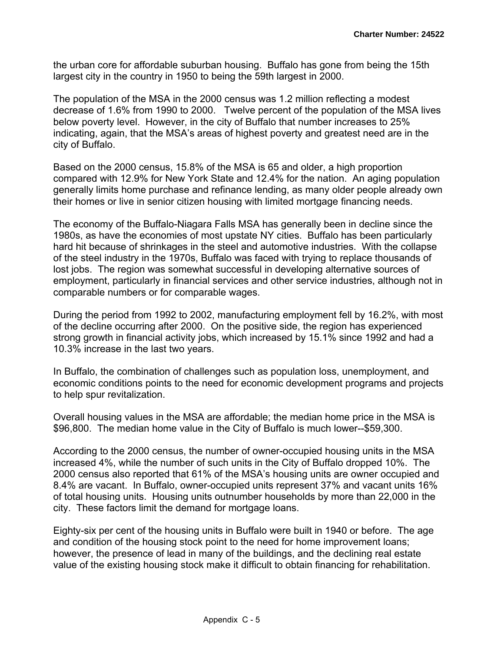the urban core for affordable suburban housing. Buffalo has gone from being the 15th largest city in the country in 1950 to being the 59th largest in 2000.

The population of the MSA in the 2000 census was 1.2 million reflecting a modest decrease of 1.6% from 1990 to 2000. Twelve percent of the population of the MSA lives below poverty level. However, in the city of Buffalo that number increases to 25% indicating, again, that the MSA's areas of highest poverty and greatest need are in the city of Buffalo.

Based on the 2000 census, 15.8% of the MSA is 65 and older, a high proportion compared with 12.9% for New York State and 12.4% for the nation. An aging population generally limits home purchase and refinance lending, as many older people already own their homes or live in senior citizen housing with limited mortgage financing needs.

The economy of the Buffalo-Niagara Falls MSA has generally been in decline since the 1980s, as have the economies of most upstate NY cities. Buffalo has been particularly hard hit because of shrinkages in the steel and automotive industries. With the collapse of the steel industry in the 1970s, Buffalo was faced with trying to replace thousands of lost jobs. The region was somewhat successful in developing alternative sources of employment, particularly in financial services and other service industries, although not in comparable numbers or for comparable wages.

During the period from 1992 to 2002, manufacturing employment fell by 16.2%, with most of the decline occurring after 2000. On the positive side, the region has experienced strong growth in financial activity jobs, which increased by 15.1% since 1992 and had a 10.3% increase in the last two years.

In Buffalo, the combination of challenges such as population loss, unemployment, and economic conditions points to the need for economic development programs and projects to help spur revitalization.

Overall housing values in the MSA are affordable; the median home price in the MSA is \$96,800. The median home value in the City of Buffalo is much lower--\$59,300.

According to the 2000 census, the number of owner-occupied housing units in the MSA increased 4%, while the number of such units in the City of Buffalo dropped 10%. The 2000 census also reported that 61% of the MSA's housing units are owner occupied and 8.4% are vacant. In Buffalo, owner-occupied units represent 37% and vacant units 16% of total housing units. Housing units outnumber households by more than 22,000 in the city. These factors limit the demand for mortgage loans.

Eighty-six per cent of the housing units in Buffalo were built in 1940 or before. The age and condition of the housing stock point to the need for home improvement loans; however, the presence of lead in many of the buildings, and the declining real estate value of the existing housing stock make it difficult to obtain financing for rehabilitation.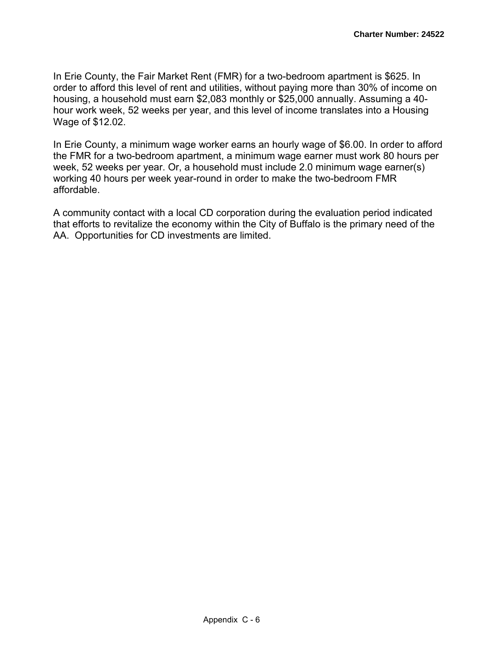In Erie County, the Fair Market Rent (FMR) for a two-bedroom apartment is \$625. In order to afford this level of rent and utilities, without paying more than 30% of income on housing, a household must earn \$2,083 monthly or \$25,000 annually. Assuming a 40 hour work week, 52 weeks per year, and this level of income translates into a Housing Wage of \$12.02.

In Erie County, a minimum wage worker earns an hourly wage of \$6.00. In order to afford the FMR for a two-bedroom apartment, a minimum wage earner must work 80 hours per week, 52 weeks per year. Or, a household must include 2.0 minimum wage earner(s) working 40 hours per week year-round in order to make the two-bedroom FMR affordable.

A community contact with a local CD corporation during the evaluation period indicated that efforts to revitalize the economy within the City of Buffalo is the primary need of the AA. Opportunities for CD investments are limited.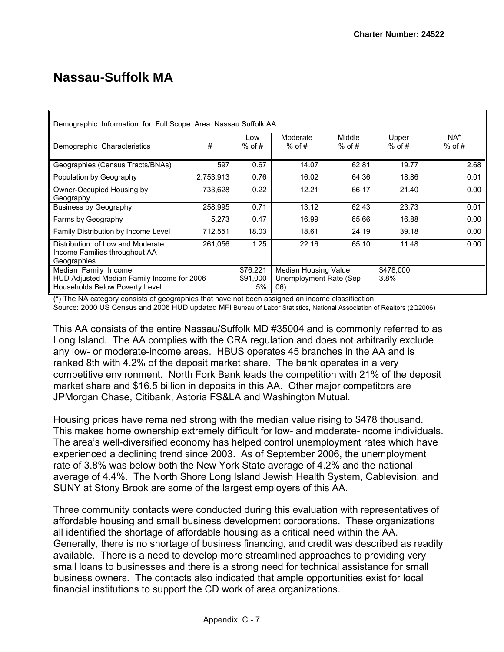# **Nassau-Suffolk MA**

| Demographic Information for Full Scope Area: Nassau Suffolk AA                                       |                            |                                                        |                      |                      |                   |                 |  |  |  |
|------------------------------------------------------------------------------------------------------|----------------------------|--------------------------------------------------------|----------------------|----------------------|-------------------|-----------------|--|--|--|
| Demographic Characteristics                                                                          | #                          | Low<br>$%$ of #                                        | Moderate<br>$%$ of # | Middle<br>$%$ of #   | Upper<br>$%$ of # | NA*<br>$%$ of # |  |  |  |
| Geographies (Census Tracts/BNAs)                                                                     | 597                        | 0.67                                                   | 14.07                | 62.81                | 19.77             | 2.68            |  |  |  |
| Population by Geography                                                                              | 2,753,913                  | 0.76                                                   | 16.02                | 64.36                | 18.86             | 0.01            |  |  |  |
| Owner-Occupied Housing by<br>Geography                                                               | 733,628                    | 0.22                                                   | 12.21                | 66.17                | 21.40             | 0.00            |  |  |  |
| <b>Business by Geography</b>                                                                         | 258,995                    | 0.71                                                   | 13.12                | 62.43                | 23.73             | 0.01            |  |  |  |
| Farms by Geography                                                                                   | 5,273                      | 0.47                                                   | 16.99                | 65.66                | 16.88             | 0.00            |  |  |  |
| Family Distribution by Income Level                                                                  | 712,551                    | 18.03                                                  | 18.61                | 24.19                | 39.18             | 0.00            |  |  |  |
| Distribution of Low and Moderate<br>Income Families throughout AA<br>Geographies                     | 261,056                    | 1.25                                                   | 22.16                | 65.10                | 11.48             | 0.00            |  |  |  |
| Median Family Income<br>HUD Adjusted Median Family Income for 2006<br>Households Below Poverty Level | \$76,221<br>\$91,000<br>5% | Median Housing Value<br>Unemployment Rate (Sep.<br>06) |                      | \$478,000<br>$3.8\%$ |                   |                 |  |  |  |

(\*) The NA category consists of geographies that have not been assigned an income classification.

Source: 2000 US Census and 2006 HUD updated MFI Bureau of Labor Statistics, National Association of Realtors (2Q2006)

This AA consists of the entire Nassau/Suffolk MD #35004 and is commonly referred to as Long Island. The AA complies with the CRA regulation and does not arbitrarily exclude any low- or moderate-income areas. HBUS operates 45 branches in the AA and is ranked 8th with 4.2% of the deposit market share. The bank operates in a very competitive environment. North Fork Bank leads the competition with 21% of the deposit market share and \$16.5 billion in deposits in this AA. Other major competitors are JPMorgan Chase, Citibank, Astoria FS&LA and Washington Mutual.

Housing prices have remained strong with the median value rising to \$478 thousand. This makes home ownership extremely difficult for low- and moderate-income individuals. The area's well-diversified economy has helped control unemployment rates which have experienced a declining trend since 2003. As of September 2006, the unemployment rate of 3.8% was below both the New York State average of 4.2% and the national average of 4.4%. The North Shore Long Island Jewish Health System, Cablevision, and SUNY at Stony Brook are some of the largest employers of this AA.

Three community contacts were conducted during this evaluation with representatives of affordable housing and small business development corporations. These organizations all identified the shortage of affordable housing as a critical need within the AA. Generally, there is no shortage of business financing, and credit was described as readily available. There is a need to develop more streamlined approaches to providing very small loans to businesses and there is a strong need for technical assistance for small business owners. The contacts also indicated that ample opportunities exist for local financial institutions to support the CD work of area organizations.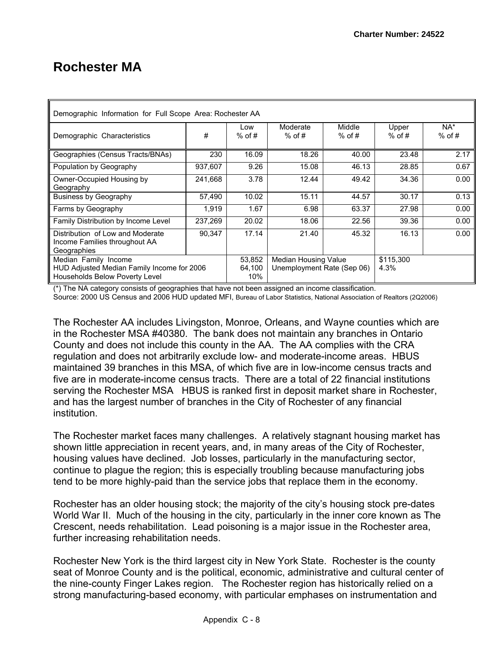## **Rochester MA**

| Demographic Information for Full Scope Area: Rochester AA                                            |         |                         |                                                                         |                    |                   |                    |  |  |  |  |
|------------------------------------------------------------------------------------------------------|---------|-------------------------|-------------------------------------------------------------------------|--------------------|-------------------|--------------------|--|--|--|--|
| Demographic Characteristics                                                                          | #       | Low<br>$%$ of #         | Moderate<br>$%$ of #                                                    | Middle<br>$%$ of # | Upper<br>$%$ of # | $NA^*$<br>$%$ of # |  |  |  |  |
| Geographies (Census Tracts/BNAs)                                                                     | 230     | 16.09                   | 18.26                                                                   | 40.00              | 23.48             | 2.17               |  |  |  |  |
| Population by Geography                                                                              | 937,607 | 9.26                    | 15.08                                                                   | 46.13              | 28.85             | 0.67               |  |  |  |  |
| Owner-Occupied Housing by<br>Geography                                                               | 241.668 | 3.78                    | 12.44                                                                   | 49.42              | 34.36             | 0.00               |  |  |  |  |
| <b>Business by Geography</b>                                                                         | 57,490  | 10.02                   | 15.11                                                                   | 44.57              | 30.17             | 0.13               |  |  |  |  |
| Farms by Geography                                                                                   | 1,919   | 1.67                    | 6.98                                                                    | 63.37              | 27.98             | 0.00               |  |  |  |  |
| Family Distribution by Income Level                                                                  | 237,269 | 20.02                   | 18.06                                                                   | 22.56              | 39.36             | 0.00               |  |  |  |  |
| Distribution of Low and Moderate<br>Income Families throughout AA<br>Geographies                     | 90.347  | 17.14                   | 21.40                                                                   | 45.32              | 16.13             | 0.00               |  |  |  |  |
| Median Family Income<br>HUD Adjusted Median Family Income for 2006<br>Households Below Poverty Level |         | 53,852<br>64.100<br>10% | \$115,300<br>Median Housing Value<br>Unemployment Rate (Sep 06)<br>4.3% |                    |                   |                    |  |  |  |  |

(\*) The NA category consists of geographies that have not been assigned an income classification. Source: 2000 US Census and 2006 HUD updated MFI, Bureau of Labor Statistics, National Association of Realtors (2Q2006)

The Rochester AA includes Livingston, Monroe, Orleans, and Wayne counties which are in the Rochester MSA #40380. The bank does not maintain any branches in Ontario County and does not include this county in the AA. The AA complies with the CRA regulation and does not arbitrarily exclude low- and moderate-income areas. HBUS maintained 39 branches in this MSA, of which five are in low-income census tracts and five are in moderate-income census tracts. There are a total of 22 financial institutions serving the Rochester MSA HBUS is ranked first in deposit market share in Rochester, and has the largest number of branches in the City of Rochester of any financial institution.

The Rochester market faces many challenges. A relatively stagnant housing market has shown little appreciation in recent years, and, in many areas of the City of Rochester, housing values have declined. Job losses, particularly in the manufacturing sector, continue to plague the region; this is especially troubling because manufacturing jobs tend to be more highly-paid than the service jobs that replace them in the economy.

Rochester has an older housing stock; the majority of the city's housing stock pre-dates World War II. Much of the housing in the city, particularly in the inner core known as The Crescent, needs rehabilitation. Lead poisoning is a major issue in the Rochester area, further increasing rehabilitation needs.

Rochester New York is the third largest city in New York State. Rochester is the county seat of Monroe County and is the political, economic, administrative and cultural center of the nine-county Finger Lakes region. The Rochester region has historically relied on a strong manufacturing-based economy, with particular emphases on instrumentation and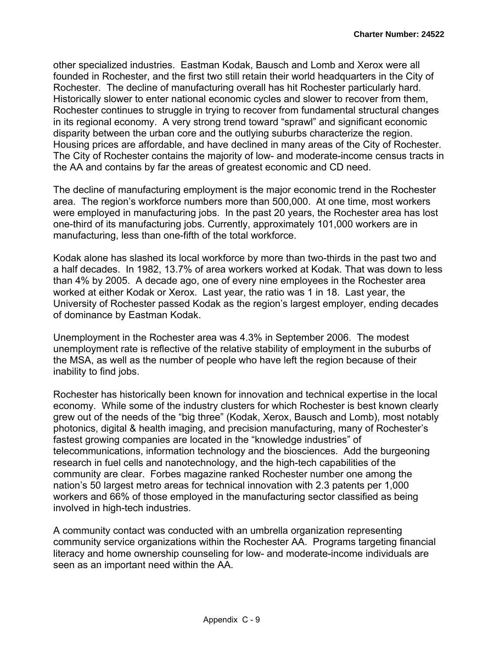other specialized industries. Eastman Kodak, Bausch and Lomb and Xerox were all founded in Rochester, and the first two still retain their world headquarters in the City of Rochester. The decline of manufacturing overall has hit Rochester particularly hard. Historically slower to enter national economic cycles and slower to recover from them, Rochester continues to struggle in trying to recover from fundamental structural changes in its regional economy. A very strong trend toward "sprawl" and significant economic disparity between the urban core and the outlying suburbs characterize the region. Housing prices are affordable, and have declined in many areas of the City of Rochester. The City of Rochester contains the majority of low- and moderate-income census tracts in the AA and contains by far the areas of greatest economic and CD need.

The decline of manufacturing employment is the major economic trend in the Rochester area. The region's workforce numbers more than 500,000. At one time, most workers were employed in manufacturing jobs. In the past 20 years, the Rochester area has lost one-third of its manufacturing jobs. Currently, approximately 101,000 workers are in manufacturing, less than one-fifth of the total workforce.

Kodak alone has slashed its local workforce by more than two-thirds in the past two and a half decades. In 1982, 13.7% of area workers worked at Kodak. That was down to less than 4% by 2005. A decade ago, one of every nine employees in the Rochester area worked at either Kodak or Xerox. Last year, the ratio was 1 in 18. Last year, the University of Rochester passed Kodak as the region's largest employer, ending decades of dominance by Eastman Kodak.

Unemployment in the Rochester area was 4.3% in September 2006. The modest unemployment rate is reflective of the relative stability of employment in the suburbs of the MSA, as well as the number of people who have left the region because of their inability to find jobs.

Rochester has historically been known for innovation and technical expertise in the local economy. While some of the industry clusters for which Rochester is best known clearly grew out of the needs of the "big three" (Kodak, Xerox, Bausch and Lomb), most notably photonics, digital & health imaging, and precision manufacturing, many of Rochester's fastest growing companies are located in the "knowledge industries" of telecommunications, information technology and the biosciences. Add the burgeoning research in fuel cells and nanotechnology, and the high-tech capabilities of the community are clear. Forbes magazine ranked Rochester number one among the nation's 50 largest metro areas for technical innovation with 2.3 patents per 1,000 workers and 66% of those employed in the manufacturing sector classified as being involved in high-tech industries.

A community contact was conducted with an umbrella organization representing community service organizations within the Rochester AA. Programs targeting financial literacy and home ownership counseling for low- and moderate-income individuals are seen as an important need within the AA.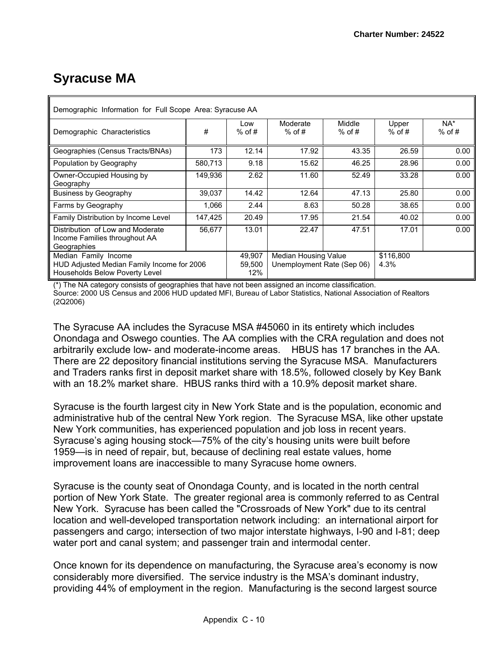# **Syracuse MA**

| Demographic Information for Full Scope Area: Syracuse AA                                             |         |                         |                                                    |                    |                   |                 |  |  |  |  |
|------------------------------------------------------------------------------------------------------|---------|-------------------------|----------------------------------------------------|--------------------|-------------------|-----------------|--|--|--|--|
| Demographic Characteristics                                                                          | #       | Low<br>$%$ of #         | Moderate<br>$%$ of #                               | Middle<br>$%$ of # | Upper<br>$%$ of # | NA*<br>$%$ of # |  |  |  |  |
| Geographies (Census Tracts/BNAs)                                                                     | 173     | 12.14                   | 17.92                                              | 43.35              | 26.59             | 0.00            |  |  |  |  |
| Population by Geography                                                                              | 580,713 | 9.18                    | 15.62                                              | 46.25              | 28.96             | 0.00            |  |  |  |  |
| Owner-Occupied Housing by<br>Geography                                                               | 149,936 | 2.62                    | 11.60                                              | 52.49              | 33.28             | 0.00            |  |  |  |  |
| <b>Business by Geography</b>                                                                         | 39,037  | 14.42                   | 12.64                                              | 47.13              | 25.80             | 0.00            |  |  |  |  |
| Farms by Geography                                                                                   | 1,066   | 2.44                    | 8.63                                               | 50.28              | 38.65             | 0.00            |  |  |  |  |
| Family Distribution by Income Level                                                                  | 147,425 | 20.49                   | 17.95                                              | 21.54              | 40.02             | 0.00            |  |  |  |  |
| Distribution of Low and Moderate<br>Income Families throughout AA<br>Geographies                     | 56.677  | 13.01                   | 22.47                                              | 47.51              | 17.01             | 0.00            |  |  |  |  |
| Median Family Income<br>HUD Adjusted Median Family Income for 2006<br>Households Below Poverty Level |         | 49,907<br>59.500<br>12% | Median Housing Value<br>Unemployment Rate (Sep 06) |                    | \$116,800<br>4.3% |                 |  |  |  |  |

(\*) The NA category consists of geographies that have not been assigned an income classification. Source: 2000 US Census and 2006 HUD updated MFI, Bureau of Labor Statistics, National Association of Realtors (2Q2006)

The Syracuse AA includes the Syracuse MSA #45060 in its entirety which includes Onondaga and Oswego counties. The AA complies with the CRA regulation and does not arbitrarily exclude low- and moderate-income areas. HBUS has 17 branches in the AA. There are 22 depository financial institutions serving the Syracuse MSA. Manufacturers and Traders ranks first in deposit market share with 18.5%, followed closely by Key Bank with an 18.2% market share. HBUS ranks third with a 10.9% deposit market share.

Syracuse is the fourth largest city in New York State and is the population, economic and administrative hub of the central New York region. The Syracuse MSA, like other upstate New York communities, has experienced population and job loss in recent years. Syracuse's aging housing stock—75% of the city's housing units were built before 1959—is in need of repair, but, because of declining real estate values, home improvement loans are inaccessible to many Syracuse home owners.

Syracuse is the county seat of Onondaga County, and is located in the north central portion of New York State. The greater regional area is commonly referred to as Central New York. Syracuse has been called the "Crossroads of New York" due to its central location and well-developed transportation network including: an international airport for passengers and cargo; intersection of two major interstate highways, I-90 and I-81; deep water port and canal system; and passenger train and intermodal center.

Once known for its dependence on manufacturing, the Syracuse area's economy is now considerably more diversified. The service industry is the MSA's dominant industry, providing 44% of employment in the region. Manufacturing is the second largest source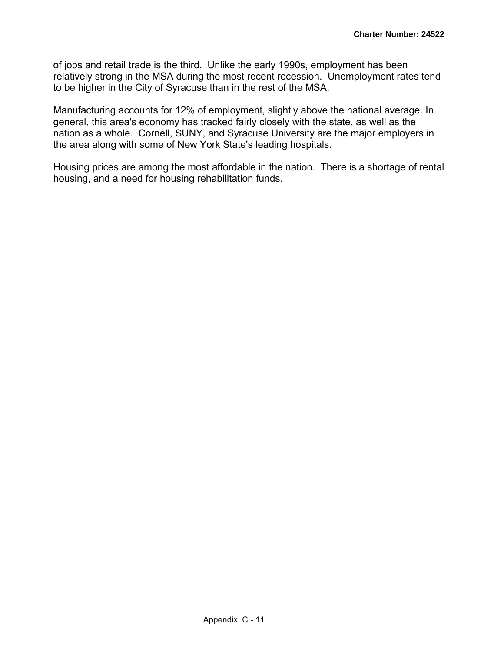of jobs and retail trade is the third. Unlike the early 1990s, employment has been relatively strong in the MSA during the most recent recession. Unemployment rates tend to be higher in the City of Syracuse than in the rest of the MSA.

Manufacturing accounts for 12% of employment, slightly above the national average. In general, this area's economy has tracked fairly closely with the state, as well as the nation as a whole. Cornell, SUNY, and Syracuse University are the major employers in the area along with some of New York State's leading hospitals.

Housing prices are among the most affordable in the nation. There is a shortage of rental housing, and a need for housing rehabilitation funds.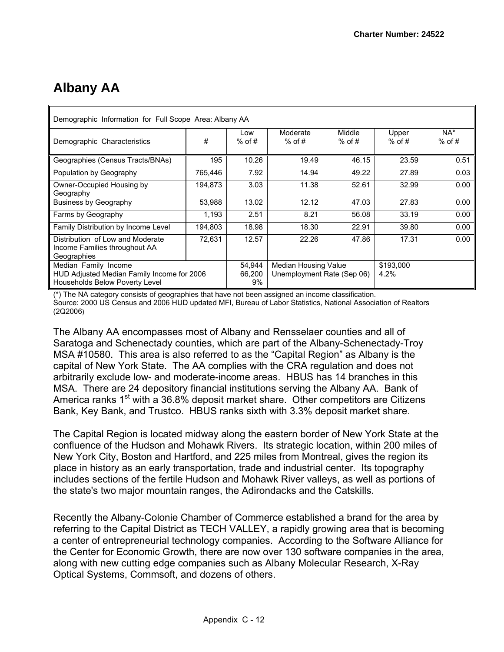# **Albany AA**

| Demographic Information for Full Scope Area: Albany AA                                               |         |                        |                                                                                |                    |                   |                 |  |  |  |  |
|------------------------------------------------------------------------------------------------------|---------|------------------------|--------------------------------------------------------------------------------|--------------------|-------------------|-----------------|--|--|--|--|
| Demographic Characteristics                                                                          | #       | Low<br>$%$ of #        | Moderate<br>$%$ of #                                                           | Middle<br>$%$ of # | Upper<br>$%$ of # | NA*<br>$%$ of # |  |  |  |  |
| Geographies (Census Tracts/BNAs)                                                                     | 195     | 10.26                  | 19.49                                                                          | 46.15              | 23.59             | 0.51            |  |  |  |  |
| Population by Geography                                                                              | 765,446 | 7.92                   | 14.94                                                                          | 49.22              | 27.89             | 0.03            |  |  |  |  |
| Owner-Occupied Housing by<br>Geography                                                               | 194,873 | 3.03                   | 11.38                                                                          | 52.61              | 32.99             | 0.00            |  |  |  |  |
| <b>Business by Geography</b>                                                                         | 53,988  | 13.02                  | 12.12                                                                          | 47.03              | 27.83             | 0.00            |  |  |  |  |
| Farms by Geography                                                                                   | 1,193   | 2.51                   | 8.21                                                                           | 56.08              | 33.19             | 0.00            |  |  |  |  |
| Family Distribution by Income Level                                                                  | 194,803 | 18.98                  | 18.30                                                                          | 22.91              | 39.80             | 0.00            |  |  |  |  |
| Distribution of Low and Moderate<br>Income Families throughout AA<br>Geographies                     | 72,631  | 12.57                  | 22.26                                                                          | 47.86              | 17.31             | 0.00            |  |  |  |  |
| Median Family Income<br>HUD Adjusted Median Family Income for 2006<br>Households Below Poverty Level |         | 54,944<br>66.200<br>9% | <b>Median Housing Value</b><br>\$193,000<br>Unemployment Rate (Sep 06)<br>4.2% |                    |                   |                 |  |  |  |  |

(\*) The NA category consists of geographies that have not been assigned an income classification. Source: 2000 US Census and 2006 HUD updated MFI, Bureau of Labor Statistics, National Association of Realtors (2Q2006)

The Albany AA encompasses most of Albany and Rensselaer counties and all of Saratoga and Schenectady counties, which are part of the Albany-Schenectady-Troy MSA #10580. This area is also referred to as the "Capital Region" as Albany is the capital of New York State. The AA complies with the CRA regulation and does not arbitrarily exclude low- and moderate-income areas. HBUS has 14 branches in this MSA. There are 24 depository financial institutions serving the Albany AA. Bank of America ranks  $1<sup>st</sup>$  with a 36.8% deposit market share. Other competitors are Citizens Bank, Key Bank, and Trustco. HBUS ranks sixth with 3.3% deposit market share.

The Capital Region is located midway along the eastern border of New York State at the confluence of the Hudson and Mohawk Rivers. Its strategic location, within 200 miles of New York City, Boston and Hartford, and 225 miles from Montreal, gives the region its place in history as an early transportation, trade and industrial center. Its topography includes sections of the fertile Hudson and Mohawk River valleys, as well as portions of the state's two major mountain ranges, the Adirondacks and the Catskills.

Recently the Albany-Colonie Chamber of Commerce established a brand for the area by referring to the Capital District as TECH VALLEY, a rapidly growing area that is becoming a center of entrepreneurial technology companies. According to the Software Alliance for the Center for Economic Growth, there are now over 130 software companies in the area, along with new cutting edge companies such as Albany Molecular Research, X-Ray Optical Systems, Commsoft, and dozens of others.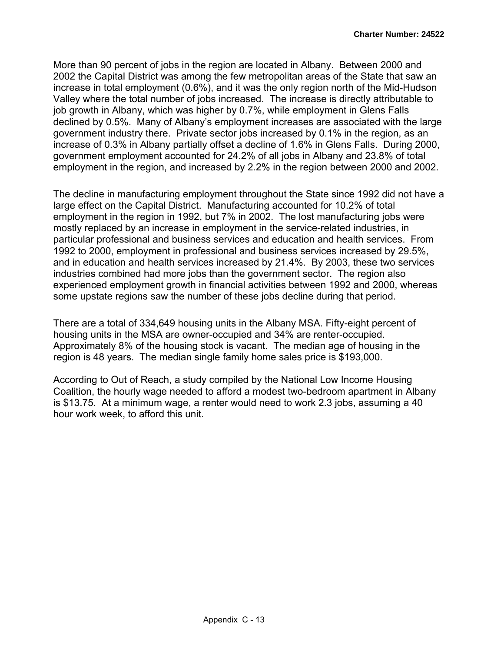More than 90 percent of jobs in the region are located in Albany. Between 2000 and 2002 the Capital District was among the few metropolitan areas of the State that saw an increase in total employment (0.6%), and it was the only region north of the Mid-Hudson Valley where the total number of jobs increased. The increase is directly attributable to job growth in Albany, which was higher by 0.7%, while employment in Glens Falls declined by 0.5%. Many of Albany's employment increases are associated with the large government industry there. Private sector jobs increased by 0.1% in the region, as an increase of 0.3% in Albany partially offset a decline of 1.6% in Glens Falls. During 2000, government employment accounted for 24.2% of all jobs in Albany and 23.8% of total employment in the region, and increased by 2.2% in the region between 2000 and 2002.

The decline in manufacturing employment throughout the State since 1992 did not have a large effect on the Capital District. Manufacturing accounted for 10.2% of total employment in the region in 1992, but 7% in 2002. The lost manufacturing jobs were mostly replaced by an increase in employment in the service-related industries, in particular professional and business services and education and health services. From 1992 to 2000, employment in professional and business services increased by 29.5%, and in education and health services increased by 21.4%. By 2003, these two services industries combined had more jobs than the government sector. The region also experienced employment growth in financial activities between 1992 and 2000, whereas some upstate regions saw the number of these jobs decline during that period.

There are a total of 334,649 housing units in the Albany MSA. Fifty-eight percent of housing units in the MSA are owner-occupied and 34% are renter-occupied. Approximately 8% of the housing stock is vacant. The median age of housing in the region is 48 years. The median single family home sales price is \$193,000.

According to Out of Reach, a study compiled by the National Low Income Housing Coalition, the hourly wage needed to afford a modest two-bedroom apartment in Albany is \$13.75. At a minimum wage, a renter would need to work 2.3 jobs, assuming a 40 hour work week, to afford this unit.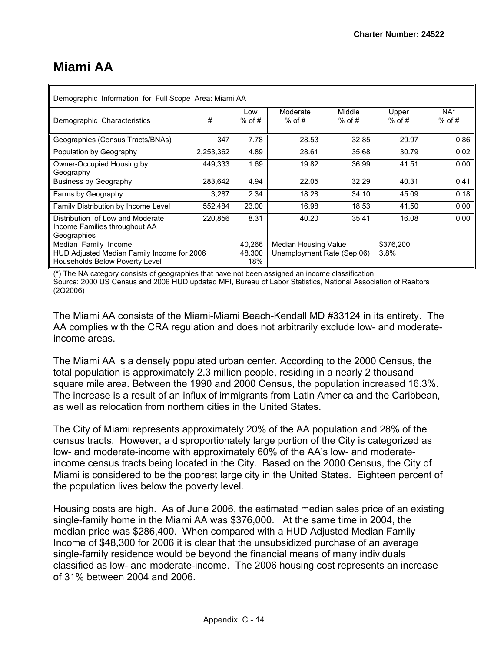# **Miami AA**

| Demographic Information for Full Scope Area: Miami AA                            |           |                 |                                       |                    |                   |                    |  |  |  |
|----------------------------------------------------------------------------------|-----------|-----------------|---------------------------------------|--------------------|-------------------|--------------------|--|--|--|
| Demographic Characteristics                                                      | #         | Low<br>$%$ of # | Moderate<br>$%$ of #                  | Middle<br>$%$ of # | Upper<br>$%$ of # | $NA^*$<br>$%$ of # |  |  |  |
| Geographies (Census Tracts/BNAs)                                                 | 347       | 7.78            | 28.53                                 | 32.85              | 29.97             | 0.86               |  |  |  |
| Population by Geography                                                          | 2,253,362 | 4.89            | 28.61                                 | 35.68              | 30.79             | 0.02               |  |  |  |
| Owner-Occupied Housing by<br>Geography                                           | 449,333   | 1.69            | 19.82                                 | 36.99              | 41.51             | 0.00               |  |  |  |
| <b>Business by Geography</b>                                                     | 283.642   | 4.94            | 22.05                                 | 32.29              | 40.31             | 0.41               |  |  |  |
| Farms by Geography                                                               | 3,287     | 2.34            | 18.28                                 | 34.10              | 45.09             | 0.18               |  |  |  |
| Family Distribution by Income Level                                              | 552,484   | 23.00           | 16.98                                 | 18.53              | 41.50             | 0.00               |  |  |  |
| Distribution of Low and Moderate<br>Income Families throughout AA<br>Geographies | 220,856   | 8.31            | 40.20                                 | 35.41              | 16.08             | 0.00               |  |  |  |
| Median Family Income                                                             |           | 40,266          | <b>Median Housing Value</b>           |                    | \$376,200         |                    |  |  |  |
| HUD Adjusted Median Family Income for 2006<br>Households Below Poverty Level     |           | 48,300<br>18%   | Unemployment Rate (Sep 06)<br>$3.8\%$ |                    |                   |                    |  |  |  |

(\*) The NA category consists of geographies that have not been assigned an income classification. Source: 2000 US Census and 2006 HUD updated MFI, Bureau of Labor Statistics, National Association of Realtors (2Q2006)

The Miami AA consists of the Miami-Miami Beach-Kendall MD #33124 in its entirety. The AA complies with the CRA regulation and does not arbitrarily exclude low- and moderateincome areas.

The Miami AA is a densely populated urban center. According to the 2000 Census, the total population is approximately 2.3 million people, residing in a nearly 2 thousand square mile area. Between the 1990 and 2000 Census, the population increased 16.3%. The increase is a result of an influx of immigrants from Latin America and the Caribbean, as well as relocation from northern cities in the United States.

The City of Miami represents approximately 20% of the AA population and 28% of the census tracts. However, a disproportionately large portion of the City is categorized as low- and moderate-income with approximately 60% of the AA's low- and moderateincome census tracts being located in the City. Based on the 2000 Census, the City of Miami is considered to be the poorest large city in the United States. Eighteen percent of the population lives below the poverty level.

Housing costs are high. As of June 2006, the estimated median sales price of an existing single-family home in the Miami AA was \$376,000. At the same time in 2004, the median price was \$286,400. When compared with a HUD Adjusted Median Family Income of \$48,300 for 2006 it is clear that the unsubsidized purchase of an average single-family residence would be beyond the financial means of many individuals classified as low- and moderate-income. The 2006 housing cost represents an increase of 31% between 2004 and 2006.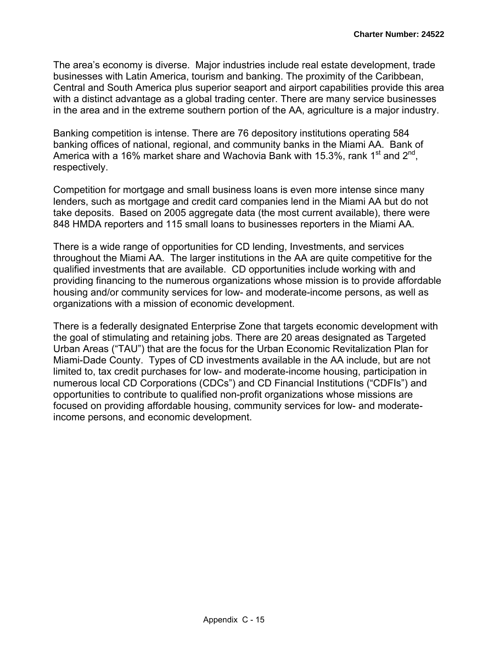The area's economy is diverse. Major industries include real estate development, trade businesses with Latin America, tourism and banking. The proximity of the Caribbean, Central and South America plus superior seaport and airport capabilities provide this area with a distinct advantage as a global trading center. There are many service businesses in the area and in the extreme southern portion of the AA, agriculture is a major industry.

Banking competition is intense. There are 76 depository institutions operating 584 banking offices of national, regional, and community banks in the Miami AA. Bank of America with a 16% market share and Wachovia Bank with 15.3%, rank 1<sup>st</sup> and 2<sup>nd</sup>, respectively.

Competition for mortgage and small business loans is even more intense since many lenders, such as mortgage and credit card companies lend in the Miami AA but do not take deposits. Based on 2005 aggregate data (the most current available), there were 848 HMDA reporters and 115 small loans to businesses reporters in the Miami AA.

There is a wide range of opportunities for CD lending, Investments, and services throughout the Miami AA. The larger institutions in the AA are quite competitive for the qualified investments that are available. CD opportunities include working with and providing financing to the numerous organizations whose mission is to provide affordable housing and/or community services for low- and moderate-income persons, as well as organizations with a mission of economic development.

There is a federally designated Enterprise Zone that targets economic development with the goal of stimulating and retaining jobs. There are 20 areas designated as Targeted Urban Areas ("TAU") that are the focus for the Urban Economic Revitalization Plan for Miami-Dade County. Types of CD investments available in the AA include, but are not limited to, tax credit purchases for low- and moderate-income housing, participation in numerous local CD Corporations (CDCs") and CD Financial Institutions ("CDFIs") and opportunities to contribute to qualified non-profit organizations whose missions are focused on providing affordable housing, community services for low- and moderateincome persons, and economic development.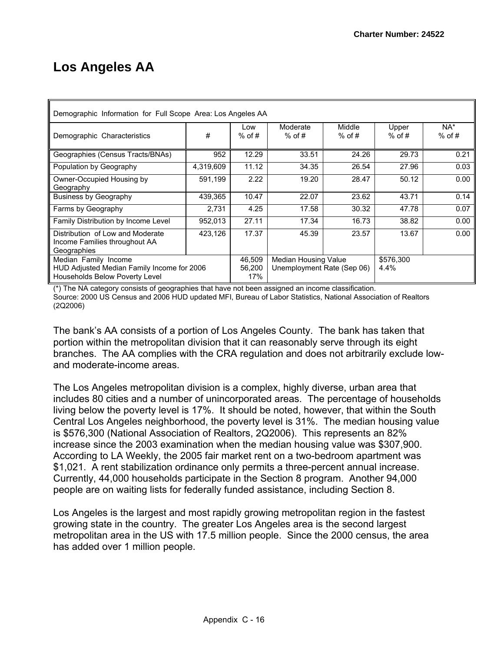# **Los Angeles AA**

| Demographic Information for Full Scope Area: Los Angeles AA                                          |           |                         |                                                                         |                    |                   |                    |  |  |  |  |
|------------------------------------------------------------------------------------------------------|-----------|-------------------------|-------------------------------------------------------------------------|--------------------|-------------------|--------------------|--|--|--|--|
| Demographic Characteristics                                                                          | #         | Low<br>$%$ of #         | Moderate<br>$%$ of #                                                    | Middle<br>$%$ of # | Upper<br>$%$ of # | $NA^*$<br>$%$ of # |  |  |  |  |
| Geographies (Census Tracts/BNAs)                                                                     | 952       | 12.29                   | 33.51                                                                   | 24.26              | 29.73             | 0.21               |  |  |  |  |
| Population by Geography                                                                              | 4,319,609 | 11.12                   | 34.35                                                                   | 26.54              | 27.96             | 0.03               |  |  |  |  |
| Owner-Occupied Housing by<br>Geography                                                               | 591,199   | 2.22                    | 19.20                                                                   | 28.47              | 50.12             | 0.00               |  |  |  |  |
| <b>Business by Geography</b>                                                                         | 439,365   | 10.47                   | 22.07                                                                   | 23.62              | 43.71             | 0.14               |  |  |  |  |
| Farms by Geography                                                                                   | 2,731     | 4.25                    | 17.58                                                                   | 30.32              | 47.78             | 0.07               |  |  |  |  |
| Family Distribution by Income Level                                                                  | 952,013   | 27.11                   | 17.34                                                                   | 16.73              | 38.82             | 0.00               |  |  |  |  |
| Distribution of Low and Moderate<br>Income Families throughout AA<br>Geographies                     | 423,126   | 17.37                   | 45.39                                                                   | 23.57              | 13.67             | 0.00               |  |  |  |  |
| Median Family Income<br>HUD Adjusted Median Family Income for 2006<br>Households Below Poverty Level |           | 46,509<br>56.200<br>17% | \$576,300<br>Median Housing Value<br>Unemployment Rate (Sep 06)<br>4.4% |                    |                   |                    |  |  |  |  |

(\*) The NA category consists of geographies that have not been assigned an income classification. Source: 2000 US Census and 2006 HUD updated MFI, Bureau of Labor Statistics, National Association of Realtors (2Q2006)

The bank's AA consists of a portion of Los Angeles County. The bank has taken that portion within the metropolitan division that it can reasonably serve through its eight branches. The AA complies with the CRA regulation and does not arbitrarily exclude lowand moderate-income areas.

The Los Angeles metropolitan division is a complex, highly diverse, urban area that includes 80 cities and a number of unincorporated areas. The percentage of households living below the poverty level is 17%. It should be noted, however, that within the South Central Los Angeles neighborhood, the poverty level is 31%. The median housing value is \$576,300 (National Association of Realtors, 2Q2006). This represents an 82% increase since the 2003 examination when the median housing value was \$307,900. According to LA Weekly, the 2005 fair market rent on a two-bedroom apartment was \$1,021. A rent stabilization ordinance only permits a three-percent annual increase. Currently, 44,000 households participate in the Section 8 program. Another 94,000 people are on waiting lists for federally funded assistance, including Section 8.

Los Angeles is the largest and most rapidly growing metropolitan region in the fastest growing state in the country. The greater Los Angeles area is the second largest metropolitan area in the US with 17.5 million people. Since the 2000 census, the area has added over 1 million people.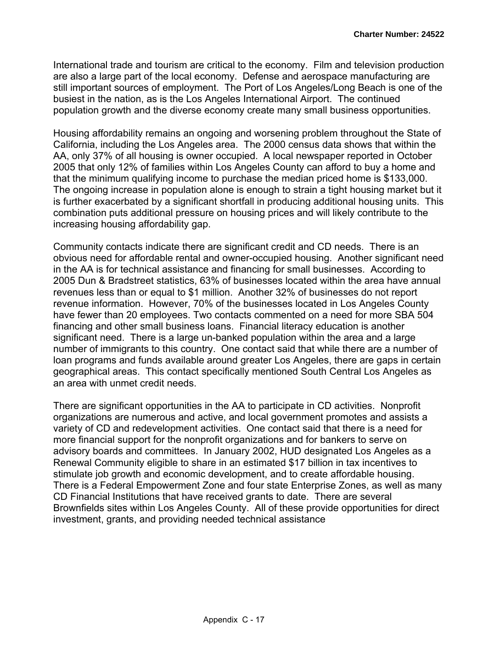International trade and tourism are critical to the economy. Film and television production are also a large part of the local economy. Defense and aerospace manufacturing are still important sources of employment. The Port of Los Angeles/Long Beach is one of the busiest in the nation, as is the Los Angeles International Airport. The continued population growth and the diverse economy create many small business opportunities.

Housing affordability remains an ongoing and worsening problem throughout the State of California, including the Los Angeles area. The 2000 census data shows that within the AA, only 37% of all housing is owner occupied. A local newspaper reported in October 2005 that only 12% of families within Los Angeles County can afford to buy a home and that the minimum qualifying income to purchase the median priced home is \$133,000. The ongoing increase in population alone is enough to strain a tight housing market but it is further exacerbated by a significant shortfall in producing additional housing units. This combination puts additional pressure on housing prices and will likely contribute to the increasing housing affordability gap.

Community contacts indicate there are significant credit and CD needs. There is an obvious need for affordable rental and owner-occupied housing. Another significant need in the AA is for technical assistance and financing for small businesses. According to 2005 Dun & Bradstreet statistics, 63% of businesses located within the area have annual revenues less than or equal to \$1 million. Another 32% of businesses do not report revenue information. However, 70% of the businesses located in Los Angeles County have fewer than 20 employees. Two contacts commented on a need for more SBA 504 financing and other small business loans. Financial literacy education is another significant need. There is a large un-banked population within the area and a large number of immigrants to this country. One contact said that while there are a number of loan programs and funds available around greater Los Angeles, there are gaps in certain geographical areas. This contact specifically mentioned South Central Los Angeles as an area with unmet credit needs.

There are significant opportunities in the AA to participate in CD activities. Nonprofit organizations are numerous and active, and local government promotes and assists a variety of CD and redevelopment activities. One contact said that there is a need for more financial support for the nonprofit organizations and for bankers to serve on advisory boards and committees. In January 2002, HUD designated Los Angeles as a Renewal Community eligible to share in an estimated \$17 billion in tax incentives to stimulate job growth and economic development, and to create affordable housing. There is a Federal Empowerment Zone and four state Enterprise Zones, as well as many CD Financial Institutions that have received grants to date. There are several Brownfields sites within Los Angeles County. All of these provide opportunities for direct investment, grants, and providing needed technical assistance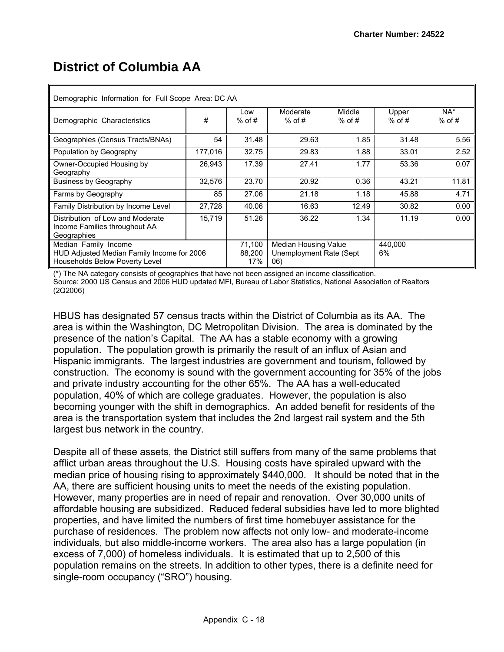# **District of Columbia AA**

| Demographic Information for Full Scope Area: DC AA                                                   |         |                         |                                                        |                    |                   |                    |  |  |  |  |
|------------------------------------------------------------------------------------------------------|---------|-------------------------|--------------------------------------------------------|--------------------|-------------------|--------------------|--|--|--|--|
| Demographic Characteristics                                                                          | #       | Low<br>$%$ of #         | Moderate<br>$%$ of #                                   | Middle<br>$%$ of # | Upper<br>$%$ of # | $NA^*$<br>$%$ of # |  |  |  |  |
| Geographies (Census Tracts/BNAs)                                                                     | 54      | 31.48                   | 29.63                                                  | 1.85               | 31.48             | 5.56               |  |  |  |  |
| Population by Geography                                                                              | 177,016 | 32.75                   | 29.83                                                  | 1.88               | 33.01             | 2.52               |  |  |  |  |
| Owner-Occupied Housing by<br>Geography                                                               | 26,943  | 17.39                   | 27.41                                                  | 1.77               | 53.36             | 0.07               |  |  |  |  |
| <b>Business by Geography</b>                                                                         | 32,576  | 23.70                   | 20.92                                                  | 0.36               | 43.21             | 11.81              |  |  |  |  |
| Farms by Geography                                                                                   | 85      | 27.06                   | 21.18                                                  | 1.18               | 45.88             | 4.71               |  |  |  |  |
| Family Distribution by Income Level                                                                  | 27,728  | 40.06                   | 16.63                                                  | 12.49              | 30.82             | 0.00               |  |  |  |  |
| Distribution of Low and Moderate<br>Income Families throughout AA<br>Geographies                     | 15,719  | 51.26                   | 36.22                                                  | 1.34               | 11.19             | 0.00               |  |  |  |  |
| Median Family Income<br>HUD Adjusted Median Family Income for 2006<br>Households Below Poverty Level |         | 71,100<br>88.200<br>17% | Median Housing Value<br>Unemployment Rate (Sept<br>06) |                    | 440,000<br>6%     |                    |  |  |  |  |

(\*) The NA category consists of geographies that have not been assigned an income classification. Source: 2000 US Census and 2006 HUD updated MFI, Bureau of Labor Statistics, National Association of Realtors (2Q2006)

HBUS has designated 57 census tracts within the District of Columbia as its AA. The area is within the Washington, DC Metropolitan Division. The area is dominated by the presence of the nation's Capital. The AA has a stable economy with a growing population. The population growth is primarily the result of an influx of Asian and Hispanic immigrants. The largest industries are government and tourism, followed by construction. The economy is sound with the government accounting for 35% of the jobs and private industry accounting for the other 65%. The AA has a well-educated population, 40% of which are college graduates. However, the population is also becoming younger with the shift in demographics. An added benefit for residents of the area is the transportation system that includes the 2nd largest rail system and the 5th largest bus network in the country.

Despite all of these assets, the District still suffers from many of the same problems that afflict urban areas throughout the U.S. Housing costs have spiraled upward with the median price of housing rising to approximately \$440,000. It should be noted that in the AA, there are sufficient housing units to meet the needs of the existing population. However, many properties are in need of repair and renovation. Over 30,000 units of affordable housing are subsidized. Reduced federal subsidies have led to more blighted properties, and have limited the numbers of first time homebuyer assistance for the purchase of residences. The problem now affects not only low- and moderate-income individuals, but also middle-income workers. The area also has a large population (in excess of 7,000) of homeless individuals. It is estimated that up to 2,500 of this population remains on the streets. In addition to other types, there is a definite need for single-room occupancy ("SRO") housing.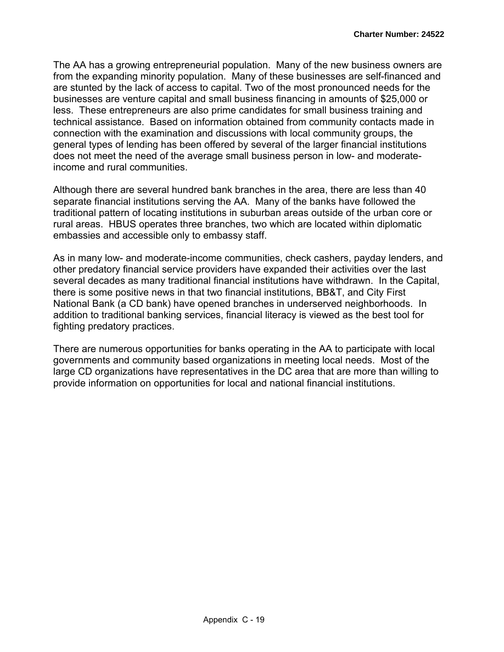The AA has a growing entrepreneurial population. Many of the new business owners are from the expanding minority population. Many of these businesses are self-financed and are stunted by the lack of access to capital. Two of the most pronounced needs for the businesses are venture capital and small business financing in amounts of \$25,000 or less. These entrepreneurs are also prime candidates for small business training and technical assistance. Based on information obtained from community contacts made in connection with the examination and discussions with local community groups, the general types of lending has been offered by several of the larger financial institutions does not meet the need of the average small business person in low- and moderateincome and rural communities.

Although there are several hundred bank branches in the area, there are less than 40 separate financial institutions serving the AA. Many of the banks have followed the traditional pattern of locating institutions in suburban areas outside of the urban core or rural areas. HBUS operates three branches, two which are located within diplomatic embassies and accessible only to embassy staff.

As in many low- and moderate-income communities, check cashers, payday lenders, and other predatory financial service providers have expanded their activities over the last several decades as many traditional financial institutions have withdrawn. In the Capital, there is some positive news in that two financial institutions, BB&T, and City First National Bank (a CD bank) have opened branches in underserved neighborhoods. In addition to traditional banking services, financial literacy is viewed as the best tool for fighting predatory practices.

There are numerous opportunities for banks operating in the AA to participate with local governments and community based organizations in meeting local needs. Most of the large CD organizations have representatives in the DC area that are more than willing to provide information on opportunities for local and national financial institutions.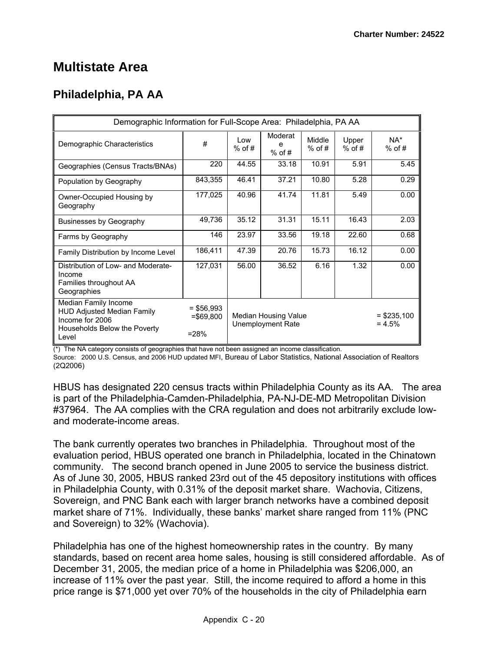## **Multistate Area**

## **Philadelphia, PA AA**

| Demographic Information for Full-Scope Area: Philadelphia, PA AA                                                      |                                        |                  |                                           |                    |                   |                            |
|-----------------------------------------------------------------------------------------------------------------------|----------------------------------------|------------------|-------------------------------------------|--------------------|-------------------|----------------------------|
| Demographic Characteristics                                                                                           | #                                      | l ow<br>$%$ of # | Moderat<br>е<br>$%$ of #                  | Middle<br>$%$ of # | Upper<br>$%$ of # | NA*<br>$%$ of #            |
| Geographies (Census Tracts/BNAs)                                                                                      | 220                                    | 44.55            | 33.18                                     | 10.91              | 5.91              | 5.45                       |
| Population by Geography                                                                                               | 843,355                                | 46.41            | 37.21                                     | 10.80              | 5.28              | 0.29                       |
| Owner-Occupied Housing by<br>Geography                                                                                | 177,025                                | 40.96            | 41.74                                     | 11.81              | 5.49              | 0.00                       |
| <b>Businesses by Geography</b>                                                                                        | 49,736                                 | 35.12            | 31.31                                     | 15.11              | 16.43             | 2.03                       |
| Farms by Geography                                                                                                    | 146                                    | 23.97            | 33.56                                     | 19.18              | 22.60             | 0.68                       |
| Family Distribution by Income Level                                                                                   | 186,411                                | 47.39            | 20.76                                     | 15.73              | 16.12             | 0.00                       |
| Distribution of Low- and Moderate-<br>Income<br>Families throughout AA<br>Geographies                                 | 127,031                                | 56.00            | 36.52                                     | 6.16               | 1.32              | 0.00                       |
| Median Family Income<br><b>HUD Adjusted Median Family</b><br>Income for 2006<br>Households Below the Poverty<br>Level | $=$ \$56,993<br>$= $69,800$<br>$= 28%$ |                  | Median Housing Value<br>Unemployment Rate |                    |                   | $=$ \$235,100<br>$= 4.5\%$ |

(\*) The NA category consists of geographies that have not been assigned an income classification.

Source: 2000 U.S. Census, and 2006 HUD updated MFI, Bureau of Labor Statistics, National Association of Realtors (2Q2006)

HBUS has designated 220 census tracts within Philadelphia County as its AA. The area is part of the Philadelphia-Camden-Philadelphia, PA-NJ-DE-MD Metropolitan Division #37964. The AA complies with the CRA regulation and does not arbitrarily exclude lowand moderate-income areas.

The bank currently operates two branches in Philadelphia. Throughout most of the evaluation period, HBUS operated one branch in Philadelphia, located in the Chinatown community. The second branch opened in June 2005 to service the business district. As of June 30, 2005, HBUS ranked 23rd out of the 45 depository institutions with offices in Philadelphia County, with 0.31% of the deposit market share. Wachovia, Citizens, Sovereign, and PNC Bank each with larger branch networks have a combined deposit market share of 71%. Individually, these banks' market share ranged from 11% (PNC and Sovereign) to 32% (Wachovia).

Philadelphia has one of the highest homeownership rates in the country. By many standards, based on recent area home sales, housing is still considered affordable. As of December 31, 2005, the median price of a home in Philadelphia was \$206,000, an increase of 11% over the past year. Still, the income required to afford a home in this price range is \$71,000 yet over 70% of the households in the city of Philadelphia earn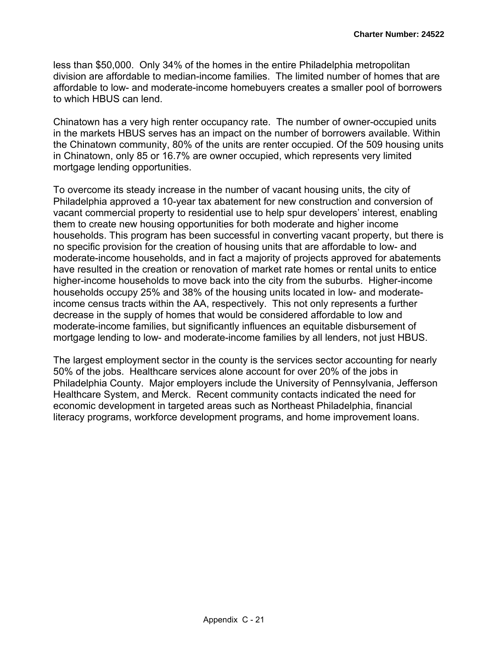less than \$50,000. Only 34% of the homes in the entire Philadelphia metropolitan division are affordable to median-income families. The limited number of homes that are affordable to low- and moderate-income homebuyers creates a smaller pool of borrowers to which HBUS can lend.

Chinatown has a very high renter occupancy rate. The number of owner-occupied units in the markets HBUS serves has an impact on the number of borrowers available. Within the Chinatown community, 80% of the units are renter occupied. Of the 509 housing units in Chinatown, only 85 or 16.7% are owner occupied, which represents very limited mortgage lending opportunities.

To overcome its steady increase in the number of vacant housing units, the city of Philadelphia approved a 10-year tax abatement for new construction and conversion of vacant commercial property to residential use to help spur developers' interest, enabling them to create new housing opportunities for both moderate and higher income households. This program has been successful in converting vacant property, but there is no specific provision for the creation of housing units that are affordable to low- and moderate-income households, and in fact a majority of projects approved for abatements have resulted in the creation or renovation of market rate homes or rental units to entice higher-income households to move back into the city from the suburbs. Higher-income households occupy 25% and 38% of the housing units located in low- and moderateincome census tracts within the AA, respectively. This not only represents a further decrease in the supply of homes that would be considered affordable to low and moderate-income families, but significantly influences an equitable disbursement of mortgage lending to low- and moderate-income families by all lenders, not just HBUS.

The largest employment sector in the county is the services sector accounting for nearly 50% of the jobs. Healthcare services alone account for over 20% of the jobs in Philadelphia County. Major employers include the University of Pennsylvania, Jefferson Healthcare System, and Merck. Recent community contacts indicated the need for economic development in targeted areas such as Northeast Philadelphia, financial literacy programs, workforce development programs, and home improvement loans.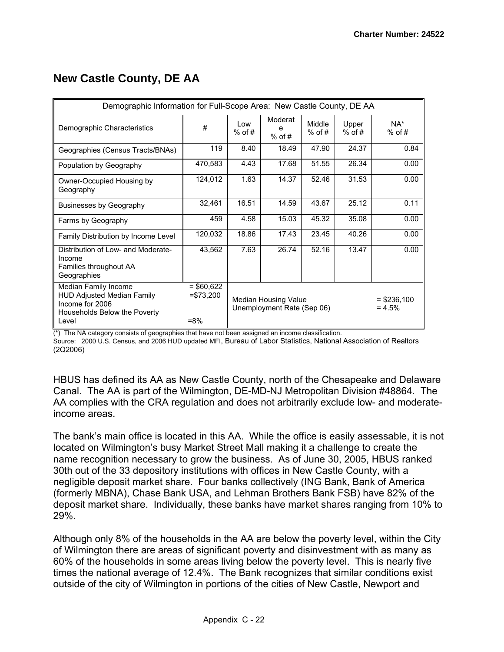## **New Castle County, DE AA**

| Demographic Information for Full-Scope Area: New Castle County, DE AA                                                 |                                     |                 |                                                    |                    |                   |                           |  |
|-----------------------------------------------------------------------------------------------------------------------|-------------------------------------|-----------------|----------------------------------------------------|--------------------|-------------------|---------------------------|--|
| Demographic Characteristics                                                                                           | #                                   | Low<br>$%$ of # | Moderat<br>е<br>$%$ of #                           | Middle<br>$%$ of # | Upper<br>$%$ of # | NA*<br>$%$ of #           |  |
| Geographies (Census Tracts/BNAs)                                                                                      | 119                                 | 8.40            | 18.49                                              | 47.90              | 24.37             | 0.84                      |  |
| Population by Geography                                                                                               | 470,583                             | 4.43            | 17.68                                              | 51.55              | 26.34             | 0.00                      |  |
| Owner-Occupied Housing by<br>Geography                                                                                | 124,012                             | 1.63            | 14.37                                              | 52.46              | 31.53             | 0.00                      |  |
| <b>Businesses by Geography</b>                                                                                        | 32,461                              | 16.51           | 14.59                                              | 43.67              | 25.12             | 0.11                      |  |
| Farms by Geography                                                                                                    | 459                                 | 4.58            | 15.03                                              | 45.32              | 35.08             | 0.00                      |  |
| Family Distribution by Income Level                                                                                   | 120,032                             | 18.86           | 17.43                                              | 23.45              | 40.26             | 0.00                      |  |
| Distribution of Low- and Moderate-<br>Income<br>Families throughout AA<br>Geographies                                 | 43,562                              | 7.63            | 26.74                                              | 52.16              | 13.47             | 0.00                      |  |
| Median Family Income<br><b>HUD Adjusted Median Family</b><br>Income for 2006<br>Households Below the Poverty<br>Level | $= $60,622$<br>$= $73,200$<br>$=8%$ |                 | Median Housing Value<br>Unemployment Rate (Sep 06) |                    |                   | $=$ \$236,100<br>$= 4.5%$ |  |

(\*) The NA category consists of geographies that have not been assigned an income classification.

Source: 2000 U.S. Census, and 2006 HUD updated MFI, Bureau of Labor Statistics, National Association of Realtors (2Q2006)

HBUS has defined its AA as New Castle County, north of the Chesapeake and Delaware Canal. The AA is part of the Wilmington, DE-MD-NJ Metropolitan Division #48864. The AA complies with the CRA regulation and does not arbitrarily exclude low- and moderateincome areas.

The bank's main office is located in this AA. While the office is easily assessable, it is not located on Wilmington's busy Market Street Mall making it a challenge to create the name recognition necessary to grow the business. As of June 30, 2005, HBUS ranked 30th out of the 33 depository institutions with offices in New Castle County, with a negligible deposit market share. Four banks collectively (ING Bank, Bank of America (formerly MBNA), Chase Bank USA, and Lehman Brothers Bank FSB) have 82% of the deposit market share. Individually, these banks have market shares ranging from 10% to 29%.

Although only 8% of the households in the AA are below the poverty level, within the City of Wilmington there are areas of significant poverty and disinvestment with as many as 60% of the households in some areas living below the poverty level. This is nearly five times the national average of 12.4%. The Bank recognizes that similar conditions exist outside of the city of Wilmington in portions of the cities of New Castle, Newport and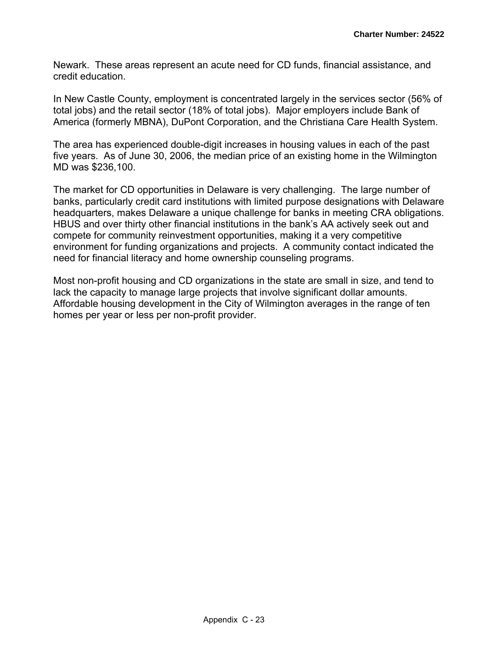Newark. These areas represent an acute need for CD funds, financial assistance, and credit education.

In New Castle County, employment is concentrated largely in the services sector (56% of total jobs) and the retail sector (18% of total jobs). Major employers include Bank of America (formerly MBNA), DuPont Corporation, and the Christiana Care Health System.

The area has experienced double-digit increases in housing values in each of the past five years. As of June 30, 2006, the median price of an existing home in the Wilmington MD was \$236,100.

The market for CD opportunities in Delaware is very challenging. The large number of banks, particularly credit card institutions with limited purpose designations with Delaware headquarters, makes Delaware a unique challenge for banks in meeting CRA obligations. HBUS and over thirty other financial institutions in the bank's AA actively seek out and compete for community reinvestment opportunities, making it a very competitive environment for funding organizations and projects. A community contact indicated the need for financial literacy and home ownership counseling programs.

Most non-profit housing and CD organizations in the state are small in size, and tend to lack the capacity to manage large projects that involve significant dollar amounts. Affordable housing development in the City of Wilmington averages in the range of ten homes per year or less per non-profit provider.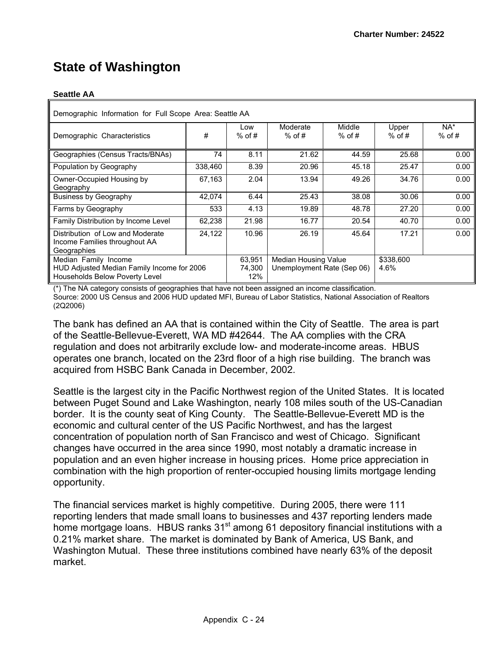## **State of Washington**

#### **Seattle AA**

| Demographic Information for Full Scope Area: Seattle AA                                              |         |                         |                                                    |                    |                   |                 |  |  |  |  |  |  |
|------------------------------------------------------------------------------------------------------|---------|-------------------------|----------------------------------------------------|--------------------|-------------------|-----------------|--|--|--|--|--|--|
| Demographic Characteristics                                                                          | #       | Low<br>$%$ of #         | Moderate<br>$%$ of #                               | Middle<br>$%$ of # | Upper<br>$%$ of # | NA*<br>$%$ of # |  |  |  |  |  |  |
| Geographies (Census Tracts/BNAs)                                                                     | 74      | 8.11                    | 21.62                                              | 44.59              | 25.68             | 0.00            |  |  |  |  |  |  |
| Population by Geography                                                                              | 338,460 | 8.39                    | 20.96                                              | 45.18              | 25.47             | 0.00            |  |  |  |  |  |  |
| Owner-Occupied Housing by<br>Geography                                                               | 67,163  | 2.04                    | 13.94                                              | 49.26              | 34.76             | 0.00            |  |  |  |  |  |  |
| <b>Business by Geography</b>                                                                         | 42.074  | 6.44                    | 25.43                                              | 38.08              | 30.06             | 0.00            |  |  |  |  |  |  |
| Farms by Geography                                                                                   | 533     | 4.13                    | 19.89                                              | 48.78              | 27.20             | 0.00            |  |  |  |  |  |  |
| Family Distribution by Income Level                                                                  | 62,238  | 21.98                   | 16.77                                              | 20.54              | 40.70             | 0.00            |  |  |  |  |  |  |
| Distribution of Low and Moderate<br>Income Families throughout AA<br>Geographies                     | 24,122  | 10.96                   | 26.19                                              | 45.64              | 17.21             | 0.00            |  |  |  |  |  |  |
| Median Family Income<br>HUD Adjusted Median Family Income for 2006<br>Households Below Poverty Level |         | 63,951<br>74.300<br>12% | Median Housing Value<br>Unemployment Rate (Sep 06) |                    |                   |                 |  |  |  |  |  |  |

(\*) The NA category consists of geographies that have not been assigned an income classification. Source: 2000 US Census and 2006 HUD updated MFI, Bureau of Labor Statistics, National Association of Realtors (2Q2006)

The bank has defined an AA that is contained within the City of Seattle. The area is part of the Seattle-Bellevue-Everett, WA MD #42644. The AA complies with the CRA regulation and does not arbitrarily exclude low- and moderate-income areas. HBUS operates one branch, located on the 23rd floor of a high rise building. The branch was acquired from HSBC Bank Canada in December, 2002.

Seattle is the largest city in the Pacific Northwest region of the United States. It is located between Puget Sound and Lake Washington, nearly 108 miles south of the US-Canadian border. It is the county seat of King County. The Seattle-Bellevue-Everett MD is the economic and cultural center of the US Pacific Northwest, and has the largest concentration of population north of San Francisco and west of Chicago. Significant changes have occurred in the area since 1990, most notably a dramatic increase in population and an even higher increase in housing prices. Home price appreciation in combination with the high proportion of renter-occupied housing limits mortgage lending opportunity.

The financial services market is highly competitive. During 2005, there were 111 reporting lenders that made small loans to businesses and 437 reporting lenders made home mortgage loans. HBUS ranks  $31<sup>st</sup>$  among 61 depository financial institutions with a 0.21% market share. The market is dominated by Bank of America, US Bank, and Washington Mutual. These three institutions combined have nearly 63% of the deposit market.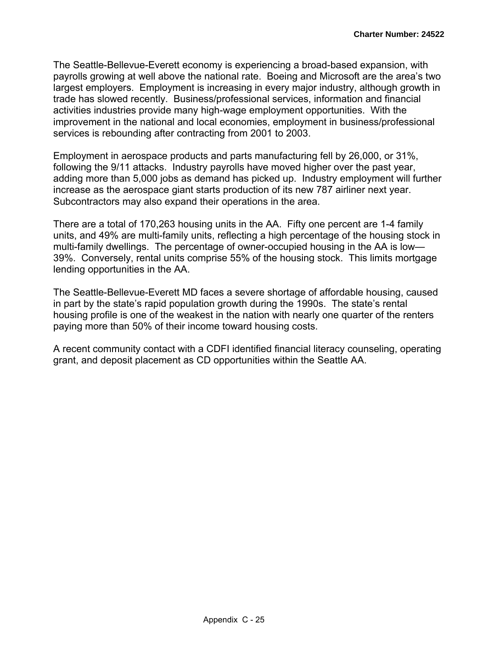The Seattle-Bellevue-Everett economy is experiencing a broad-based expansion, with payrolls growing at well above the national rate. Boeing and Microsoft are the area's two largest employers. Employment is increasing in every major industry, although growth in trade has slowed recently. Business/professional services, information and financial activities industries provide many high-wage employment opportunities. With the improvement in the national and local economies, employment in business/professional services is rebounding after contracting from 2001 to 2003.

Employment in aerospace products and parts manufacturing fell by 26,000, or 31%, following the 9/11 attacks. Industry payrolls have moved higher over the past year, adding more than 5,000 jobs as demand has picked up. Industry employment will further increase as the aerospace giant starts production of its new 787 airliner next year. Subcontractors may also expand their operations in the area.

There are a total of 170,263 housing units in the AA. Fifty one percent are 1-4 family units, and 49% are multi-family units, reflecting a high percentage of the housing stock in multi-family dwellings. The percentage of owner-occupied housing in the AA is low— 39%. Conversely, rental units comprise 55% of the housing stock. This limits mortgage lending opportunities in the AA.

The Seattle-Bellevue-Everett MD faces a severe shortage of affordable housing, caused in part by the state's rapid population growth during the 1990s. The state's rental housing profile is one of the weakest in the nation with nearly one quarter of the renters paying more than 50% of their income toward housing costs.

A recent community contact with a CDFI identified financial literacy counseling, operating grant, and deposit placement as CD opportunities within the Seattle AA.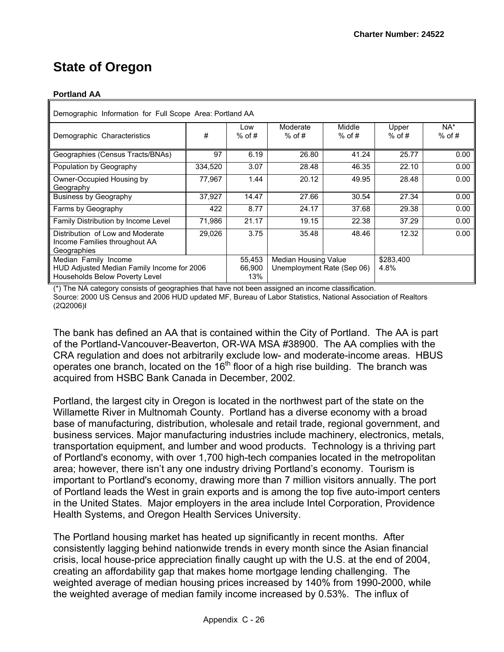## **State of Oregon**

#### **Portland AA**

| Demographic Information for Full Scope Area: Portland AA                                             |         |                         |                                                           |                    |                   |                 |  |  |  |  |  |  |
|------------------------------------------------------------------------------------------------------|---------|-------------------------|-----------------------------------------------------------|--------------------|-------------------|-----------------|--|--|--|--|--|--|
| Demographic Characteristics                                                                          | #       | Low<br>$%$ of #         | Moderate<br>$%$ of #                                      | Middle<br>$%$ of # | Upper<br>$%$ of # | NA*<br>$%$ of # |  |  |  |  |  |  |
| Geographies (Census Tracts/BNAs)                                                                     | 97      | 6.19                    | 26.80                                                     | 41.24              | 25.77             | 0.00            |  |  |  |  |  |  |
| Population by Geography                                                                              | 334,520 | 3.07                    | 28.48                                                     | 46.35              | 22.10             | 0.00            |  |  |  |  |  |  |
| Owner-Occupied Housing by<br>Geography                                                               | 77,967  | 1.44                    | 20.12                                                     | 49.95              | 28.48             | 0.00            |  |  |  |  |  |  |
| <b>Business by Geography</b>                                                                         | 37,927  | 14.47                   | 27.66                                                     | 30.54              | 27.34             | 0.00            |  |  |  |  |  |  |
| Farms by Geography                                                                                   | 422     | 8.77                    | 24.17                                                     | 37.68              | 29.38             | 0.00            |  |  |  |  |  |  |
| Family Distribution by Income Level                                                                  | 71,986  | 21.17                   | 19.15                                                     | 22.38              | 37.29             | 0.00            |  |  |  |  |  |  |
| Distribution of Low and Moderate<br>Income Families throughout AA<br>Geographies                     | 29.026  | 3.75                    | 35.48                                                     | 48.46              | 12.32             | 0.00            |  |  |  |  |  |  |
| Median Family Income<br>HUD Adjusted Median Family Income for 2006<br>Households Below Poverty Level |         | 55,453<br>66.900<br>13% | <b>Median Housing Value</b><br>Unemployment Rate (Sep 06) |                    |                   |                 |  |  |  |  |  |  |

(\*) The NA category consists of geographies that have not been assigned an income classification. Source: 2000 US Census and 2006 HUD updated MF, Bureau of Labor Statistics, National Association of Realtors (2Q2006)I

The bank has defined an AA that is contained within the City of Portland. The AA is part of the Portland-Vancouver-Beaverton, OR-WA MSA #38900. The AA complies with the CRA regulation and does not arbitrarily exclude low- and moderate-income areas. HBUS operates one branch, located on the  $16<sup>th</sup>$  floor of a high rise building. The branch was acquired from HSBC Bank Canada in December, 2002.

Portland, the largest city in Oregon is located in the northwest part of the state on the Willamette River in Multnomah County. Portland has a diverse economy with a broad base of manufacturing, distribution, wholesale and retail trade, regional government, and business services. Major manufacturing industries include machinery, electronics, metals, transportation equipment, and lumber and wood products. Technology is a thriving part of Portland's economy, with over 1,700 high-tech companies located in the metropolitan area; however, there isn't any one industry driving Portland's economy. Tourism is important to Portland's economy, drawing more than 7 million visitors annually. The port of Portland leads the West in grain exports and is among the top five auto-import centers in the United States. Major employers in the area include Intel Corporation, Providence Health Systems, and Oregon Health Services University.

The Portland housing market has heated up significantly in recent months. After consistently lagging behind nationwide trends in every month since the Asian financial crisis, local house-price appreciation finally caught up with the U.S. at the end of 2004, creating an affordability gap that makes home mortgage lending challenging. The weighted average of median housing prices increased by 140% from 1990-2000, while the weighted average of median family income increased by 0.53%. The influx of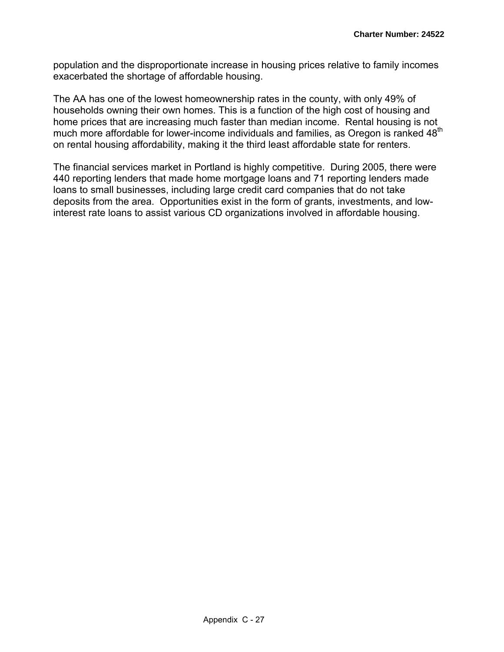population and the disproportionate increase in housing prices relative to family incomes exacerbated the shortage of affordable housing.

The AA has one of the lowest homeownership rates in the county, with only 49% of households owning their own homes. This is a function of the high cost of housing and home prices that are increasing much faster than median income. Rental housing is not much more affordable for lower-income individuals and families, as Oregon is ranked 48<sup>th</sup> on rental housing affordability, making it the third least affordable state for renters.

The financial services market in Portland is highly competitive. During 2005, there were 440 reporting lenders that made home mortgage loans and 71 reporting lenders made loans to small businesses, including large credit card companies that do not take deposits from the area. Opportunities exist in the form of grants, investments, and lowinterest rate loans to assist various CD organizations involved in affordable housing.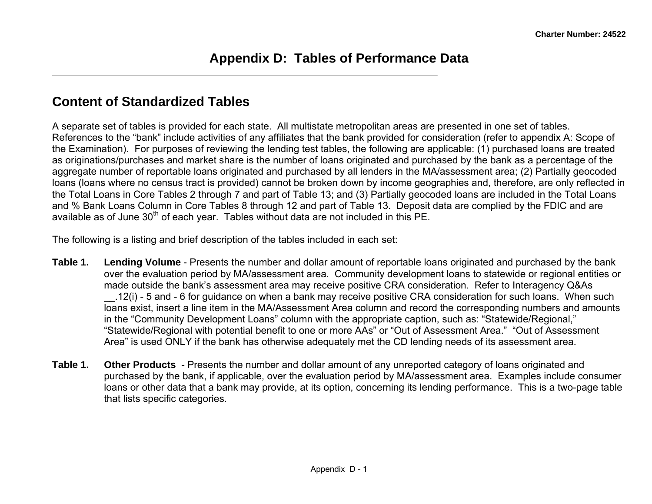### **Content of Standardized Tables**

A separate set of tables is provided for each state. All multistate metropolitan areas are presented in one set of tables. References to the "bank" include activities of any affiliates that the bank provided for consideration (refer to appendix A: Scope of the Examination). For purposes of reviewing the lending test tables, the following are applicable: (1) purchased loans are treated as originations/purchases and market share is the number of loans originated and purchased by the bank as a percentage of the aggregate number of reportable loans originated and purchased by all lenders in the MA/assessment area; (2) Partially geocoded loans (loans where no census tract is provided) cannot be broken down by income geographies and, therefore, are only reflected in the Total Loans in Core Tables 2 through 7 and part of Table 13; and (3) Partially geocoded loans are included in the Total Loans and % Bank Loans Column in Core Tables 8 through 12 and part of Table 13. Deposit data are complied by the FDIC and are available as of June  $30<sup>th</sup>$  of each year. Tables without data are not included in this PE.

The following is a listing and brief description of the tables included in each set:

- **Table 1. Lending Volume** Presents the number and dollar amount of reportable loans originated and purchased by the bank over the evaluation period by MA/assessment area. Community development loans to statewide or regional entities or made outside the bank's assessment area may receive positive CRA consideration. Refer to Interagency Q&As \_\_.12(i) - 5 and - 6 for guidance on when a bank may receive positive CRA consideration for such loans. When such loans exist, insert a line item in the MA/Assessment Area column and record the corresponding numbers and amounts in the "Community Development Loans" column with the appropriate caption, such as: "Statewide/Regional," "Statewide/Regional with potential benefit to one or more AAs" or "Out of Assessment Area." "Out of Assessment Area" is used ONLY if the bank has otherwise adequately met the CD lending needs of its assessment area.
- **Table 1. Other Products**  Presents the number and dollar amount of any unreported category of loans originated and purchased by the bank, if applicable, over the evaluation period by MA/assessment area. Examples include consumer loans or other data that a bank may provide, at its option, concerning its lending performance. This is a two-page table that lists specific categories.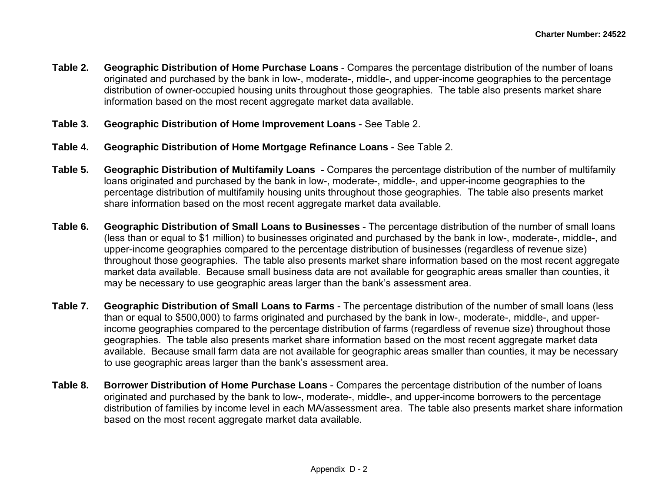- **Table 2. Geographic Distribution of Home Purchase Loans** Compares the percentage distribution of the number of loans originated and purchased by the bank in low-, moderate-, middle-, and upper-income geographies to the percentage distribution of owner-occupied housing units throughout those geographies. The table also presents market share information based on the most recent aggregate market data available.
- **Table 3. Geographic Distribution of Home Improvement Loans** See Table 2.
- **Table 4. Geographic Distribution of Home Mortgage Refinance Loans** See Table 2.
- **Table 5. Geographic Distribution of Multifamily Loans** - Compares the percentage distribution of the number of multifamily loans originated and purchased by the bank in low-, moderate-, middle-, and upper-income geographies to the percentage distribution of multifamily housing units throughout those geographies. The table also presents market share information based on the most recent aggregate market data available.
- **Table 6. Geographic Distribution of Small Loans to Businesses** - The percentage distribution of the number of small loans (less than or equal to \$1 million) to businesses originated and purchased by the bank in low-, moderate-, middle-, and upper-income geographies compared to the percentage distribution of businesses (regardless of revenue size) throughout those geographies. The table also presents market share information based on the most recent aggregate market data available. Because small business data are not available for geographic areas smaller than counties, it may be necessary to use geographic areas larger than the bank's assessment area.
- **Table 7. Geographic Distribution of Small Loans to Farms** The percentage distribution of the number of small loans (less than or equal to \$500,000) to farms originated and purchased by the bank in low-, moderate-, middle-, and upperincome geographies compared to the percentage distribution of farms (regardless of revenue size) throughout those geographies. The table also presents market share information based on the most recent aggregate market data available. Because small farm data are not available for geographic areas smaller than counties, it may be necessary to use geographic areas larger than the bank's assessment area.
- **Table 8. Borrower Distribution of Home Purchase Loans** Compares the percentage distribution of the number of loans originated and purchased by the bank to low-, moderate-, middle-, and upper-income borrowers to the percentage distribution of families by income level in each MA/assessment area. The table also presents market share information based on the most recent aggregate market data available.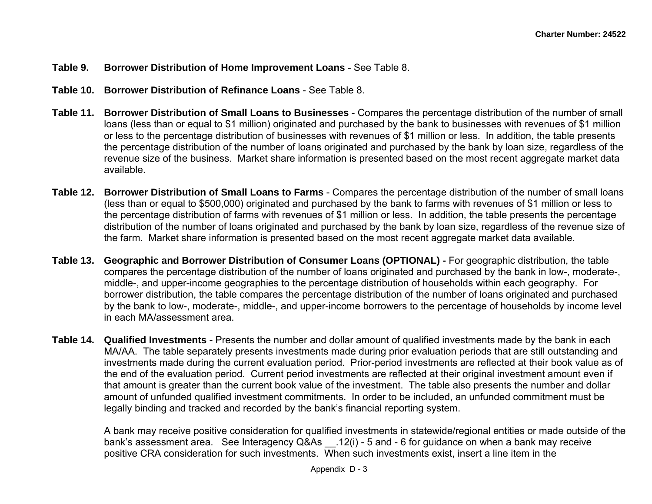#### **Table 9. Borrower Distribution of Home Improvement Loans** - See Table 8.

- **Table 10. Borrower Distribution of Refinance Loans** See Table 8.
- **Table 11. Borrower Distribution of Small Loans to Businesses** Compares the percentage distribution of the number of small loans (less than or equal to \$1 million) originated and purchased by the bank to businesses with revenues of \$1 million or less to the percentage distribution of businesses with revenues of \$1 million or less. In addition, the table presents the percentage distribution of the number of loans originated and purchased by the bank by loan size, regardless of the revenue size of the business. Market share information is presented based on the most recent aggregate market data available.
- **Table 12. Borrower Distribution of Small Loans to Farms** Compares the percentage distribution of the number of small loans (less than or equal to \$500,000) originated and purchased by the bank to farms with revenues of \$1 million or less to the percentage distribution of farms with revenues of \$1 million or less. In addition, the table presents the percentage distribution of the number of loans originated and purchased by the bank by loan size, regardless of the revenue size of the farm. Market share information is presented based on the most recent aggregate market data available.
- **Table 13. Geographic and Borrower Distribution of Consumer Loans (OPTIONAL)** For geographic distribution, the table compares the percentage distribution of the number of loans originated and purchased by the bank in low-, moderate-, middle-, and upper-income geographies to the percentage distribution of households within each geography. For borrower distribution, the table compares the percentage distribution of the number of loans originated and purchased by the bank to low-, moderate-, middle-, and upper-income borrowers to the percentage of households by income level in each MA/assessment area.
- **Table 14. Qualified Investments** Presents the number and dollar amount of qualified investments made by the bank in each MA/AA. The table separately presents investments made during prior evaluation periods that are still outstanding and investments made during the current evaluation period. Prior-period investments are reflected at their book value as of the end of the evaluation period. Current period investments are reflected at their original investment amount even if that amount is greater than the current book value of the investment. The table also presents the number and dollar amount of unfunded qualified investment commitments. In order to be included, an unfunded commitment must be legally binding and tracked and recorded by the bank's financial reporting system.

A bank may receive positive consideration for qualified investments in statewide/regional entities or made outside of the bank's assessment area. See Interagency Q&As .12(i) - 5 and - 6 for guidance on when a bank may receive positive CRA consideration for such investments. When such investments exist, insert a line item in the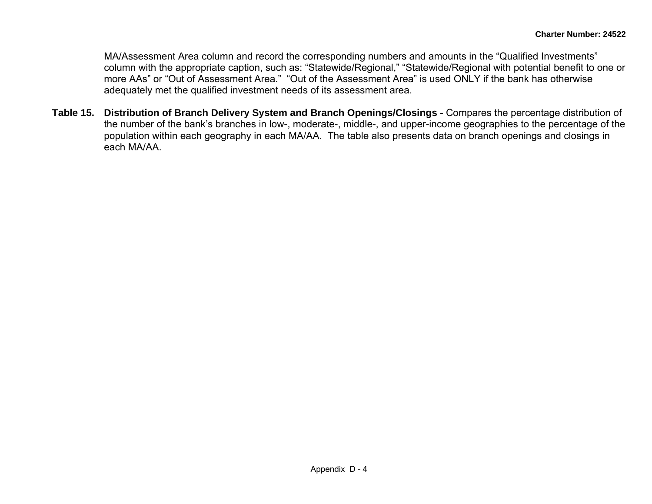MA/Assessment Area column and record the corresponding numbers and amounts in the "Qualified Investments" column with the appropriate caption, such as: "Statewide/Regional," "Statewide/Regional with potential benefit to one or more AAs" or "Out of Assessment Area." "Out of the Assessment Area" is used ONLY if the bank has otherwise adequately met the qualified investment needs of its assessment area.

**Table 15. Distribution of Branch Delivery System and Branch Openings/Closings** - Compares the percentage distribution of the number of the bank's branches in low-, moderate-, middle-, and upper-income geographies to the percentage of the population within each geography in each MA/AA. The table also presents data on branch openings and closings in each MA/AA.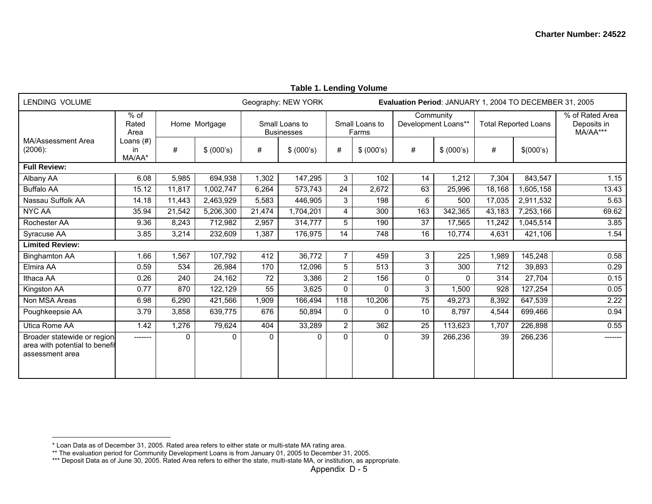| LENDING VOLUME                                                                    |                           | Geography: NEW YORK<br>Evaluation Period: JANUARY 1, 2004 TO DECEMBER 31, 2005 |            |                                     |            |                         |            |                                  |                  |                             |           |                                            |
|-----------------------------------------------------------------------------------|---------------------------|--------------------------------------------------------------------------------|------------|-------------------------------------|------------|-------------------------|------------|----------------------------------|------------------|-----------------------------|-----------|--------------------------------------------|
|                                                                                   | $%$ of<br>Rated<br>Area   | Home Mortgage                                                                  |            | Small Loans to<br><b>Businesses</b> |            | Small Loans to<br>Farms |            | Community<br>Development Loans** |                  | <b>Total Reported Loans</b> |           | % of Rated Area<br>Deposits in<br>MA/AA*** |
| MA/Assessment Area<br>$(2006)$ :                                                  | Loans (#)<br>in<br>MA/AA* | #                                                                              | \$ (000's) | #                                   | \$ (000's) | #                       | \$ (000's) | #                                | \$ (000's)       | #                           | \$(000's) |                                            |
| <b>Full Review:</b>                                                               |                           |                                                                                |            |                                     |            |                         |            |                                  |                  |                             |           |                                            |
| Albany AA                                                                         | 6.08                      | 5,985                                                                          | 694,938    | 1,302                               | 147,295    | 3                       | 102        | 14                               | 1,212            | 7,304                       | 843,547   | 1.15                                       |
| <b>Buffalo AA</b>                                                                 | 15.12                     | 11,817                                                                         | 1,002,747  | 6.264                               | 573,743    | 24                      | 2,672      | 63                               | 25,996           | 18,168                      | 1,605,158 | 13.43                                      |
| Nassau Suffolk AA                                                                 | 14.18                     | 11,443                                                                         | 2,463,929  | 5,583                               | 446.905    | 3                       | 198        | 6                                | 500              | 17,035                      | 2,911,532 | 5.63                                       |
| <b>NYC AA</b>                                                                     | 35.94                     | 21,542                                                                         | 5,206,300  | 21,474                              | 1,704,201  | 4                       | 300        | 163                              | 342,365          | 43,183                      | 7,253,166 | 69.62                                      |
| Rochester AA                                                                      | 9.36                      | 8,243                                                                          | 712,982    | 2,957                               | 314,777    | 5                       | 190        | 37                               | 17,565           | 11,242                      | 1,045,514 | 3.85                                       |
| Syracuse AA                                                                       | 3.85                      | 3,214                                                                          | 232,609    | 1,387                               | 176,975    | 14                      | 748        | 16                               | 10,774           | 4,631                       | 421,106   | 1.54                                       |
| <b>Limited Review:</b>                                                            |                           |                                                                                |            |                                     |            |                         |            |                                  |                  |                             |           |                                            |
| <b>Binghamton AA</b>                                                              | 1.66                      | 1,567                                                                          | 107,792    | 412                                 | 36,772     | $\overline{7}$          | 459        | 3                                | $\overline{225}$ | 1,989                       | 145,248   | 0.58                                       |
| Elmira AA                                                                         | 0.59                      | 534                                                                            | 26,984     | 170                                 | 12,096     | 5                       | 513        | 3                                | 300              | 712                         | 39,893    | 0.29                                       |
| Ithaca AA                                                                         | 0.26                      | 240                                                                            | 24,162     | 72                                  | 3,386      | $\overline{2}$          | 156        | 0                                | $\mathbf{0}$     | 314                         | 27,704    | 0.15                                       |
| Kingston AA                                                                       | 0.77                      | 870                                                                            | 122,129    | 55                                  | 3,625      | $\mathbf{0}$            | $\Omega$   | 3                                | 1,500            | 928                         | 127,254   | 0.05                                       |
| Non MSA Areas                                                                     | 6.98                      | 6,290                                                                          | 421,566    | 1,909                               | 166,494    | 118                     | 10,206     | $\overline{75}$                  | 49,273           | 8,392                       | 647,539   | 2.22                                       |
| Poughkeepsie AA                                                                   | 3.79                      | 3,858                                                                          | 639,775    | 676                                 | 50,894     | $\mathbf 0$             | 0          | 10                               | 8,797            | 4,544                       | 699,466   | 0.94                                       |
| Utica Rome AA                                                                     | 1.42                      | 1,276                                                                          | 79,624     | 404                                 | 33,289     | $\overline{2}$          | 362        | 25                               | 113,623          | 1,707                       | 226,898   | 0.55                                       |
| Broader statewide or region.<br>area with potential to benefit<br>assessment area | -------                   | $\Omega$                                                                       | $\Omega$   | $\Omega$                            | $\Omega$   | $\Omega$                | 0          | 39                               | 266,236          | 39                          | 266,236   |                                            |

#### **Table 1. Lending Volume**

<sup>\*</sup> Loan Data as of December 31, 2005. Rated area refers to either state or multi-state MA rating area.

<sup>\*\*</sup> The evaluation period for Community Development Loans is from January 01, 2005 to December 31, 2005.

<sup>\*\*\*</sup> Deposit Data as of June 30, 2005. Rated Area refers to either the state, multi-state MA, or institution, as appropriate.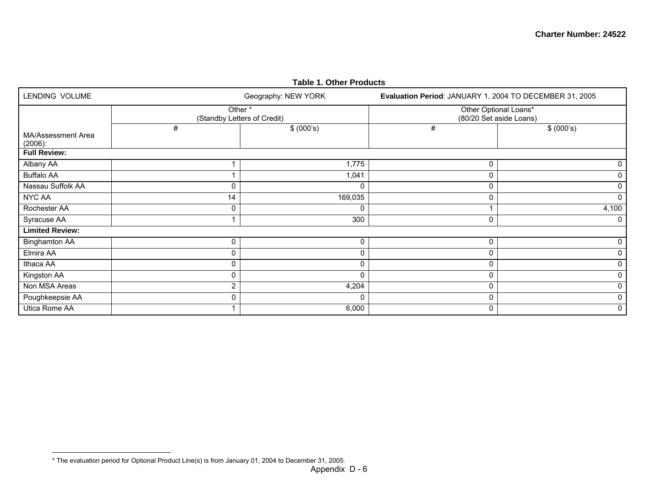| <b>Table 1. Other Products</b>   |                |                                       |                                                         |                                                  |  |  |  |  |  |  |  |  |  |
|----------------------------------|----------------|---------------------------------------|---------------------------------------------------------|--------------------------------------------------|--|--|--|--|--|--|--|--|--|
| LENDING VOLUME                   |                | Geography: NEW YORK                   | Evaluation Period: JANUARY 1, 2004 TO DECEMBER 31, 2005 |                                                  |  |  |  |  |  |  |  |  |  |
|                                  |                | Other*<br>(Standby Letters of Credit) |                                                         | Other Optional Loans*<br>(80/20 Set aside Loans) |  |  |  |  |  |  |  |  |  |
| MA/Assessment Area<br>$(2006)$ : | #              | \$ (000's)                            | #                                                       | \$ (000's)                                       |  |  |  |  |  |  |  |  |  |
| <b>Full Review:</b>              |                |                                       |                                                         |                                                  |  |  |  |  |  |  |  |  |  |
| Albany AA                        |                | 1,775                                 | 0                                                       | 0                                                |  |  |  |  |  |  |  |  |  |
| <b>Buffalo AA</b>                |                | 1,041                                 | $\Omega$                                                | 0                                                |  |  |  |  |  |  |  |  |  |
| Nassau Suffolk AA                | 0              | 0                                     | 0                                                       | 0                                                |  |  |  |  |  |  |  |  |  |
| <b>NYC AA</b>                    | 14             | 169,035                               | 0                                                       | $\mathbf{0}$                                     |  |  |  |  |  |  |  |  |  |
| Rochester AA                     | 0              | 0                                     |                                                         | 4,100                                            |  |  |  |  |  |  |  |  |  |
| Syracuse AA                      | 1              | 300                                   | $\mathbf 0$                                             | 0                                                |  |  |  |  |  |  |  |  |  |
| <b>Limited Review:</b>           |                |                                       |                                                         |                                                  |  |  |  |  |  |  |  |  |  |
| <b>Binghamton AA</b>             | 0              | 0                                     | 0                                                       | 0                                                |  |  |  |  |  |  |  |  |  |
| Elmira AA                        | 0              | 0                                     | 0                                                       |                                                  |  |  |  |  |  |  |  |  |  |
| Ithaca AA                        | 0              | 0                                     | 0                                                       | 0                                                |  |  |  |  |  |  |  |  |  |
| Kingston AA                      | 0              | 0                                     | 0                                                       |                                                  |  |  |  |  |  |  |  |  |  |
| Non MSA Areas                    | $\overline{2}$ | 4,204                                 | 0                                                       | 0                                                |  |  |  |  |  |  |  |  |  |
| Poughkeepsie AA                  | 0              | 0                                     | 0                                                       |                                                  |  |  |  |  |  |  |  |  |  |
| Utica Rome AA                    |                | 6,000                                 | 0                                                       | 0                                                |  |  |  |  |  |  |  |  |  |

<sup>\*</sup> The evaluation period for Optional Product Line(s) is from January 01, 2004 to December 31, 2005.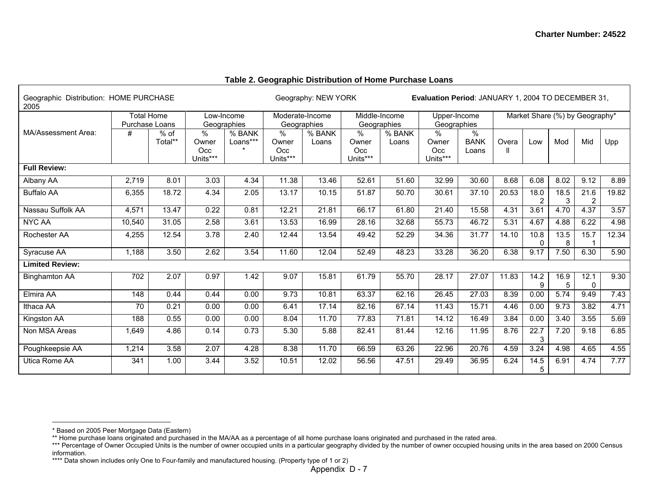| Geographic Distribution: HOME PURCHASE<br>2005 |                                                                         |                   |                               |                                |                               | Evaluation Period: JANUARY 1, 2004 TO DECEMBER 31,<br>Geography: NEW YORK |                                  |                             |                                  |                           |                                |                        |           |                        |       |
|------------------------------------------------|-------------------------------------------------------------------------|-------------------|-------------------------------|--------------------------------|-------------------------------|---------------------------------------------------------------------------|----------------------------------|-----------------------------|----------------------------------|---------------------------|--------------------------------|------------------------|-----------|------------------------|-------|
|                                                | <b>Total Home</b><br>Low-Income<br><b>Purchase Loans</b><br>Geographies |                   |                               | Moderate-Income<br>Geographies |                               |                                                                           | Middle-Income<br>Geographies     | Upper-Income<br>Geographies |                                  |                           | Market Share (%) by Geography* |                        |           |                        |       |
| MA/Assessment Area:                            | #                                                                       | $%$ of<br>Total** | %<br>Owner<br>Occ<br>Units*** | % BANK<br>Loans***             | %<br>Owner<br>Occ<br>Units*** | % BANK<br>Loans                                                           | $\%$<br>Owner<br>Occ<br>Units*** | % BANK<br>Loans             | $\%$<br>Owner<br>Occ<br>Units*** | %<br><b>BANK</b><br>Loans | Overa                          | Low                    | Mod       | Mid                    | Upp   |
| <b>Full Review:</b>                            |                                                                         |                   |                               |                                |                               |                                                                           |                                  |                             |                                  |                           |                                |                        |           |                        |       |
| Albany AA                                      | 2,719                                                                   | 8.01              | 3.03                          | 4.34                           | 11.38                         | 13.46                                                                     | 52.61                            | 51.60                       | 32.99                            | 30.60                     | 8.68                           | 6.08                   | 8.02      | 9.12                   | 8.89  |
| <b>Buffalo AA</b>                              | 6,355                                                                   | 18.72             | 4.34                          | 2.05                           | 13.17                         | 10.15                                                                     | 51.87                            | 50.70                       | 30.61                            | 37.10                     | 20.53                          | 18.0<br>$\overline{2}$ | 18.5<br>3 | 21.6<br>$\overline{2}$ | 19.82 |
| Nassau Suffolk AA                              | 4,571                                                                   | 13.47             | 0.22                          | 0.81                           | 12.21                         | 21.81                                                                     | 66.17                            | 61.80                       | 21.40                            | 15.58                     | 4.31                           | 3.61                   | 4.70      | 4.37                   | 3.57  |
| <b>NYC AA</b>                                  | 10,540                                                                  | 31.05             | 2.58                          | 3.61                           | 13.53                         | 16.99                                                                     | 28.16                            | 32.68                       | 55.73                            | 46.72                     | 5.31                           | 4.67                   | 4.88      | 6.22                   | 4.98  |
| Rochester AA                                   | 4,255                                                                   | 12.54             | 3.78                          | 2.40                           | 12.44                         | 13.54                                                                     | 49.42                            | 52.29                       | 34.36                            | 31.77                     | 14.10                          | 10.8<br>$\Omega$       | 13.5<br>8 | 15.7                   | 12.34 |
| Syracuse AA                                    | 1,188                                                                   | 3.50              | 2.62                          | 3.54                           | 11.60                         | 12.04                                                                     | 52.49                            | 48.23                       | 33.28                            | 36.20                     | 6.38                           | 9.17                   | 7.50      | 6.30                   | 5.90  |
| <b>Limited Review:</b>                         |                                                                         |                   |                               |                                |                               |                                                                           |                                  |                             |                                  |                           |                                |                        |           |                        |       |
| <b>Binghamton AA</b>                           | 702                                                                     | 2.07              | 0.97                          | 1.42                           | 9.07                          | 15.81                                                                     | 61.79                            | 55.70                       | 28.17                            | 27.07                     | 11.83                          | 14.2<br>9              | 16.9<br>5 | 12.1<br>$\Omega$       | 9.30  |
| Elmira AA                                      | 148                                                                     | 0.44              | 0.44                          | 0.00                           | 9.73                          | 10.81                                                                     | 63.37                            | 62.16                       | 26.45                            | 27.03                     | 8.39                           | 0.00                   | 5.74      | 9.49                   | 7.43  |
| Ithaca AA                                      | 70                                                                      | 0.21              | 0.00                          | 0.00                           | 6.41                          | 17.14                                                                     | 82.16                            | 67.14                       | 11.43                            | 15.71                     | 4.46                           | 0.00                   | 9.73      | 3.82                   | 4.71  |
| Kingston AA                                    | 188                                                                     | 0.55              | 0.00                          | 0.00                           | 8.04                          | 11.70                                                                     | 77.83                            | 71.81                       | 14.12                            | 16.49                     | 3.84                           | 0.00                   | 3.40      | 3.55                   | 5.69  |
| Non MSA Areas                                  | 1,649                                                                   | 4.86              | 0.14                          | 0.73                           | 5.30                          | 5.88                                                                      | 82.41                            | 81.44                       | 12.16                            | 11.95                     | 8.76                           | 22.7<br>3              | 7.20      | 9.18                   | 6.85  |
| Poughkeepsie AA                                | 1,214                                                                   | 3.58              | 2.07                          | 4.28                           | 8.38                          | 11.70                                                                     | 66.59                            | 63.26                       | 22.96                            | 20.76                     | 4.59                           | 3.24                   | 4.98      | 4.65                   | 4.55  |
| Utica Rome AA                                  | 341                                                                     | 1.00              | 3.44                          | 3.52                           | 10.51                         | 12.02                                                                     | 56.56                            | 47.51                       | 29.49                            | 36.95                     | 6.24                           | 14.5<br>5              | 6.91      | 4.74                   | 7.77  |

#### **Table 2. Geographic Distribution of Home Purchase Loans**

<sup>\*</sup> Based on 2005 Peer Mortgage Data (Eastern)

<sup>\*\*</sup> Home purchase loans originated and purchased in the MA/AA as a percentage of all home purchase loans originated and purchased in the rated area.

<sup>\*\*\*</sup> Percentage of Owner Occupied Units is the number of owner occupied units in a particular geography divided by the number of owner occupied housing units in the area based on 2000 Census information.

<sup>\*\*\*\*</sup> Data shown includes only One to Four-family and manufactured housing. (Property type of 1 or 2)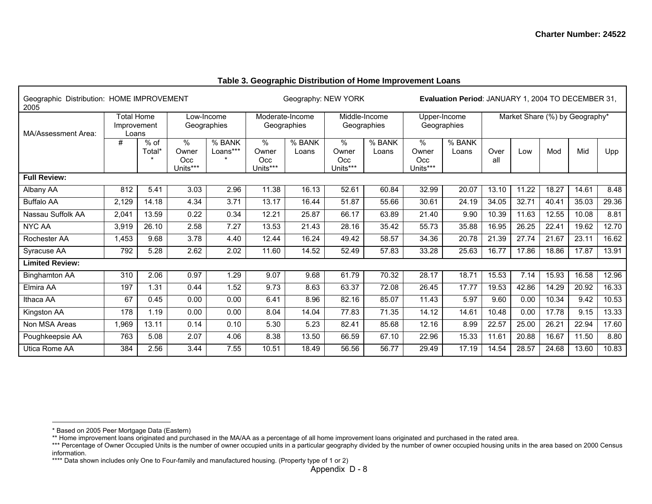| Geographic Distribution: HOME IMPROVEMENT<br>2005 |                                           |                  |                                  |                           |                                  | Geography: NEW YORK |                                  |                              | Evaluation Period: JANUARY 1, 2004 TO DECEMBER 31, |                             |             |       |                                |       |       |
|---------------------------------------------------|-------------------------------------------|------------------|----------------------------------|---------------------------|----------------------------------|---------------------|----------------------------------|------------------------------|----------------------------------------------------|-----------------------------|-------------|-------|--------------------------------|-------|-------|
| MA/Assessment Area:                               | <b>Total Home</b><br>Improvement<br>Loans |                  |                                  | Low-Income<br>Geographies | Moderate-Income<br>Geographies   |                     |                                  | Middle-Income<br>Geographies |                                                    | Upper-Income<br>Geographies |             |       | Market Share (%) by Geography* |       |       |
|                                                   | #                                         | $%$ of<br>Total* | $\%$<br>Owner<br>Occ<br>Units*** | % BANK<br>Loans***        | $\%$<br>Owner<br>Occ<br>Units*** | % BANK<br>Loans     | $\%$<br>Owner<br>Occ<br>Units*** | % BANK<br>Loans              | $\%$<br>Owner<br>Occ<br>Units***                   | % BANK<br>Loans             | Over<br>all | Low   | Mod                            | Mid   | Upp   |
| <b>Full Review:</b>                               |                                           |                  |                                  |                           |                                  |                     |                                  |                              |                                                    |                             |             |       |                                |       |       |
| Albany AA                                         | 812                                       | 5.41             | 3.03                             | 2.96                      | 11.38                            | 16.13               | 52.61                            | 60.84                        | 32.99                                              | 20.07                       | 13.10       | 11.22 | 18.27                          | 14.61 | 8.48  |
| <b>Buffalo AA</b>                                 | 2,129                                     | 14.18            | 4.34                             | 3.71                      | 13.17                            | 16.44               | 51.87                            | 55.66                        | 30.61                                              | 24.19                       | 34.05       | 32.71 | 40.41                          | 35.03 | 29.36 |
| Nassau Suffolk AA                                 | 2,041                                     | 13.59            | 0.22                             | 0.34                      | 12.21                            | 25.87               | 66.17                            | 63.89                        | 21.40                                              | 9.90                        | 10.39       | 11.63 | 12.55                          | 10.08 | 8.81  |
| <b>NYC AA</b>                                     | 3,919                                     | 26.10            | 2.58                             | 7.27                      | 13.53                            | 21.43               | 28.16                            | 35.42                        | 55.73                                              | 35.88                       | 16.95       | 26.25 | 22.41                          | 19.62 | 12.70 |
| Rochester AA                                      | 1,453                                     | 9.68             | 3.78                             | 4.40                      | 12.44                            | 16.24               | 49.42                            | 58.57                        | 34.36                                              | 20.78                       | 21.39       | 27.74 | 21.67                          | 23.11 | 16.62 |
| Syracuse AA                                       | 792                                       | 5.28             | 2.62                             | 2.02                      | 11.60                            | 14.52               | 52.49                            | 57.83                        | 33.28                                              | 25.63                       | 16.77       | 17.86 | 18.86                          | 17.87 | 13.91 |
| <b>Limited Review:</b>                            |                                           |                  |                                  |                           |                                  |                     |                                  |                              |                                                    |                             |             |       |                                |       |       |
| <b>Binghamton AA</b>                              | 310                                       | 2.06             | 0.97                             | 1.29                      | 9.07                             | 9.68                | 61.79                            | 70.32                        | 28.17                                              | 18.71                       | 15.53       | 7.14  | 15.93                          | 16.58 | 12.96 |
| Elmira AA                                         | 197                                       | 1.31             | 0.44                             | 1.52                      | 9.73                             | 8.63                | 63.37                            | 72.08                        | 26.45                                              | 17.77                       | 19.53       | 42.86 | 14.29                          | 20.92 | 16.33 |
| Ithaca AA                                         | 67                                        | 0.45             | 0.00                             | 0.00                      | 6.41                             | 8.96                | 82.16                            | 85.07                        | 11.43                                              | 5.97                        | 9.60        | 0.00  | 10.34                          | 9.42  | 10.53 |
| Kingston AA                                       | 178                                       | 1.19             | 0.00                             | 0.00                      | 8.04                             | 14.04               | 77.83                            | 71.35                        | 14.12                                              | 14.61                       | 10.48       | 0.00  | 17.78                          | 9.15  | 13.33 |
| Non MSA Areas                                     | 1,969                                     | 13.11            | 0.14                             | 0.10                      | 5.30                             | 5.23                | 82.41                            | 85.68                        | 12.16                                              | 8.99                        | 22.57       | 25.00 | 26.21                          | 22.94 | 17.60 |
| Poughkeepsie AA                                   | 763                                       | 5.08             | 2.07                             | 4.06                      | 8.38                             | 13.50               | 66.59                            | 67.10                        | 22.96                                              | 15.33                       | 11.61       | 20.88 | 16.67                          | 11.50 | 8.80  |
| Utica Rome AA                                     | 384                                       | 2.56             | 3.44                             | 7.55                      | 10.51                            | 18.49               | 56.56                            | 56.77                        | 29.49                                              | 17.19                       | 14.54       | 28.57 | 24.68                          | 13.60 | 10.83 |

#### **Table 3. Geographic Distribution of Home Improvement Loans**

<sup>\*</sup> Based on 2005 Peer Mortgage Data (Eastern)

<sup>\*\*</sup> Home improvement loans originated and purchased in the MA/AA as a percentage of all home improvement loans originated and purchased in the rated area.

<sup>\*\*\*</sup> Percentage of Owner Occupied Units is the number of owner occupied units in a particular geography divided by the number of owner occupied housing units in the area based on 2000 Census information.

<sup>\*\*\*\*</sup> Data shown includes only One to Four-family and manufactured housing. (Property type of 1 or 2)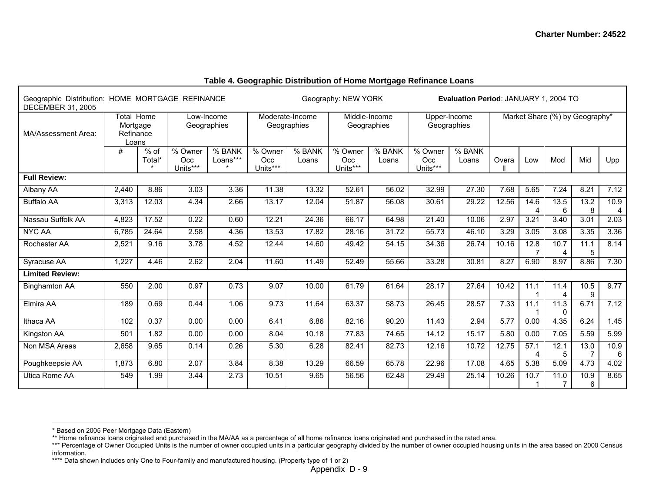| Geographic Distribution: HOME MORTGAGE REFINANCE<br><b>DECEMBER 31, 2005</b> |                                                                           |                  |                                |                    |                              | Geography: NEW YORK<br><b>Evaluation Period: JANUARY 1, 2004 TO</b> |                             |                 |                                |                 |       |           |           |             |           |
|------------------------------------------------------------------------------|---------------------------------------------------------------------------|------------------|--------------------------------|--------------------|------------------------------|---------------------------------------------------------------------|-----------------------------|-----------------|--------------------------------|-----------------|-------|-----------|-----------|-------------|-----------|
| MA/Assessment Area:                                                          | Total Home<br>Low-Income<br>Geographies<br>Mortgage<br>Refinance<br>Loans |                  | Moderate-Income<br>Geographies |                    | Middle-Income<br>Geographies |                                                                     | Upper-Income<br>Geographies |                 | Market Share (%) by Geography* |                 |       |           |           |             |           |
|                                                                              | #                                                                         | $%$ of<br>Total* | % Owner<br>Occ<br>Units***     | % BANK<br>Loans*** | % Owner<br>Occ<br>Units***   | % BANK<br>Loans                                                     | % Owner<br>Occ<br>Units***  | % BANK<br>Loans | % Owner<br>Occ<br>Units***     | % BANK<br>Loans | Overa | Low       | Mod       | Mid         | Upp       |
| <b>Full Review:</b>                                                          |                                                                           |                  |                                |                    |                              |                                                                     |                             |                 |                                |                 |       |           |           |             |           |
| Albany AA                                                                    | 2,440                                                                     | 8.86             | 3.03                           | 3.36               | 11.38                        | 13.32                                                               | 52.61                       | 56.02           | 32.99                          | 27.30           | 7.68  | 5.65      | 7.24      | 8.21        | 7.12      |
| <b>Buffalo AA</b>                                                            | 3,313                                                                     | 12.03            | 4.34                           | 2.66               | 13.17                        | 12.04                                                               | 51.87                       | 56.08           | 30.61                          | 29.22           | 12.56 | 14.6<br>4 | 13.5<br>6 | 13.2<br>8   | 10.9<br>4 |
| Nassau Suffolk AA                                                            | 4,823                                                                     | 17.52            | 0.22                           | 0.60               | 12.21                        | 24.36                                                               | 66.17                       | 64.98           | 21.40                          | 10.06           | 2.97  | 3.21      | 3.40      | 3.01        | 2.03      |
| <b>NYC AA</b>                                                                | 6,785                                                                     | 24.64            | 2.58                           | 4.36               | 13.53                        | 17.82                                                               | 28.16                       | 31.72           | 55.73                          | 46.10           | 3.29  | 3.05      | 3.08      | 3.35        | 3.36      |
| Rochester AA                                                                 | 2,521                                                                     | 9.16             | 3.78                           | 4.52               | 12.44                        | 14.60                                                               | 49.42                       | 54.15           | 34.36                          | 26.74           | 10.16 | 12.8      | 10.7<br>4 | 11.1<br>5   | 8.14      |
| Syracuse AA                                                                  | 1,227                                                                     | 4.46             | 2.62                           | 2.04               | 11.60                        | 11.49                                                               | 52.49                       | 55.66           | 33.28                          | 30.81           | 8.27  | 6.90      | 8.97      | 8.86        | 7.30      |
| <b>Limited Review:</b>                                                       |                                                                           |                  |                                |                    |                              |                                                                     |                             |                 |                                |                 |       |           |           |             |           |
| <b>Binghamton AA</b>                                                         | 550                                                                       | 2.00             | 0.97                           | 0.73               | 9.07                         | 10.00                                                               | 61.79                       | 61.64           | 28.17                          | 27.64           | 10.42 | 11.1      | 11.4<br>4 | $10.5$<br>9 | 9.77      |
| Elmira AA                                                                    | 189                                                                       | 0.69             | 0.44                           | 1.06               | 9.73                         | 11.64                                                               | 63.37                       | 58.73           | 26.45                          | 28.57           | 7.33  | 11.1      | 11.3<br>0 | 6.71        | 7.12      |
| Ithaca AA                                                                    | 102                                                                       | 0.37             | 0.00                           | 0.00               | 6.41                         | 6.86                                                                | 82.16                       | 90.20           | 11.43                          | 2.94            | 5.77  | 0.00      | 4.35      | 6.24        | 1.45      |
| Kingston AA                                                                  | 501                                                                       | 1.82             | 0.00                           | 0.00               | 8.04                         | 10.18                                                               | 77.83                       | 74.65           | 14.12                          | 15.17           | 5.80  | 0.00      | 7.05      | 5.59        | 5.99      |
| Non MSA Areas                                                                | 2,658                                                                     | 9.65             | 0.14                           | 0.26               | 5.30                         | 6.28                                                                | 82.41                       | 82.73           | 12.16                          | 10.72           | 12.75 | 57.1      | 12.1<br>5 | 13.0        | 10.9<br>6 |
| Poughkeepsie AA                                                              | 1,873                                                                     | 6.80             | 2.07                           | 3.84               | 8.38                         | 13.29                                                               | 66.59                       | 65.78           | 22.96                          | 17.08           | 4.65  | 5.38      | 5.09      | 4.73        | 4.02      |
| Utica Rome AA                                                                | 549                                                                       | 1.99             | 3.44                           | 2.73               | 10.51                        | 9.65                                                                | 56.56                       | 62.48           | 29.49                          | 25.14           | 10.26 | 10.7      | 11.0<br>7 | 10.9<br>6   | 8.65      |

#### **Table 4. Geographic Distribution of Home Mortgage Refinance Loans**

<sup>\*</sup> Based on 2005 Peer Mortgage Data (Eastern)

<sup>\*\*</sup> Home refinance loans originated and purchased in the MA/AA as a percentage of all home refinance loans originated and purchased in the rated area.

<sup>\*\*\*</sup> Percentage of Owner Occupied Units is the number of owner occupied units in a particular geography divided by the number of owner occupied housing units in the area based on 2000 Census information.

<sup>\*\*\*\*</sup> Data shown includes only One to Four-family and manufactured housing. (Property type of 1 or 2)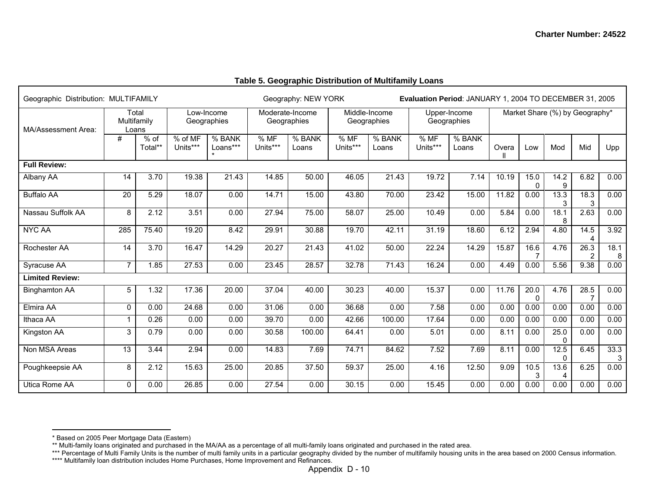| Geographic Distribution: MULTIFAMILY |                 |                               |                     |                           |                  | Geography: NEW YORK            |                  |                              |                  | Evaluation Period: JANUARY 1, 2004 TO DECEMBER 31, 2005 |       |                     |                  |                                |           |
|--------------------------------------|-----------------|-------------------------------|---------------------|---------------------------|------------------|--------------------------------|------------------|------------------------------|------------------|---------------------------------------------------------|-------|---------------------|------------------|--------------------------------|-----------|
| MA/Assessment Area:                  |                 | Total<br>Multifamily<br>Loans |                     | Low-Income<br>Geographies |                  | Moderate-Income<br>Geographies |                  | Middle-Income<br>Geographies |                  | Upper-Income<br>Geographies                             |       |                     |                  | Market Share (%) by Geography* |           |
|                                      | #               | $%$ of<br>Total**             | % of MF<br>Units*** | % BANK<br>Loans***        | % MF<br>Units*** | $%$ BANK<br>Loans              | % MF<br>Units*** | $%$ BANK<br>Loans            | % MF<br>Units*** | $%$ BANK<br>Loans                                       | Overa | Low                 | Mod              | Mid                            | Upp       |
| <b>Full Review:</b>                  |                 |                               |                     |                           |                  |                                |                  |                              |                  |                                                         |       |                     |                  |                                |           |
| Albany AA                            | 14              | 3.70                          | 19.38               | 21.43                     | 14.85            | 50.00                          | 46.05            | 21.43                        | 19.72            | 7.14                                                    | 10.19 | 15.0<br>$\Omega$    | 14.2<br>9        | 6.82                           | 0.00      |
| <b>Buffalo AA</b>                    | 20              | 5.29                          | 18.07               | 0.00                      | 14.71            | 15.00                          | 43.80            | 70.00                        | 23.42            | 15.00                                                   | 11.82 | 0.00                | 13.3<br>3        | 18.3<br>3                      | 0.00      |
| Nassau Suffolk AA                    | 8               | 2.12                          | 3.51                | 0.00                      | 27.94            | 75.00                          | 58.07            | 25.00                        | 10.49            | 0.00                                                    | 5.84  | 0.00                | 18.1<br>8        | 2.63                           | 0.00      |
| <b>NYC AA</b>                        | 285             | 75.40                         | 19.20               | 8.42                      | 29.91            | 30.88                          | 19.70            | 42.11                        | 31.19            | 18.60                                                   | 6.12  | 2.94                | 4.80             | 14.5<br>$\overline{4}$         | 3.92      |
| Rochester AA                         | 14              | 3.70                          | 16.47               | 14.29                     | 20.27            | 21.43                          | 41.02            | 50.00                        | 22.24            | 14.29                                                   | 15.87 | 16.6                | 4.76             | 26.3<br>$\overline{2}$         | 18.1<br>8 |
| Syracuse AA                          | $\overline{7}$  | 1.85                          | 27.53               | 0.00                      | 23.45            | 28.57                          | 32.78            | 71.43                        | 16.24            | 0.00                                                    | 4.49  | 0.00                | 5.56             | 9.38                           | 0.00      |
| <b>Limited Review:</b>               |                 |                               |                     |                           |                  |                                |                  |                              |                  |                                                         |       |                     |                  |                                |           |
| <b>Binghamton AA</b>                 | 5               | 1.32                          | 17.36               | 20.00                     | 37.04            | 40.00                          | 30.23            | 40.00                        | 15.37            | 0.00                                                    | 11.76 | 20.0<br>$\mathbf 0$ | 4.76             | 28.5<br>$\overline{7}$         | 0.00      |
| Elmira AA                            | $\mathbf{0}$    | 0.00                          | 24.68               | 0.00                      | 31.06            | 0.00                           | 36.68            | 0.00                         | 7.58             | 0.00                                                    | 0.00  | 0.00                | 0.00             | 0.00                           | 0.00      |
| Ithaca AA                            | $\overline{1}$  | 0.26                          | 0.00                | 0.00                      | 39.70            | 0.00                           | 42.66            | 100.00                       | 17.64            | 0.00                                                    | 0.00  | 0.00                | 0.00             | 0.00                           | 0.00      |
| Kingston AA                          | 3               | 0.79                          | 0.00                | 0.00                      | 30.58            | 100.00                         | 64.41            | 0.00                         | 5.01             | 0.00                                                    | 8.11  | 0.00                | 25.0<br>0        | 0.00                           | 0.00      |
| Non MSA Areas                        | $\overline{13}$ | 3.44                          | 2.94                | 0.00                      | 14.83            | 7.69                           | 74.71            | 84.62                        | 7.52             | 7.69                                                    | 8.11  | 0.00                | 12.5<br>$\Omega$ | 6.45                           | 33.3      |
| Poughkeepsie AA                      | 8               | 2.12                          | 15.63               | 25.00                     | 20.85            | 37.50                          | 59.37            | 25.00                        | 4.16             | 12.50                                                   | 9.09  | 10.5<br>3           | 13.6<br>4        | 6.25                           | 0.00      |
| Utica Rome AA                        | $\Omega$        | 0.00                          | 26.85               | 0.00                      | 27.54            | 0.00                           | 30.15            | 0.00                         | 15.45            | 0.00                                                    | 0.00  | 0.00                | 0.00             | 0.00                           | 0.00      |

## **Table 5. Geographic Distribution of Multifamily Loans**

<sup>\*</sup> Based on 2005 Peer Mortgage Data (Eastern)

<sup>\*\*</sup> Multi-family loans originated and purchased in the MA/AA as a percentage of all multi-family loans originated and purchased in the rated area.

<sup>\*\*\*</sup> Percentage of Multi Family Units is the number of multi family units in a particular geography divided by the number of multifamily housing units in the area based on 2000 Census information.

<sup>\*\*\*\*</sup> Multifamily loan distribution includes Home Purchases, Home Improvement and Refinances.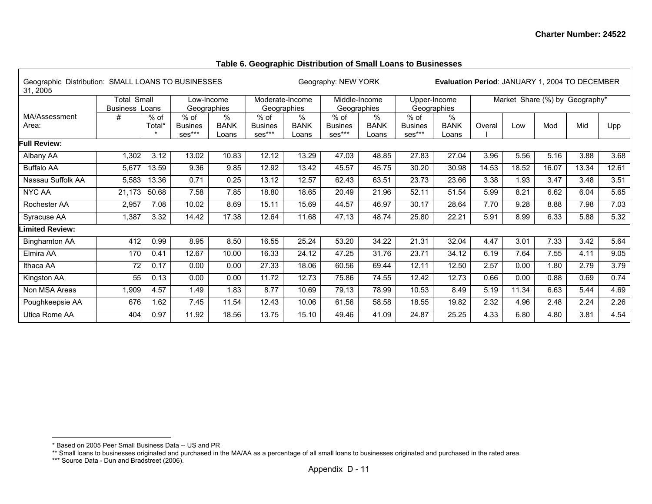## **Table 6. Geographic Distribution of Small Loans to Businesses**

| 31, 2005               | Geographic Distribution: SMALL LOANS TO BUSINESSES<br>Small<br>Total<br>Low-Income |                  |                                    |                           |                                  |                              | Geography: NEW YORK                |                              |                                    | <b>Evaluation Period: JANUARY 1, 2004 TO DECEMBER</b> |        |       |                                |       |       |
|------------------------|------------------------------------------------------------------------------------|------------------|------------------------------------|---------------------------|----------------------------------|------------------------------|------------------------------------|------------------------------|------------------------------------|-------------------------------------------------------|--------|-------|--------------------------------|-------|-------|
|                        | <b>Business</b>                                                                    | Loans            | Geographies                        |                           | Moderate-Income<br>Geographies   |                              | Middle-Income<br>Geographies       |                              | Upper-Income<br>Geographies        |                                                       |        |       | Market Share (%) by Geography* |       |       |
| MA/Assessment<br>Area: | #                                                                                  | $%$ of<br>Total* | $%$ of<br><b>Busines</b><br>ses*** | %<br><b>BANK</b><br>Loans | % of<br><b>Busines</b><br>ses*** | $\%$<br><b>BANK</b><br>Loans | $%$ of<br><b>Busines</b><br>ses*** | $\%$<br><b>BANK</b><br>Loans | $%$ of<br><b>Busines</b><br>ses*** | $\%$<br><b>BANK</b><br>Loans                          | Overal | Low   | Mod                            | Mid   | Upp   |
| ull Review:            |                                                                                    |                  |                                    |                           |                                  |                              |                                    |                              |                                    |                                                       |        |       |                                |       |       |
| Albany AA              | 1,302                                                                              | 3.12             | 13.02                              | 10.83                     | 12.12                            | 13.29                        | 47.03                              | 48.85                        | 27.83                              | 27.04                                                 | 3.96   | 5.56  | 5.16                           | 3.88  | 3.68  |
| <b>Buffalo AA</b>      | 5,677                                                                              | 13.59            | 9.36                               | 9.85                      | 12.92                            | 13.42                        | 45.57                              | 45.75                        | 30.20                              | 30.98                                                 | 14.53  | 18.52 | 16.07                          | 13.34 | 12.61 |
| Nassau Suffolk AA      | 5,583                                                                              | 13.36            | 0.71                               | 0.25                      | 13.12                            | 12.57                        | 62.43                              | 63.51                        | 23.73                              | 23.66                                                 | 3.38   | 1.93  | 3.47                           | 3.48  | 3.51  |
| <b>NYC AA</b>          | 21,173                                                                             | 50.68            | 7.58                               | 7.85                      | 18.80                            | 18.65                        | 20.49                              | 21.96                        | 52.11                              | 51.54                                                 | 5.99   | 8.21  | 6.62                           | 6.04  | 5.65  |
| Rochester AA           | 2,957                                                                              | 7.08             | 10.02                              | 8.69                      | 15.11                            | 15.69                        | 44.57                              | 46.97                        | 30.17                              | 28.64                                                 | 7.70   | 9.28  | 8.88                           | 7.98  | 7.03  |
| Syracuse AA            | 1,387                                                                              | 3.32             | 14.42                              | 17.38                     | 12.64                            | 11.68                        | 47.13                              | 48.74                        | 25.80                              | 22.21                                                 | 5.91   | 8.99  | 6.33                           | 5.88  | 5.32  |
| imited Review:         |                                                                                    |                  |                                    |                           |                                  |                              |                                    |                              |                                    |                                                       |        |       |                                |       |       |
| <b>Binghamton AA</b>   | 412                                                                                | 0.99             | 8.95                               | 8.50                      | 16.55                            | 25.24                        | 53.20                              | 34.22                        | 21.31                              | 32.04                                                 | 4.47   | 3.01  | 7.33                           | 3.42  | 5.64  |
| Elmira AA              | 170                                                                                | 0.41             | 12.67                              | 10.00                     | 16.33                            | 24.12                        | 47.25                              | 31.76                        | 23.71                              | 34.12                                                 | 6.19   | 7.64  | 7.55                           | 4.11  | 9.05  |
| Ithaca AA              | 72                                                                                 | 0.17             | 0.00                               | 0.00                      | 27.33                            | 18.06                        | 60.56                              | 69.44                        | 12.11                              | 12.50                                                 | 2.57   | 0.00  | 1.80                           | 2.79  | 3.79  |
| Kingston AA            | 55                                                                                 | 0.13             | 0.00                               | 0.00                      | 11.72                            | 12.73                        | 75.86                              | 74.55                        | 12.42                              | 12.73                                                 | 0.66   | 0.00  | 0.88                           | 0.69  | 0.74  |
| Non MSA Areas          | 1,909                                                                              | 4.57             | 1.49                               | 1.83                      | 8.77                             | 10.69                        | 79.13                              | 78.99                        | 10.53                              | 8.49                                                  | 5.19   | 11.34 | 6.63                           | 5.44  | 4.69  |
| Poughkeepsie AA        | 676                                                                                | 1.62             | 7.45                               | 11.54                     | 12.43                            | 10.06                        | 61.56                              | 58.58                        | 18.55                              | 19.82                                                 | 2.32   | 4.96  | 2.48                           | 2.24  | 2.26  |
| Utica Rome AA          | 404                                                                                | 0.97             | 11.92                              | 18.56                     | 13.75                            | 15.10                        | 49.46                              | 41.09                        | 24.87                              | 25.25                                                 | 4.33   | 6.80  | 4.80                           | 3.81  | 4.54  |

<sup>\*</sup> Based on 2005 Peer Small Business Data -- US and PR

<sup>\*\*</sup> Small loans to businesses originated and purchased in the MA/AA as a percentage of all small loans to businesses originated and purchased in the rated area.

<sup>\*\*\*</sup> Source Data - Dun and Bradstreet (2006).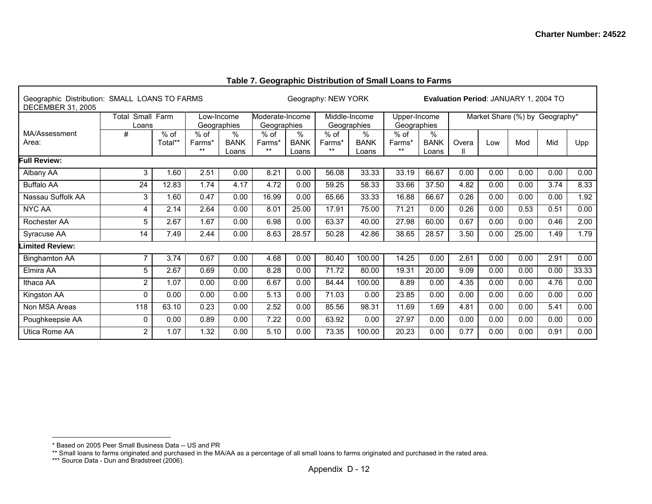| Geographic Distribution: SMALL LOANS TO FARMS<br><b>DECEMBER 31, 2005</b> |                |                   |                           |                              |                                |                           | Geography: NEW YORK      |                              |                             |                           | <b>Evaluation Period: JANUARY 1, 2004 TO</b> |                                |       |      |       |
|---------------------------------------------------------------------------|----------------|-------------------|---------------------------|------------------------------|--------------------------------|---------------------------|--------------------------|------------------------------|-----------------------------|---------------------------|----------------------------------------------|--------------------------------|-------|------|-------|
|                                                                           | Total<br>Loans | Small Farm        | Geographies               | Low-Income                   | Moderate-Income<br>Geographies |                           |                          | Middle-Income<br>Geographies | Upper-Income<br>Geographies |                           |                                              | Market Share (%) by Geography* |       |      |       |
| MA/Assessment<br>Area:                                                    | #              | $%$ of<br>Total** | $%$ of<br>Farms*<br>$***$ | $\%$<br><b>BANK</b><br>Loans | $%$ of<br>Farms*<br>$***$      | %<br><b>BANK</b><br>Loans | $%$ of<br>Farms*<br>$**$ | %<br><b>BANK</b><br>Loans    | $%$ of<br>Farms*<br>$**$    | %<br><b>BANK</b><br>Loans | Overa                                        | Low                            | Mod   | Mid  | Upp   |
| Full Review:                                                              |                |                   |                           |                              |                                |                           |                          |                              |                             |                           |                                              |                                |       |      |       |
| Albany AA                                                                 | 3              | 1.60              | 2.51                      | 0.00                         | 8.21                           | 0.00                      | 56.08                    | 33.33                        | 33.19                       | 66.67                     | 0.00                                         | 0.00                           | 0.00  | 0.00 | 0.00  |
| <b>Buffalo AA</b>                                                         | 24             | 12.83             | 1.74                      | 4.17                         | 4.72                           | 0.00                      | 59.25                    | 58.33                        | 33.66                       | 37.50                     | 4.82                                         | 0.00                           | 0.00  | 3.74 | 8.33  |
| Nassau Suffolk AA                                                         | 3              | 1.60              | 0.47                      | 0.00                         | 16.99                          | 0.00                      | 65.66                    | 33.33                        | 16.88                       | 66.67                     | 0.26                                         | 0.00                           | 0.00  | 0.00 | 1.92  |
| <b>NYC AA</b>                                                             | 4              | 2.14              | 2.64                      | 0.00                         | 8.01                           | 25.00                     | 17.91                    | 75.00                        | 71.21                       | 0.00                      | 0.26                                         | 0.00                           | 0.53  | 0.51 | 0.00  |
| Rochester AA                                                              | 5              | 2.67              | 1.67                      | 0.00                         | 6.98                           | 0.00                      | 63.37                    | 40.00                        | 27.98                       | 60.00                     | 0.67                                         | 0.00                           | 0.00  | 0.46 | 2.00  |
| Syracuse AA                                                               | 14             | 7.49              | 2.44                      | 0.00                         | 8.63                           | 28.57                     | 50.28                    | 42.86                        | 38.65                       | 28.57                     | 3.50                                         | 0.00                           | 25.00 | 1.49 | 1.79  |
| imited Review:                                                            |                |                   |                           |                              |                                |                           |                          |                              |                             |                           |                                              |                                |       |      |       |
| <b>Binghamton AA</b>                                                      | $\overline{7}$ | 3.74              | 0.67                      | 0.00                         | 4.68                           | 0.00                      | 80.40                    | 100.00                       | 14.25                       | 0.00                      | 2.61                                         | 0.00                           | 0.00  | 2.91 | 0.00  |
| Elmira AA                                                                 | 5              | 2.67              | 0.69                      | 0.00                         | 8.28                           | 0.00                      | 71.72                    | 80.00                        | 19.31                       | 20.00                     | 9.09                                         | 0.00                           | 0.00  | 0.00 | 33.33 |
| Ithaca AA                                                                 | $\overline{2}$ | 1.07              | 0.00                      | 0.00                         | 6.67                           | 0.00                      | 84.44                    | 100.00                       | 8.89                        | 0.00                      | 4.35                                         | 0.00                           | 0.00  | 4.76 | 0.00  |
| Kingston AA                                                               | $\mathbf 0$    | 0.00              | 0.00                      | 0.00                         | 5.13                           | 0.00                      | 71.03                    | 0.00                         | 23.85                       | 0.00                      | 0.00                                         | 0.00                           | 0.00  | 0.00 | 0.00  |
| Non MSA Areas                                                             | 118            | 63.10             | 0.23                      | 0.00                         | 2.52                           | 0.00                      | 85.56                    | 98.31                        | 11.69                       | 1.69                      | 4.81                                         | 0.00                           | 0.00  | 5.41 | 0.00  |
| Poughkeepsie AA                                                           | $\mathbf 0$    | 0.00              | 0.89                      | 0.00                         | 7.22                           | 0.00                      | 63.92                    | 0.00                         | 27.97                       | 0.00                      | 0.00                                         | 0.00                           | 0.00  | 0.00 | 0.00  |
| Utica Rome AA                                                             | $\overline{2}$ | 1.07              | 1.32                      | 0.00                         | 5.10                           | 0.00                      | 73.35                    | 100.00                       | 20.23                       | 0.00                      | 0.77                                         | 0.00                           | 0.00  | 0.91 | 0.00  |

## **Table 7. Geographic Distribution of Small Loans to Farms**

Г

<sup>\*</sup> Based on 2005 Peer Small Business Data -- US and PR

<sup>\*\*</sup> Small loans to farms originated and purchased in the MA/AA as a percentage of all small loans to farms originated and purchased in the rated area.

<sup>\*\*\*</sup> Source Data - Dun and Bradstreet (2006).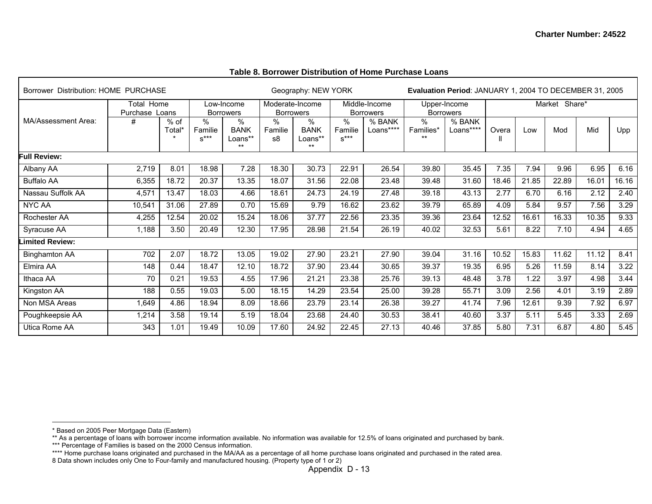|  |  | Table 8. Borrower Distribution of Home Purchase Loans |
|--|--|-------------------------------------------------------|
|  |  |                                                       |

| Borrower Distribution: HOME PURCHASE |                                     |                  | Geography: NEW YORK                |                                |                                     |                                         | Evaluation Period: JANUARY 1, 2004 TO DECEMBER 31, 2005 |                                   |                            |                                  |       |       |               |       |       |
|--------------------------------------|-------------------------------------|------------------|------------------------------------|--------------------------------|-------------------------------------|-----------------------------------------|---------------------------------------------------------|-----------------------------------|----------------------------|----------------------------------|-------|-------|---------------|-------|-------|
|                                      | <b>Total Home</b><br>Purchase Loans |                  |                                    | Low-Income<br><b>Borrowers</b> | Moderate-Income<br><b>Borrowers</b> |                                         |                                                         | Middle-Income<br><b>Borrowers</b> |                            | Upper-Income<br><b>Borrowers</b> |       |       | Market Share* |       |       |
| MA/Assessment Area:                  | #                                   | $%$ of<br>Total* | $\frac{1}{6}$<br>Familie<br>$s***$ | $\%$<br><b>BANK</b><br>Loans** | %<br>Familie<br>s8                  | $\%$<br><b>BANK</b><br>Loans**<br>$***$ | %<br>Familie<br>$s***$                                  | % BANK<br>Loans****               | $\%$<br>Families*<br>$***$ | % BANK<br>Loans****              | Overa | Low   | Mod           | Mid   | Upp   |
| Full Review:                         |                                     |                  |                                    |                                |                                     |                                         |                                                         |                                   |                            |                                  |       |       |               |       |       |
| Albany AA                            | 2,719                               | 8.01             | 18.98                              | 7.28                           | 18.30                               | 30.73                                   | 22.91                                                   | 26.54                             | 39.80                      | 35.45                            | 7.35  | 7.94  | 9.96          | 6.95  | 6.16  |
| <b>Buffalo AA</b>                    | 6,355                               | 18.72            | 20.37                              | 13.35                          | 18.07                               | 31.56                                   | 22.08                                                   | 23.48                             | 39.48                      | 31.60                            | 18.46 | 21.85 | 22.89         | 16.01 | 16.16 |
| Nassau Suffolk AA                    | 4,571                               | 13.47            | 18.03                              | 4.66                           | 18.61                               | 24.73                                   | 24.19                                                   | 27.48                             | 39.18                      | 43.13                            | 2.77  | 6.70  | 6.16          | 2.12  | 2.40  |
| NYC AA                               | 10,541                              | 31.06            | 27.89                              | 0.70                           | 15.69                               | 9.79                                    | 16.62                                                   | 23.62                             | 39.79                      | 65.89                            | 4.09  | 5.84  | 9.57          | 7.56  | 3.29  |
| Rochester AA                         | 4,255                               | 12.54            | 20.02                              | 15.24                          | 18.06                               | 37.77                                   | 22.56                                                   | 23.35                             | 39.36                      | 23.64                            | 12.52 | 16.61 | 16.33         | 10.35 | 9.33  |
| Syracuse AA                          | 1,188                               | 3.50             | 20.49                              | 12.30                          | 17.95                               | 28.98                                   | 21.54                                                   | 26.19                             | 40.02                      | 32.53                            | 5.61  | 8.22  | 7.10          | 4.94  | 4.65  |
| imited Review:                       |                                     |                  |                                    |                                |                                     |                                         |                                                         |                                   |                            |                                  |       |       |               |       |       |
| <b>Binghamton AA</b>                 | 702                                 | 2.07             | 18.72                              | 13.05                          | 19.02                               | 27.90                                   | 23.21                                                   | 27.90                             | 39.04                      | 31.16                            | 10.52 | 15.83 | 11.62         | 11.12 | 8.41  |
| Elmira AA                            | 148                                 | 0.44             | 18.47                              | 12.10                          | 18.72                               | 37.90                                   | 23.44                                                   | 30.65                             | 39.37                      | 19.35                            | 6.95  | 5.26  | 11.59         | 8.14  | 3.22  |
| Ithaca AA                            | 70                                  | 0.21             | 19.53                              | 4.55                           | 17.96                               | 21.21                                   | 23.38                                                   | 25.76                             | 39.13                      | 48.48                            | 3.78  | 1.22  | 3.97          | 4.98  | 3.44  |
| Kingston AA                          | 188                                 | 0.55             | 19.03                              | 5.00                           | 18.15                               | 14.29                                   | 23.54                                                   | 25.00                             | 39.28                      | 55.71                            | 3.09  | 2.56  | 4.01          | 3.19  | 2.89  |
| Non MSA Areas                        | 1,649                               | 4.86             | 18.94                              | 8.09                           | 18.66                               | 23.79                                   | 23.14                                                   | 26.38                             | 39.27                      | 41.74                            | 7.96  | 12.61 | 9.39          | 7.92  | 6.97  |
| Poughkeepsie AA                      | 1,214                               | 3.58             | 19.14                              | 5.19                           | 18.04                               | 23.68                                   | 24.40                                                   | 30.53                             | 38.41                      | 40.60                            | 3.37  | 5.11  | 5.45          | 3.33  | 2.69  |
| Utica Rome AA                        | 343                                 | 1.01             | 19.49                              | 10.09                          | 17.60                               | 24.92                                   | 22.45                                                   | 27.13                             | 40.46                      | 37.85                            | 5.80  | 7.31  | 6.87          | 4.80  | 5.45  |

<sup>\*</sup> Based on 2005 Peer Mortgage Data (Eastern)

<sup>\*\*</sup> As a percentage of loans with borrower income information available. No information was available for 12.5% of loans originated and purchased by bank.

<sup>\*\*\*</sup> Percentage of Families is based on the 2000 Census information.

<sup>\*\*\*\*</sup> Home purchase loans originated and purchased in the MA/AA as a percentage of all home purchase loans originated and purchased in the rated area.

<sup>8</sup> Data shown includes only One to Four-family and manufactured housing. (Property type of 1 or 2)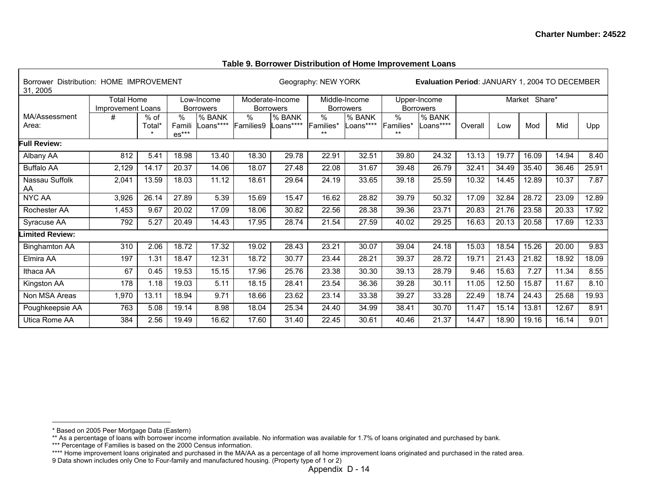#### **Table 9. Borrower Distribution of Home Improvement Loans**

| Borrower Distribution: HOME IMPROVEMENT<br>31, 2005 |                   |        |                   |                  |           |                  | Geography: NEW YORK |                  |                    | <b>Evaluation Period: JANUARY 1, 2004 TO DECEMBER</b> |         |       |               |       |       |
|-----------------------------------------------------|-------------------|--------|-------------------|------------------|-----------|------------------|---------------------|------------------|--------------------|-------------------------------------------------------|---------|-------|---------------|-------|-------|
|                                                     | <b>Total Home</b> |        |                   | Low-Income       |           | Moderate-Income  |                     | Middle-Income    |                    | Upper-Income                                          |         |       | Market Share* |       |       |
|                                                     | Improvement Loans |        |                   | <b>Borrowers</b> |           | <b>Borrowers</b> |                     | <b>Borrowers</b> |                    | <b>Borrowers</b>                                      |         |       |               |       |       |
| MA/Assessment                                       | #                 | $%$ of | $\%$              | % BANK           | $\%$      | % BANK           | $\frac{0}{0}$       | % BANK           | %                  | % BANK                                                |         |       |               |       |       |
| Area:                                               |                   | Total* | Famili<br>$es***$ | Loans****        | Families9 | _oans****        | Families*<br>$**$   | Loans****        | Families*<br>$***$ | Loans****                                             | Overall | Low   | Mod           | Mid   | Upp   |
| <b>Full Review:</b>                                 |                   |        |                   |                  |           |                  |                     |                  |                    |                                                       |         |       |               |       |       |
| Albany AA                                           | 812               | 5.41   | 18.98             | 13.40            | 18.30     | 29.78            | 22.91               | 32.51            | 39.80              | 24.32                                                 | 13.13   | 19.77 | 16.09         | 14.94 | 8.40  |
| <b>Buffalo AA</b>                                   | 2,129             | 14.17  | 20.37             | 14.06            | 18.07     | 27.48            | 22.08               | 31.67            | 39.48              | 26.79                                                 | 32.41   | 34.49 | 35.40         | 36.46 | 25.91 |
| Nassau Suffolk<br>AA                                | 2,041             | 13.59  | 18.03             | 11.12            | 18.61     | 29.64            | 24.19               | 33.65            | 39.18              | 25.59                                                 | 10.32   | 14.45 | 12.89         | 10.37 | 7.87  |
| <b>NYC AA</b>                                       | 3,926             | 26.14  | 27.89             | 5.39             | 15.69     | 15.47            | 16.62               | 28.82            | 39.79              | 50.32                                                 | 17.09   | 32.84 | 28.72         | 23.09 | 12.89 |
| Rochester AA                                        | 1,453             | 9.67   | 20.02             | 17.09            | 18.06     | 30.82            | 22.56               | 28.38            | 39.36              | 23.71                                                 | 20.83   | 21.76 | 23.58         | 20.33 | 17.92 |
| Syracuse AA                                         | 792               | 5.27   | 20.49             | 14.43            | 17.95     | 28.74            | 21.54               | 27.59            | 40.02              | 29.25                                                 | 16.63   | 20.13 | 20.58         | 17.69 | 12.33 |
| imited Review:                                      |                   |        |                   |                  |           |                  |                     |                  |                    |                                                       |         |       |               |       |       |
| <b>Binghamton AA</b>                                | 310               | 2.06   | 18.72             | 17.32            | 19.02     | 28.43            | 23.21               | 30.07            | 39.04              | 24.18                                                 | 15.03   | 18.54 | 15.26         | 20.00 | 9.83  |
| Elmira AA                                           | 197               | 1.31   | 18.47             | 12.31            | 18.72     | 30.77            | 23.44               | 28.21            | 39.37              | 28.72                                                 | 19.71   | 21.43 | 21.82         | 18.92 | 18.09 |
| Ithaca AA                                           | 67                | 0.45   | 19.53             | 15.15            | 17.96     | 25.76            | 23.38               | 30.30            | 39.13              | 28.79                                                 | 9.46    | 15.63 | 7.27          | 11.34 | 8.55  |
| Kingston AA                                         | 178               | 1.18   | 19.03             | 5.11             | 18.15     | 28.41            | 23.54               | 36.36            | 39.28              | 30.11                                                 | 11.05   | 12.50 | 15.87         | 11.67 | 8.10  |
| Non MSA Areas                                       | 1,970             | 13.11  | 18.94             | 9.71             | 18.66     | 23.62            | 23.14               | 33.38            | 39.27              | 33.28                                                 | 22.49   | 18.74 | 24.43         | 25.68 | 19.93 |
| Poughkeepsie AA                                     | 763               | 5.08   | 19.14             | 8.98             | 18.04     | 25.34            | 24.40               | 34.99            | 38.41              | 30.70                                                 | 11.47   | 15.14 | 13.81         | 12.67 | 8.91  |
| Utica Rome AA                                       | 384               | 2.56   | 19.49             | 16.62            | 17.60     | 31.40            | 22.45               | 30.61            | 40.46              | 21.37                                                 | 14.47   | 18.90 | 19.16         | 16.14 | 9.01  |

<sup>\*</sup> Based on 2005 Peer Mortgage Data (Eastern)

<sup>\*\*</sup> As a percentage of loans with borrower income information available. No information was available for 1.7% of loans originated and purchased by bank.

<sup>\*\*\*</sup> Percentage of Families is based on the 2000 Census information.

<sup>\*\*\*\*</sup> Home improvement loans originated and purchased in the MA/AA as a percentage of all home improvement loans originated and purchased in the rated area.

<sup>9</sup> Data shown includes only One to Four-family and manufactured housing. (Property type of 1 or 2)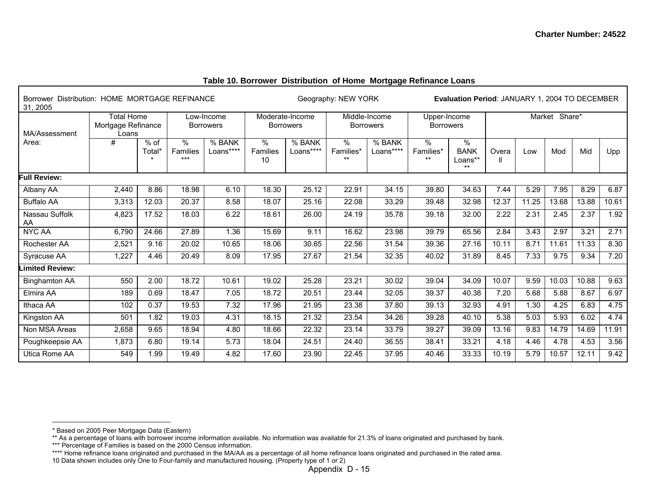| Borrower Distribution: HOME MORTGAGE REFINANCE<br>31, 2005 |                                                  |                |                         |                                | Geography: NEW YORK<br>Evaluation Period: JANUARY 1, 2004 TO DECEMBER |                                     |                         |                                   |                                  |                                     |       |       |               |       |       |
|------------------------------------------------------------|--------------------------------------------------|----------------|-------------------------|--------------------------------|-----------------------------------------------------------------------|-------------------------------------|-------------------------|-----------------------------------|----------------------------------|-------------------------------------|-------|-------|---------------|-------|-------|
| MA/Assessment                                              | <b>Total Home</b><br>Mortgage Refinance<br>Loans |                |                         | Low-Income<br><b>Borrowers</b> |                                                                       | Moderate-Income<br><b>Borrowers</b> |                         | Middle-Income<br><b>Borrowers</b> | Upper-Income<br><b>Borrowers</b> |                                     |       |       | Market Share* |       |       |
| Area:                                                      | #                                                | % of<br>Total* | $\%$<br>Families<br>*** | % BANK<br>Loans****            | %<br>Families<br>10                                                   | % BANK<br>Loans****                 | %<br>Families*<br>$***$ | % BANK<br>Loans****               | %<br>Families*<br>$***$          | ℅<br><b>BANK</b><br>Loans**<br>$**$ | Overa | Low   | Mod           | Mid   | Upp   |
| <b>Full Review:</b>                                        |                                                  |                |                         |                                |                                                                       |                                     |                         |                                   |                                  |                                     |       |       |               |       |       |
| Albany AA                                                  | 2,440                                            | 8.86           | 18.98                   | 6.10                           | 18.30                                                                 | 25.12                               | 22.91                   | 34.15                             | 39.80                            | 34.63                               | 7.44  | 5.29  | 7.95          | 8.29  | 6.87  |
| <b>Buffalo AA</b>                                          | 3,313                                            | 12.03          | 20.37                   | 8.58                           | 18.07                                                                 | 25.16                               | 22.08                   | 33.29                             | 39.48                            | 32.98                               | 12.37 | 11.25 | 13.68         | 13.88 | 10.61 |
| Nassau Suffolk<br>AA                                       | 4,823                                            | 17.52          | 18.03                   | 6.22                           | 18.61                                                                 | 26.00                               | 24.19                   | 35.78                             | 39.18                            | 32.00                               | 2.22  | 2.31  | 2.45          | 2.37  | 1.92  |
| <b>NYC AA</b>                                              | 6,790                                            | 24.66          | 27.89                   | 1.36                           | 15.69                                                                 | 9.11                                | 16.62                   | 23.98                             | 39.79                            | 65.56                               | 2.84  | 3.43  | 2.97          | 3.21  | 2.71  |
| Rochester AA                                               | 2,521                                            | 9.16           | 20.02                   | 10.65                          | 18.06                                                                 | 30.65                               | 22.56                   | 31.54                             | 39.36                            | 27.16                               | 10.11 | 8.71  | 11.61         | 11.33 | 8.30  |
| Syracuse AA                                                | 1,227                                            | 4.46           | 20.49                   | 8.09                           | 17.95                                                                 | 27.67                               | 21.54                   | 32.35                             | 40.02                            | 31.89                               | 8.45  | 7.33  | 9.75          | 9.34  | 7.20  |
| <b>Limited Review:</b>                                     |                                                  |                |                         |                                |                                                                       |                                     |                         |                                   |                                  |                                     |       |       |               |       |       |
| <b>Binghamton AA</b>                                       | 550                                              | 2.00           | 18.72                   | 10.61                          | 19.02                                                                 | 25.28                               | 23.21                   | 30.02                             | 39.04                            | 34.09                               | 10.07 | 9.59  | 10.03         | 10.88 | 9.63  |
| Elmira AA                                                  | 189                                              | 0.69           | 18.47                   | 7.05                           | 18.72                                                                 | 20.51                               | 23.44                   | 32.05                             | 39.37                            | 40.38                               | 7.20  | 5.68  | 5.88          | 8.67  | 6.97  |
| Ithaca AA                                                  | 102                                              | 0.37           | 19.53                   | 7.32                           | 17.96                                                                 | 21.95                               | 23.38                   | 37.80                             | 39.13                            | 32.93                               | 4.91  | 1.30  | 4.25          | 6.83  | 4.75  |
| Kingston AA                                                | 501                                              | 1.82           | 19.03                   | 4.31                           | 18.15                                                                 | 21.32                               | 23.54                   | 34.26                             | 39.28                            | 40.10                               | 5.38  | 5.03  | 5.93          | 6.02  | 4.74  |
| Non MSA Areas                                              | 2,658                                            | 9.65           | 18.94                   | 4.80                           | 18.66                                                                 | 22.32                               | 23.14                   | 33.79                             | 39.27                            | 39.09                               | 13.16 | 9.83  | 14.79         | 14.69 | 11.91 |
| Poughkeepsie AA                                            | 1,873                                            | 6.80           | 19.14                   | 5.73                           | 18.04                                                                 | 24.51                               | 24.40                   | 36.55                             | 38.41                            | 33.21                               | 4.18  | 4.46  | 4.78          | 4.53  | 3.56  |
| Utica Rome AA                                              | 549                                              | 1.99           | 19.49                   | 4.82                           | 17.60                                                                 | 23.90                               | 22.45                   | 37.95                             | 40.46                            | 33.33                               | 10.19 | 5.79  | 10.57         | 12.11 | 9.42  |

## **Table 10. Borrower Distribution of Home Mortgage Refinance Loans**

<sup>\*</sup> Based on 2005 Peer Mortgage Data (Eastern)

<sup>\*\*</sup> As a percentage of loans with borrower income information available. No information was available for 21.3% of loans originated and purchased by bank.

<sup>\*\*\*</sup> Percentage of Families is based on the 2000 Census information.

<sup>\*\*\*\*</sup> Home refinance loans originated and purchased in the MA/AA as a percentage of all home refinance loans originated and purchased in the rated area.

<sup>10</sup> Data shown includes only One to Four-family and manufactured housing. (Property type of 1 or 2)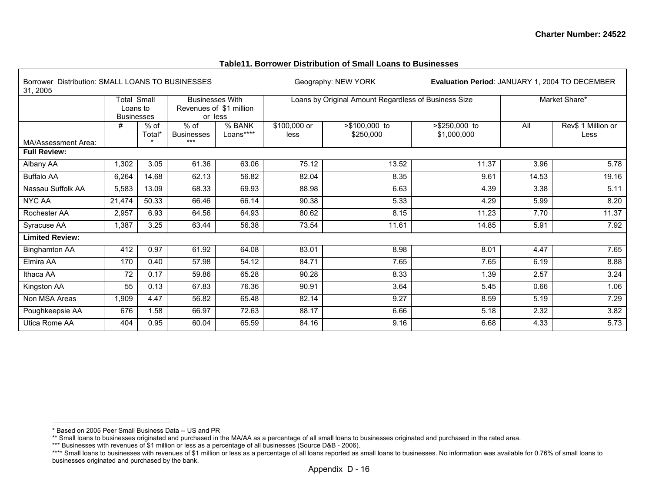#### **Table11. Borrower Distribution of Small Loans to Businesses**

| Borrower Distribution: SMALL LOANS TO BUSINESSES<br>31, 2005 |                         |                |                                                   |                     |                      | Geography: NEW YORK                                  | Evaluation Period: JANUARY 1, 2004 TO DECEMBER |       |                            |
|--------------------------------------------------------------|-------------------------|----------------|---------------------------------------------------|---------------------|----------------------|------------------------------------------------------|------------------------------------------------|-------|----------------------------|
|                                                              | Total Small<br>Loans to |                | <b>Businesses With</b><br>Revenues of \$1 million |                     |                      | Loans by Original Amount Regardless of Business Size |                                                |       | Market Share*              |
|                                                              | <b>Businesses</b><br>#  | % of<br>Total* | or less<br>$%$ of<br><b>Businesses</b>            | % BANK<br>Loans**** | \$100,000 or<br>less | >\$100,000 to<br>\$250,000                           | >\$250,000 to<br>\$1,000,000                   | All   | Rev\$ 1 Million or<br>Less |
| MA/Assessment Area:                                          |                         |                | ***                                               |                     |                      |                                                      |                                                |       |                            |
| <b>Full Review:</b>                                          |                         |                |                                                   |                     |                      |                                                      |                                                |       |                            |
| Albany AA                                                    | 1,302                   | 3.05           | 61.36                                             | 63.06               | 75.12                | 13.52                                                | 11.37                                          | 3.96  | 5.78                       |
| <b>Buffalo AA</b>                                            | 6,264                   | 14.68          | 62.13                                             | 56.82               | 82.04                | 8.35                                                 | 9.61                                           | 14.53 | 19.16                      |
| Nassau Suffolk AA                                            | 5,583                   | 13.09          | 68.33                                             | 69.93               | 88.98                | 6.63                                                 | 4.39                                           | 3.38  | 5.11                       |
| NYC AA                                                       | 21,474                  | 50.33          | 66.46                                             | 66.14               | 90.38                | 5.33                                                 | 4.29                                           | 5.99  | 8.20                       |
| Rochester AA                                                 | 2,957                   | 6.93           | 64.56                                             | 64.93               | 80.62                | 8.15                                                 | 11.23                                          | 7.70  | 11.37                      |
| Syracuse AA                                                  | 1,387                   | 3.25           | 63.44                                             | 56.38               | 73.54                | 11.61                                                | 14.85                                          | 5.91  | 7.92                       |
| <b>Limited Review:</b>                                       |                         |                |                                                   |                     |                      |                                                      |                                                |       |                            |
| <b>Binghamton AA</b>                                         | 412                     | 0.97           | 61.92                                             | 64.08               | 83.01                | 8.98                                                 | 8.01                                           | 4.47  | 7.65                       |
| Elmira AA                                                    | 170                     | 0.40           | 57.98                                             | 54.12               | 84.71                | 7.65                                                 | 7.65                                           | 6.19  | 8.88                       |
| Ithaca AA                                                    | 72                      | 0.17           | 59.86                                             | 65.28               | 90.28                | 8.33                                                 | 1.39                                           | 2.57  | 3.24                       |
| Kingston AA                                                  | 55                      | 0.13           | 67.83                                             | 76.36               | 90.91                | 3.64                                                 | 5.45                                           | 0.66  | 1.06                       |
| Non MSA Areas                                                | 1,909                   | 4.47           | 56.82                                             | 65.48               | 82.14                | 9.27                                                 | 8.59                                           | 5.19  | 7.29                       |
| Poughkeepsie AA                                              | 676                     | 1.58           | 66.97                                             | 72.63               | 88.17                | 6.66                                                 | 5.18                                           | 2.32  | 3.82                       |
| Utica Rome AA                                                | 404                     | 0.95           | 60.04                                             | 65.59               | 84.16                | 9.16                                                 | 6.68                                           | 4.33  | 5.73                       |

<sup>\*</sup> Based on 2005 Peer Small Business Data -- US and PR

<sup>\*\*</sup> Small loans to businesses originated and purchased in the MA/AA as a percentage of all small loans to businesses originated and purchased in the rated area.

<sup>\*\*\*</sup> Businesses with revenues of \$1 million or less as a percentage of all businesses (Source D&B - 2006).

<sup>\*\*\*\*</sup> Small loans to businesses with revenues of \$1 million or less as a percentage of all loans reported as small loans to businesses. No information was available for 0.76% of small loans to businesses originated and purchased by the bank.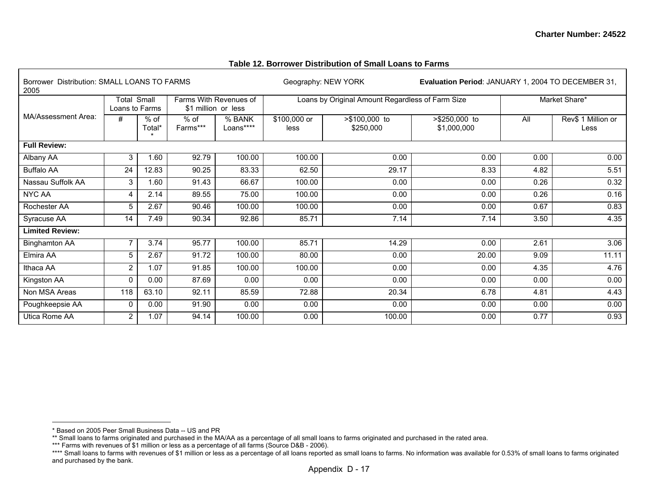#### Borrower Distribution: SMALL LOANS TO FARMS Geography: NEW YORK **Evaluation Period**: JANUARY 1, 2004 TO DECEMBER 31, 2005 Total Small Loans to Farms Farms With Revenues of \$1 million or less Loans by Original Amount Regardless of Farm Size Market Share\* MA/Assessment Area:  $\frac{4}{x}$   $\frac{1}{x}$  % of Total\*\* % of Farms\*\*\* % BANK Loans\*\*\*\* \$100,000 or less >\$100,000 to \$250,000 >\$250,000 to \$1,000,000 All Rev\$ 1 Million or Less **Full Review:** Albany AA | 3 | 1.60 | 92.79 | 100.00 | 0.00 | 0.00 | 0.00 | 0.00 Buffalo AA 24 | 12.83 | 90.25 | 83.33 | 62.50 | 29.17 | 8.33 | 4.82 | 5.51 Nassau Suffolk AA | 3| 1.60 | 91.43 | 66.67 | 100.00 | 0.00 | 0.26 0.32 | NYC AA 4 | 2.14 | 89.55 | 75.00 | 0.00 | 0.00 | 0.26 | 0.16 Rochester AA 5 2.67 90.46 100.00 100.00 0.00 0.00 0.67 0.83 Syracuse AA | 14 | 7.49 | 90.34 | 92.86 | 85.71 | 7.14 | 7.14 | 3.50 | 4.35 **Limited Review:** Binghamton AA | 7 | 3.74 | 95.77 | 100.00 | 85.71 | 14.29 | 0.00 | 2.61 | 3.06 Elmira AA | 5 | 2.67 | 91.72 | 100.00 | 0.00 | 20.00 | 9.09 | 11.11 Ithaca AA 2 1.07 91.85 100.00 100.00 0.00 0.00 4.35 4.76 Kingston AA 0 0.00 87.69 0.00 0.00 0.00 0.00 0.00 0.00 Non MSA Areas 118 63.10 92.11 85.59 72.88 20.34 6.78 4.81 4.43 Poughkeepsie AA | 0 | 0.00 | 91.90 | 0.00 | 0.00 | 0.00 | 0.00 | 0.00 Utica Rome AA 2 1.07 94.14 100.00 0.00 100.00 0.00 0.77 0.93

### **Table 12. Borrower Distribution of Small Loans to Farms**

<sup>\*</sup> Based on 2005 Peer Small Business Data -- US and PR

<sup>\*\*</sup> Small loans to farms originated and purchased in the MA/AA as a percentage of all small loans to farms originated and purchased in the rated area.

<sup>\*\*\*</sup> Farms with revenues of \$1 million or less as a percentage of all farms (Source D&B - 2006).

<sup>\*\*\*\*</sup> Small loans to farms with revenues of \$1 million or less as a percentage of all loans reported as small loans to farms. No information was available for 0.53% of small loans to farms originated and purchased by the bank.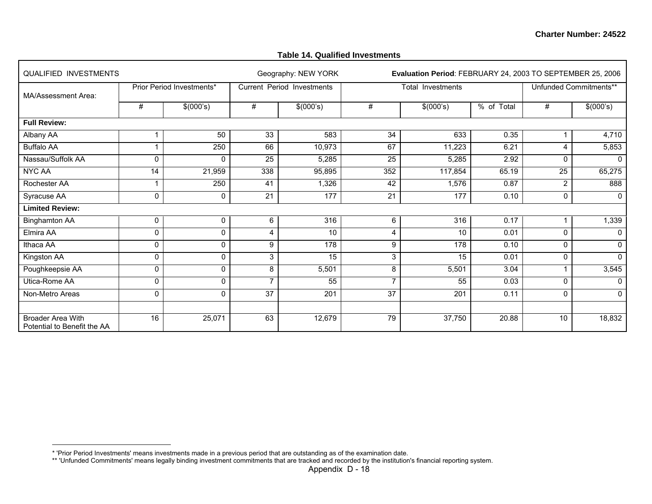### **Table 14. Qualified Investments**

| <b>QUALIFIED INVESTMENTS</b>                     |              |                           |                 | Geography: NEW YORK        |                | Evaluation Period: FEBRUARY 24, 2003 TO SEPTEMBER 25, 2006 |            |              |                        |
|--------------------------------------------------|--------------|---------------------------|-----------------|----------------------------|----------------|------------------------------------------------------------|------------|--------------|------------------------|
| MA/Assessment Area:                              |              | Prior Period Investments* |                 | Current Period Investments |                | Total Investments                                          |            |              | Unfunded Commitments** |
|                                                  | #            | \$(000's)                 | #               | \$(000's)                  | #              | \$(000's)                                                  | % of Total | #            | \$(000's)              |
| <b>Full Review:</b>                              |              |                           |                 |                            |                |                                                            |            |              |                        |
| Albany AA                                        |              | 50                        | 33              | 583                        | 34             | 633                                                        | 0.35       |              | 4,710                  |
| <b>Buffalo AA</b>                                | 1            | 250                       | 66              | 10,973                     | 67             | 11,223                                                     | 6.21       | 4            | 5,853                  |
| Nassau/Suffolk AA                                | $\Omega$     | 0                         | 25              | 5,285                      | 25             | 5,285                                                      | 2.92       | $\mathbf{0}$ | $\Omega$               |
| NYC AA                                           | 14           | 21,959                    | 338             | 95,895                     | 352            | 117,854                                                    | 65.19      | 25           | 65,275                 |
| Rochester AA                                     | 1            | 250                       | 41              | 1,326                      | 42             | 1,576                                                      | 0.87       | 2            | 888                    |
| Syracuse AA                                      | $\mathbf 0$  | 0                         | 21              | 177                        | 21             | 177                                                        | 0.10       | 0            | $\Omega$               |
| <b>Limited Review:</b>                           |              |                           |                 |                            |                |                                                            |            |              |                        |
| <b>Binghamton AA</b>                             | $\mathbf 0$  | 0                         | 6               | 316                        | 6              | 316                                                        | 0.17       |              | 1,339                  |
| Elmira AA                                        | 0            | 0                         | 4               | 10                         | 4              | 10                                                         | 0.01       | $\mathbf{0}$ |                        |
| Ithaca AA                                        | 0            | 0                         | 9               | 178                        | 9              | 178                                                        | 0.10       | $\Omega$     | $\Omega$               |
| Kingston AA                                      | $\Omega$     | $\Omega$                  | 3               | 15                         | 3              | 15                                                         | 0.01       | $\mathbf{0}$ | $\Omega$               |
| Poughkeepsie AA                                  | $\mathbf 0$  | $\Omega$                  | 8               | 5,501                      | 8              | 5,501                                                      | 3.04       |              | 3,545                  |
| Utica-Rome AA                                    | 0            | 0                         | $\overline{ }$  | 55                         | $\overline{7}$ | 55                                                         | 0.03       | $\Omega$     | $\Omega$               |
| Non-Metro Areas                                  | $\mathbf{0}$ | 0                         | $\overline{37}$ | $\overline{201}$           | 37             | 201                                                        | 0.11       | $\mathbf{0}$ | $\Omega$               |
|                                                  |              |                           |                 |                            |                |                                                            |            |              |                        |
| Broader Area With<br>Potential to Benefit the AA | 16           | 25,071                    | 63              | 12,679                     | 79             | 37,750                                                     | 20.88      | 10           | 18,832                 |

<sup>\* &#</sup>x27;Prior Period Investments' means investments made in a previous period that are outstanding as of the examination date.

<sup>\*\* &#</sup>x27;Unfunded Commitments' means legally binding investment commitments that are tracked and recorded by the institution's financial reporting system.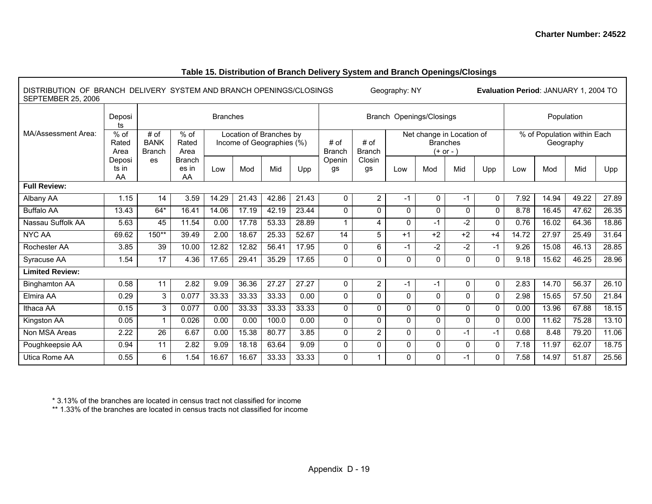| Table 15. Distribution of Branch Delivery System and Branch Openings/Closings |
|-------------------------------------------------------------------------------|
|                                                                               |

| DISTRIBUTION OF BRANCH DELIVERY SYSTEM AND BRANCH OPENINGS/CLOSINGS<br>SEPTEMBER 25, 2006 |                         |                                      |                              |                                                      |       |       |       |                              |                       | Geography: NY |                                                             |              |              |       | Evaluation Period: JANUARY 1, 2004 TO    |       |       |
|-------------------------------------------------------------------------------------------|-------------------------|--------------------------------------|------------------------------|------------------------------------------------------|-------|-------|-------|------------------------------|-----------------------|---------------|-------------------------------------------------------------|--------------|--------------|-------|------------------------------------------|-------|-------|
|                                                                                           | Deposi<br>ts            |                                      |                              | <b>Branches</b>                                      |       |       |       |                              |                       |               | Branch Openings/Closings                                    |              |              |       | Population                               |       |       |
| MA/Assessment Area:                                                                       | $%$ of<br>Rated<br>Area | # of<br><b>BANK</b><br><b>Branch</b> | % of<br>Rated<br>Area        | Location of Branches by<br>Income of Geographies (%) |       |       |       | # of<br><b>Branch</b>        | # of<br><b>Branch</b> |               | Net change in Location of<br><b>Branches</b><br>$(+ or - )$ |              |              |       | % of Population within Each<br>Geography |       |       |
|                                                                                           | Deposi<br>ts in<br>AA   | es                                   | <b>Branch</b><br>es in<br>AA | Low                                                  | Mod   | Mid   | Upp   | Closin<br>Openin<br>gs<br>gs |                       | Low           | Mod                                                         | Mid          | Upp          | Low   | Mod                                      | Mid   | Upp   |
| <b>Full Review:</b>                                                                       |                         |                                      |                              |                                                      |       |       |       |                              |                       |               |                                                             |              |              |       |                                          |       |       |
| Albany AA                                                                                 | 1.15                    | 14                                   | 3.59                         | 14.29                                                | 21.43 | 42.86 | 21.43 | 0                            | $\overline{2}$        | $-1$          | 0                                                           | $-1$         | $\mathbf{0}$ | 7.92  | 14.94                                    | 49.22 | 27.89 |
| <b>Buffalo AA</b>                                                                         | 13.43                   | $64*$                                | 16.41                        | 14.06                                                | 17.19 | 42.19 | 23.44 | $\mathbf{0}$                 | $\Omega$              | 0             | $\Omega$                                                    | $\mathbf{0}$ | $\Omega$     | 8.78  | 16.45                                    | 47.62 | 26.35 |
| Nassau Suffolk AA                                                                         | 5.63                    | 45                                   | 11.54                        | 0.00                                                 | 17.78 | 53.33 | 28.89 | 1                            | 4                     | $\Omega$      | $-1$                                                        | -2           | $\Omega$     | 0.76  | 16.02                                    | 64.36 | 18.86 |
| <b>NYC AA</b>                                                                             | 69.62                   | $150**$                              | 39.49                        | 2.00                                                 | 18.67 | 25.33 | 52.67 | 14                           | $\overline{5}$        | $+1$          | $+2$                                                        | $+2$         | $+4$         | 14.72 | 27.97                                    | 25.49 | 31.64 |
| Rochester AA                                                                              | 3.85                    | 39                                   | 10.00                        | 12.82                                                | 12.82 | 56.41 | 17.95 | $\mathbf 0$                  | 6                     | $-1$          | $-2$                                                        | -2           | $-1$         | 9.26  | 15.08                                    | 46.13 | 28.85 |
| Syracuse AA                                                                               | 1.54                    | 17                                   | 4.36                         | 17.65                                                | 29.41 | 35.29 | 17.65 | $\mathbf 0$                  | 0                     | 0             | $\Omega$                                                    | $\Omega$     | $\mathbf{0}$ | 9.18  | 15.62                                    | 46.25 | 28.96 |
| <b>Limited Review:</b>                                                                    |                         |                                      |                              |                                                      |       |       |       |                              |                       |               |                                                             |              |              |       |                                          |       |       |
| <b>Binghamton AA</b>                                                                      | 0.58                    | 11                                   | 2.82                         | 9.09                                                 | 36.36 | 27.27 | 27.27 | 0                            | $\overline{2}$        | $-1$          | $-1$                                                        | 0            | $\mathbf{0}$ | 2.83  | 14.70                                    | 56.37 | 26.10 |
| Elmira AA                                                                                 | 0.29                    | 3                                    | 0.077                        | 33.33                                                | 33.33 | 33.33 | 0.00  | $\mathbf 0$                  | 0                     | $\mathbf 0$   | $\mathbf{0}$                                                | $\mathbf{0}$ | $\mathbf{0}$ | 2.98  | 15.65                                    | 57.50 | 21.84 |
| Ithaca AA                                                                                 | 0.15                    | 3                                    | 0.077                        | 0.00                                                 | 33.33 | 33.33 | 33.33 | $\mathbf{0}$                 | $\Omega$              | $\Omega$      | $\Omega$                                                    | $\mathbf{0}$ | $\mathbf{0}$ | 0.00  | 13.96                                    | 67.88 | 18.15 |
| Kingston AA                                                                               | 0.05                    |                                      | 0.026                        | 0.00                                                 | 0.00  | 100.0 | 0.00  | 0                            | 0                     | 0             | $\mathbf{0}$                                                | $\mathbf{0}$ | $\mathbf{0}$ | 0.00  | 11.62                                    | 75.28 | 13.10 |
| Non MSA Areas                                                                             | 2.22                    | 26                                   | 6.67                         | 0.00                                                 | 15.38 | 80.77 | 3.85  | $\mathbf 0$                  | $\overline{2}$        | $\Omega$      | $\Omega$                                                    | -1           | -1           | 0.68  | 8.48                                     | 79.20 | 11.06 |
| Poughkeepsie AA                                                                           | 0.94                    | 11                                   | 2.82                         | 9.09                                                 | 18.18 | 63.64 | 9.09  | $\mathbf 0$                  | 0                     | $\Omega$      | $\Omega$                                                    | $\mathbf{0}$ | $\mathbf{0}$ | 7.18  | 11.97                                    | 62.07 | 18.75 |
| Utica Rome AA                                                                             | 0.55                    | 6                                    | 1.54                         | 16.67                                                | 16.67 | 33.33 | 33.33 | $\mathbf 0$                  | 1                     | $\Omega$      | $\Omega$                                                    | -1           | $\Omega$     | 7.58  | 14.97                                    | 51.87 | 25.56 |

Г

\* 3.13% of the branches are located in census tract not classified for income \*\* 1.33% of the branches are located in census tracts not classified for income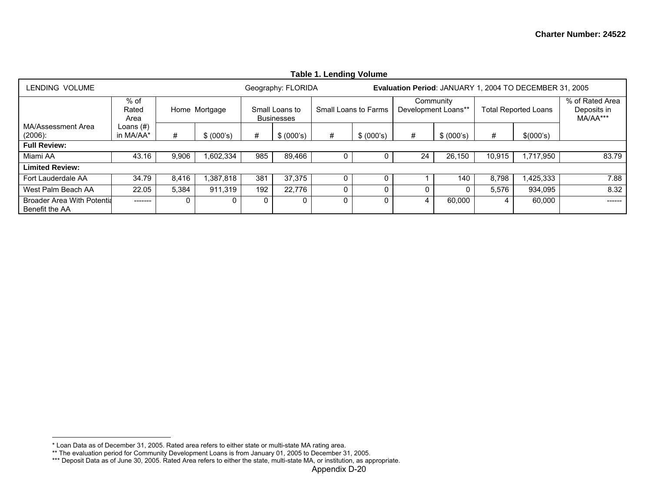|                                                     | Table 1. Lending Volume   |       |               |     |                                     |   |                      |    |                                  |        |                                                         |                                            |  |  |
|-----------------------------------------------------|---------------------------|-------|---------------|-----|-------------------------------------|---|----------------------|----|----------------------------------|--------|---------------------------------------------------------|--------------------------------------------|--|--|
| LENDING VOLUME                                      |                           |       |               |     | Geography: FLORIDA                  |   |                      |    |                                  |        | Evaluation Period: JANUARY 1, 2004 TO DECEMBER 31, 2005 |                                            |  |  |
|                                                     | $%$ of<br>Rated<br>Area   |       | Home Mortgage |     | Small Loans to<br><b>Businesses</b> |   | Small Loans to Farms |    | Community<br>Development Loans** |        | <b>Total Reported Loans</b>                             | % of Rated Area<br>Deposits in<br>MA/AA*** |  |  |
| MA/Assessment Area<br>$(2006)$ :                    | Loans $(\#)$<br>in MA/AA* | #     | \$ (000's)    | #   | \$ (000's)                          | # | \$ (000's)           | #  | \$ (000's)                       | #      | \$(000's)                                               |                                            |  |  |
| <b>Full Review:</b>                                 |                           |       |               |     |                                     |   |                      |    |                                  |        |                                                         |                                            |  |  |
| Miami AA                                            | 43.16                     | 9,906 | 1,602,334     | 985 | 89,466                              | O | 0                    | 24 | 26,150                           | 10,915 | 1,717,950                                               | 83.79                                      |  |  |
| <b>Limited Review:</b>                              |                           |       |               |     |                                     |   |                      |    |                                  |        |                                                         |                                            |  |  |
| Fort Lauderdale AA                                  | 34.79                     | 8,416 | 1,387,818     | 381 | 37,375                              | Ü | 0                    |    | 140                              | 8,798  | 1,425,333                                               | 7.88                                       |  |  |
| West Palm Beach AA                                  | 22.05                     | 5,384 | 911.319       | 192 | 22,776                              | υ | 0                    | 0  | 0                                | 5,576  | 934,095                                                 | 8.32                                       |  |  |
| <b>Broader Area With Potentia</b><br>Benefit the AA | --------                  | 0     | 0             |     |                                     | 0 | 0                    | 4  | 60,000                           | 4      | 60,000                                                  | ------                                     |  |  |

**Table 1. Lending Volume** 

<sup>\*</sup> Loan Data as of December 31, 2005. Rated area refers to either state or multi-state MA rating area.

<sup>\*\*</sup> The evaluation period for Community Development Loans is from January 01, 2005 to December 31, 2005.

<sup>\*\*\*</sup> Deposit Data as of June 30, 2005. Rated Area refers to either the state, multi-state MA, or institution, as appropriate.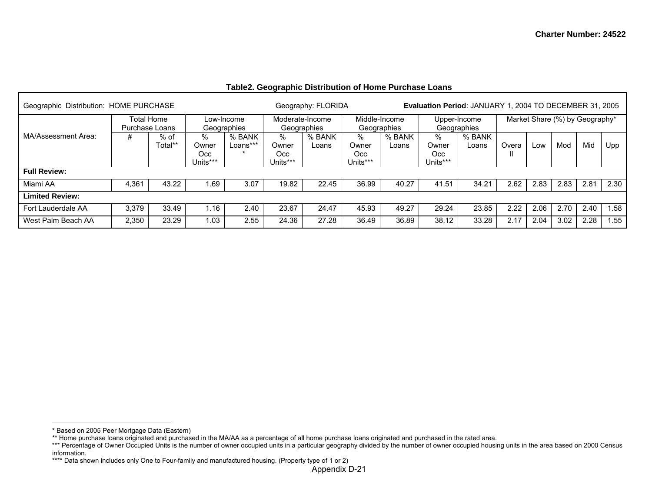## **Table2. Geographic Distribution of Home Purchase Loans**

| Geographic Distribution: HOME PURCHASE |       |                              |                                  |                           |                                | Geography: FLORIDA             |                               |                              |                               | Evaluation Period: JANUARY 1, 2004 TO DECEMBER 31, 2005 |       |                                |      |      |      |
|----------------------------------------|-------|------------------------------|----------------------------------|---------------------------|--------------------------------|--------------------------------|-------------------------------|------------------------------|-------------------------------|---------------------------------------------------------|-------|--------------------------------|------|------|------|
|                                        |       | Total Home<br>Purchase Loans |                                  | Low-Income<br>Geographies |                                | Moderate-Income<br>Geographies |                               | Middle-Income<br>Geographies |                               | Upper-Income<br>Geographies                             |       | Market Share (%) by Geography* |      |      |      |
| MA/Assessment Area:                    | #     | % of<br>Total**              | $\%$<br>Owner<br>Occ<br>Units*** | % BANK<br>Loans***        | %<br>Owner<br>Occ.<br>Units*** | % BANK<br>Loans                | %<br>Owner<br>Occ<br>Units*** | % BANK<br>Loans              | %<br>Owner<br>Occ<br>Units*** | % BANK<br>Loans                                         | Overa | Low                            | Mod  | Mid  | Upp  |
| <b>Full Review:</b>                    |       |                              |                                  |                           |                                |                                |                               |                              |                               |                                                         |       |                                |      |      |      |
| Miami AA                               | 4,361 | 43.22                        | 1.69                             | 3.07                      | 19.82                          | 22.45                          | 36.99                         | 40.27                        | 41.51                         | 34.21                                                   | 2.62  | 2.83                           | 2.83 | 2.81 | 2.30 |
| <b>Limited Review:</b>                 |       |                              |                                  |                           |                                |                                |                               |                              |                               |                                                         |       |                                |      |      |      |
| Fort Lauderdale AA                     | 3,379 | 33.49                        | 1.16                             | 2.40                      | 23.67                          | 24.47                          | 45.93                         | 49.27                        | 29.24                         | 23.85                                                   | 2.22  | 2.06                           | 2.70 | 2.40 | .58  |
| West Palm Beach AA                     | 2,350 | 23.29                        | 1.03                             | 2.55                      | 24.36                          | 27.28                          | 36.49                         | 36.89                        | 38.12                         | 33.28                                                   | 2.17  | 2.04                           | 3.02 | 2.28 | .55  |

<sup>\*</sup> Based on 2005 Peer Mortgage Data (Eastern)

<sup>\*\*</sup> Home purchase loans originated and purchased in the MA/AA as a percentage of all home purchase loans originated and purchased in the rated area.

<sup>\*\*\*</sup> Percentage of Owner Occupied Units is the number of owner occupied units in a particular geography divided by the number of owner occupied housing units in the area based on 2000 Census information.

<sup>\*\*\*\*</sup> Data shown includes only One to Four-family and manufactured housing. (Property type of 1 or 2)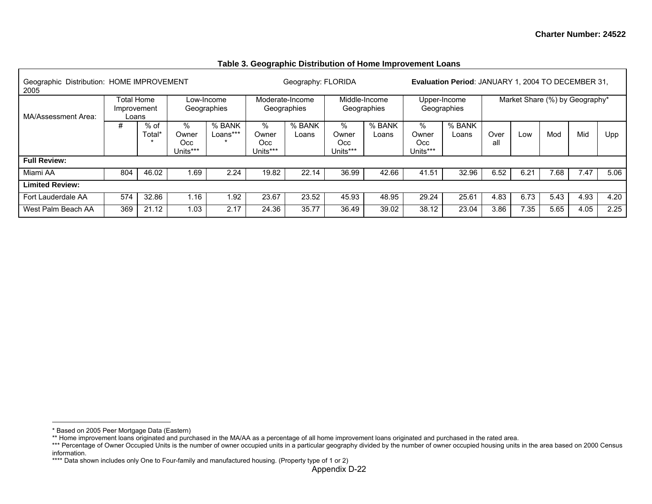| Geographic Distribution: HOME IMPROVEMENT<br>2005 |                                                                                            |        |                          |                    |                               | Geography: FLORIDA |                               |                              |                                  | <b>Evaluation Period: JANUARY 1, 2004 TO DECEMBER 31.</b> |             |                                |      |      |      |
|---------------------------------------------------|--------------------------------------------------------------------------------------------|--------|--------------------------|--------------------|-------------------------------|--------------------|-------------------------------|------------------------------|----------------------------------|-----------------------------------------------------------|-------------|--------------------------------|------|------|------|
| MA/Assessment Area:                               | <b>Total Home</b><br>Low-Income<br>Geographies<br>Improvement<br>Loans<br>$%$ of<br>%<br># |        |                          |                    |                               |                    |                               | Middle-Income<br>Geographies |                                  | Upper-Income<br>Geographies                               |             | Market Share (%) by Geography* |      |      |      |
|                                                   |                                                                                            | Total* | Owner<br>Occ<br>Units*** | % BANK<br>Loans*** | %<br>Owner<br>Occ<br>Units*** | % BANK<br>Loans    | %<br>Owner<br>Occ<br>Units*** | % BANK<br>Loans              | $\%$<br>Owner<br>Occ<br>Units*** | % BANK<br>Loans                                           | Over<br>all | Low                            | Mod  | Mid  | Upp  |
| <b>Full Review:</b>                               |                                                                                            |        |                          |                    |                               |                    |                               |                              |                                  |                                                           |             |                                |      |      |      |
| Miami AA                                          | 804                                                                                        | 46.02  | 1.69                     | 2.24               | 19.82                         | 22.14              | 36.99                         | 42.66                        | 41.51                            | 32.96                                                     | 6.52        | 6.21                           | 7.68 | 7.47 | 5.06 |
| <b>Limited Review:</b>                            |                                                                                            |        |                          |                    |                               |                    |                               |                              |                                  |                                                           |             |                                |      |      |      |
| Fort Lauderdale AA                                | 574                                                                                        | 32.86  | 1.16                     | 1.92               | 23.67                         | 23.52              | 45.93                         | 48.95                        | 29.24                            | 25.61                                                     | 4.83        | 6.73                           | 5.43 | 4.93 | 4.20 |
| West Palm Beach AA                                | 369                                                                                        | 21.12  | 1.03                     | 2.17               | 24.36                         | 35.77              | 36.49                         | 39.02                        | 38.12                            | 23.04                                                     | 3.86        | 7.35                           | 5.65 | 4.05 | 2.25 |

#### **Table 3. Geographic Distribution of Home Improvement Loans**

<sup>\*</sup> Based on 2005 Peer Mortgage Data (Eastern)

<sup>\*\*</sup> Home improvement loans originated and purchased in the MA/AA as a percentage of all home improvement loans originated and purchased in the rated area.

<sup>\*\*\*</sup> Percentage of Owner Occupied Units is the number of owner occupied units in a particular geography divided by the number of owner occupied housing units in the area based on 2000 Census information.

<sup>\*\*\*\*</sup> Data shown includes only One to Four-family and manufactured housing. (Property type of 1 or 2)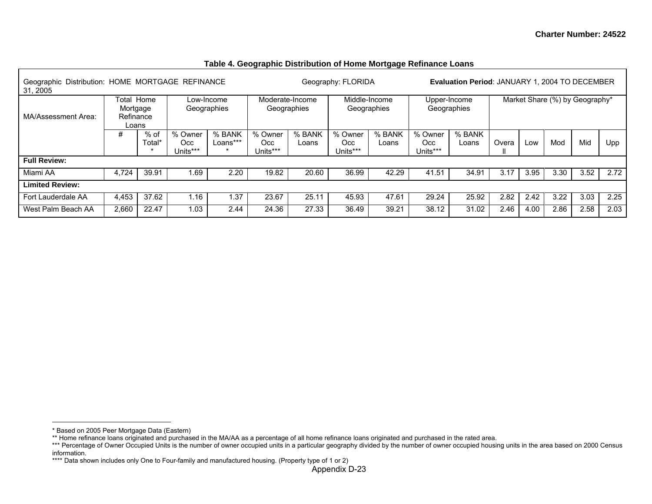| Geographic Distribution: HOME MORTGAGE REFINANCE<br>31, 2005 |                                                                     |       |          |                           |                |                                | Geography: FLORIDA |                              |                 | <b>Evaluation Period: JANUARY 1, 2004 TO DECEMBER</b> |       |      |                                |      |      |
|--------------------------------------------------------------|---------------------------------------------------------------------|-------|----------|---------------------------|----------------|--------------------------------|--------------------|------------------------------|-----------------|-------------------------------------------------------|-------|------|--------------------------------|------|------|
| MA/Assessment Area:                                          | Total Home<br>Mortgage<br>Refinance<br>Loans<br>#<br>% of<br>Total* |       |          | Low-Income<br>Geographies |                | Moderate-Income<br>Geographies |                    | Middle-Income<br>Geographies |                 | Upper-Income<br>Geographies                           |       |      | Market Share (%) by Geography* |      |      |
|                                                              |                                                                     |       |          | % BANK<br>Loans***        | % Owner<br>Occ | % BANK<br>Loans                | % Owner<br>Occ     | % BANK<br>Loans              | % Owner<br>Occ. | % BANK<br>Loans                                       | Overa | Low  | Mod                            | Mid  | Upp  |
|                                                              |                                                                     |       | Units*** |                           | Units***       |                                | Units***           |                              | Units***        |                                                       |       |      |                                |      |      |
| <b>Full Review:</b>                                          |                                                                     |       |          |                           |                |                                |                    |                              |                 |                                                       |       |      |                                |      |      |
| Miami AA                                                     | 4,724                                                               | 39.91 | 1.69     | 2.20                      | 19.82          | 20.60                          | 36.99              | 42.29                        | 41.51           | 34.91                                                 | 3.17  | 3.95 | 3.30                           | 3.52 | 2.72 |
| <b>Limited Review:</b>                                       |                                                                     |       |          |                           |                |                                |                    |                              |                 |                                                       |       |      |                                |      |      |
| Fort Lauderdale AA                                           | 4,453                                                               | 37.62 | 1.16     | l.37                      | 23.67          | 25.11                          | 45.93              | 47.61                        | 29.24           | 25.92                                                 | 2.82  | 2.42 | 3.22                           | 3.03 | 2.25 |
| West Palm Beach AA                                           | 2,660                                                               | 22.47 | 1.03     | 2.44                      | 24.36          | 27.33                          | 36.49              | 39.21                        | 38.12           | 31.02                                                 | 2.46  | 4.00 | 2.86                           | 2.58 | 2.03 |

## **Table 4. Geographic Distribution of Home Mortgage Refinance Loans**

<sup>\*</sup> Based on 2005 Peer Mortgage Data (Eastern)

<sup>\*\*</sup> Home refinance loans originated and purchased in the MA/AA as a percentage of all home refinance loans originated and purchased in the rated area.

<sup>\*\*\*</sup> Percentage of Owner Occupied Units is the number of owner occupied units in a particular geography divided by the number of owner occupied housing units in the area based on 2000 Census information.

<sup>\*\*\*\*</sup> Data shown includes only One to Four-family and manufactured housing. (Property type of 1 or 2)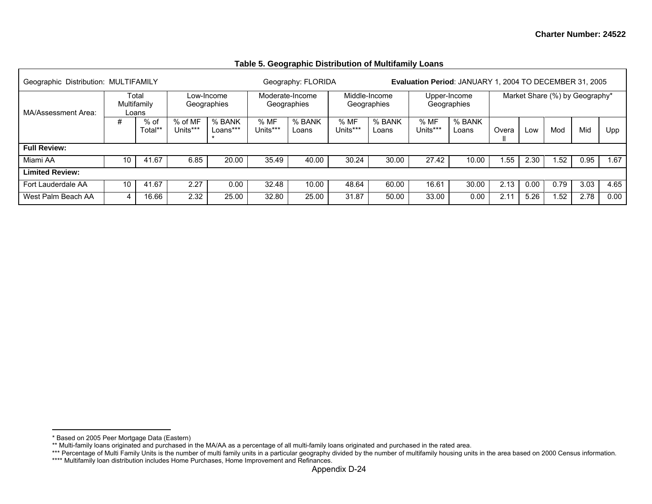| Geographic Distribution: MULTIFAMILY |    |                               |                     |                               |                  | Geography: FLORIDA             |                 |                              |                  | <b>Evaluation Period: JANUARY 1, 2004 TO DECEMBER 31, 2005</b> |       |      |      |                                |      |
|--------------------------------------|----|-------------------------------|---------------------|-------------------------------|------------------|--------------------------------|-----------------|------------------------------|------------------|----------------------------------------------------------------|-------|------|------|--------------------------------|------|
| MA/Assessment Area:                  |    | Total<br>Multifamily<br>Loans |                     | Low-Income<br>Geographies     |                  | Moderate-Income<br>Geographies |                 | Middle-Income<br>Geographies |                  | Upper-Income<br>Geographies                                    |       |      |      | Market Share (%) by Geography* |      |
|                                      | #  | $%$ of<br>Total**             | % of MF<br>Units*** | % BANK<br>Loans***<br>$\star$ | % MF<br>Units*** | % BANK<br>Loans                | %MF<br>Units*** | % BANK<br>Loans              | % MF<br>Units*** | % BANK<br>Loans                                                | Overa | Low  | Mod  | Mid                            | Upp  |
| <b>Full Review:</b>                  |    |                               |                     |                               |                  |                                |                 |                              |                  |                                                                |       |      |      |                                |      |
| Miami AA                             | 10 | 41.67                         | 6.85                | 20.00                         | 35.49            | 40.00                          | 30.24           | 30.00                        | 27.42            | 10.00                                                          | .55   | 2.30 | .52  | 0.95                           | 1.67 |
| <b>Limited Review:</b>               |    |                               |                     |                               |                  |                                |                 |                              |                  |                                                                |       |      |      |                                |      |
| Fort Lauderdale AA                   | 10 | 41.67                         | 2.27                | 0.00                          | 32.48            | 10.00                          | 48.64           | 60.00                        | 16.61            | 30.00                                                          | 2.13  | 0.00 | 0.79 | 3.03                           | 4.65 |
| West Palm Beach AA                   | 4  | 16.66                         | 2.32                | 25.00                         | 32.80            | 25.00                          | 31.87           | 50.00                        | 33.00            | 0.00                                                           | 2.11  | 5.26 | .52  | 2.78                           | 0.00 |

**Table 5. Geographic Distribution of Multifamily Loans** 

<sup>\*</sup> Based on 2005 Peer Mortgage Data (Eastern)

<sup>\*\*</sup> Multi-family loans originated and purchased in the MA/AA as a percentage of all multi-family loans originated and purchased in the rated area.

<sup>\*\*\*</sup> Percentage of Multi Family Units is the number of multi family units in a particular geography divided by the number of multifamily housing units in the area based on 2000 Census information.

<sup>\*\*\*\*</sup> Multifamily loan distribution includes Home Purchases, Home Improvement and Refinances.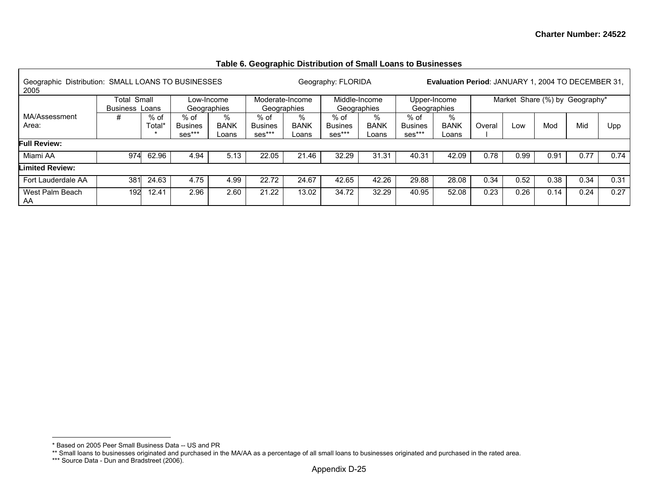## **Table 6. Geographic Distribution of Small Loans to Businesses**

| Geographic Distribution: SMALL LOANS TO BUSINESSES<br>2005 |                                |                |                                    |                           |                                  |                              | Geography: FLORIDA                 |                           |                                  | <b>Evaluation Period: JANUARY 1, 2004 TO DECEMBER 31,</b> |        |      |      |                                |      |
|------------------------------------------------------------|--------------------------------|----------------|------------------------------------|---------------------------|----------------------------------|------------------------------|------------------------------------|---------------------------|----------------------------------|-----------------------------------------------------------|--------|------|------|--------------------------------|------|
|                                                            | Total<br><b>Business Loans</b> | Small          |                                    | Low-Income<br>Geographies | Moderate-Income                  | Geographies                  | Middle-Income<br>Geographies       |                           | Geographies                      | Upper-Income                                              |        |      |      | Market Share (%) by Geography* |      |
| MA/Assessment<br>Area:                                     | #                              | % of<br>Total* | $%$ of<br><b>Busines</b><br>ses*** | %<br><b>BANK</b><br>Loans | % of<br><b>Busines</b><br>ses*** | $\%$<br><b>BANK</b><br>-oans | $%$ of<br><b>Busines</b><br>ses*** | %<br><b>BANK</b><br>Loans | % of<br><b>Busines</b><br>ses*** | %<br><b>BANK</b><br>Loans                                 | Overal | Low  | Mod  | Mid                            | Upp  |
| <b>Full Review:</b>                                        |                                |                |                                    |                           |                                  |                              |                                    |                           |                                  |                                                           |        |      |      |                                |      |
| Miami AA                                                   | 974                            | 62.96          | 4.94                               | 5.13                      | 22.05                            | 21.46                        | 32.29                              | 31.31                     | 40.31                            | 42.09                                                     | 0.78   | 0.99 | 0.91 | 0.77                           | 0.74 |
| <b>Limited Review:</b>                                     |                                |                |                                    |                           |                                  |                              |                                    |                           |                                  |                                                           |        |      |      |                                |      |
| Fort Lauderdale AA                                         | 381                            | 24.63          | 4.75                               | 4.99                      | 22.72                            | 24.67                        | 42.65                              | 42.26                     | 29.88                            | 28.08                                                     | 0.34   | 0.52 | 0.38 | 0.34                           | 0.31 |
| West Palm Beach<br>AA                                      | 192                            | 12.41          | 2.96                               | 2.60                      | 21.22                            | 13.02                        | 34.72                              | 32.29                     | 40.95                            | 52.08                                                     | 0.23   | 0.26 | 0.14 | 0.24                           | 0.27 |

<sup>\*</sup> Based on 2005 Peer Small Business Data -- US and PR

<sup>\*\*</sup> Small loans to businesses originated and purchased in the MA/AA as a percentage of all small loans to businesses originated and purchased in the rated area.

<sup>\*\*\*</sup> Source Data - Dun and Bradstreet (2006).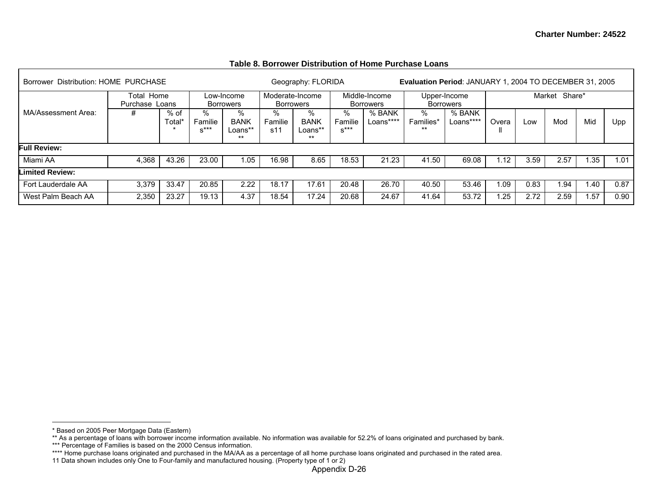| Table 8. Borrower Distribution of Home Purchase Loans |  |
|-------------------------------------------------------|--|
|-------------------------------------------------------|--|

| Borrower Distribution: HOME PURCHASE |                                   |                |                        |                                   |                     | Geography: FLORIDA                   |                        |                                   |                                     | Evaluation Period: JANUARY 1, 2004 TO DECEMBER 31, 2005 |       |      |                  |      |      |
|--------------------------------------|-----------------------------------|----------------|------------------------|-----------------------------------|---------------------|--------------------------------------|------------------------|-----------------------------------|-------------------------------------|---------------------------------------------------------|-------|------|------------------|------|------|
|                                      | ∣ Home<br>Total<br>Purchase Loans |                |                        | Low-Income<br><b>Borrowers</b>    |                     | Moderate-Income<br>Borrowers         |                        | Middle-Income<br><b>Borrowers</b> |                                     | Upper-Income<br><b>Borrowers</b>                        |       |      | Share*<br>Market |      |      |
| MA/Assessment Area:                  | #                                 | % of<br>Total* | %<br>Familie<br>$x***$ | %<br><b>BANK</b><br>Loans**<br>** | %<br>Familie<br>s11 | %<br><b>BANK</b><br>Loans**<br>$***$ | %<br>Familie<br>$S***$ | % BANK<br>Loans****               | $\frac{0}{0}$<br>Families*<br>$***$ | % BANK<br>Loans****                                     | Overa | Low  | Mod              | Mid  | Upp  |
| <b>Full Review:</b>                  |                                   |                |                        |                                   |                     |                                      |                        |                                   |                                     |                                                         |       |      |                  |      |      |
| Miami AA                             | 4,368                             | 43.26          | 23.00                  | .05                               | 16.98               | 8.65                                 | 18.53                  | 21.23                             | 41.50                               | 69.08                                                   | 1.12  | 3.59 | 2.57             | 1.35 | 1.01 |
| Limited Review:                      |                                   |                |                        |                                   |                     |                                      |                        |                                   |                                     |                                                         |       |      |                  |      |      |
| Fort Lauderdale AA                   | 3.379                             | 33.47          | 20.85                  | 2.22                              | 18.17               | 17.61                                | 20.48                  | 26.70                             | 40.50                               | 53.46                                                   | 0.09  | 0.83 | . 94             | 1.40 | 0.87 |
| West Palm Beach AA                   | 2,350                             | 23.27          | 19.13                  | 4.37                              | 18.54               | 17.24                                | 20.68                  | 24.67                             | 41.64                               | 53.72                                                   | .25   | 2.72 | 2.59             | 1.57 | 0.90 |

<sup>\*</sup> Based on 2005 Peer Mortgage Data (Eastern)

<sup>\*\*</sup> As a percentage of loans with borrower income information available. No information was available for 52.2% of loans originated and purchased by bank.

<sup>\*\*\*</sup> Percentage of Families is based on the 2000 Census information.

<sup>\*\*\*\*</sup> Home purchase loans originated and purchased in the MA/AA as a percentage of all home purchase loans originated and purchased in the rated area.

<sup>11</sup> Data shown includes only One to Four-family and manufactured housing. (Property type of 1 or 2)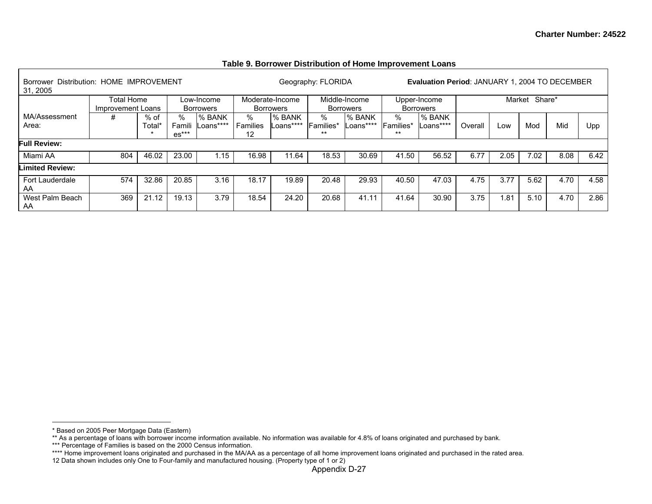| <b>Borrower</b><br>31, 2005 | Distribution: HOME IMPROVEMENT  |                  |                       |                                |                     |                              | Geography: FLORIDA   |                                   |                       | Evaluation Period: JANUARY 1, 2004 TO DECEMBER |         |        |        |      |      |
|-----------------------------|---------------------------------|------------------|-----------------------|--------------------------------|---------------------|------------------------------|----------------------|-----------------------------------|-----------------------|------------------------------------------------|---------|--------|--------|------|------|
|                             | Total Home<br>Improvement Loans |                  |                       | Low-Income<br><b>Borrowers</b> |                     | Moderate-Income<br>Borrowers |                      | Middle-Income<br><b>Borrowers</b> |                       | Upper-Income<br><b>Borrowers</b>               |         | Market | Share* |      |      |
| MA/Assessment<br>Area:      | #                               | $%$ of<br>Total* | ℅<br>Famil<br>$es***$ | % BANK<br>Loans****            | %<br>Families<br>12 | % BANK<br>Loans****          | %<br>Families*<br>** | % BANK<br>Loans****               | %<br>lFamilies*<br>** | % BANK<br>Loans****                            | Overall | Low    | Mod    | Mid  | Upp  |
| <b>Full Review:</b>         |                                 |                  |                       |                                |                     |                              |                      |                                   |                       |                                                |         |        |        |      |      |
| Miami AA                    | 804                             | 46.02            | 23.00                 | 1.15                           | 16.98               | 11.64                        | 18.53                | 30.69                             | 41.50                 | 56.52                                          | 6.77    | 2.05   | 7.02   | 8.08 | 6.42 |
| Limited Review:             |                                 |                  |                       |                                |                     |                              |                      |                                   |                       |                                                |         |        |        |      |      |
| Fort Lauderdale<br>AA       | 574                             | 32.86            | 20.85                 | 3.16                           | 18.17               | 19.89                        | 20.48                | 29.93                             | 40.50                 | 47.03                                          | 4.75    | 3.77   | 5.62   | 4.70 | 4.58 |
| West Palm Beach<br>AA       | 369                             | 21.12            | 19.13                 | 3.79                           | 18.54               | 24.20                        | 20.68                | 41.11                             | 41.64                 | 30.90                                          | 3.75    | i.81   | 5.10   | 4.70 | 2.86 |

#### **Table 9. Borrower Distribution of Home Improvement Loans**

<sup>\*</sup> Based on 2005 Peer Mortgage Data (Eastern)

<sup>\*\*</sup> As a percentage of loans with borrower income information available. No information was available for 4.8% of loans originated and purchased by bank.

<sup>\*\*\*</sup> Percentage of Families is based on the 2000 Census information.

<sup>\*\*\*\*</sup> Home improvement loans originated and purchased in the MA/AA as a percentage of all home improvement loans originated and purchased in the rated area.

<sup>12</sup> Data shown includes only One to Four-family and manufactured housing. (Property type of 1 or 2)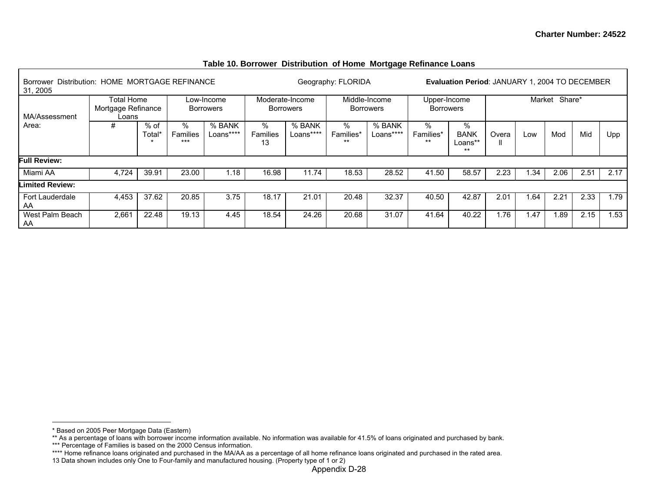| Borrower<br>31, 2005   | Distribution: HOME MORTGAGE REFINANCE                                                                |       |                   |                     |                     |                                     | Geography: FLORIDA      |                                   |                                  | <b>Evaluation Period: JANUARY 1, 2004 TO DECEMBER</b> |       |        |        |      |      |
|------------------------|------------------------------------------------------------------------------------------------------|-------|-------------------|---------------------|---------------------|-------------------------------------|-------------------------|-----------------------------------|----------------------------------|-------------------------------------------------------|-------|--------|--------|------|------|
| MA/Assessment          | <b>Total Home</b><br>Low-Income<br>Mortgage Refinance<br><b>Borrowers</b><br>Loans<br>%<br>% of<br># |       |                   |                     |                     | Moderate-Income<br><b>Borrowers</b> |                         | Middle-Income<br><b>Borrowers</b> | Upper-Income<br><b>Borrowers</b> |                                                       |       | Market | Share* |      |      |
| Area:                  |                                                                                                      | Total | Families<br>$***$ | % BANK<br>Loans**** | ℅<br>Families<br>13 | % BANK<br>Loans****                 | %<br>Families*<br>$***$ | % BANK<br>Loans****               | %<br>Families*<br>$***$          | %<br><b>BANK</b><br>Loans**<br>$***$                  | Overa | Low    | Mod    | Mid  | Upp  |
| <b>Full Review:</b>    |                                                                                                      |       |                   |                     |                     |                                     |                         |                                   |                                  |                                                       |       |        |        |      |      |
| Miami AA               | 4.724                                                                                                | 39.91 | 23.00             | $\overline{.18}$    | 16.98               | 11.74                               | 18.53                   | 28.52                             | 41.50                            | 58.57                                                 | 2.23  | 1.34   | 2.06   | 2.51 | 2.17 |
| <b>Limited Review:</b> |                                                                                                      |       |                   |                     |                     |                                     |                         |                                   |                                  |                                                       |       |        |        |      |      |
| Fort Lauderdale<br>AA  | 4.453                                                                                                | 37.62 | 20.85             | 3.75                | 18.17               | 21.01                               | 20.48                   | 32.37                             | 40.50                            | 42.87                                                 | 2.01  | .64    | 2.21   | 2.33 | 1.79 |
| West Palm Beach<br>AA  | 2,661                                                                                                | 22.48 | 19.13             | 4.45                | 18.54               | 24.26                               | 20.68                   | 31.07                             | 41.64                            | 40.22                                                 | 1.76  | 1.47   | 1.89   | 2.15 | 1.53 |

### **Table 10. Borrower Distribution of Home Mortgage Refinance Loans**

<sup>\*</sup> Based on 2005 Peer Mortgage Data (Eastern)

<sup>\*\*</sup> As a percentage of loans with borrower income information available. No information was available for 41.5% of loans originated and purchased by bank.

<sup>\*\*\*</sup> Percentage of Families is based on the 2000 Census information.

<sup>\*\*\*\*</sup> Home refinance loans originated and purchased in the MA/AA as a percentage of all home refinance loans originated and purchased in the rated area.

<sup>13</sup> Data shown includes only One to Four-family and manufactured housing. (Property type of 1 or 2)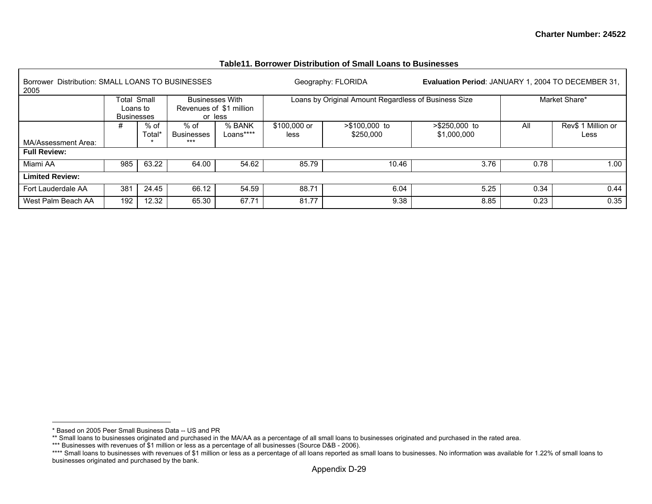| Distribution: SMALL LOANS TO BUSINESSES<br><b>Borrower</b><br>2005 |                                       |                |                             |                                    |                      | Geography: FLORIDA                                   | <b>Evaluation Period: JANUARY 1, 2004 TO DECEMBER 31,</b> |      |                            |
|--------------------------------------------------------------------|---------------------------------------|----------------|-----------------------------|------------------------------------|----------------------|------------------------------------------------------|-----------------------------------------------------------|------|----------------------------|
|                                                                    | Total Small<br>Loans to<br>Businesses |                | <b>Businesses With</b>      | Revenues of \$1 million<br>or less |                      | Loans by Original Amount Regardless of Business Size |                                                           |      | Market Share*              |
|                                                                    | #                                     | % of<br>Total* | $%$ of<br><b>Businesses</b> | % BANK<br>Loans****                | \$100,000 or<br>less | >\$100,000 to<br>\$250,000                           | >\$250,000 to<br>\$1,000,000                              | ΑI   | Rev\$ 1 Million or<br>Less |
| MA/Assessment Area:                                                |                                       |                | $***$                       |                                    |                      |                                                      |                                                           |      |                            |
| <b>Full Review:</b>                                                |                                       |                |                             |                                    |                      |                                                      |                                                           |      |                            |
| Miami AA                                                           | 985                                   | 63.22          | 64.00                       | 54.62                              | 85.79                | 10.46                                                | 3.76                                                      | 0.78 | 1.00                       |
| <b>Limited Review:</b>                                             |                                       |                |                             |                                    |                      |                                                      |                                                           |      |                            |
| Fort Lauderdale AA                                                 | 381                                   | 24.45          | 66.12                       | 54.59                              | 88.71                | 6.04                                                 | 5.25                                                      | 0.34 | 0.44                       |
| West Palm Beach AA                                                 | 192                                   | 12.32          | 65.30                       | 67.71                              | 81.77                | 9.38                                                 | 8.85                                                      | 0.23 | 0.35                       |

#### **Table11. Borrower Distribution of Small Loans to Businesses**

<sup>\*</sup> Based on 2005 Peer Small Business Data -- US and PR

<sup>\*\*</sup> Small loans to businesses originated and purchased in the MA/AA as a percentage of all small loans to businesses originated and purchased in the rated area.

<sup>\*\*\*</sup> Businesses with revenues of \$1 million or less as a percentage of all businesses (Source D&B - 2006).

<sup>\*\*\*\*</sup> Small loans to businesses with revenues of \$1 million or less as a percentage of all loans reported as small loans to businesses. No information was available for 1.22% of small loans to businesses originated and purchased by the bank.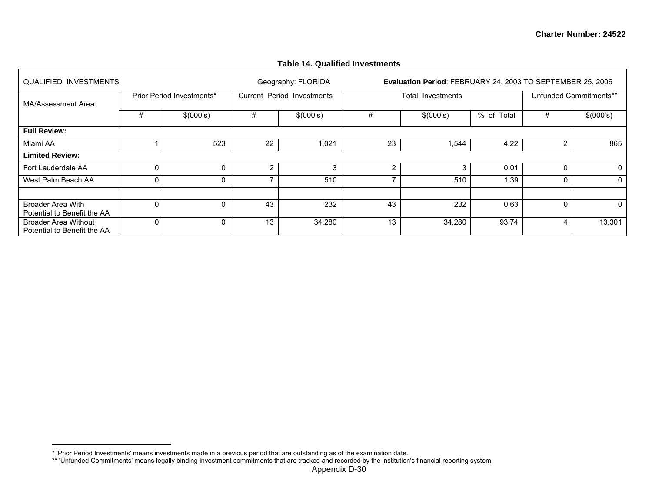| <b>QUALIFIED INVESTMENTS</b>                        |          |                           |    | Geography: FLORIDA         |    | Evaluation Period: FEBRUARY 24, 2003 TO SEPTEMBER 25, 2006 |            |              |                        |
|-----------------------------------------------------|----------|---------------------------|----|----------------------------|----|------------------------------------------------------------|------------|--------------|------------------------|
| MA/Assessment Area:                                 |          | Prior Period Investments* |    | Current Period Investments |    | Total Investments                                          |            |              | Unfunded Commitments** |
|                                                     | #        | \$(000's)                 | #  | \$(000's)                  | #  | \$(000's)                                                  | % of Total | #            | \$(000's)              |
| <b>Full Review:</b>                                 |          |                           |    |                            |    |                                                            |            |              |                        |
| Miami AA                                            |          | 523                       | 22 | 1,021                      | 23 | .544                                                       | 4.22       | 2            | 865                    |
| <b>Limited Review:</b>                              |          |                           |    |                            |    |                                                            |            |              |                        |
| Fort Lauderdale AA                                  | ۵        |                           | 2  | 3                          | 2  | 3                                                          | 0.01       | 0            | 0                      |
| West Palm Beach AA                                  | 0        |                           |    | 510                        |    | 510                                                        | 1.39       | $\mathbf{0}$ | $\mathbf{0}$           |
|                                                     |          |                           |    |                            |    |                                                            |            |              |                        |
| <b>Broader Area With</b>                            | $\Omega$ |                           | 43 | 232                        | 43 | 232                                                        | 0.63       | 0            | 0                      |
| Potential to Benefit the AA                         |          |                           |    |                            |    |                                                            |            |              |                        |
| Broader Area Without<br>Potential to Benefit the AA | 0        |                           | 13 | 34,280                     | 13 | 34,280                                                     | 93.74      | 4            | 13,301                 |

#### **Table 14. Qualified Investments**

<sup>\* &#</sup>x27;Prior Period Investments' means investments made in a previous period that are outstanding as of the examination date.

<sup>\*\* &#</sup>x27;Unfunded Commitments' means legally binding investment commitments that are tracked and recorded by the institution's financial reporting system.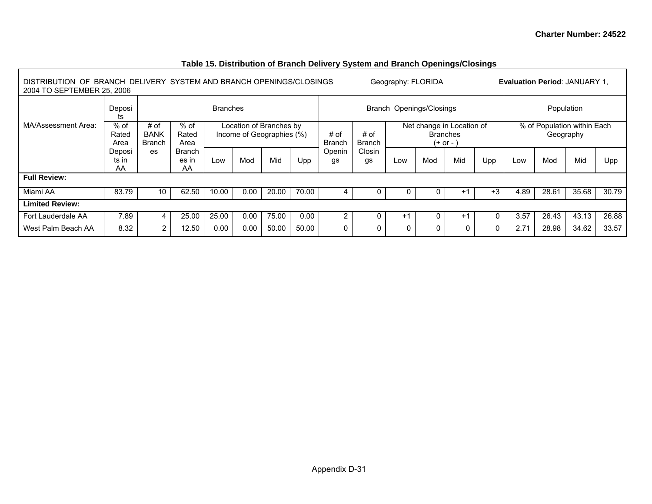٦

# **Table 15. Distribution of Branch Delivery System and Branch Openings/Closings**

| DISTRIBUTION OF BRANCH DELIVERY SYSTEM AND BRANCH OPENINGS/CLOSINGS<br>2004 TO SEPTEMBER 25, 2006 |                         |                                      |                              |                 |                   |                                                      |       |                       |                       | Geography: FLORIDA |                           |                               |      |      | <b>Evaluation Period: JANUARY 1.</b>     |       |       |
|---------------------------------------------------------------------------------------------------|-------------------------|--------------------------------------|------------------------------|-----------------|-------------------|------------------------------------------------------|-------|-----------------------|-----------------------|--------------------|---------------------------|-------------------------------|------|------|------------------------------------------|-------|-------|
|                                                                                                   | Deposi<br>ts            |                                      |                              | <b>Branches</b> |                   |                                                      |       |                       |                       |                    | Branch Openings/Closings  |                               |      |      | Population                               |       |       |
| MA/Assessment Area:                                                                               | $%$ of<br>Rated<br>Area | # of<br><b>BANK</b><br><b>Branch</b> | $%$ of<br>Rated<br>Area      |                 |                   | Location of Branches by<br>Income of Geographies (%) |       | # of<br><b>Branch</b> | # of<br><b>Branch</b> |                    | Net change in Location of | <b>Branches</b><br>$(+ or -)$ |      |      | % of Population within Each<br>Geography |       |       |
|                                                                                                   | Deposi<br>ts in<br>AA   | es                                   | <b>Branch</b><br>es in<br>AA | Low             | Mid<br>Mod<br>Upp |                                                      |       |                       | Closin<br>gs          | Low                | Mod                       | Mid                           | Upp  | Low  | Mod                                      | Mid   | Upp   |
| <b>Full Review:</b>                                                                               |                         |                                      |                              |                 |                   |                                                      |       |                       |                       |                    |                           |                               |      |      |                                          |       |       |
| Miami AA                                                                                          | 83.79                   | 10                                   | 62.50                        | 10.00           | 0.00              | 20.00                                                | 70.00 | 4                     | 0                     |                    |                           | $+1$                          | $+3$ | 4.89 | 28.61                                    | 35.68 | 30.79 |
| <b>Limited Review:</b>                                                                            |                         |                                      |                              |                 |                   |                                                      |       |                       |                       |                    |                           |                               |      |      |                                          |       |       |
| Fort Lauderdale AA                                                                                | 7.89                    |                                      | 25.00                        | 25.00           | 0.00              | 75.00                                                | 0.00  | $\overline{2}$        | 0                     | $+1$               | 0                         | $+1$                          | 0    | 3.57 | 26.43                                    | 43.13 | 26.88 |
| West Palm Beach AA                                                                                | 8.32                    | $\overline{2}$                       | 12.50                        | 0.00            | 0.00              | 50.00                                                | 50.00 | 0                     | 0                     | 0                  | O                         | $\mathbf{0}$                  | 0    | 2.71 | 28.98                                    | 34.62 | 33.57 |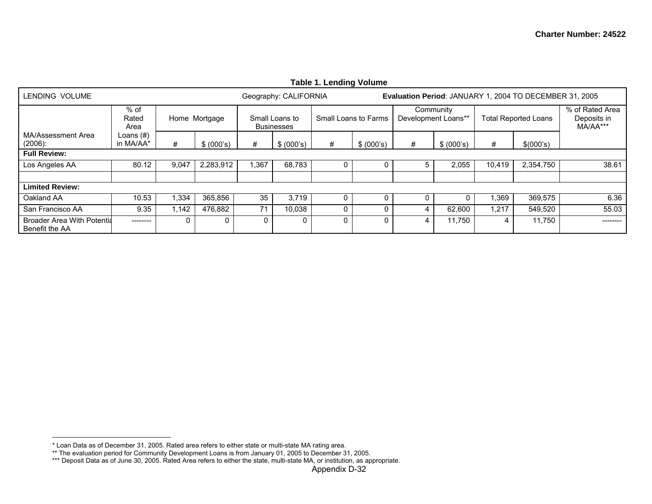|                                                     |                         |       |               |          |                                     | Table 1. Lending Volume |                      |   |                                  |        |                                                         |                                            |
|-----------------------------------------------------|-------------------------|-------|---------------|----------|-------------------------------------|-------------------------|----------------------|---|----------------------------------|--------|---------------------------------------------------------|--------------------------------------------|
| LENDING VOLUME                                      |                         |       |               |          | Geography: CALIFORNIA               |                         |                      |   |                                  |        | Evaluation Period: JANUARY 1, 2004 TO DECEMBER 31, 2005 |                                            |
|                                                     | $%$ of<br>Rated<br>Area |       | Home Mortgage |          | Small Loans to<br><b>Businesses</b> |                         | Small Loans to Farms |   | Community<br>Development Loans** |        | <b>Total Reported Loans</b>                             | % of Rated Area<br>Deposits in<br>MA/AA*** |
| MA/Assessment Area<br>$(2006)$ :                    | Loans (#)<br>in MA/AA*  | #     | \$ (000's)    | #        | \$ (000's)                          | #                       | \$ (000's)           | # | \$ (000's)                       | #      | \$(000's)                                               |                                            |
| <b>Full Review:</b>                                 |                         |       |               |          |                                     |                         |                      |   |                                  |        |                                                         |                                            |
| Los Angeles AA                                      | 80.12                   | 9,047 | 2,283,912     | ,367     | 68,783                              | 0                       | 0                    | 5 | 2,055                            | 10,419 | 2,354,750                                               | 38.61                                      |
|                                                     |                         |       |               |          |                                     |                         |                      |   |                                  |        |                                                         |                                            |
| <b>Limited Review:</b>                              |                         |       |               |          |                                     |                         |                      |   |                                  |        |                                                         |                                            |
| Oakland AA                                          | 10.53                   | ,334  | 365,856       | 35       | 3,719                               | 0                       | 0                    | 0 | 0.                               | ,369   | 369,575                                                 | 6.36                                       |
| San Francisco AA                                    | 9.35                    | 1.142 | 476,882       | 71       | 10,038                              | 0                       | 0                    | 4 | 62,600                           | 1,217  | 549,520                                                 | 55.03                                      |
| <b>Broader Area With Potentia</b><br>Benefit the AA | --------                | 0     |               | $\Omega$ |                                     | 0                       | $\mathbf{0}$         | 4 | 11,750                           | 4      | 11,750                                                  | --------                                   |

<sup>\*</sup> Loan Data as of December 31, 2005. Rated area refers to either state or multi-state MA rating area.

<sup>\*\*</sup> The evaluation period for Community Development Loans is from January 01, 2005 to December 31, 2005.

<sup>\*\*\*</sup> Deposit Data as of June 30, 2005. Rated Area refers to either the state, multi-state MA, or institution, as appropriate.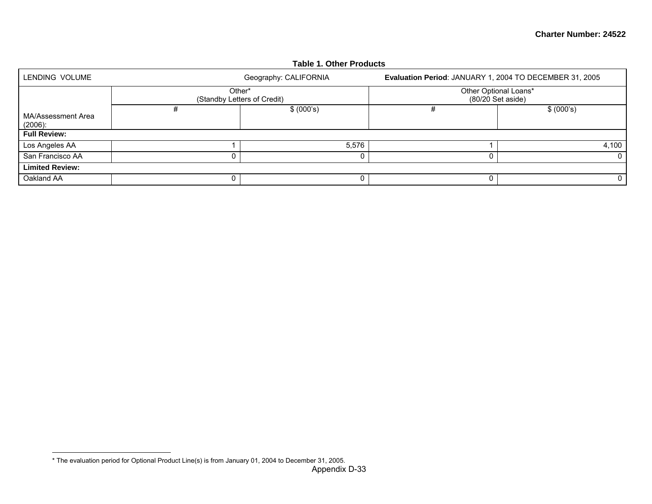|                                  |                                       | Table 1. Other Products |                                                         |            |
|----------------------------------|---------------------------------------|-------------------------|---------------------------------------------------------|------------|
| LENDING VOLUME                   |                                       | Geography: CALIFORNIA   | Evaluation Period: JANUARY 1, 2004 TO DECEMBER 31, 2005 |            |
|                                  | Other*<br>(Standby Letters of Credit) |                         | Other Optional Loans*<br>(80/20 Set aside)              |            |
| MA/Assessment Area<br>$(2006)$ : | #                                     | \$ (000's)              |                                                         | \$ (000's) |
| <b>Full Review:</b>              |                                       |                         |                                                         |            |
| Los Angeles AA                   |                                       | 5,576                   |                                                         | 4,100      |
| San Francisco AA                 |                                       | 0                       |                                                         | 0          |
| <b>Limited Review:</b>           |                                       |                         |                                                         |            |
| Oakland AA                       |                                       | 0                       |                                                         | 0          |

## **Table 1. Other Products**

<sup>\*</sup> The evaluation period for Optional Product Line(s) is from January 01, 2004 to December 31, 2005.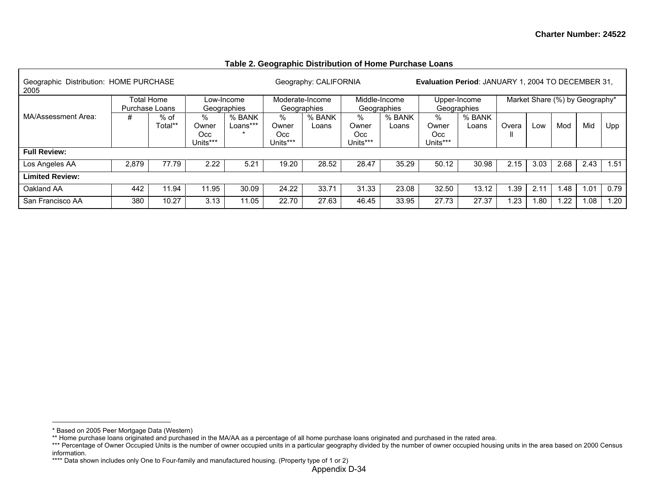| Geographic Distribution: HOME PURCHASE<br>2005 |       |                              |                                  |                           |                                  | Geography: CALIFORNIA          |                                  |                              | <b>Evaluation Period: JANUARY 1, 2004 TO DECEMBER 31,</b> |                             |       |               |                                |      |      |
|------------------------------------------------|-------|------------------------------|----------------------------------|---------------------------|----------------------------------|--------------------------------|----------------------------------|------------------------------|-----------------------------------------------------------|-----------------------------|-------|---------------|--------------------------------|------|------|
|                                                |       | Total Home<br>Purchase Loans |                                  | Low-Income<br>Geographies |                                  | Moderate-Income<br>Geographies |                                  | Middle-Income<br>Geographies |                                                           | Upper-Income<br>Geographies |       |               | Market Share (%) by Geography* |      |      |
| MA/Assessment Area:                            | #     | % of<br>Total**              | $\%$<br>Owner<br>Occ<br>Units*** | % BANK<br>Loans***        | $\%$<br>Owner<br>Occ<br>Units*** | % BANK<br>Loans                | $\%$<br>Owner<br>Occ<br>Units*** | % BANK<br>Loans              | $\%$<br>Owner<br>Occ.<br>Units***                         | % BANK<br>Loans             | Overa | Low           | Mod                            | Mid  | Upp  |
| <b>Full Review:</b>                            |       |                              |                                  |                           |                                  |                                |                                  |                              |                                                           |                             |       |               |                                |      |      |
| Los Angeles AA                                 | 2,879 | 77.79                        | 2.22                             | 5.21                      | 19.20                            | 28.52                          | 28.47                            | 35.29                        | 50.12                                                     | 30.98                       | 2.15  | 3.03          | 2.68                           | 2.43 | 1.51 |
| <b>Limited Review:</b>                         |       |                              |                                  |                           |                                  |                                |                                  |                              |                                                           |                             |       |               |                                |      |      |
| Oakland AA                                     | 442   | 11.94                        | 11.95                            | 30.09                     | 24.22                            | 33.71                          | 31.33                            | 23.08                        | 32.50                                                     | 13.12                       | .39   | $2.1^{\circ}$ | 1.48                           | 1.01 | 0.79 |
| San Francisco AA                               | 380   | 10.27                        | 3.13                             | 11.05                     | 22.70                            | 27.63                          | 46.45                            | 33.95                        | 27.73                                                     | 27.37                       | .23   | 1.80          | .22                            | 1.08 | 1.20 |

## **Table 2. Geographic Distribution of Home Purchase Loans**

<sup>\*</sup> Based on 2005 Peer Mortgage Data (Western)

<sup>\*\*</sup> Home purchase loans originated and purchased in the MA/AA as a percentage of all home purchase loans originated and purchased in the rated area.

<sup>\*\*\*</sup> Percentage of Owner Occupied Units is the number of owner occupied units in a particular geography divided by the number of owner occupied housing units in the area based on 2000 Census information.

<sup>\*\*\*\*</sup> Data shown includes only One to Four-family and manufactured housing. (Property type of 1 or 2)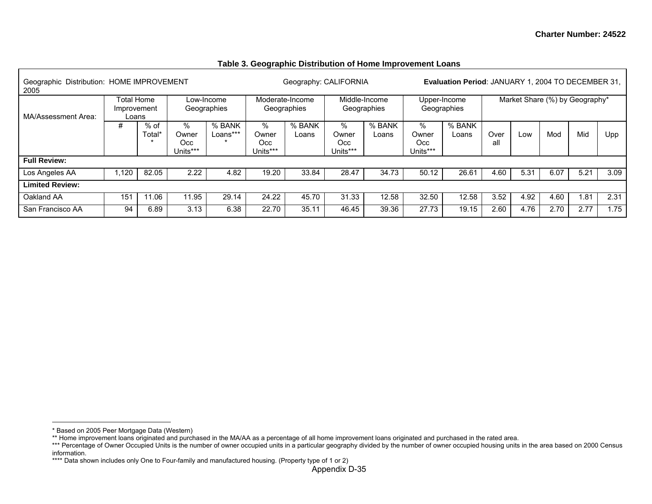| Geographic Distribution: HOME IMPROVEMENT<br>2005 |                                           |                  |                               |                           |                               | Geography: CALIFORNIA          |                               |                              |                                  | <b>Evaluation Period: JANUARY 1, 2004 TO DECEMBER 31.</b> |             |                                |      |      |      |
|---------------------------------------------------|-------------------------------------------|------------------|-------------------------------|---------------------------|-------------------------------|--------------------------------|-------------------------------|------------------------------|----------------------------------|-----------------------------------------------------------|-------------|--------------------------------|------|------|------|
| MA/Assessment Area:                               | <b>Total Home</b><br>Improvement<br>Loans |                  |                               | Low-Income<br>Geographies |                               | Moderate-Income<br>Geographies |                               | Middle-Income<br>Geographies |                                  | Upper-Income<br>Geographies                               |             | Market Share (%) by Geography* |      |      |      |
|                                                   | #                                         | $%$ of<br>Total* | %<br>Owner<br>Occ<br>Units*** | % BANK<br>Loans***        | %<br>Owner<br>Occ<br>Units*** | % BANK<br>Loans                | %<br>Owner<br>Occ<br>Units*** | % BANK<br>Loans              | $\%$<br>Owner<br>Occ<br>Units*** | % BANK<br>Loans                                           | Over<br>all | Low                            | Mod  | Mid  | Upp  |
| <b>Full Review:</b>                               |                                           |                  |                               |                           |                               |                                |                               |                              |                                  |                                                           |             |                                |      |      |      |
| Los Angeles AA                                    | ,120                                      | 82.05            | 2.22                          | 4.82                      | 19.20                         | 33.84                          | 28.47                         | 34.73                        | 50.12                            | 26.61                                                     | 4.60        | 5.31                           | 6.07 | 5.21 | 3.09 |
| <b>Limited Review:</b>                            |                                           |                  |                               |                           |                               |                                |                               |                              |                                  |                                                           |             |                                |      |      |      |
| Oakland AA                                        | 151                                       | 11.06            | 11.95                         | 29.14                     | 24.22                         | 45.70                          | 31.33                         | 12.58                        | 32.50                            | 12.58                                                     | 3.52        | 4.92                           | 4.60 | 1.81 | 2.31 |
| San Francisco AA                                  | 94                                        | 6.89             | 3.13                          | 6.38                      | 22.70                         | 35.11                          | 46.45                         | 39.36                        | 27.73                            | 19.15                                                     | 2.60        | 4.76                           | 2.70 | 2.77 | 1.75 |

#### **Table 3. Geographic Distribution of Home Improvement Loans**

<sup>\*</sup> Based on 2005 Peer Mortgage Data (Western)

<sup>\*\*</sup> Home improvement loans originated and purchased in the MA/AA as a percentage of all home improvement loans originated and purchased in the rated area.

<sup>\*\*\*</sup> Percentage of Owner Occupied Units is the number of owner occupied units in a particular geography divided by the number of owner occupied housing units in the area based on 2000 Census information.

<sup>\*\*\*\*</sup> Data shown includes only One to Four-family and manufactured housing. (Property type of 1 or 2)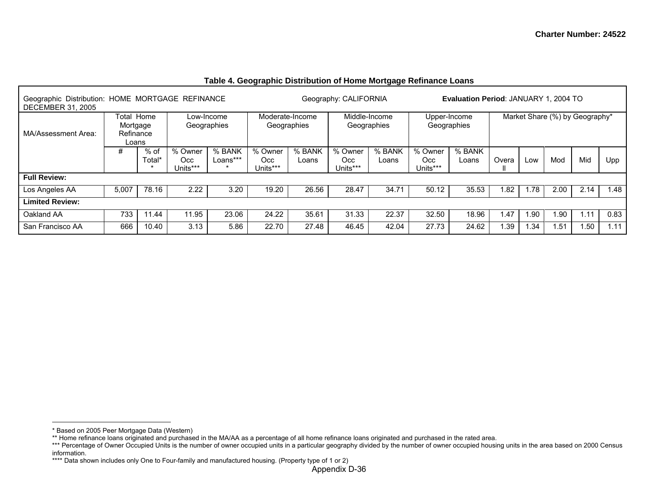| Geographic Distribution: HOME MORTGAGE REFINANCE<br><b>DECEMBER 31, 2005</b> |                                |                  |                             |                    |                            |                                | Geography: CALIFORNIA      |                              |                            | <b>Evaluation Period: JANUARY 1, 2004 TO</b> |       |      |                                |      |      |
|------------------------------------------------------------------------------|--------------------------------|------------------|-----------------------------|--------------------|----------------------------|--------------------------------|----------------------------|------------------------------|----------------------------|----------------------------------------------|-------|------|--------------------------------|------|------|
| MA/Assessment Area:                                                          | Mortgage<br>Refinance<br>Loans | Total Home       | Low-Income                  | Geographies        |                            | Moderate-Income<br>Geographies |                            | Middle-Income<br>Geographies |                            | Upper-Income<br>Geographies                  |       |      | Market Share (%) by Geography* |      |      |
|                                                                              | #                              | $%$ of<br>Total* | % Owner<br>Occ.<br>Units*** | % BANK<br>Loans*** | % Owner<br>Occ<br>Units*** | % BANK<br>Loans                | % Owner<br>Occ<br>Units*** | % BANK<br>Loans              | % Owner<br>Occ<br>Units*** | % BANK<br>Loans                              | Overa | Low  | Mod                            | Mid  | Upp  |
| <b>Full Review:</b>                                                          |                                |                  |                             |                    |                            |                                |                            |                              |                            |                                              |       |      |                                |      |      |
| Los Angeles AA                                                               | 5,007                          | 78.16            | 2.22                        | 3.20               | 19.20                      | 26.56                          | 28.47                      | 34.71                        | 50.12                      | 35.53                                        | .82   | 1.78 | 2.00                           | 2.14 | .48  |
| <b>Limited Review:</b>                                                       |                                |                  |                             |                    |                            |                                |                            |                              |                            |                                              |       |      |                                |      |      |
| Oakland AA                                                                   | 733                            | 11.44            | 11.95                       | 23.06              | 24.22                      | 35.61                          | 31.33                      | 22.37                        | 32.50                      | 18.96                                        | . 47  | .90  | 1.90                           | 1.11 | 0.83 |
| San Francisco AA                                                             | 666                            | 10.40            | 3.13                        | 5.86               | 22.70                      | 27.48                          | 46.45                      | 42.04                        | 27.73                      | 24.62                                        | .39   | .34  | 1.51                           | .50  | .11  |

## **Table 4. Geographic Distribution of Home Mortgage Refinance Loans**

<sup>\*</sup> Based on 2005 Peer Mortgage Data (Western)

<sup>\*\*</sup> Home refinance loans originated and purchased in the MA/AA as a percentage of all home refinance loans originated and purchased in the rated area.

<sup>\*\*\*</sup> Percentage of Owner Occupied Units is the number of owner occupied units in a particular geography divided by the number of owner occupied housing units in the area based on 2000 Census information.

<sup>\*\*\*\*</sup> Data shown includes only One to Four-family and manufactured housing. (Property type of 1 or 2)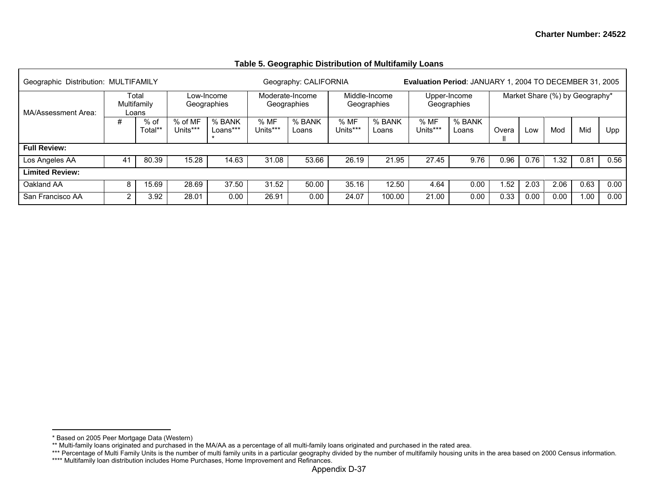| Geographic Distribution: MULTIFAMILY |             |                 |                     |                           |                  | Geography: CALIFORNIA          |                  |                              | Evaluation Period: JANUARY 1, 2004 TO DECEMBER 31, 2005 |                             |       |      |      |                                |      |
|--------------------------------------|-------------|-----------------|---------------------|---------------------------|------------------|--------------------------------|------------------|------------------------------|---------------------------------------------------------|-----------------------------|-------|------|------|--------------------------------|------|
| MA/Assessment Area:                  | Multifamily | Total<br>Loans  |                     | Low-Income<br>Geographies |                  | Moderate-Income<br>Geographies |                  | Middle-Income<br>Geographies |                                                         | Upper-Income<br>Geographies |       |      |      | Market Share (%) by Geography* |      |
|                                      | #           | % of<br>Total** | % of MF<br>Units*** | % BANK<br>Loans***<br>÷   | % MF<br>Units*** | % BANK<br>Loans                | % MF<br>Units*** | % BANK<br>Loans              | %MF<br>Units***                                         | % BANK<br>Loans             | Overa | LOW  | Mod  | Mid                            | Upp  |
| <b>Full Review:</b>                  |             |                 |                     |                           |                  |                                |                  |                              |                                                         |                             |       |      |      |                                |      |
| Los Angeles AA                       | 41          | 80.39           | 15.28               | 14.63                     | 31.08            | 53.66                          | 26.19            | 21.95                        | 27.45                                                   | 9.76                        | 0.96  | 0.76 | 1.32 | 0.81                           | 0.56 |
| <b>Limited Review:</b>               |             |                 |                     |                           |                  |                                |                  |                              |                                                         |                             |       |      |      |                                |      |
| Oakland AA                           | 8           | 15.69           | 28.69               | 37.50                     | 31.52            | 50.00                          | 35.16            | 12.50                        | 4.64                                                    | 0.00                        | .52   | 2.03 | 2.06 | 0.63                           | 0.00 |
| San Francisco AA                     | $\sqrt{2}$  | 3.92            | 28.01               | 0.00                      | 26.91            | 0.00                           | 24.07            | 100.00                       | 21.00                                                   | 0.00                        | 0.33  | 0.00 | 0.00 | 1.00                           | 0.00 |

## **Table 5. Geographic Distribution of Multifamily Loans**

<sup>\*</sup> Based on 2005 Peer Mortgage Data (Western)

<sup>\*\*</sup> Multi-family loans originated and purchased in the MA/AA as a percentage of all multi-family loans originated and purchased in the rated area.

<sup>\*\*\*</sup> Percentage of Multi Family Units is the number of multi family units in a particular geography divided by the number of multifamily housing units in the area based on 2000 Census information.

<sup>\*\*\*\*</sup> Multifamily loan distribution includes Home Purchases, Home Improvement and Refinances.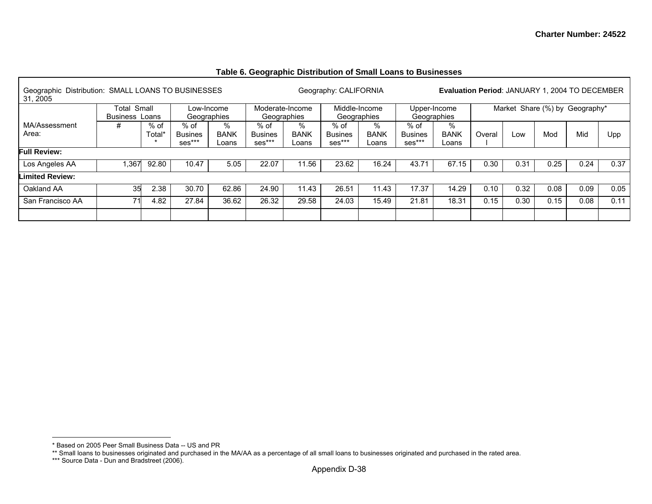## **Table 6. Geographic Distribution of Small Loans to Businesses**

| Geographic Distribution: SMALL LOANS TO BUSINESSES<br>31.2005 |                       |        |                |             |                 |             | Geography: CALIFORNIA |               |                | Evaluation Period: JANUARY 1, 2004 TO DECEMBER |        |      |                                |      |      |
|---------------------------------------------------------------|-----------------------|--------|----------------|-------------|-----------------|-------------|-----------------------|---------------|----------------|------------------------------------------------|--------|------|--------------------------------|------|------|
|                                                               | Total Small           |        |                | Low-Income  | Moderate-Income |             |                       | Middle-Income |                | Upper-Income                                   |        |      | Market Share (%) by Geography* |      |      |
|                                                               | <b>Business Loans</b> |        |                | Geographies | Geographies     |             |                       | Geographies   |                | Geographies                                    |        |      |                                |      |      |
| MA/Assessment                                                 | #                     | % of   | % of           | %           | % of            | %           | $%$ of                | ℅             | % of           | %                                              |        |      |                                |      |      |
| Area:                                                         |                       | Total* | <b>Busines</b> | <b>BANK</b> | <b>Busines</b>  | <b>BANK</b> | <b>Busines</b>        | <b>BANK</b>   | <b>Busines</b> | <b>BANK</b>                                    | Overal | Low  | Mod                            | Mid  | Upp  |
|                                                               |                       |        | ses***         | Loans       | ses***          | Loans       | ses***                | Loans         | $ses***$       | Loans                                          |        |      |                                |      |      |
| <b>Full Review:</b>                                           |                       |        |                |             |                 |             |                       |               |                |                                                |        |      |                                |      |      |
| Los Angeles AA                                                | ,367                  | 92.80  | 10.47          | 5.05        | 22.07           | 11.56       | 23.62                 | 16.24         | 43.71          | 67.15                                          | 0.30   | 0.31 | 0.25                           | 0.24 | 0.37 |
| <b>Limited Review:</b>                                        |                       |        |                |             |                 |             |                       |               |                |                                                |        |      |                                |      |      |
| Oakland AA                                                    | 35                    | 2.38   | 30.70          | 62.86       | 24.90           | 11.43       | 26.51                 | 11.43         | 17.37          | 14.29                                          | 0.10   | 0.32 | 0.08                           | 0.09 | 0.05 |
| San Francisco AA                                              | 71                    | 4.82   | 27.84          | 36.62       | 26.32           | 29.58       | 24.03                 | 15.49         | 21.81          | 18.31                                          | 0.15   | 0.30 | 0.15                           | 0.08 | 0.11 |
|                                                               |                       |        |                |             |                 |             |                       |               |                |                                                |        |      |                                |      |      |

Г

<sup>\*</sup> Based on 2005 Peer Small Business Data -- US and PR

<sup>\*\*</sup> Small loans to businesses originated and purchased in the MA/AA as a percentage of all small loans to businesses originated and purchased in the rated area.

<sup>\*\*\*</sup> Source Data - Dun and Bradstreet (2006).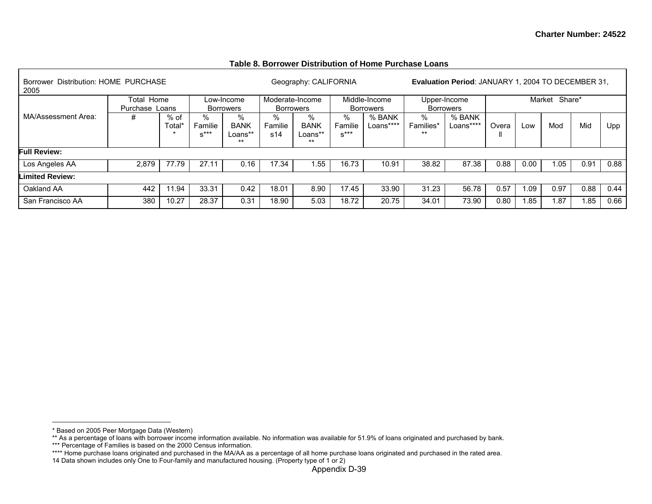#### **Table 8. Borrower Distribution of Home Purchase Loans**

| Borrower Distribution: HOME PURCHASE<br>2005 |                              |               |                        |                                     |                                     | Geography: CALIFORNIA                |                        |                                   |                         | <b>Evaluation Period: JANUARY 1, 2004 TO DECEMBER 31.</b> |       |      |                  |       |      |
|----------------------------------------------|------------------------------|---------------|------------------------|-------------------------------------|-------------------------------------|--------------------------------------|------------------------|-----------------------------------|-------------------------|-----------------------------------------------------------|-------|------|------------------|-------|------|
|                                              | Total Home<br>Purchase Loans |               |                        | Low-Income<br>Borrowers             | Moderate-Income<br><b>Borrowers</b> |                                      |                        | Middle-Income<br><b>Borrowers</b> | <b>Borrowers</b>        | Upper-Income                                              |       |      | Share*<br>Market |       |      |
| MA/Assessment Area:                          | #                            | % of<br>Total | %<br>Familie<br>$S***$ | %<br><b>BANK</b><br>Loans**<br>$**$ | %<br>Familie<br>s14                 | %<br><b>BANK</b><br>Loans**<br>$***$ | %<br>Familie<br>$S***$ | % BANK<br>Loans****               | %<br>Families*<br>$***$ | % BANK<br>Loans****                                       | Overa | Low  | Mod              | Mid   | Upp  |
| <b>Full Review:</b>                          |                              |               |                        |                                     |                                     |                                      |                        |                                   |                         |                                                           |       |      |                  |       |      |
| Los Angeles AA                               | 2.879                        | 77.79         | 27.11                  | 0.16                                | 17.34                               | .55                                  | 16.73                  | 10.91                             | 38.82                   | 87.38                                                     | 0.88  | 0.00 | 1.05             | 0.91  | 0.88 |
| <b>Limited Review:</b>                       |                              |               |                        |                                     |                                     |                                      |                        |                                   |                         |                                                           |       |      |                  |       |      |
| Oakland AA                                   | 442                          | 94. ا         | 33.31                  | 0.42                                | 18.01                               | 8.90                                 | 17.45                  | 33.90                             | 31.23                   | 56.78                                                     | 0.57  | 1.09 | 0.97             | 0.88  | 0.44 |
| San Francisco AA                             | 380                          | 10.27         | 28.37                  | 0.31                                | 18.90                               | 5.03                                 | 18.72                  | 20.75                             | 34.01                   | 73.90                                                     | 0.80  | 1.85 | 1.87             | 85. ا | 0.66 |

<sup>\*</sup> Based on 2005 Peer Mortgage Data (Western)

<sup>\*\*</sup> As a percentage of loans with borrower income information available. No information was available for 51.9% of loans originated and purchased by bank.

<sup>\*\*\*</sup> Percentage of Families is based on the 2000 Census information.

<sup>\*\*\*\*</sup> Home purchase loans originated and purchased in the MA/AA as a percentage of all home purchase loans originated and purchased in the rated area.

<sup>14</sup> Data shown includes only One to Four-family and manufactured housing. (Property type of 1 or 2)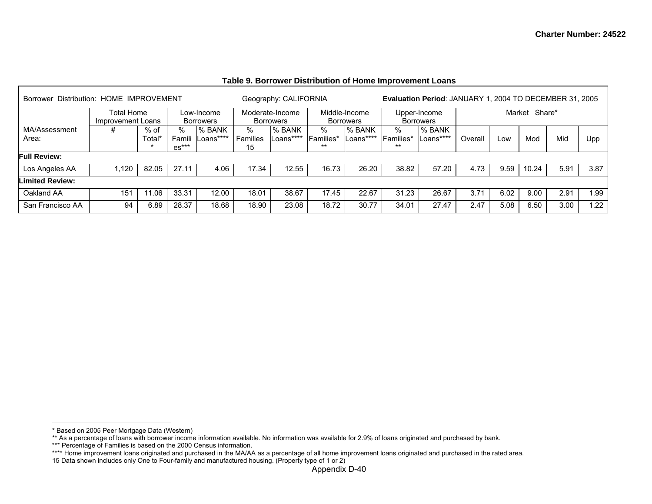| Borrower Distribution: HOME IMPROVEMENT |                                 |               |                        |                         |                     | Geography: CALIFORNIA               |                                 |                                   |                      | Evaluation Period: JANUARY 1, 2004 TO DECEMBER 31, 2005 |         |      |                   |      |      |
|-----------------------------------------|---------------------------------|---------------|------------------------|-------------------------|---------------------|-------------------------------------|---------------------------------|-----------------------------------|----------------------|---------------------------------------------------------|---------|------|-------------------|------|------|
|                                         | Total Home<br>Improvement Loans |               |                        | Low-Income<br>Borrowers |                     | Moderate-Income<br><b>Borrowers</b> |                                 | Middle-Income<br><b>Borrowers</b> |                      | Upper-Income<br><b>Borrowers</b>                        |         |      | Market Share*     |      |      |
| MA/Assessment<br>Area:                  | #                               | % of<br>Total | ℅<br>Famili<br>$es***$ | % BANK<br>_oans****     | %<br>Families<br>15 | % BANK<br>Loans****                 | ℅<br><b>IFamilies*</b><br>$***$ | l% BANK<br>Loans****              | %<br>Families*<br>** | % BANK<br>Loans****                                     | Overall | Low  | Mod               | Mid  | Upp  |
| <b>Full Review:</b>                     |                                 |               |                        |                         |                     |                                     |                                 |                                   |                      |                                                         |         |      |                   |      |      |
| Los Angeles AA                          | .120                            | 82.05         | 27.1                   | 4.06                    | 17.34               | 12.55                               | 16.73                           | 26.20                             | 38.82                | 57.20                                                   | 4.73    | 9.59 | 10.24             | 5.91 | 3.87 |
| <b>Limited Review:</b>                  |                                 |               |                        |                         |                     |                                     |                                 |                                   |                      |                                                         |         |      |                   |      |      |
| Oakland AA                              | 151                             | 1.06          | 33.31                  | 12.00                   | 18.01               | 38.67                               | 17.45                           | 22.67                             | 31.23                | 26.67                                                   | 3.71    | 6.02 | 9.00 <sub>1</sub> | 2.91 | 1.99 |
| San Francisco AA                        | 94                              | 6.89          | 28.37                  | 18.68                   | 18.90               | 23.08                               | 18.72                           | 30.77                             | 34.01                | 27.47                                                   | 2.47    | 5.08 | 6.50              | 3.00 | 1.22 |

## **Table 9. Borrower Distribution of Home Improvement Loans**

<sup>\*</sup> Based on 2005 Peer Mortgage Data (Western)

<sup>\*\*</sup> As a percentage of loans with borrower income information available. No information was available for 2.9% of loans originated and purchased by bank.

<sup>\*\*\*</sup> Percentage of Families is based on the 2000 Census information.

<sup>\*\*\*\*</sup> Home improvement loans originated and purchased in the MA/AA as a percentage of all home improvement loans originated and purchased in the rated area.

<sup>15</sup> Data shown includes only One to Four-family and manufactured housing. (Property type of 1 or 2)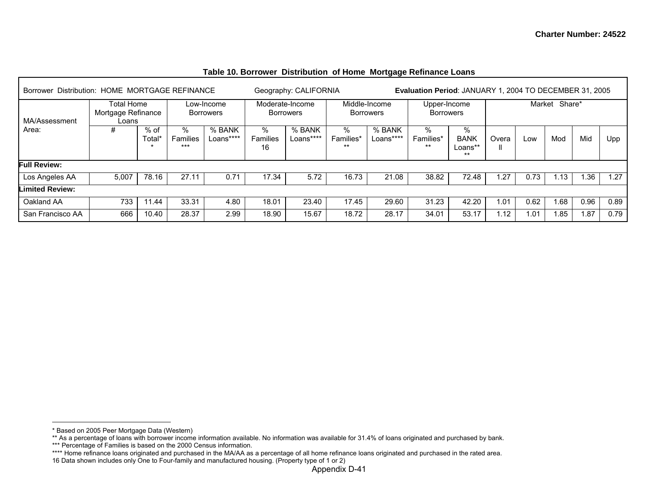| Borrower Distribution: HOME MORTGAGE REFINANCE |                                           |                             |                      |                                |                     | Geography: CALIFORNIA               |                         |                                   | Evaluation Period: JANUARY 1, 2004 TO DECEMBER 31, 2005 |                                   |                   |        |        |      |      |
|------------------------------------------------|-------------------------------------------|-----------------------------|----------------------|--------------------------------|---------------------|-------------------------------------|-------------------------|-----------------------------------|---------------------------------------------------------|-----------------------------------|-------------------|--------|--------|------|------|
| MA/Assessment                                  | Total Home<br>Mortgage Refinance<br>Loans |                             |                      | Low-Income<br><b>Borrowers</b> |                     | Moderate-Income<br><b>Borrowers</b> |                         | Middle-Income<br><b>Borrowers</b> | Upper-Income<br><b>Borrowers</b>                        |                                   |                   | Market | Share* |      |      |
| Area:                                          | #                                         | $%$ of<br>Total*<br>$\star$ | %<br>Families<br>*** | % BANK<br>Loans****            | %<br>Families<br>16 | % BANK<br>Loans****                 | %<br>Families*<br>$***$ | % BANK<br>Loans****               | %<br>Families*<br>$***$                                 | %<br><b>BANK</b><br>Loans**<br>** | Overa             | Low    | Mod    | Mid  | Upp  |
| <b>Full Review:</b>                            |                                           |                             |                      |                                |                     |                                     |                         |                                   |                                                         |                                   |                   |        |        |      |      |
| Los Angeles AA                                 | 5,007                                     | 78.16                       | 27.11                | 0.71                           | 17.34               | 5.72                                | 16.73                   | 21.08                             | 38.82                                                   | 72.48                             | 1.27              | 0.73   | 1.13   | 1.36 | 1.27 |
| <b>Limited Review:</b>                         |                                           |                             |                      |                                |                     |                                     |                         |                                   |                                                         |                                   |                   |        |        |      |      |
| Oakland AA                                     | 733                                       | 1.44                        | 33.31                | 4.80                           | 18.01               | 23.40                               | 17.45                   | 29.60                             | 31.23                                                   | 42.20                             | 1.01              | 0.62   | 1.68   | 0.96 | 0.89 |
| San Francisco AA                               | 666                                       | 10.40                       | 28.37                | 2.99                           | 18.90               | 15.67                               | 18.72                   | 28.17                             | 34.01                                                   | 53.17                             | 1.12 <sub>1</sub> | .01    | 1.85   | .87  | 0.79 |

### **Table 10. Borrower Distribution of Home Mortgage Refinance Loans**

<sup>\*</sup> Based on 2005 Peer Mortgage Data (Western)

<sup>\*\*</sup> As a percentage of loans with borrower income information available. No information was available for 31.4% of loans originated and purchased by bank.

<sup>\*\*\*</sup> Percentage of Families is based on the 2000 Census information.

<sup>\*\*\*\*</sup> Home refinance loans originated and purchased in the MA/AA as a percentage of all home refinance loans originated and purchased in the rated area.

<sup>16</sup> Data shown includes only One to Four-family and manufactured housing. (Property type of 1 or 2)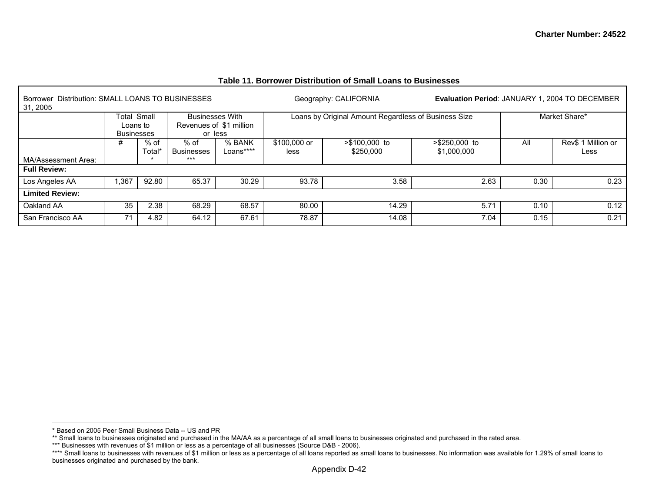| Distribution: SMALL LOANS TO BUSINESSES<br><b>Borrower</b><br>31, 2005 |                                                     |                |                                   |                         |                      | Geography: CALIFORNIA                                | <b>Evaluation Period: JANUARY 1, 2004 TO DECEMBER</b> |      |                            |
|------------------------------------------------------------------------|-----------------------------------------------------|----------------|-----------------------------------|-------------------------|----------------------|------------------------------------------------------|-------------------------------------------------------|------|----------------------------|
|                                                                        | <b>Total Small</b><br>Loans to<br><b>Businesses</b> |                | <b>Businesses With</b><br>or less | Revenues of \$1 million |                      | Loans by Original Amount Regardless of Business Size |                                                       |      | Market Share*              |
|                                                                        | #                                                   | % of<br>Total' | % of<br><b>Businesses</b>         | % BANK<br>Loans****     | \$100,000 or<br>less | >\$100,000 to<br>\$250,000                           | $> $250,000$ to<br>\$1,000,000                        | All  | Rev\$ 1 Million or<br>Less |
| MA/Assessment Area:                                                    |                                                     |                | $***$                             |                         |                      |                                                      |                                                       |      |                            |
| <b>Full Review:</b>                                                    |                                                     |                |                                   |                         |                      |                                                      |                                                       |      |                            |
| Los Angeles AA                                                         | .367                                                | 92.80          | 65.37                             | 30.29                   | 93.78                | 3.58                                                 | 2.63                                                  | 0.30 | 0.23                       |
| <b>Limited Review:</b>                                                 |                                                     |                |                                   |                         |                      |                                                      |                                                       |      |                            |
| Oakland AA                                                             | 35                                                  | 2.38           | 68.29                             | 68.57                   | 80.00                | 14.29                                                | 5.71                                                  | 0.10 | 0.12                       |
| San Francisco AA                                                       | 71                                                  | 4.82           | 64.12                             | 67.61                   | 78.87                | 14.08                                                | 7.04                                                  | 0.15 | 0.21                       |

### **Table 11. Borrower Distribution of Small Loans to Businesses**

<sup>\*</sup> Based on 2005 Peer Small Business Data -- US and PR

<sup>\*\*</sup> Small loans to businesses originated and purchased in the MA/AA as a percentage of all small loans to businesses originated and purchased in the rated area.

<sup>\*\*\*</sup> Businesses with revenues of \$1 million or less as a percentage of all businesses (Source D&B - 2006).

<sup>\*\*\*\*</sup> Small loans to businesses with revenues of \$1 million or less as a percentage of all loans reported as small loans to businesses. No information was available for 1.29% of small loans to businesses originated and purchased by the bank.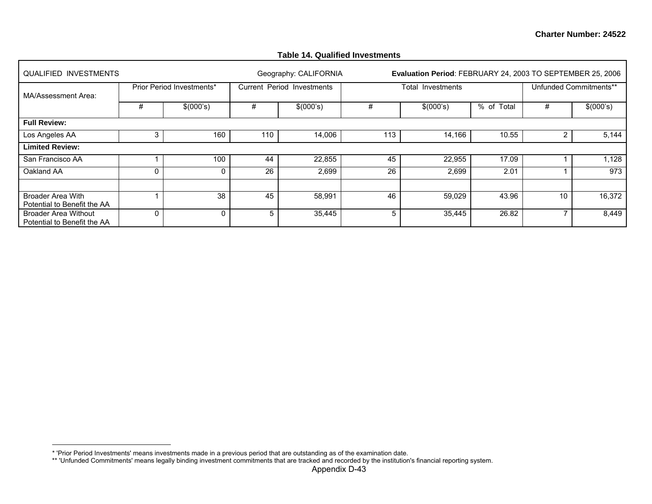| QUALIFIED INVESTMENTS                                      |          |                           |     | Geography: CALIFORNIA      |     | Evaluation Period: FEBRUARY 24, 2003 TO SEPTEMBER 25, 2006 |            |                |                        |
|------------------------------------------------------------|----------|---------------------------|-----|----------------------------|-----|------------------------------------------------------------|------------|----------------|------------------------|
| MA/Assessment Area:                                        |          | Prior Period Investments* |     | Current Period Investments |     | Total Investments                                          |            |                | Unfunded Commitments** |
|                                                            | #        | \$(000's)                 | #   | \$(000's)                  | #   | \$(000's)                                                  | % of Total | #              | \$(000's)              |
| <b>Full Review:</b>                                        |          |                           |     |                            |     |                                                            |            |                |                        |
| Los Angeles AA                                             | 3        | 160                       | 110 | 14,006                     | 113 | 14,166                                                     | 10.55      | $\overline{2}$ | 5,144                  |
| <b>Limited Review:</b>                                     |          |                           |     |                            |     |                                                            |            |                |                        |
| San Francisco AA                                           |          | 100                       | 44  | 22,855                     | 45  | 22,955                                                     | 17.09      |                | 1,128                  |
| Oakland AA                                                 | 0        | 0                         | 26  | 2,699                      | 26  | 2,699                                                      | 2.01       |                | 973                    |
|                                                            |          |                           |     |                            |     |                                                            |            |                |                        |
| <b>Broader Area With</b><br>Potential to Benefit the AA    |          | 38                        | 45  | 58,991                     | 46  | 59,029                                                     | 43.96      | 10             | 16,372                 |
| <b>Broader Area Without</b><br>Potential to Benefit the AA | $\Omega$ | 0                         | 5   | 35,445                     | 5   | 35,445                                                     | 26.82      |                | 8,449                  |

#### **Table 14. Qualified Investments**

<sup>\* &#</sup>x27;Prior Period Investments' means investments made in a previous period that are outstanding as of the examination date.

<sup>\*\* &#</sup>x27;Unfunded Commitments' means legally binding investment commitments that are tracked and recorded by the institution's financial reporting system.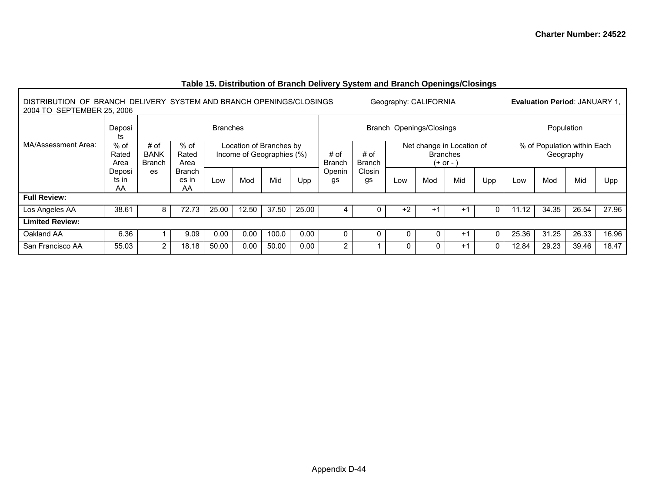| .<br>∼ —<br>Geography: CALIFORNIA<br>BRANCH DELIVERY SYSTEM AND BRANCH OPENINGS/CLOSINGS<br>DISTRIBUTION OF<br>2004 TO SEPTEMBER 25, 2006 |                       |                                      |                              |                                                      |       |       |       |                                                |              |                                                             |             | <b>Evaluation Period: JANUARY 1,</b> |     |                                          |       |       |       |
|-------------------------------------------------------------------------------------------------------------------------------------------|-----------------------|--------------------------------------|------------------------------|------------------------------------------------------|-------|-------|-------|------------------------------------------------|--------------|-------------------------------------------------------------|-------------|--------------------------------------|-----|------------------------------------------|-------|-------|-------|
|                                                                                                                                           | Deposi<br>ts          | <b>Branches</b>                      |                              |                                                      |       |       |       | Branch Openings/Closings                       |              |                                                             |             |                                      |     | Population                               |       |       |       |
| MA/Assessment Area:                                                                                                                       | % of<br>Rated<br>Area | # of<br><b>BANK</b><br><b>Branch</b> | $%$ of<br>Rated<br>Area      | Location of Branches by<br>Income of Geographies (%) |       |       |       | # of<br># of<br><b>Branch</b><br><b>Branch</b> |              | Net change in Location of<br><b>Branches</b><br>$(+ or - )$ |             |                                      |     | % of Population within Each<br>Geography |       |       |       |
|                                                                                                                                           | Deposi<br>ts in<br>AA | es                                   | <b>Branch</b><br>es in<br>AA | Low                                                  | Mod   | Mid   | Upp   | Openin<br>gs                                   | Closin<br>gs | Low                                                         | Mod         | Mid                                  | Upp | Low                                      | Mod   | Mid   | Upp   |
| <b>Full Review:</b>                                                                                                                       |                       |                                      |                              |                                                      |       |       |       |                                                |              |                                                             |             |                                      |     |                                          |       |       |       |
| Los Angeles AA                                                                                                                            | 38.61                 |                                      | 72.73                        | 25.00                                                | 12.50 | 37.50 | 25.00 | 4                                              |              | $+2$                                                        | $+^{\circ}$ | $+1$                                 | 0   | 11.12                                    | 34.35 | 26.54 | 27.96 |
| <b>Limited Review:</b>                                                                                                                    |                       |                                      |                              |                                                      |       |       |       |                                                |              |                                                             |             |                                      |     |                                          |       |       |       |
| Oakland AA                                                                                                                                | 6.36                  |                                      | 9.09                         | 0.00                                                 | 0.00  | 100.0 | 0.00  | 0                                              | 0            | 0                                                           | 0           | $+1$                                 | 0   | 25.36                                    | 31.25 | 26.33 | 16.96 |
| San Francisco AA                                                                                                                          | 55.03                 | 2                                    | 18.18                        | 50.00                                                | 0.00  | 50.00 | 0.00  | 2                                              |              | 0                                                           | 0           | $+1$                                 | 0   | 12.84                                    | 29.23 | 39.46 | 18.47 |

## **Table 15. Distribution of Branch Delivery System and Branch Openings/Closings**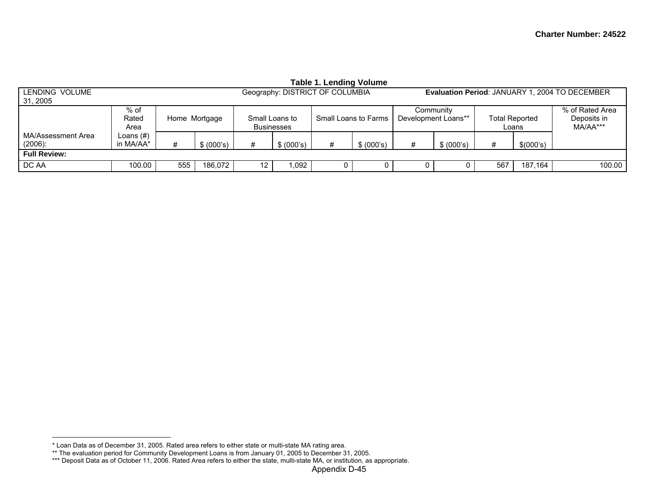| Table 1. Lending Volume          |                        |               |            |                                     |            |                                 |            |                                                       |            |                                |           |                                            |  |
|----------------------------------|------------------------|---------------|------------|-------------------------------------|------------|---------------------------------|------------|-------------------------------------------------------|------------|--------------------------------|-----------|--------------------------------------------|--|
| LENDING VOLUME<br>31, 2005       |                        |               |            |                                     |            | Geography: DISTRICT OF COLUMBIA |            | <b>Evaluation Period: JANUARY 1, 2004 TO DECEMBER</b> |            |                                |           |                                            |  |
|                                  | % of<br>Rated<br>Area  | Home Mortgage |            | Small Loans to<br><b>Businesses</b> |            | Small Loans to Farms            |            | Community<br>Development Loans**                      |            | <b>Total Reported</b><br>Loans |           | % of Rated Area<br>Deposits in<br>MA/AA*** |  |
| MA/Assessment Area<br>$(2006)$ : | Loans (#)<br>in MA/AA* |               | \$ (000's) | #                                   | \$ (000's) | #                               | \$ (000's) | #                                                     | \$ (000's) | #                              | \$(000's) |                                            |  |
| <b>Full Review:</b>              |                        |               |            |                                     |            |                                 |            |                                                       |            |                                |           |                                            |  |
| DC AA                            | 100.00                 | 555           | 186.072    | $12 \overline{ }$                   | 1.092      |                                 |            | 0                                                     |            | 567                            | 187,164   | 100.00                                     |  |

<sup>\*</sup> Loan Data as of December 31, 2005. Rated area refers to either state or multi-state MA rating area.

<sup>\*\*</sup> The evaluation period for Community Development Loans is from January 01, 2005 to December 31, 2005.

<sup>\*\*\*</sup> Deposit Data as of October 11, 2006. Rated Area refers to either the state, multi-state MA, or institution, as appropriate.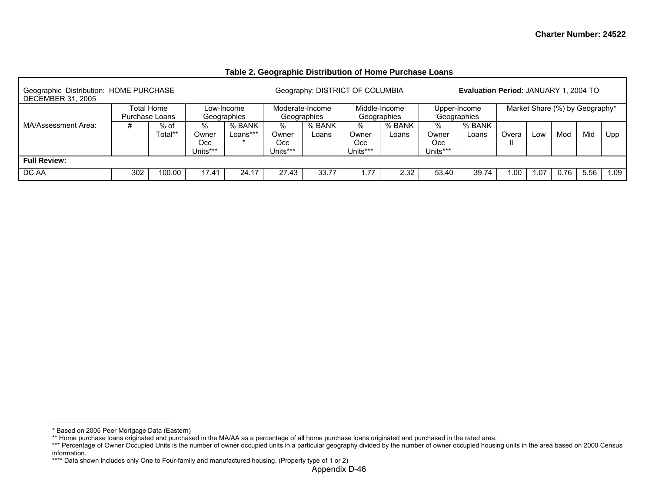| Table 2. Geographic Distribution of Home Purchase Loans |
|---------------------------------------------------------|
|---------------------------------------------------------|

| Geographic Distribution: HOME PURCHASE<br><b>DECEMBER 31, 2005</b> |                                                                                                              |            |       |            |                               | Geography: DISTRICT OF COLUMBIA |                                  |                              |                                  | Evaluation Period: JANUARY 1, 2004 TO |       |      |                                |      |      |
|--------------------------------------------------------------------|--------------------------------------------------------------------------------------------------------------|------------|-------|------------|-------------------------------|---------------------------------|----------------------------------|------------------------------|----------------------------------|---------------------------------------|-------|------|--------------------------------|------|------|
|                                                                    |                                                                                                              | Total Home |       | Low-Income |                               | Moderate-Income<br>Geographies  |                                  | Middle-Income<br>Geographies |                                  | Upper-Income<br>Geographies           |       |      | Market Share (%) by Geography* |      |      |
| MA/Assessment Area:                                                | Purchase Loans<br>Geographies<br>% BANK<br>%<br>#<br>% of<br>Total**<br>Loans***<br>Owner<br>Occ<br>Units*** |            |       |            | %<br>Owner<br>Occ<br>Units*** | % BANK<br>Loans                 | $\%$<br>Owner<br>Occ<br>Units*** | % BANK<br>Loans              | $\%$<br>Owner<br>Occ<br>Units*** | % BANK<br>Loans                       | Overa | Low  | Mod                            | Mid  | Upp  |
| <b>Full Review:</b>                                                |                                                                                                              |            |       |            |                               |                                 |                                  |                              |                                  |                                       |       |      |                                |      |      |
| I DC AA                                                            | 302                                                                                                          | 100.00     | 17.41 | 24.17      | 27.43                         | 33.77                           | .77                              | 2.32                         | 53.40                            | 39.74                                 | I .OO | 1.07 | 0.76                           | 5.56 | 1.09 |

<sup>\*</sup> Based on 2005 Peer Mortgage Data (Eastern)

<sup>\*\*</sup> Home purchase loans originated and purchased in the MA/AA as a percentage of all home purchase loans originated and purchased in the rated area.

<sup>\*\*\*</sup> Percentage of Owner Occupied Units is the number of owner occupied units in a particular geography divided by the number of owner occupied housing units in the area based on 2000 Census information.

<sup>\*\*\*\*</sup> Data shown includes only One to Four-family and manufactured housing. (Property type of 1 or 2)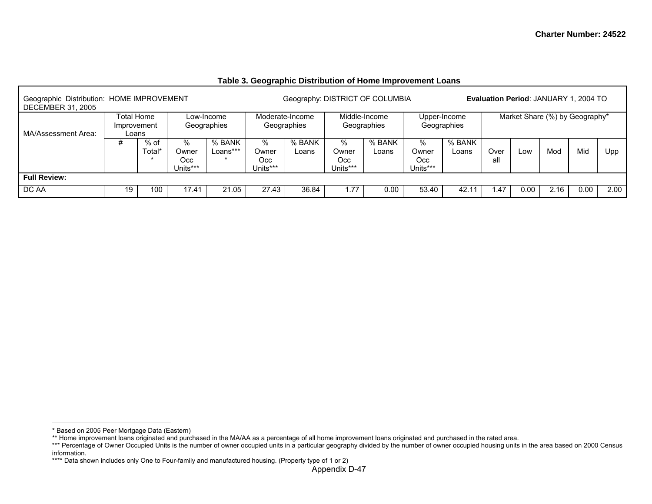| Geographic Distribution: HOME IMPROVEMENT<br><b>DECEMBER 31, 2005</b> |                                    |                  |                               |                           |                               | Geography: DISTRICT OF COLUMBIA |                               |                              |                                  |                             |             |      | Evaluation Period: JANUARY 1, 2004 TO |      |      |
|-----------------------------------------------------------------------|------------------------------------|------------------|-------------------------------|---------------------------|-------------------------------|---------------------------------|-------------------------------|------------------------------|----------------------------------|-----------------------------|-------------|------|---------------------------------------|------|------|
| MA/Assessment Area:                                                   | Total Home<br>Improvement<br>Loans |                  |                               | Low-Income<br>Geographies |                               | Moderate-Income<br>Geographies  |                               | Middle-Income<br>Geographies |                                  | Upper-Income<br>Geographies |             |      | Market Share (%) by Geography*        |      |      |
|                                                                       | #                                  | $%$ of<br>Total* | %<br>Owner<br>Occ<br>Jnits*** | % BANK<br>Loans***        | %<br>Owner<br>Occ<br>Units*** | % BANK<br>Loans                 | %<br>Owner<br>Occ<br>Units*** | % BANK<br>Loans              | $\%$<br>Owner<br>Occ<br>Units*** | % BANK<br>Loans             | Over<br>all | Low  | Mod                                   | Mid  | Upp  |
| <b>Full Review:</b>                                                   |                                    |                  |                               |                           |                               |                                 |                               |                              |                                  |                             |             |      |                                       |      |      |
| DC AA                                                                 | 19                                 | 100              | 17.41                         | 21.05                     | 27.43                         | 36.84                           | 1.77                          | 0.00                         | 53.40                            | 42.1                        | . 47        | 0.00 | 2.16                                  | 0.00 | 2.00 |

## **Table 3. Geographic Distribution of Home Improvement Loans**

<sup>\*</sup> Based on 2005 Peer Mortgage Data (Eastern)

<sup>\*\*</sup> Home improvement loans originated and purchased in the MA/AA as a percentage of all home improvement loans originated and purchased in the rated area.

<sup>\*\*\*</sup> Percentage of Owner Occupied Units is the number of owner occupied units in a particular geography divided by the number of owner occupied housing units in the area based on 2000 Census information.

<sup>\*\*\*\*</sup> Data shown includes only One to Four-family and manufactured housing. (Property type of 1 or 2)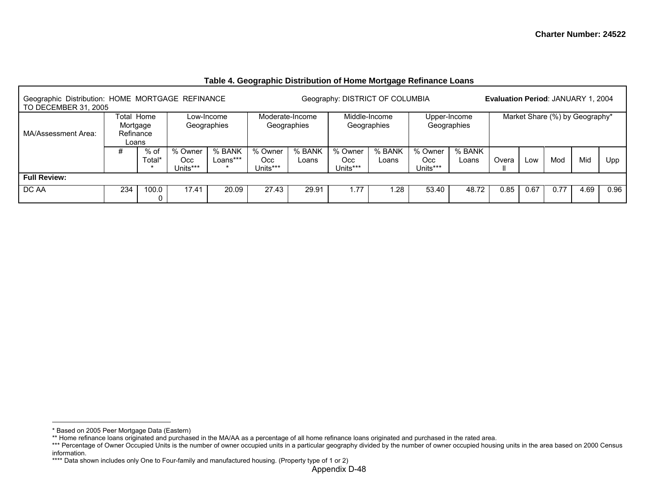| Geographic Distribution: HOME MORTGAGE REFINANCE<br>TO DECEMBER 31, 2005 |                                                                                     |       |                                   |                           |                             |                                | Geography: DISTRICT OF COLUMBIA |                              |       |                             | <b>Evaluation Period: JANUARY 1, 2004</b> |      |      |                                |      |
|--------------------------------------------------------------------------|-------------------------------------------------------------------------------------|-------|-----------------------------------|---------------------------|-----------------------------|--------------------------------|---------------------------------|------------------------------|-------|-----------------------------|-------------------------------------------|------|------|--------------------------------|------|
| MA/Assessment Area:                                                      | Total Home<br>Mortgage<br>Refinance                                                 |       |                                   | Low-Income<br>Geographies |                             | Moderate-Income<br>Geographies |                                 | Middle-Income<br>Geographies |       | Upper-Income<br>Geographies |                                           |      |      | Market Share (%) by Geography* |      |
|                                                                          | Loans<br>$%$ of<br>% BANK<br>% Owner<br>#<br>Гоtаl*<br>Loans***<br>Occ.<br>Jnits*** |       | % Owner<br><b>Occ</b><br>Units*** | % BANK<br>Loans           | % Owner<br>Occ.<br>Units*** | % BANK<br>Loans                | % Owner<br>Occ<br>Units***      | % BANK<br>Loans              | Overa | LOW                         | Mod                                       | Mid  | Upp  |                                |      |
| <b>Full Review:</b>                                                      |                                                                                     |       |                                   |                           |                             |                                |                                 |                              |       |                             |                                           |      |      |                                |      |
| DC AA                                                                    | 234                                                                                 | 100.0 | 17.41                             | 20.09                     | 27.43                       | 29.91                          | 1.77                            | .28                          | 53.40 | 48.72                       | 0.85                                      | 0.67 | 0.77 | 4.69                           | 0.96 |

## **Table 4. Geographic Distribution of Home Mortgage Refinance Loans**

<sup>\*</sup> Based on 2005 Peer Mortgage Data (Eastern)

<sup>\*\*</sup> Home refinance loans originated and purchased in the MA/AA as a percentage of all home refinance loans originated and purchased in the rated area.

<sup>\*\*\*</sup> Percentage of Owner Occupied Units is the number of owner occupied units in a particular geography divided by the number of owner occupied housing units in the area based on 2000 Census information.

<sup>\*\*\*\*</sup> Data shown includes only One to Four-family and manufactured housing. (Property type of 1 or 2)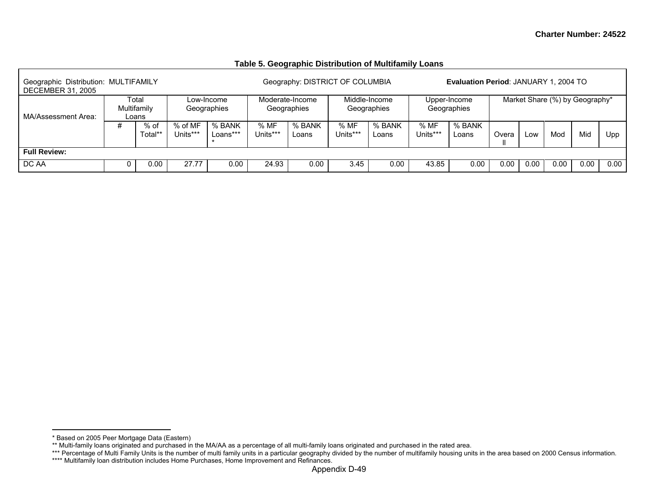#### Geographic Distribution: MULTIFAMILY Geography: DISTRICT OF COLUMBIA **Evaluation Period**: JANUARY 1, 2004 TO DECEMBER 31, 2005 Total Multifamily Loans Low-Income **Geographies** Moderate-Income Geographies Middle-Income Geographies Upper-Income Geographies Market Share (%) by Geography\* MA/Assessment Area:  $#$  % of Total\*\* % of MF Units\*\*\* % BANK Loans\*\*\*\* % MF Units\*\*\* % BANK Loans % MF Units\*\*\*% BANK Loans % MF Units\*\*\* % BANK Loans | Overa ll Low | Mod | Mid | Upp **Full Review:** DC AA 0 0.00 27.77 0.00 24.93 0.00 3.45 0.00 43.85 0.00 0.00 0.00 0.00 0.00 0.00

#### **Table 5. Geographic Distribution of Multifamily Loans**

<sup>\*</sup> Based on 2005 Peer Mortgage Data (Eastern)

<sup>\*\*</sup> Multi-family loans originated and purchased in the MA/AA as a percentage of all multi-family loans originated and purchased in the rated area.

<sup>\*\*\*</sup> Percentage of Multi Family Units is the number of multi family units in a particular geography divided by the number of multifamily housing units in the area based on 2000 Census information.

<sup>\*\*\*\*</sup> Multifamily loan distribution includes Home Purchases, Home Improvement and Refinances.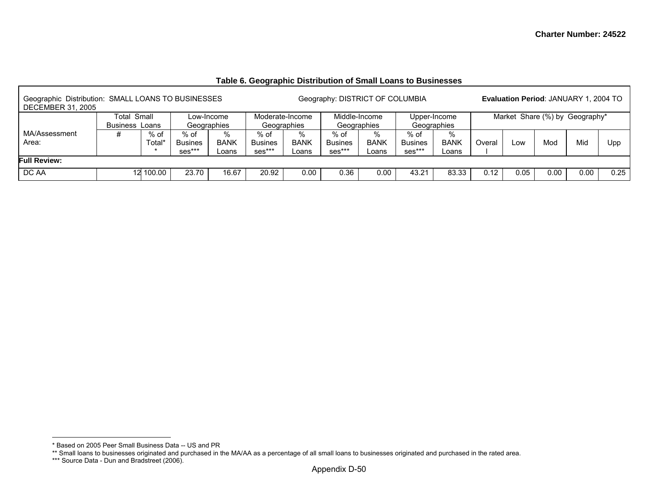| Geographic Distribution: SMALL LOANS TO BUSINESSES<br><b>DECEMBER 31, 2005</b> |                                      |                |                                  |                           |                                  |                              | Geography: DISTRICT OF COLUMBIA  |                              |                                  |                             |                                |      | <b>Evaluation Period: JANUARY 1, 2004 TO</b> |      |      |
|--------------------------------------------------------------------------------|--------------------------------------|----------------|----------------------------------|---------------------------|----------------------------------|------------------------------|----------------------------------|------------------------------|----------------------------------|-----------------------------|--------------------------------|------|----------------------------------------------|------|------|
|                                                                                | Total Small<br><b>Business Loans</b> |                |                                  | Low-Income<br>Geographies | Moderate-Income                  | Geographies                  |                                  | Middle-Income<br>Geographies |                                  | Upper-Income<br>Geographies | Market Share (%) by Geography* |      |                                              |      |      |
| MA/Assessment<br>Area:                                                         | #                                    | % of<br>Total* | % of<br><b>Busines</b><br>ses*** | %<br><b>BANK</b><br>Loans | % of<br><b>Busines</b><br>ses*** | $\%$<br><b>BANK</b><br>Loans | % of<br><b>Busines</b><br>ses*** | %<br><b>BANK</b><br>_oans    | % of<br><b>Busines</b><br>ses*** | %<br><b>BANK</b><br>Loans   | Overal<br>Mod<br><b>LOW</b>    |      |                                              | Mid  | Upp  |
| <b>Full Review:</b>                                                            |                                      |                |                                  |                           |                                  |                              |                                  |                              |                                  |                             |                                |      |                                              |      |      |
| DC AA                                                                          | 12                                   | 100.00         | 23.70                            | 16.67                     | 20.92                            | 0.00                         | 0.36                             | 0.00                         | 43.21                            | 83.33                       | 0.12                           | 0.05 | 0.00                                         | 0.00 | 0.25 |

### **Table 6. Geographic Distribution of Small Loans to Businesses**

<sup>\*</sup> Based on 2005 Peer Small Business Data -- US and PR

<sup>\*\*</sup> Small loans to businesses originated and purchased in the MA/AA as a percentage of all small loans to businesses originated and purchased in the rated area.

<sup>\*\*\*</sup> Source Data - Dun and Bradstreet (2006).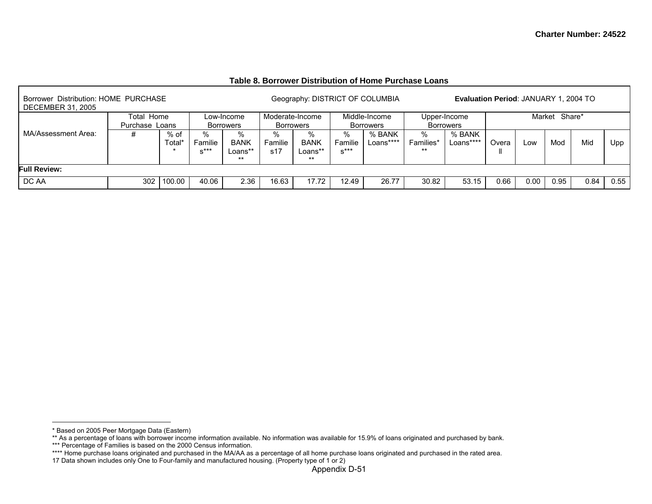| Borrower Distribution: HOME PURCHASE<br><b>DECEMBER 31, 2005</b> |                                                       |        |       |                                     |                                     |                                      |                        | Geography: DISTRICT OF COLUMBIA |                         | Evaluation Period: JANUARY 1, 2004 TO |       |      |               |      |      |
|------------------------------------------------------------------|-------------------------------------------------------|--------|-------|-------------------------------------|-------------------------------------|--------------------------------------|------------------------|---------------------------------|-------------------------|---------------------------------------|-------|------|---------------|------|------|
|                                                                  | Total Home                                            |        |       | Low-Income<br><b>Borrowers</b>      | Moderate-Income<br><b>Borrowers</b> |                                      |                        | Middle-Income<br>Borrowers      |                         | Upper-Income<br><b>Borrowers</b>      |       |      | Market Share* |      |      |
| MA/Assessment Area:                                              | Purchase Loans<br>% of<br>Familie<br>rotal*<br>$x***$ |        |       | %<br><b>BANK</b><br>Loans**<br>$**$ | ℅<br>Familie<br>s17                 | %<br><b>BANK</b><br>Loans**<br>$***$ | ℅<br>Familie<br>$x***$ | % BANK<br>Loans****             | %<br>Families*<br>$***$ | % BANK<br>Loans****                   | Overa | Low  | Mod           | Mid  | Upp  |
| <b>Full Review:</b>                                              |                                                       |        |       |                                     |                                     |                                      |                        |                                 |                         |                                       |       |      |               |      |      |
| DC AA                                                            | 302                                                   | 100.00 | 40.06 | 2.36                                | 16.63                               | 17.72                                | 12.49                  | 26.77                           | 30.82                   | 53.15                                 | 0.66  | 0.00 | 0.95          | 0.84 | 0.55 |

#### **Table 8. Borrower Distribution of Home Purchase Loans**

<sup>\*</sup> Based on 2005 Peer Mortgage Data (Eastern)

<sup>\*\*</sup> As a percentage of loans with borrower income information available. No information was available for 15.9% of loans originated and purchased by bank.

<sup>\*\*\*</sup> Percentage of Families is based on the 2000 Census information.

<sup>\*\*\*\*</sup> Home purchase loans originated and purchased in the MA/AA as a percentage of all home purchase loans originated and purchased in the rated area.

<sup>17</sup> Data shown includes only One to Four-family and manufactured housing. (Property type of 1 or 2)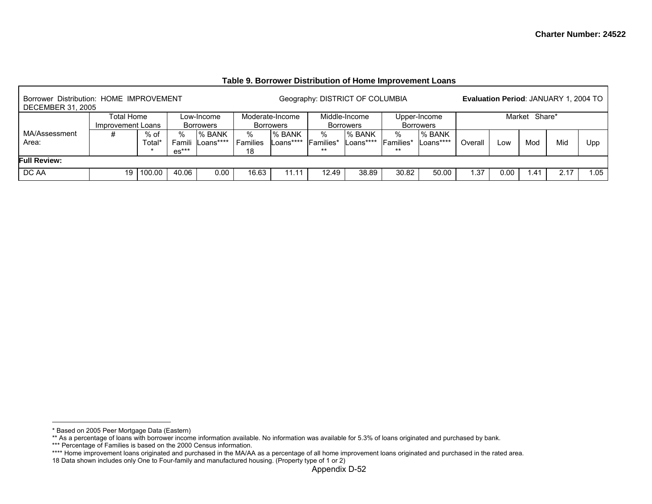| Borrower Distribution: HOME IMPROVEMENT<br><b>DECEMBER 31, 2005</b> |                                 |                  |                        |                            |                            |                                     |                                | Geography: DISTRICT OF COLUMBIA   |                                 |                                  |                       |      |      | <b>Evaluation Period: JANUARY 1, 2004 TO</b> |      |
|---------------------------------------------------------------------|---------------------------------|------------------|------------------------|----------------------------|----------------------------|-------------------------------------|--------------------------------|-----------------------------------|---------------------------------|----------------------------------|-----------------------|------|------|----------------------------------------------|------|
|                                                                     | Total Home<br>Improvement Loans |                  |                        | Low-Income<br>Borrowers    |                            | Moderate-Income<br><b>Borrowers</b> |                                | Middle-Income<br><b>Borrowers</b> |                                 | Upper-Income<br><b>Borrowers</b> | Market Share*         |      |      |                                              |      |
| MA/Assessment<br>Area:                                              |                                 | $%$ of<br>Total* | ℅<br>Famili<br>$es***$ | <b>% BANK</b><br>Loans**** | %<br><b>Families</b><br>18 | <b>I</b> % BANK<br>Loans****        | ℅<br><b>Families*</b><br>$***$ | % BANK<br>Loans****               | %<br><b>IFamilies*</b><br>$***$ | % BANK<br>Loans****              | Mod<br>Overall<br>LOW |      |      | Mic                                          | Upp  |
| <b>Full Review:</b>                                                 |                                 |                  |                        |                            |                            |                                     |                                |                                   |                                 |                                  |                       |      |      |                                              |      |
| DC AA                                                               | 19                              | 100.00           | 40.06                  | 0.00                       | 16.63                      |                                     | 12.49                          | 38.89                             | 30.82                           | 50.00                            | .37                   | 0.00 | 41.، | 2.17                                         | 1.05 |

### **Table 9. Borrower Distribution of Home Improvement Loans**

<sup>\*</sup> Based on 2005 Peer Mortgage Data (Eastern)

<sup>\*\*</sup> As a percentage of loans with borrower income information available. No information was available for 5.3% of loans originated and purchased by bank.

<sup>\*\*\*</sup> Percentage of Families is based on the 2000 Census information.

<sup>\*\*\*\*</sup> Home improvement loans originated and purchased in the MA/AA as a percentage of all home improvement loans originated and purchased in the rated area.

<sup>18</sup> Data shown includes only One to Four-family and manufactured housing. (Property type of 1 or 2)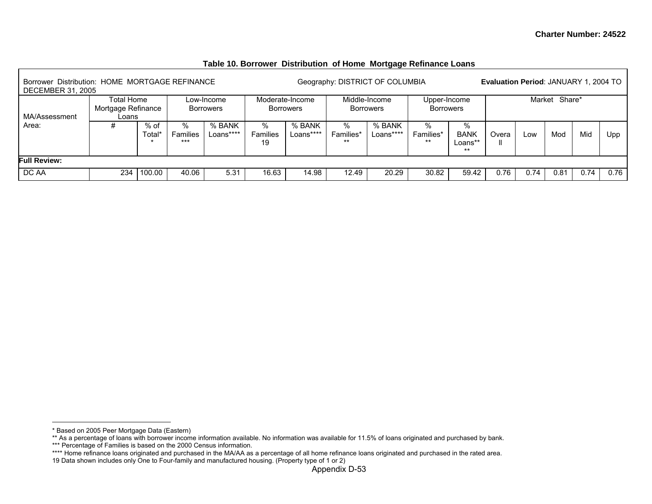| Borrower Distribution: HOME MORTGAGE REFINANCE<br><b>DECEMBER 31, 2005</b> |                                           |                |                      |                                |                     |                                     |                         | Geography: DISTRICT OF COLUMBIA   |                                  |                                      | <b>Evaluation Period: JANUARY 1, 2004 TO</b> |      |               |      |      |
|----------------------------------------------------------------------------|-------------------------------------------|----------------|----------------------|--------------------------------|---------------------|-------------------------------------|-------------------------|-----------------------------------|----------------------------------|--------------------------------------|----------------------------------------------|------|---------------|------|------|
| MA/Assessment                                                              | Total Home<br>Mortgage Refinance<br>Loans |                |                      | Low-Income<br><b>Borrowers</b> |                     | Moderate-Income<br><b>Borrowers</b> |                         | Middle-Income<br><b>Borrowers</b> | Upper-Income<br><b>Borrowers</b> |                                      |                                              |      | Market Share* |      |      |
| Area:                                                                      | #                                         | % of<br>Total' | %<br>Families<br>*** | % BANK<br>Loans****            | %<br>Families<br>19 | % BANK<br>Loans****                 | %<br>Families*<br>$***$ | % BANK<br>Loans****               | %<br>Families*<br>$***$          | %<br><b>BANK</b><br>Loans**<br>$***$ | Mid<br>Mod<br>Low<br>Overa                   |      |               |      | Upp  |
| <b>Full Review:</b>                                                        |                                           |                |                      |                                |                     |                                     |                         |                                   |                                  |                                      |                                              |      |               |      |      |
| DC AA                                                                      | 234                                       | 100.00         | 40.06                | 5.31                           | 16.63               | 14.98                               | 12.49                   | 20.29                             | 30.82                            | 59.42                                | 0.76                                         | 0.74 | 0.81          | 0.74 | 0.76 |

### **Table 10. Borrower Distribution of Home Mortgage Refinance Loans**

<sup>\*</sup> Based on 2005 Peer Mortgage Data (Eastern)

<sup>\*\*</sup> As a percentage of loans with borrower income information available. No information was available for 11.5% of loans originated and purchased by bank.

<sup>\*\*\*</sup> Percentage of Families is based on the 2000 Census information.

<sup>\*\*\*\*</sup> Home refinance loans originated and purchased in the MA/AA as a percentage of all home refinance loans originated and purchased in the rated area.

<sup>19</sup> Data shown includes only One to Four-family and manufactured housing. (Property type of 1 or 2)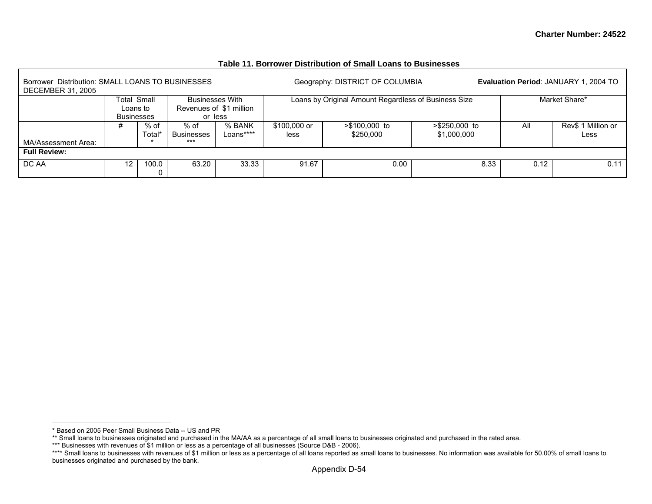| Borrower Distribution: SMALL LOANS TO BUSINESSES<br><b>DECEMBER 31, 2005</b> |                               |                |                           |                                    |                      | Geography: DISTRICT OF COLUMBIA                      |                              |      | Evaluation Period: JANUARY 1, 2004 TO |
|------------------------------------------------------------------------------|-------------------------------|----------------|---------------------------|------------------------------------|----------------------|------------------------------------------------------|------------------------------|------|---------------------------------------|
|                                                                              |                               | Total Small    |                           | <b>Businesses With</b>             |                      | Loans by Original Amount Regardless of Business Size |                              |      | Market Share*                         |
|                                                                              | Loans to<br><b>Businesses</b> |                |                           | Revenues of \$1 million<br>or less |                      |                                                      |                              |      |                                       |
|                                                                              | #                             | % of<br>Total* | % of<br><b>Businesses</b> | % BANK<br>Loans****                | \$100,000 or<br>less | $> $100,000$ to<br>\$250,000                         | >\$250,000 to<br>\$1,000,000 | All  | Rev\$ 1 Million or<br>Less            |
| MA/Assessment Area:                                                          |                               |                | $***$                     |                                    |                      |                                                      |                              |      |                                       |
| <b>Full Review:</b>                                                          |                               |                |                           |                                    |                      |                                                      |                              |      |                                       |
| DC AA                                                                        | $12 \overline{ }$             | 100.0          | 63.20                     | 33.33                              | 91.67                | 0.00                                                 | 8.33                         | 0.12 | 0.11                                  |

#### **Table 11. Borrower Distribution of Small Loans to Businesses**

<sup>\*</sup> Based on 2005 Peer Small Business Data -- US and PR

<sup>\*\*</sup> Small loans to businesses originated and purchased in the MA/AA as a percentage of all small loans to businesses originated and purchased in the rated area.

<sup>\*\*\*</sup> Businesses with revenues of \$1 million or less as a percentage of all businesses (Source D&B - 2006).

<sup>\*\*\*\*</sup> Small loans to businesses with revenues of \$1 million or less as a percentage of all loans reported as small loans to businesses. No information was available for 50.00% of small loans to businesses originated and purchased by the bank.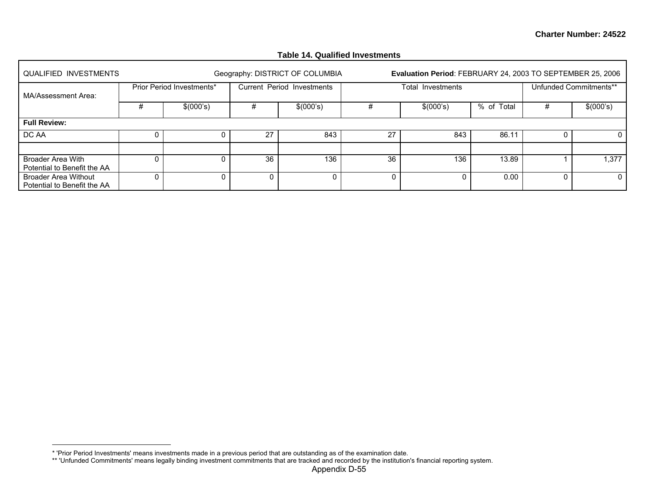|                                                            |   |                           |    | $1$ udio 17. Wuuniivu IIIIvoimuno |    |                                                            |            |   |                        |
|------------------------------------------------------------|---|---------------------------|----|-----------------------------------|----|------------------------------------------------------------|------------|---|------------------------|
| QUALIFIED INVESTMENTS                                      |   |                           |    | Geography: DISTRICT OF COLUMBIA   |    | Evaluation Period: FEBRUARY 24, 2003 TO SEPTEMBER 25, 2006 |            |   |                        |
| MA/Assessment Area:                                        |   | Prior Period Investments* |    | Current Period Investments        |    | Total Investments                                          |            |   | Unfunded Commitments** |
|                                                            | # | \$(000's)                 | #  | \$(000's)                         |    | \$(000's)                                                  | % of Total | # | \$(000's)              |
| <b>Full Review:</b>                                        |   |                           |    |                                   |    |                                                            |            |   |                        |
| DC AA                                                      |   | 0                         | 27 | 843                               | 27 | 843                                                        | 86.11      | 0 | 0                      |
|                                                            |   |                           |    |                                   |    |                                                            |            |   |                        |
| Broader Area With<br>Potential to Benefit the AA           |   | 0                         | 36 | 136                               | 36 | 136                                                        | 13.89      |   | 1,377                  |
| <b>Broader Area Without</b><br>Potential to Benefit the AA |   |                           |    | 0                                 |    | 0                                                          | 0.00       | 0 | 0                      |

### **Table 14. Qualified Investments**

<sup>\* &#</sup>x27;Prior Period Investments' means investments made in a previous period that are outstanding as of the examination date.

<sup>\*\* &#</sup>x27;Unfunded Commitments' means legally binding investment commitments that are tracked and recorded by the institution's financial reporting system.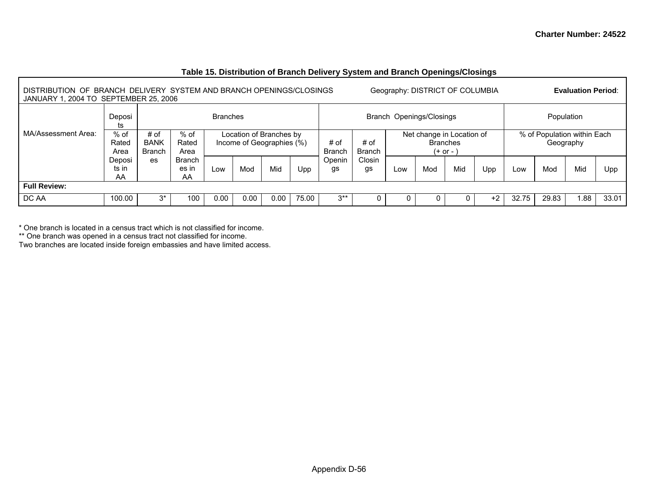| DISTRIBUTION OF BRANCH DELIVERY SYSTEM AND BRANCH OPENINGS/CLOSINGS<br>JANUARY 1, 2004 TO SEPTEMBER 25, 2006 |                         |                                      |                              |                 |                                                      |      |       |                       |                |     | Geography: DISTRICT OF COLUMBIA              |            |     |       |       | <b>Evaluation Period:</b>                |       |
|--------------------------------------------------------------------------------------------------------------|-------------------------|--------------------------------------|------------------------------|-----------------|------------------------------------------------------|------|-------|-----------------------|----------------|-----|----------------------------------------------|------------|-----|-------|-------|------------------------------------------|-------|
|                                                                                                              | Deposi<br>ts            |                                      |                              | <b>Branches</b> |                                                      |      |       |                       |                |     | Branch Openings/Closings                     |            |     |       |       | Population                               |       |
| MA/Assessment Area:                                                                                          | $%$ of<br>Rated<br>Area | # of<br><b>BANK</b><br><b>Branch</b> | $%$ of<br>Rated<br>Area      |                 | Location of Branches by<br>Income of Geographies (%) |      |       | # of<br><b>Branch</b> | # of<br>Branch |     | Net change in Location of<br><b>Branches</b> | $(+ or -)$ |     |       |       | % of Population within Each<br>Geography |       |
|                                                                                                              | Deposi<br>ts in<br>AA   | es                                   | <b>Branch</b><br>es in<br>AA | Low             | Mid<br>Mod<br>Upp                                    |      |       |                       | Closin<br>gs   | Low | Mod                                          | Mid        | Upp | Low   | Mod   | Mid                                      | Upp   |
| <b>Full Review:</b>                                                                                          |                         |                                      |                              |                 |                                                      |      |       |                       |                |     |                                              |            |     |       |       |                                          |       |
| DC AA                                                                                                        | 100.00                  | ٦*                                   | 100                          | 0.00            | 0.00                                                 | 0.00 | 75.00 | $3^{**}$              |                |     |                                              |            | +2  | 32.75 | 29.83 | i 88                                     | 33.01 |

### **Table 15. Distribution of Branch Delivery System and Branch Openings/Closings**

\* One branch is located in a census tract which is not classified for income.

\*\* One branch was opened in a census tract not classified for income.

Two branches are located inside foreign embassies and have limited access.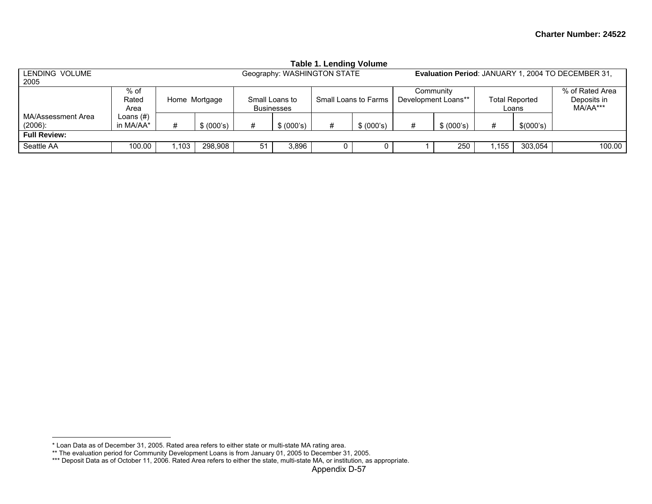|                                  |                                          |      |            |                   |                | Table 1. Lending volume     |                      |   |                                  |                                |           |                                                    |
|----------------------------------|------------------------------------------|------|------------|-------------------|----------------|-----------------------------|----------------------|---|----------------------------------|--------------------------------|-----------|----------------------------------------------------|
| LENDING VOLUME<br>2005           |                                          |      |            |                   |                | Geography: WASHINGTON STATE |                      |   |                                  |                                |           | Evaluation Period: JANUARY 1, 2004 TO DECEMBER 31, |
|                                  | $%$ of<br>Rated<br>Home Mortgage<br>Area |      |            | <b>Businesses</b> | Small Loans to |                             | Small Loans to Farms |   | Community<br>Development Loans** | <b>Total Reported</b><br>Loans |           | % of Rated Area<br>Deposits in<br>MA/AA***         |
| MA/Assessment Area<br>$(2006)$ : | Loans (#)<br>in MA/AA*                   |      | \$ (000's) | #                 | \$ (000's)     | #                           | \$ (000's)           | # | \$ (000's)                       | #                              | \$(000's) |                                                    |
| <b>Full Review:</b>              |                                          |      |            |                   |                |                             |                      |   |                                  |                                |           |                                                    |
| Seattle AA                       | 100.00                                   | .103 | 298,908    | 51                | 3,896          | U                           |                      |   | 250                              | .155                           | 303.054   | 100.00                                             |

# **Table 1. Lending Volume**

<sup>\*</sup> Loan Data as of December 31, 2005. Rated area refers to either state or multi-state MA rating area.

<sup>\*\*</sup> The evaluation period for Community Development Loans is from January 01, 2005 to December 31, 2005.

<sup>\*\*\*</sup> Deposit Data as of October 11, 2006. Rated Area refers to either the state, multi-state MA, or institution, as appropriate.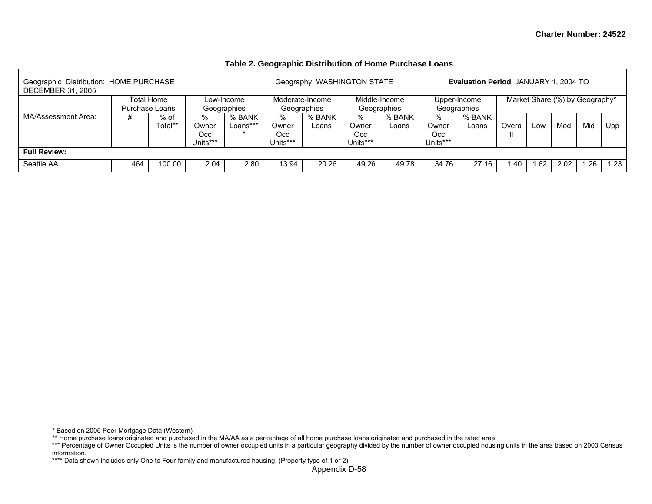### **Table 2. Geographic Distribution of Home Purchase Loans**

| Geographic Distribution: HOME PURCHASE<br><b>DECEMBER 31, 2005</b> |     |                              |                  |                           |                  | Geography: WASHINGTON STATE    |                 |                              |                 | <b>Evaluation Period: JANUARY 1, 2004 TO</b> |       |                                |      |     |     |
|--------------------------------------------------------------------|-----|------------------------------|------------------|---------------------------|------------------|--------------------------------|-----------------|------------------------------|-----------------|----------------------------------------------|-------|--------------------------------|------|-----|-----|
|                                                                    |     | Total Home<br>Purchase Loans |                  | Low-Income<br>Geographies |                  | Moderate-Income<br>Geographies |                 | Middle-Income<br>Geographies |                 | Upper-Income<br>Geographies                  |       | Market Share (%) by Geography* |      |     |     |
| MA/Assessment Area:                                                | #   | $%$ of<br>Total**            | %<br>Owner       | % BANK<br>Loans***        | %<br>Owner       | % BANK<br>Loans                | %<br>Owner      | % BANK<br>Loans              | $\%$<br>Owner   | % BANK<br>Loans                              | Overa | LOW                            | Mod  | Mid | Upp |
|                                                                    |     |                              | Occ.<br>Units*** |                           | Occ.<br>Units*** |                                | Occ<br>Units*** |                              | Occ<br>Units*** |                                              |       |                                |      |     |     |
| <b>Full Review:</b>                                                |     |                              |                  |                           |                  |                                |                 |                              |                 |                                              |       |                                |      |     |     |
| Seattle AA                                                         | 464 | 100.00                       | 2.04             | 2.80                      | 13.94            | 20.26                          | 49.26           | 49.78                        | 34.76           | 27.16                                        | .40   | .62                            | 2.02 | 26  | .23 |

<sup>\*</sup> Based on 2005 Peer Mortgage Data (Western)

<sup>\*\*</sup> Home purchase loans originated and purchased in the MA/AA as a percentage of all home purchase loans originated and purchased in the rated area.

<sup>\*\*\*</sup> Percentage of Owner Occupied Units is the number of owner occupied units in a particular geography divided by the number of owner occupied housing units in the area based on 2000 Census information.

<sup>\*\*\*\*</sup> Data shown includes only One to Four-family and manufactured housing. (Property type of 1 or 2)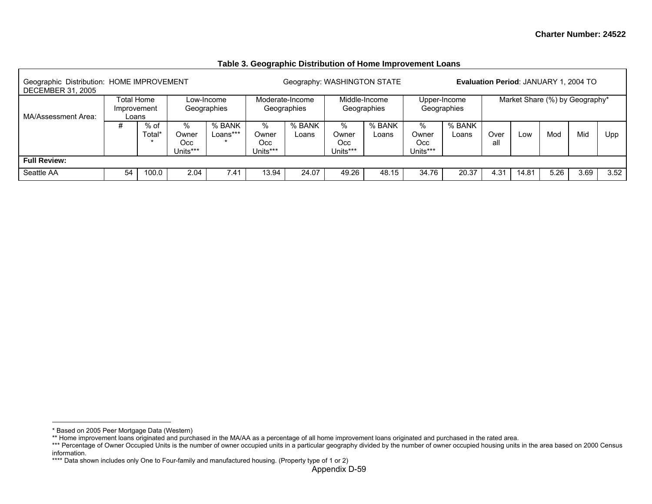| Geographic Distribution: HOME IMPROVEMENT<br><b>DECEMBER 31, 2005</b> |                                    |                |                                  |                           |                               | Geography: WASHINGTON STATE    |                               |                              |                               |                             |             | Evaluation Period: JANUARY 1, 2004 TO |      |      |      |
|-----------------------------------------------------------------------|------------------------------------|----------------|----------------------------------|---------------------------|-------------------------------|--------------------------------|-------------------------------|------------------------------|-------------------------------|-----------------------------|-------------|---------------------------------------|------|------|------|
| MA/Assessment Area:                                                   | Total Home<br>Improvement<br>Loans |                |                                  | Low-Income<br>Geographies |                               | Moderate-Income<br>Geographies |                               | Middle-Income<br>Geographies |                               | Upper-Income<br>Geographies |             | Market Share (%) by Geography*        |      |      |      |
|                                                                       | #                                  | % of<br>Total* | $\%$<br>Owner<br>Occ<br>Units*** | % BANK<br>Loans***        | %<br>Owner<br>Occ<br>Units*** | % BANK<br>Loans                | %<br>Owner<br>Occ<br>Units*** | % BANK<br>Loans              | %<br>Owner<br>Occ<br>Units*** | % BANK<br>Loans             | Over<br>all | Low                                   | Mod  | Mid  | Upp  |
| <b>Full Review:</b>                                                   |                                    |                |                                  |                           |                               |                                |                               |                              |                               |                             |             |                                       |      |      |      |
| Seattle AA                                                            | 54                                 | 100.0          | 2.04                             | 7.41                      | 13.94                         | 24.07                          | 49.26                         | 48.15                        | 34.76                         | 20.37                       | 4.31        | 14.81                                 | 5.26 | 3.69 | 3.52 |

#### **Table 3. Geographic Distribution of Home Improvement Loans**

<sup>\*</sup> Based on 2005 Peer Mortgage Data (Western)

<sup>\*\*</sup> Home improvement loans originated and purchased in the MA/AA as a percentage of all home improvement loans originated and purchased in the rated area.

<sup>\*\*\*</sup> Percentage of Owner Occupied Units is the number of owner occupied units in a particular geography divided by the number of owner occupied housing units in the area based on 2000 Census information.

<sup>\*\*\*\*</sup> Data shown includes only One to Four-family and manufactured housing. (Property type of 1 or 2)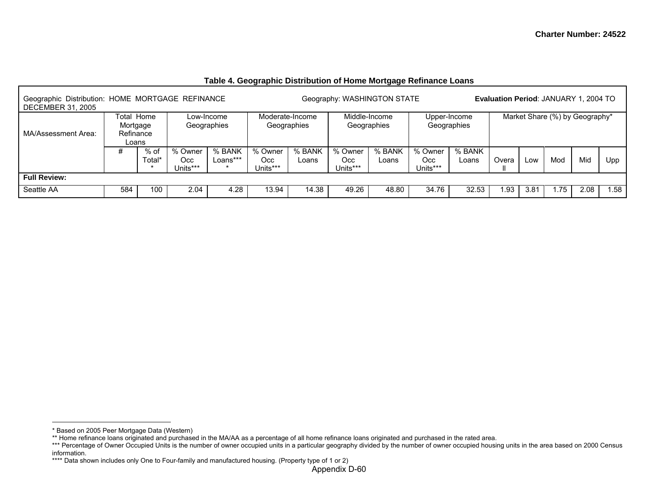| Geographic Distribution: HOME MORTGAGE REFINANCE<br><b>DECEMBER 31, 2005</b> |                                              |                |                             |                           |                                   |                                | Geography: WASHINGTON STATE |                              |                            |                             | Evaluation Period: JANUARY 1, 2004 TO |      |                                |      |      |
|------------------------------------------------------------------------------|----------------------------------------------|----------------|-----------------------------|---------------------------|-----------------------------------|--------------------------------|-----------------------------|------------------------------|----------------------------|-----------------------------|---------------------------------------|------|--------------------------------|------|------|
| MA/Assessment Area:                                                          | Total Home<br>Mortgage<br>Refinance<br>Loans |                |                             | Low-Income<br>Geographies |                                   | Moderate-Income<br>Geographies |                             | Middle-Income<br>Geographies |                            | Upper-Income<br>Geographies |                                       |      | Market Share (%) by Geography* |      |      |
|                                                                              | #                                            | % of<br>Гоtаl* | % Owner<br>Occ.<br>Jnits*** | % BANK<br>Loans***        | % Owner<br><b>Occ</b><br>Jnits*** | % BANK<br>Loans                | % Owner<br>Occ.<br>Units*** | % BANK<br>Loans              | % Owner<br>Occ<br>Units*** | % BANK<br>Loans             | Overa                                 | LOW  | Mod                            | Mid  | Upp  |
| <b>Full Review:</b>                                                          |                                              |                |                             |                           |                                   |                                |                             |                              |                            |                             |                                       |      |                                |      |      |
| Seattle AA                                                                   | 584                                          | 100            | 2.04                        | 4.28                      | 13.94                             | 14.38                          | 49.26                       | 48.80                        | 34.76                      | 32.53                       | .93                                   | 3.81 | 75.،                           | 2.08 | 1.58 |

## **Table 4. Geographic Distribution of Home Mortgage Refinance Loans**

<sup>\*</sup> Based on 2005 Peer Mortgage Data (Western)

<sup>\*\*</sup> Home refinance loans originated and purchased in the MA/AA as a percentage of all home refinance loans originated and purchased in the rated area.

<sup>\*\*\*</sup> Percentage of Owner Occupied Units is the number of owner occupied units in a particular geography divided by the number of owner occupied housing units in the area based on 2000 Census information.

<sup>\*\*\*\*</sup> Data shown includes only One to Four-family and manufactured housing. (Property type of 1 or 2)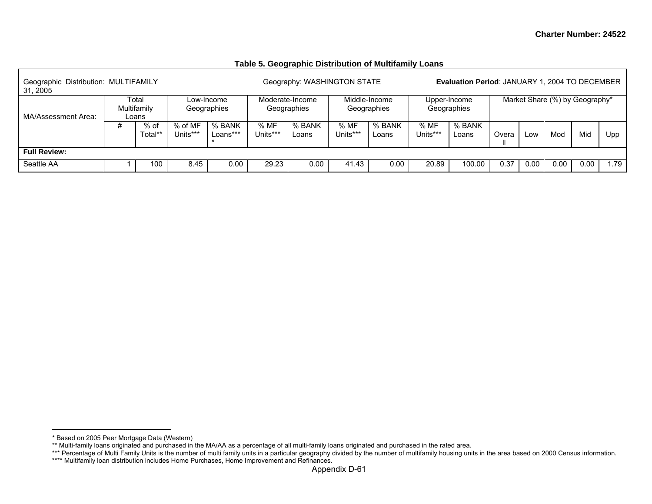#### **Table 5. Geographic Distribution of Multifamily Loans**

| Geographic Distribution: MULTIFAMILY<br>31, 2005 |             |                 |                     |                           |                 | Geography: WASHINGTON STATE    |                  |                              |                  | <b>Evaluation Period: JANUARY 1, 2004 TO DECEMBER</b> |       |      |      |                                |     |
|--------------------------------------------------|-------------|-----------------|---------------------|---------------------------|-----------------|--------------------------------|------------------|------------------------------|------------------|-------------------------------------------------------|-------|------|------|--------------------------------|-----|
| MA/Assessment Area:                              | Multifamily | Total<br>Loans  |                     | Low-Income<br>Geographies |                 | Moderate-Income<br>Geographies |                  | Middle-Income<br>Geographies |                  | Upper-Income<br>Geographies                           |       |      |      | Market Share (%) by Geography* |     |
|                                                  | #           | % of<br>Total** | % of MF<br>Units*** | % BANK<br>Loans***        | %MF<br>Units*** | % BANK<br>Loans                | % MF<br>Units*** | % BANK<br>Loans              | % MF<br>Units*** | % BANK<br>Loans                                       | Overa | Low  | Mod  | Mid                            | Upp |
| <b>Full Review:</b>                              |             |                 |                     |                           |                 |                                |                  |                              |                  |                                                       |       |      |      |                                |     |
| Seattle AA                                       |             | 100             | 8.45                | 0.00                      | 29.23           | 0.00                           | 41.43            | 0.00                         | 20.89            | 100.00                                                | 0.37  | 0.00 | 0.00 | 0.00                           | .79 |

<sup>\*</sup> Based on 2005 Peer Mortgage Data (Western)

<sup>\*\*</sup> Multi-family loans originated and purchased in the MA/AA as a percentage of all multi-family loans originated and purchased in the rated area.

<sup>\*\*\*</sup> Percentage of Multi Family Units is the number of multi family units in a particular geography divided by the number of multifamily housing units in the area based on 2000 Census information.

<sup>\*\*\*\*</sup> Multifamily loan distribution includes Home Purchases, Home Improvement and Refinances.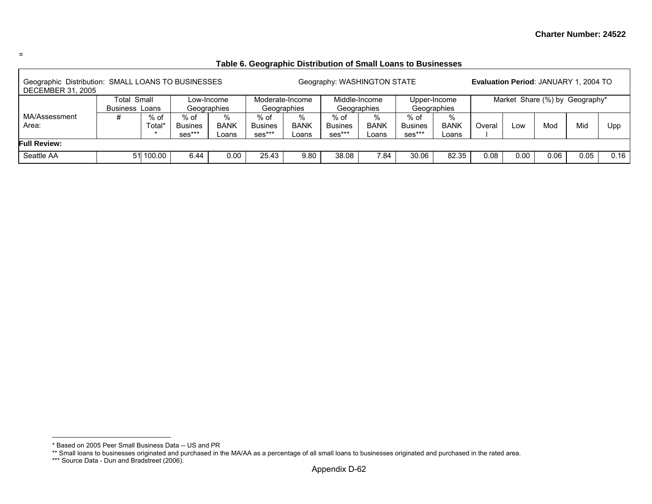### **Table 6. Geographic Distribution of Small Loans to Businesses**

| Geographic Distribution: SMALL LOANS TO BUSINESSES<br><b>DECEMBER 31, 2005</b> |                                       |                |                                                  |                           |                                  |                                | Geography: WASHINGTON STATE      |                           |                                  |                           |        |      | <b>Evaluation Period: JANUARY 1, 2004 TO</b> |      |      |
|--------------------------------------------------------------------------------|---------------------------------------|----------------|--------------------------------------------------|---------------------------|----------------------------------|--------------------------------|----------------------------------|---------------------------|----------------------------------|---------------------------|--------|------|----------------------------------------------|------|------|
|                                                                                | <b>Total Small</b><br><b>Business</b> | Loans          | Geographies                                      | Low-Income                |                                  | Moderate-Income<br>Geographies | Middle-Income<br>Geographies     |                           | Geographies                      | Upper-Income              |        |      | Market Share (%) by Geography*               |      |      |
| MA/Assessment<br>Area:                                                         | #                                     | % of<br>Total* | % of<br><b>Busines</b><br>$\cdot$ ses $\cdot$ ** | %<br><b>BANK</b><br>Loans | % of<br><b>Busines</b><br>ses*** | $\%$<br><b>BANK</b><br>Loans   | % of<br><b>Busines</b><br>ses*** | %<br><b>BANK</b><br>Loans | % of<br><b>Busines</b><br>ses*** | %<br><b>BANK</b><br>Loans | Overal | Low  | Mod                                          | Mid  | Upp  |
| <b>Full Review:</b>                                                            |                                       |                |                                                  |                           |                                  |                                |                                  |                           |                                  |                           |        |      |                                              |      |      |
| Seattle AA                                                                     |                                       | 51 100.00      | 6.44                                             | 0.00                      | 25.43                            | 9.80                           | 38.08                            | 7.84                      | 30.06                            | 82.35                     | 0.08   | 0.00 | 0.06                                         | 0.05 | 0.16 |

<sup>\*</sup> Based on 2005 Peer Small Business Data -- US and PR

<sup>\*\*</sup> Small loans to businesses originated and purchased in the MA/AA as a percentage of all small loans to businesses originated and purchased in the rated area.

<sup>\*\*\*</sup> Source Data - Dun and Bradstreet (2006).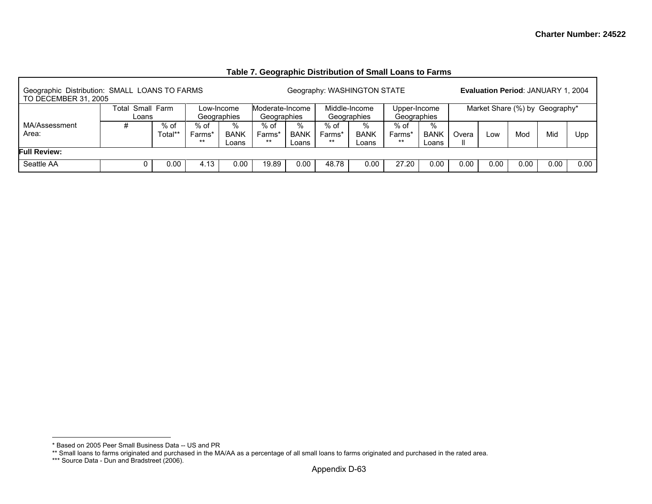### **Table 7. Geographic Distribution of Small Loans to Farms**

| Geographic Distribution: SMALL LOANS TO FARMS<br>TO DECEMBER 31, 2005 |       |                                   |      |             |                 |             |        | Geography: WASHINGTON STATE |              |             |       |      | <b>Evaluation Period: JANUARY 1, 2004</b> |      |      |
|-----------------------------------------------------------------------|-------|-----------------------------------|------|-------------|-----------------|-------------|--------|-----------------------------|--------------|-------------|-------|------|-------------------------------------------|------|------|
|                                                                       | Гоtal | Small Farm                        |      | Low-Income  | Moderate-Income |             |        | Middle-Income               | Upper-Income |             |       |      | Market Share (%) by Geography*            |      |      |
|                                                                       |       |                                   |      | Geographies | Geographies     |             |        | Geographies                 | Geographies  |             |       |      |                                           |      |      |
| MA/Assessment                                                         |       | Loans<br>% of<br>$%$ of<br>Farms* |      |             | % of            | %           | % of   | %                           | % of         | %           |       |      |                                           |      |      |
| Area:                                                                 |       | Total**                           |      | <b>BANK</b> | Farms*          | <b>BANK</b> | Farms* | <b>BANK</b>                 | Farms*       | <b>BANK</b> | Overa | LOW  | Mod                                       | Mid  | Upp  |
|                                                                       |       |                                   | $**$ | Loans       | $***$           | Loans       | $***$  | Loans                       | **           | Loans       | Ш     |      |                                           |      |      |
| <b>Full Review:</b>                                                   |       |                                   |      |             |                 |             |        |                             |              |             |       |      |                                           |      |      |
| Seattle AA                                                            |       | 0.00                              | 4.13 | 0.00        | 19.89           | 0.00        | 48.78  | 0.00                        | 27.20        | 0.00        | 0.00  | 0.00 | 0.00                                      | 0.00 | 0.00 |

<sup>\*</sup> Based on 2005 Peer Small Business Data -- US and PR

<sup>\*\*</sup> Small loans to farms originated and purchased in the MA/AA as a percentage of all small loans to farms originated and purchased in the rated area.

<sup>\*\*\*</sup> Source Data - Dun and Bradstreet (2006).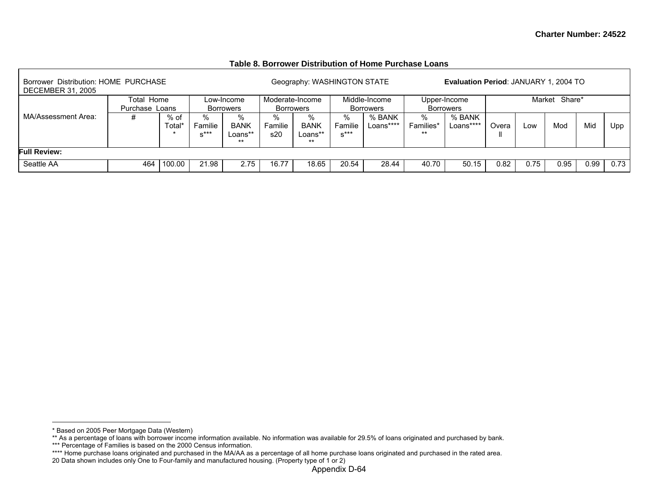#### **Table 8. Borrower Distribution of Home Purchase Loans**

| Borrower Distribution: HOME PURCHASE<br><b>DECEMBER 31, 2005</b> |                                                                                                                |        |       |            |                                     | Geography: WASHINGTON STATE          |                           |                                   |                        | Evaluation Period: JANUARY 1, 2004 TO |       |      |               |      |      |
|------------------------------------------------------------------|----------------------------------------------------------------------------------------------------------------|--------|-------|------------|-------------------------------------|--------------------------------------|---------------------------|-----------------------------------|------------------------|---------------------------------------|-------|------|---------------|------|------|
|                                                                  | Total Home                                                                                                     |        |       | Low-Income | Moderate-Income<br><b>Borrowers</b> |                                      |                           | Middle-Income<br><b>Borrowers</b> |                        | Upper-Income<br><b>Borrowers</b>      |       |      | Market Share* |      |      |
| MA/Assessment Area:                                              | Purchase Loans<br>Borrowers<br>% of<br>℅<br>%<br><b>BANK</b><br>Familie<br>fotal*<br>$x***$<br>Loans**<br>$**$ |        |       |            |                                     | %<br><b>BANK</b><br>Loans**<br>$***$ | %<br>Familie<br>$x^{***}$ | % BANK<br>Loans****               | %<br>Families*<br>$**$ | % BANK<br>Loans****                   | Overa | Low  | Mod           | Mid  | Upp  |
| <b>Full Review:</b>                                              |                                                                                                                |        |       |            |                                     |                                      |                           |                                   |                        |                                       |       |      |               |      |      |
| Seattle AA                                                       | 464                                                                                                            | 100.00 | 21.98 | 2.75       | 16.77                               | 18.65                                | 20.54                     | 28.44                             | 40.70                  | 50.15                                 | 0.82  | 0.75 | 0.95          | 0.99 | 0.73 |

<sup>\*</sup> Based on 2005 Peer Mortgage Data (Western)

<sup>\*\*</sup> As a percentage of loans with borrower income information available. No information was available for 29.5% of loans originated and purchased by bank.

<sup>\*\*\*</sup> Percentage of Families is based on the 2000 Census information.

<sup>\*\*\*\*</sup> Home purchase loans originated and purchased in the MA/AA as a percentage of all home purchase loans originated and purchased in the rated area.

<sup>20</sup> Data shown includes only One to Four-family and manufactured housing. (Property type of 1 or 2)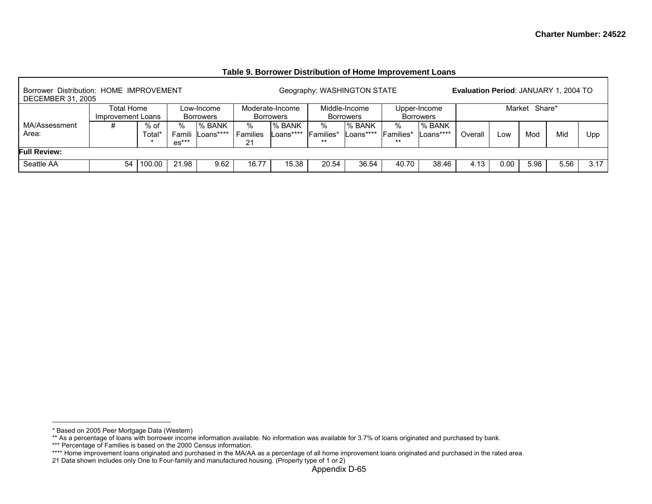#### **Table 9. Borrower Distribution of Home Improvement Loans**

| Borrower Distribution: HOME IMPROVEMENT<br><b>DECEMBER 31, 2005</b> |                                                                                |        |         |                            |                        |                                     | Geography: WASHINGTON STATE  |                                   |                                |                                  | Evaluation Period: JANUARY 1, 2004 TO |      |               |      |      |
|---------------------------------------------------------------------|--------------------------------------------------------------------------------|--------|---------|----------------------------|------------------------|-------------------------------------|------------------------------|-----------------------------------|--------------------------------|----------------------------------|---------------------------------------|------|---------------|------|------|
|                                                                     | Total Home<br>Low-Income<br>Improvement Loans<br><b>Borrowers</b><br>% of<br>% |        |         |                            |                        | Moderate-Income<br><b>Borrowers</b> |                              | Middle-Income<br><b>Borrowers</b> |                                | Upper-Income<br><b>Borrowers</b> |                                       |      | Market Share* |      |      |
| MA/Assessment<br>Area:                                              |                                                                                | Total* | $es***$ | % BANK<br>Famili Loans**** | $\%$<br>Families<br>21 | % BANK<br>Loans****                 | ℅<br><b>IFamilies*</b><br>** | I% BANK<br>_oans****              | %<br><b>Families*</b><br>$***$ | % BANK<br>_oans****              | Overall                               | Low  | Mod           | Mid  | Upp  |
| <b>Full Review:</b>                                                 |                                                                                |        |         |                            |                        |                                     |                              |                                   |                                |                                  |                                       |      |               |      |      |
| Seattle AA                                                          | 54                                                                             | 100.00 | 21.98   | 9.62                       | 16.77                  | 15.38                               | 20.54                        | 36.54                             | 40.70                          | 38.46                            | 4.13                                  | 0.00 | 5.98          | 5.56 | 3.17 |

<sup>\*</sup> Based on 2005 Peer Mortgage Data (Western)

<sup>\*\*</sup> As a percentage of loans with borrower income information available. No information was available for 3.7% of loans originated and purchased by bank.

<sup>\*\*\*</sup> Percentage of Families is based on the 2000 Census information.

<sup>\*\*\*\*</sup> Home improvement loans originated and purchased in the MA/AA as a percentage of all home improvement loans originated and purchased in the rated area.

<sup>21</sup> Data shown includes only One to Four-family and manufactured housing. (Property type of 1 or 2)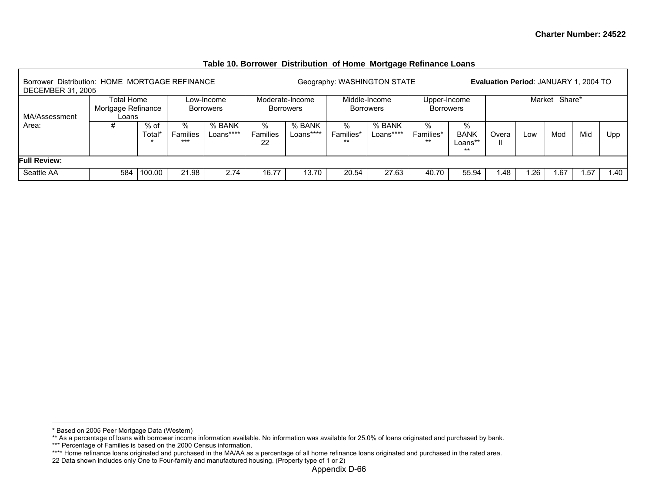|                                                                            |                                                                                        |        |       |      |                     |                                     |                         | - -                               |                                  |                                      |                                       |     |               |     |      |
|----------------------------------------------------------------------------|----------------------------------------------------------------------------------------|--------|-------|------|---------------------|-------------------------------------|-------------------------|-----------------------------------|----------------------------------|--------------------------------------|---------------------------------------|-----|---------------|-----|------|
| Borrower Distribution: HOME MORTGAGE REFINANCE<br><b>DECEMBER 31, 2005</b> |                                                                                        |        |       |      |                     |                                     |                         | Geography: WASHINGTON STATE       |                                  |                                      | Evaluation Period: JANUARY 1, 2004 TO |     |               |     |      |
| MA/Assessment                                                              | Total Home<br>Low-Income<br>Mortgage Refinance<br>Borrowers<br>Loans<br>% of<br>%<br># |        |       |      |                     | Moderate-Income<br><b>Borrowers</b> |                         | Middle-Income<br><b>Borrowers</b> | Upper-Income<br><b>Borrowers</b> |                                      |                                       |     | Market Share* |     |      |
| Area:                                                                      | % BANK<br>Families<br>Loans****<br>™otal*<br>***                                       |        |       |      | %<br>Families<br>22 | % BANK<br>Loans****                 | %<br>Families*<br>$***$ | % BANK<br>Loans****               | %<br>Families*<br>$***$          | %<br><b>BANK</b><br>Loans**<br>$***$ | Overa                                 | Low | Mod           | Mid | Upp  |
| <b>Full Review:</b>                                                        |                                                                                        |        |       |      |                     |                                     |                         |                                   |                                  |                                      |                                       |     |               |     |      |
| Seattle AA                                                                 | 584                                                                                    | 100.00 | 21.98 | 2.74 | 16.77               | 13.70                               | 20.54                   | 27.63                             | 40.70                            | 55.94                                | 1.48                                  | .26 | .67           | .57 | 1.40 |

### **Table 10. Borrower Distribution of Home Mortgage Refinance Loans**

<sup>\*</sup> Based on 2005 Peer Mortgage Data (Western)

<sup>\*\*</sup> As a percentage of loans with borrower income information available. No information was available for 25.0% of loans originated and purchased by bank.

<sup>\*\*\*</sup> Percentage of Families is based on the 2000 Census information.

<sup>\*\*\*\*</sup> Home refinance loans originated and purchased in the MA/AA as a percentage of all home refinance loans originated and purchased in the rated area.

<sup>22</sup> Data shown includes only One to Four-family and manufactured housing. (Property type of 1 or 2)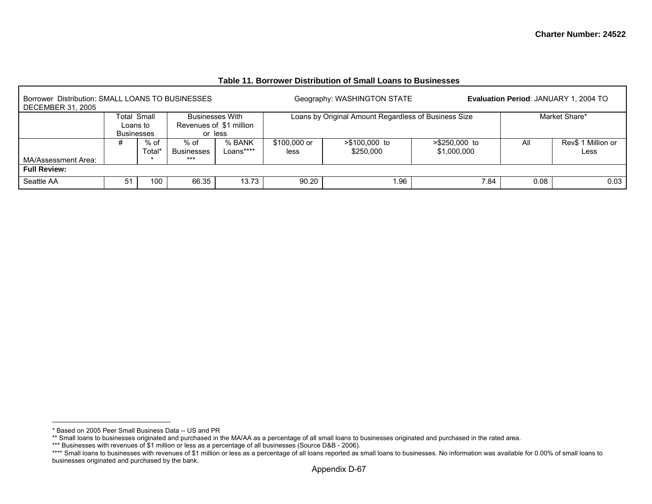| Borrower Distribution: SMALL LOANS TO BUSINESSES<br><b>DECEMBER 31, 2005</b> |                   |                  |                    |                                                   |                      | Geography: WASHINGTON STATE                          |                                |      | Evaluation Period: JANUARY 1, 2004 TO |
|------------------------------------------------------------------------------|-------------------|------------------|--------------------|---------------------------------------------------|----------------------|------------------------------------------------------|--------------------------------|------|---------------------------------------|
|                                                                              | Loans to          | Total Small      |                    | <b>Businesses With</b><br>Revenues of \$1 million |                      | Loans by Original Amount Regardless of Business Size |                                |      | Market Share*                         |
|                                                                              | <b>Businesses</b> |                  | or less            |                                                   |                      |                                                      |                                |      |                                       |
|                                                                              | #                 | $%$ of<br>Total* | % of<br>Businesses | % BANK<br>Loans****                               | \$100,000 or<br>less | $> $100.000$ to<br>\$250,000                         | $> $250,000$ to<br>\$1,000,000 | All  | Rev\$ 1 Million or<br>Less            |
| MA/Assessment Area:                                                          |                   |                  | ***                |                                                   |                      |                                                      |                                |      |                                       |
| <b>Full Review:</b>                                                          |                   |                  |                    |                                                   |                      |                                                      |                                |      |                                       |
| Seattle AA                                                                   | 51                | 100              | 66.35              | 13.73                                             | 90.20                | .96                                                  | 7.84                           | 0.08 | 0.03                                  |

#### **Table 11. Borrower Distribution of Small Loans to Businesses**

<sup>\*</sup> Based on 2005 Peer Small Business Data -- US and PR

<sup>\*\*</sup> Small loans to businesses originated and purchased in the MA/AA as a percentage of all small loans to businesses originated and purchased in the rated area.

<sup>\*\*\*</sup> Businesses with revenues of \$1 million or less as a percentage of all businesses (Source D&B - 2006).

<sup>\*\*\*\*</sup> Small loans to businesses with revenues of \$1 million or less as a percentage of all loans reported as small loans to businesses. No information was available for 0.00% of small loans to businesses originated and purchased by the bank.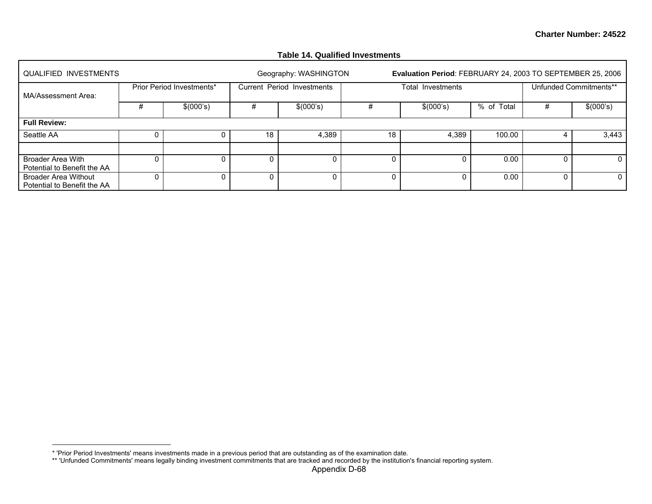# **Table 14. Qualified Investments**

| <b>QUALIFIED INVESTMENTS</b>                               |   |                           |    | Geography: WASHINGTON      |    | Evaluation Period: FEBRUARY 24, 2003 TO SEPTEMBER 25, 2006 |            |   |                        |
|------------------------------------------------------------|---|---------------------------|----|----------------------------|----|------------------------------------------------------------|------------|---|------------------------|
| MA/Assessment Area:                                        |   | Prior Period Investments* |    | Current Period Investments |    | Total Investments                                          |            |   | Unfunded Commitments** |
|                                                            | # | \$(000's)                 | #  | \$(000's)                  |    | \$(000's)                                                  | % of Total | # | \$(000's)              |
| <b>Full Review:</b>                                        |   |                           |    |                            |    |                                                            |            |   |                        |
| Seattle AA                                                 |   |                           | 18 | 4,389                      | 18 | 4,389                                                      | 100.00     |   | 3,443                  |
|                                                            |   |                           |    |                            |    |                                                            |            |   |                        |
| <b>Broader Area With</b><br>Potential to Benefit the AA    |   |                           |    |                            | 0  | Ω                                                          | 0.00       |   |                        |
| <b>Broader Area Without</b><br>Potential to Benefit the AA |   |                           |    | 0.                         | 0  | 0                                                          | 0.00       |   |                        |

<sup>\* &#</sup>x27;Prior Period Investments' means investments made in a previous period that are outstanding as of the examination date.

<sup>\*\* &#</sup>x27;Unfunded Commitments' means legally binding investment commitments that are tracked and recorded by the institution's financial reporting system.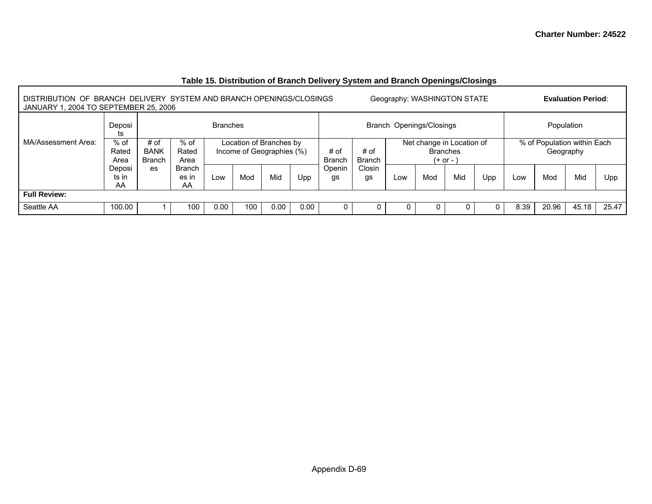| DISTRIBUTION OF BRANCH DELIVERY SYSTEM AND BRANCH OPENINGS/CLOSINGS<br>JANUARY 1, 2004 TO SEPTEMBER 25, 2006 |                         |                                      |                       |                 |                                                      |      |      |                       |                       |     | Geography: WASHINGTON STATE                                 |     |     |      |                                          | <b>Evaluation Period:</b> |       |
|--------------------------------------------------------------------------------------------------------------|-------------------------|--------------------------------------|-----------------------|-----------------|------------------------------------------------------|------|------|-----------------------|-----------------------|-----|-------------------------------------------------------------|-----|-----|------|------------------------------------------|---------------------------|-------|
|                                                                                                              | Deposi<br>ts            |                                      |                       | <b>Branches</b> |                                                      |      |      |                       |                       |     | Branch Openings/Closings                                    |     |     |      | Population                               |                           |       |
| MA/Assessment Area:                                                                                          | $%$ of<br>Rated<br>Area | # of<br><b>BANK</b><br><b>Branch</b> | % of<br>Rated<br>Area |                 | Location of Branches by<br>Income of Geographies (%) |      |      | # of<br><b>Branch</b> | # of<br><b>Branch</b> |     | Net change in Location of<br><b>Branches</b><br>$(+ or - )$ |     |     |      | % of Population within Each<br>Geography |                           |       |
|                                                                                                              | Deposi<br>ts in<br>AA   | es                                   | Branch<br>es in<br>AA | Low             | Mod                                                  | Mid  | Upp  | Openin<br>gs          | Closin<br>gs          | Low | Mod                                                         | Mid | Upp | Low  | Mod                                      | Mid                       | Upp   |
| <b>Full Review:</b>                                                                                          |                         |                                      |                       |                 |                                                      |      |      |                       |                       |     |                                                             |     |     |      |                                          |                           |       |
| Seattle AA                                                                                                   | 100.00                  |                                      | 100                   | 0.00            | 100                                                  | 0.00 | 0.00 |                       | 0                     |     |                                                             |     |     | 8.39 | 20.96                                    | 45.18                     | 25.47 |

# **Table 15. Distribution of Branch Delivery System and Branch Openings/Closings**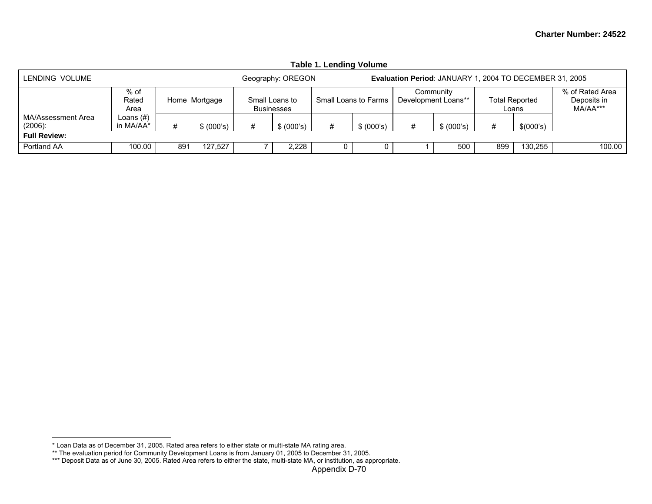|                                  |                        |     |               |   |                              | Table 1. Lending Volume |                      |   |                                                         |     |                         |                                            |
|----------------------------------|------------------------|-----|---------------|---|------------------------------|-------------------------|----------------------|---|---------------------------------------------------------|-----|-------------------------|--------------------------------------------|
| LENDING VOLUME                   |                        |     |               |   | Geography: OREGON            |                         |                      |   | Evaluation Period: JANUARY 1, 2004 TO DECEMBER 31, 2005 |     |                         |                                            |
|                                  | % of<br>Rated<br>Area  |     | Home Mortgage |   | Small Loans to<br>Businesses |                         | Small Loans to Farms |   | Communitv<br>Development Loans**                        |     | Total Reported<br>Loans | % of Rated Area<br>Deposits in<br>MA/AA*** |
| MA/Assessment Area<br>$(2006)$ : | Loans (#)<br>in MA/AA* |     | \$ (000's)    | # | \$ (000's)                   | #                       | \$ (000's)           | # | \$ (000's)                                              | #   | \$(000's)               |                                            |
| <b>Full Review:</b>              |                        |     |               |   |                              |                         |                      |   |                                                         |     |                         |                                            |
| Portland AA                      | 100.00                 | 891 | 127.527       |   | 2,228                        |                         |                      |   | 500                                                     | 899 | 130.255                 | 100.00                                     |

**Table 1. Lending Volume** 

<sup>\*</sup> Loan Data as of December 31, 2005. Rated area refers to either state or multi-state MA rating area.

<sup>\*\*</sup> The evaluation period for Community Development Loans is from January 01, 2005 to December 31, 2005.

<sup>\*\*\*</sup> Deposit Data as of June 30, 2005. Rated Area refers to either the state, multi-state MA, or institution, as appropriate.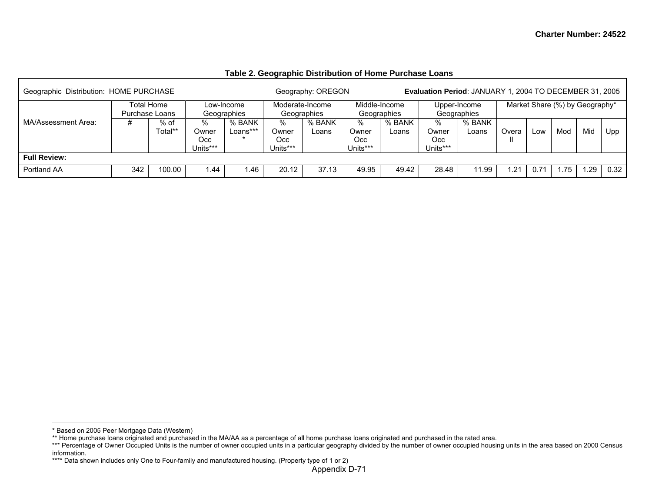| Geographic Distribution: HOME PURCHASE |     |                                                 |          |            |          | Geography: OREGON |             |               | Evaluation Period: JANUARY 1, 2004 TO DECEMBER 31, 2005 |              |       |      |                                |     |      |
|----------------------------------------|-----|-------------------------------------------------|----------|------------|----------|-------------------|-------------|---------------|---------------------------------------------------------|--------------|-------|------|--------------------------------|-----|------|
|                                        |     | Total Home                                      |          | _ow-Income |          | Moderate-Income   |             | Middle-Income |                                                         | Upper-Income |       |      | Market Share (%) by Geography* |     |      |
|                                        |     | Geographies<br>Purchase Loans<br>% of<br>℅<br># |          |            |          | Geographies       | Geographies |               | Geographies                                             |              |       |      |                                |     |      |
| MA/Assessment Area:                    |     |                                                 |          | % BANK     | %        | % BANK            | %           | % BANK        | ℅                                                       | % BANK       |       |      |                                |     |      |
|                                        |     | Total**                                         | Owner    | Loans***   | Owner    | Loans             | Owner       | Loans         | Owner                                                   | _oans        | Overa | Low  | Mod                            | Mid | Upp  |
|                                        |     |                                                 | Occ      |            | Occ.     |                   | Occ         |               | Occ                                                     |              |       |      |                                |     |      |
|                                        |     |                                                 | Units*** |            | Units*** |                   | Units***    |               | Units***                                                |              |       |      |                                |     |      |
| <b>Full Review:</b>                    |     |                                                 |          |            |          |                   |             |               |                                                         |              |       |      |                                |     |      |
| Portland AA                            | 342 | 100.00                                          | .44      | 1.46       | 20.12    | 37.13             | 49.95       | 49.42         | 28.48                                                   | 1.99         | .21   | 0.71 | .75                            | .29 | 0.32 |

### **Table 2. Geographic Distribution of Home Purchase Loans**

<sup>\*</sup> Based on 2005 Peer Mortgage Data (Western)

<sup>\*\*</sup> Home purchase loans originated and purchased in the MA/AA as a percentage of all home purchase loans originated and purchased in the rated area.

<sup>\*\*\*</sup> Percentage of Owner Occupied Units is the number of owner occupied units in a particular geography divided by the number of owner occupied housing units in the area based on 2000 Census information.

<sup>\*\*\*\*</sup> Data shown includes only One to Four-family and manufactured housing. (Property type of 1 or 2)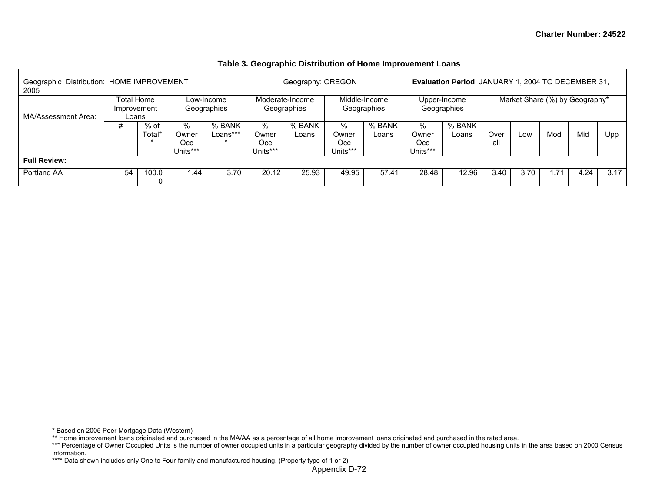| Geographic Distribution: HOME IMPROVEMENT<br>2005 |                                  |                |                               |                           |                               | Geography: OREGON              |                               |                              |                               | <b>Evaluation Period: JANUARY 1, 2004 TO DECEMBER 31,</b> |             |      |     |                                |      |
|---------------------------------------------------|----------------------------------|----------------|-------------------------------|---------------------------|-------------------------------|--------------------------------|-------------------------------|------------------------------|-------------------------------|-----------------------------------------------------------|-------------|------|-----|--------------------------------|------|
| MA/Assessment Area:                               | <b>Total Home</b><br>Improvement | Loans          |                               | Low-Income<br>Geographies |                               | Moderate-Income<br>Geographies |                               | Middle-Income<br>Geographies |                               | Upper-Income<br>Geographies                               |             |      |     | Market Share (%) by Geography* |      |
|                                                   | #                                | % of<br>Total* | %<br>Owner<br>Occ<br>Units*** | % BANK<br>Loans***        | %<br>Owner<br>Occ<br>Units*** | % BANK<br>Loans                | %<br>Owner<br>Occ<br>Units*** | % BANK<br>Loans              | %<br>Owner<br>Occ<br>Units*** | % BANK<br>Loans                                           | Over<br>all | Low  | Mod | Mid                            | Upp  |
| <b>Full Review:</b>                               |                                  |                |                               |                           |                               |                                |                               |                              |                               |                                                           |             |      |     |                                |      |
| Portland AA                                       | 54                               | 100.0          | .44                           | 3.70                      | 20.12                         | 25.93                          | 49.95                         | 57.41                        | 28.48                         | 12.96                                                     | 3.40        | 3.70 | .71 | 4.24                           | 3.17 |

#### **Table 3. Geographic Distribution of Home Improvement Loans**

<sup>\*</sup> Based on 2005 Peer Mortgage Data (Western)

<sup>\*\*</sup> Home improvement loans originated and purchased in the MA/AA as a percentage of all home improvement loans originated and purchased in the rated area.

<sup>\*\*\*</sup> Percentage of Owner Occupied Units is the number of owner occupied units in a particular geography divided by the number of owner occupied housing units in the area based on 2000 Census information.

<sup>\*\*\*\*</sup> Data shown includes only One to Four-family and manufactured housing. (Property type of 1 or 2)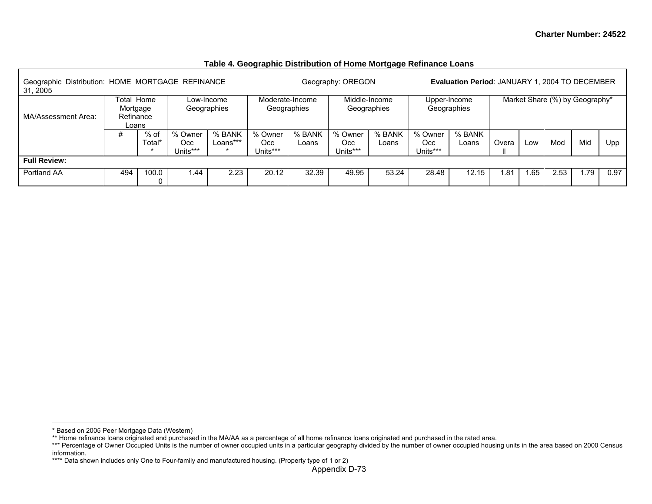| Geographic Distribution: HOME MORTGAGE REFINANCE<br>31, 2005 |                                              |                |                                                   |                           |                            |                                | Geography: OREGON          |                              |                             | <b>Evaluation Period: JANUARY 1, 2004 TO DECEMBER</b> |       |     |                                |     |      |
|--------------------------------------------------------------|----------------------------------------------|----------------|---------------------------------------------------|---------------------------|----------------------------|--------------------------------|----------------------------|------------------------------|-----------------------------|-------------------------------------------------------|-------|-----|--------------------------------|-----|------|
| MA/Assessment Area:                                          | Total Home<br>Mortgage<br>Refinance<br>Loans |                |                                                   | Low-Income<br>Geographies |                            | Moderate-Income<br>Geographies |                            | Middle-Income<br>Geographies |                             | Upper-Income<br>Geographies                           |       |     | Market Share (%) by Geography* |     |      |
|                                                              | #                                            | % of<br>Total* | % Owner<br>% BANK<br>Loans***<br>Occ.<br>Units*** |                           | % Owner<br>Occ<br>Units*** | % BANK<br>Loans                | % Owner<br>Occ<br>Units*** | % BANK<br>Loans              | % Owner<br>Occ.<br>Units*** | % BANK<br>Loans                                       | Overa | Low | Mod                            | Mid | Upp  |
| <b>Full Review:</b>                                          |                                              |                |                                                   |                           |                            |                                |                            |                              |                             |                                                       |       |     |                                |     |      |
| Portland AA                                                  | 494                                          | 100.0          | 1.44                                              | 2.23                      | 20.12                      | 32.39                          | 49.95                      | 53.24                        | 28.48                       | 12.15                                                 | .81.، | .65 | 2.53                           | .79 | 0.97 |

### **Table 4. Geographic Distribution of Home Mortgage Refinance Loans**

<sup>\*</sup> Based on 2005 Peer Mortgage Data (Western)

<sup>\*\*</sup> Home refinance loans originated and purchased in the MA/AA as a percentage of all home refinance loans originated and purchased in the rated area.

<sup>\*\*\*</sup> Percentage of Owner Occupied Units is the number of owner occupied units in a particular geography divided by the number of owner occupied housing units in the area based on 2000 Census information.

<sup>\*\*\*\*</sup> Data shown includes only One to Four-family and manufactured housing. (Property type of 1 or 2)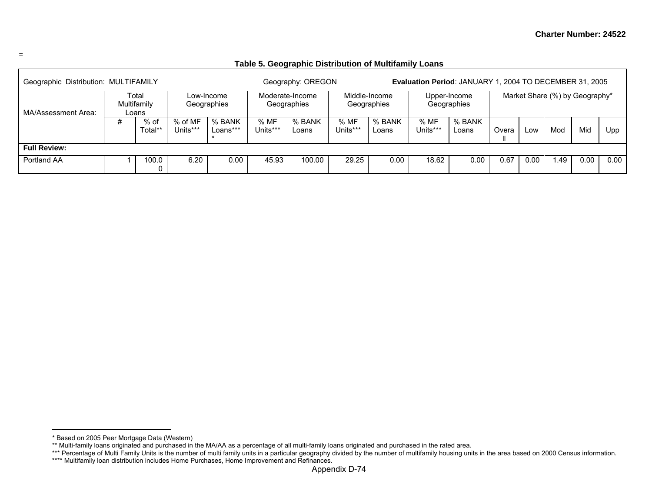| __ |  |
|----|--|

### **Table 5. Geographic Distribution of Multifamily Loans**

| Geographic Distribution: MULTIFAMILY |   |                               |                     |                           |                  | Geography: OREGON              |                 |                              |                  | Evaluation Period: JANUARY 1, 2004 TO DECEMBER 31, 2005 |       |                   |                                |      |      |
|--------------------------------------|---|-------------------------------|---------------------|---------------------------|------------------|--------------------------------|-----------------|------------------------------|------------------|---------------------------------------------------------|-------|-------------------|--------------------------------|------|------|
| MA/Assessment Area:                  |   | Total<br>Multifamily<br>Loans |                     | Low-Income<br>Geographies |                  | Moderate-Income<br>Geographies |                 | Middle-Income<br>Geographies |                  | Upper-Income<br>Geographies                             |       |                   | Market Share (%) by Geography* |      |      |
|                                      | # | % of<br>Total**               | % of MF<br>Units*** | % BANK<br>Loans***        | % MF<br>Units*** | % BANK<br>Loans                | %MF<br>Units*** | % BANK<br>Loans              | % MF<br>Units*** | % BANK<br>Loans                                         | Overa | LOW               | Mod                            | Mid  | Upp  |
| <b>Full Review:</b>                  |   |                               |                     |                           |                  |                                |                 |                              |                  |                                                         |       |                   |                                |      |      |
| Portland AA                          |   | 100.0                         | 6.20                | 0.00                      | 45.93            | 100.00                         | 29.25           | 0.00                         | 18.62            | 0.00                                                    | 0.67  | 0.00 <sub>1</sub> | 1.49                           | 0.00 | 0.00 |

<sup>\*</sup> Based on 2005 Peer Mortgage Data (Western)

<sup>\*\*</sup> Multi-family loans originated and purchased in the MA/AA as a percentage of all multi-family loans originated and purchased in the rated area.

<sup>\*\*\*</sup> Percentage of Multi Family Units is the number of multi family units in a particular geography divided by the number of multifamily housing units in the area based on 2000 Census information.

<sup>\*\*\*\*</sup> Multifamily loan distribution includes Home Purchases, Home Improvement and Refinances.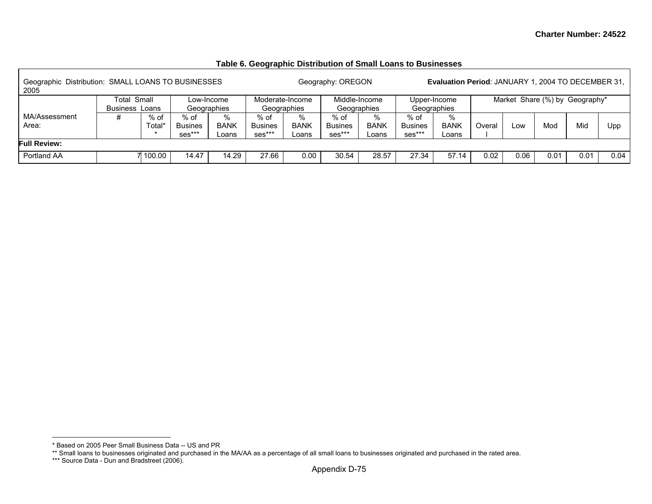### **Table 6. Geographic Distribution of Small Loans to Businesses**

| Geographic Distribution: SMALL LOANS TO BUSINESSES<br>2005 |                                                                                                  |          |                          |                      |                                    |                           | Geography: OREGON                |                           |                                  | <b>Evaluation Period: JANUARY 1, 2004 TO DECEMBER 31,</b> |        |      |                                |      |      |
|------------------------------------------------------------|--------------------------------------------------------------------------------------------------|----------|--------------------------|----------------------|------------------------------------|---------------------------|----------------------------------|---------------------------|----------------------------------|-----------------------------------------------------------|--------|------|--------------------------------|------|------|
|                                                            | Total<br>Small<br>Low-Income<br><b>Business Loans</b><br>Geographies<br>% of<br>$%$ of<br>%<br># |          |                          |                      | Moderate-Income<br>Geographies     |                           | Middle-Income<br>Geographies     |                           |                                  | Upper-Income<br>Geographies                               |        |      | Market Share (%) by Geography* |      |      |
| MA/Assessment<br>Area:                                     |                                                                                                  | Total*   | <b>Busines</b><br>ses*** | <b>BANK</b><br>Loans | $%$ of<br><b>Busines</b><br>ses*** | %<br><b>BANK</b><br>Loans | % of<br><b>Busines</b><br>ses*** | %<br><b>BANK</b><br>Loans | % of<br><b>Busines</b><br>ses*** | %<br>BANK<br>Loans                                        | Overal | Low  | Mod                            | Mid  | Upp  |
| <b>Full Review:</b>                                        |                                                                                                  |          |                          |                      |                                    |                           |                                  |                           |                                  |                                                           |        |      |                                |      |      |
| Portland AA                                                |                                                                                                  | 7 100.00 | 14.47                    | 14.29                | 27.66                              | 0.00                      | 30.54                            | 28.57                     | 27.34                            | 57.14                                                     | 0.02   | 0.06 | 0.0 <sup>4</sup>               | 0.01 | 0.04 |

<sup>\*</sup> Based on 2005 Peer Small Business Data -- US and PR

<sup>\*\*</sup> Small loans to businesses originated and purchased in the MA/AA as a percentage of all small loans to businesses originated and purchased in the rated area.

<sup>\*\*\*</sup> Source Data - Dun and Bradstreet (2006).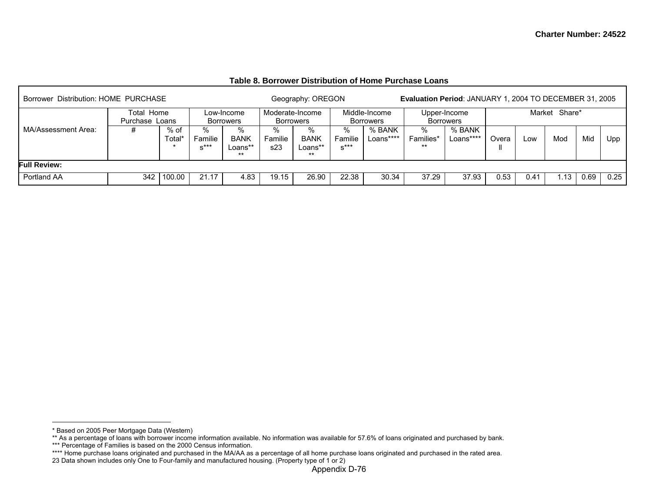| Borrower Distribution: HOME PURCHASE |                              |               |                        |                                      |                     | Geography: OREGON                    |                        |                            | Evaluation Period: JANUARY 1, 2004 TO DECEMBER 31, 2005 |                           |       |      |               |      |      |
|--------------------------------------|------------------------------|---------------|------------------------|--------------------------------------|---------------------|--------------------------------------|------------------------|----------------------------|---------------------------------------------------------|---------------------------|-------|------|---------------|------|------|
|                                      | Total Home<br>Purchase Loans |               |                        | Low-Income<br>Borrowers              |                     | Moderate-Income<br><b>Borrowers</b>  |                        | Middle-Income<br>Borrowers |                                                         | Upper-Income<br>Borrowers |       |      | Market Share* |      |      |
| MA/Assessment Area:                  | #                            | % of<br>Total | %<br>Familie<br>$x***$ | %<br><b>BANK</b><br>Loans**<br>$***$ | %<br>Familie<br>s23 | %<br><b>BANK</b><br>Loans**<br>$***$ | %<br>Familie<br>$S***$ | % BANK<br>Loans****        | %<br>Families*<br>$***$                                 | % BANK<br>Loans****       | Overa | Low  | Mod           | Mid  | Upp  |
| <b>Full Review:</b>                  |                              |               |                        |                                      |                     |                                      |                        |                            |                                                         |                           |       |      |               |      |      |
| Portland AA                          | 342                          | 100.00        | 21.17                  | 4.83                                 | 19.15               | 26.90                                | 22.38                  | 30.34                      | 37.29                                                   | 37.93                     | 0.53  | 0.41 | 13            | 0.69 | 0.25 |

**Table 8. Borrower Distribution of Home Purchase Loans** 

<sup>\*</sup> Based on 2005 Peer Mortgage Data (Western)

<sup>\*\*</sup> As a percentage of loans with borrower income information available. No information was available for 57.6% of loans originated and purchased by bank.

<sup>\*\*\*</sup> Percentage of Families is based on the 2000 Census information.

<sup>\*\*\*\*</sup> Home purchase loans originated and purchased in the MA/AA as a percentage of all home purchase loans originated and purchased in the rated area.

<sup>23</sup> Data shown includes only One to Four-family and manufactured housing. (Property type of 1 or 2)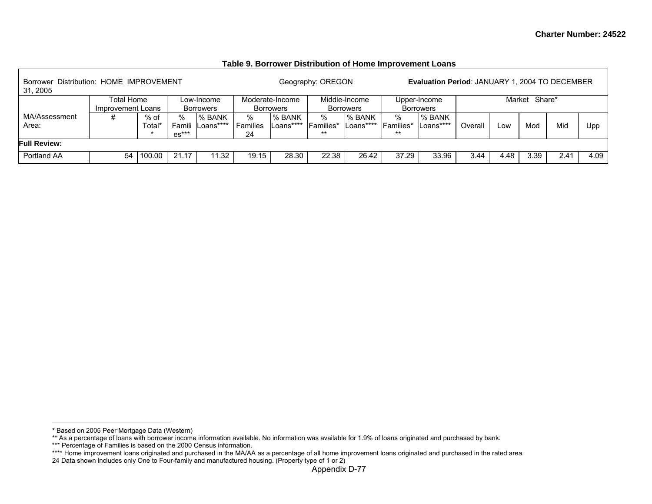| Borrower Distribution: HOME IMPROVEMENT<br>31, 2005 |                                                                         |        |                   |                     |                     |                                     | Geography: OREGON       |                                   |                         | <b>Evaluation Period: JANUARY 1, 2004 TO DECEMBER</b> |         |      |               |      |      |
|-----------------------------------------------------|-------------------------------------------------------------------------|--------|-------------------|---------------------|---------------------|-------------------------------------|-------------------------|-----------------------------------|-------------------------|-------------------------------------------------------|---------|------|---------------|------|------|
|                                                     | Total Home<br>Low-Income<br>Improvement Loans<br>Borrowers<br>% of<br>% |        |                   |                     |                     | Moderate-Income<br><b>Borrowers</b> |                         | Middle-Income<br><b>Borrowers</b> |                         | Upper-Income<br><b>Borrowers</b>                      |         |      | Market Share* |      |      |
| MA/Assessment<br>Area:                              |                                                                         | Total* | Famili<br>$es***$ | % BANK<br>Loans**** | %<br>Families<br>24 | % BANK<br>-oans****                 | ℅<br>Families*<br>$***$ | % BANK<br>Loans****               | %<br>Families*<br>$***$ | % BANK<br>Loans****                                   | Overall | Low  | Mod           | Mid  | Upp  |
| <b>Full Review:</b>                                 |                                                                         |        |                   |                     |                     |                                     |                         |                                   |                         |                                                       |         |      |               |      |      |
| Portland AA                                         | 54                                                                      | 100.00 | 21.17             | 11.32               | 19.15               | 28.30                               | 22.38                   | 26.42                             | 37.29                   | 33.96                                                 | 3.44    | 4.48 | 3.39          | 2.41 | 4.09 |

### **Table 9. Borrower Distribution of Home Improvement Loans**

<sup>\*</sup> Based on 2005 Peer Mortgage Data (Western)

<sup>\*\*</sup> As a percentage of loans with borrower income information available. No information was available for 1.9% of loans originated and purchased by bank.

<sup>\*\*\*</sup> Percentage of Families is based on the 2000 Census information.

<sup>\*\*\*\*</sup> Home improvement loans originated and purchased in the MA/AA as a percentage of all home improvement loans originated and purchased in the rated area.

<sup>24</sup> Data shown includes only One to Four-family and manufactured housing. (Property type of 1 or 2)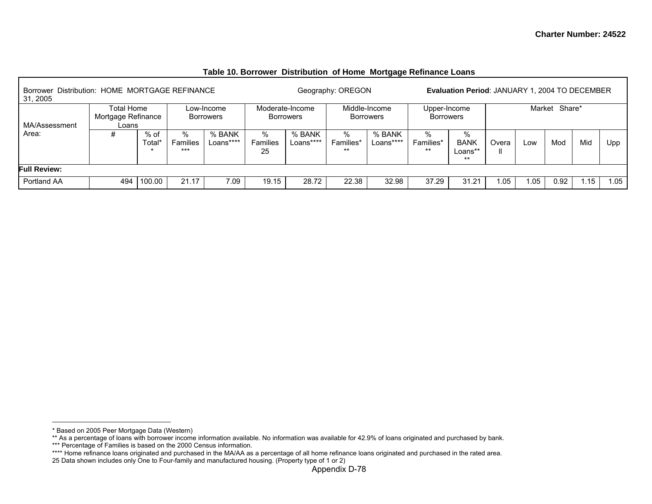|                                                            |                                                                             |                             |                          |             |                        |                     |                         | - -                        |                                  |                                                |       |      |               |     |      |
|------------------------------------------------------------|-----------------------------------------------------------------------------|-----------------------------|--------------------------|-------------|------------------------|---------------------|-------------------------|----------------------------|----------------------------------|------------------------------------------------|-------|------|---------------|-----|------|
| Borrower Distribution: HOME MORTGAGE REFINANCE<br>31, 2005 |                                                                             |                             |                          |             |                        |                     | Geography: OREGON       |                            |                                  | Evaluation Period: JANUARY 1, 2004 TO DECEMBER |       |      |               |     |      |
|                                                            | Total Home<br>Low-Income<br>Mortgage Refinance<br><b>Borrowers</b><br>Loans |                             |                          |             | <b>Borrowers</b>       | Moderate-Income     |                         | Middle-Income<br>Borrowers | Upper-Income<br><b>Borrowers</b> |                                                |       |      | Market Share* |     |      |
| MA/Assessment                                              |                                                                             |                             |                          | % BANK<br>% |                        |                     |                         |                            |                                  |                                                |       |      |               |     |      |
| Area:                                                      | #                                                                           | $%$ of<br>Total*<br>$\star$ | <b>Families</b><br>$***$ | Loans****   | $\%$<br>Families<br>25 | % BANK<br>Loans**** | %<br>Families*<br>$***$ | % BANK<br>Loans****        | %<br>Families*<br>**             | %<br><b>BANK</b><br>Loans**<br>$***$           | Overa | LOW  | Mod           | Mid | Upp  |
| <b>Full Review:</b>                                        |                                                                             |                             |                          |             |                        |                     |                         |                            |                                  |                                                |       |      |               |     |      |
| Portland AA                                                | 494                                                                         | 100.00                      | 21.17                    | 7.09        | 19.15                  | 28.72               | 22.38                   | 32.98                      | 37.29                            | 31.21                                          | 1.05  | 1.05 | 0.92          | .15 | 1.05 |

#### **Table 10. Borrower Distribution of Home Mortgage Refinance Loans**

<sup>\*</sup> Based on 2005 Peer Mortgage Data (Western)

<sup>\*\*</sup> As a percentage of loans with borrower income information available. No information was available for 42.9% of loans originated and purchased by bank.

<sup>\*\*\*</sup> Percentage of Families is based on the 2000 Census information.

<sup>\*\*\*\*</sup> Home refinance loans originated and purchased in the MA/AA as a percentage of all home refinance loans originated and purchased in the rated area.

<sup>25</sup> Data shown includes only One to Four-family and manufactured housing. (Property type of 1 or 2)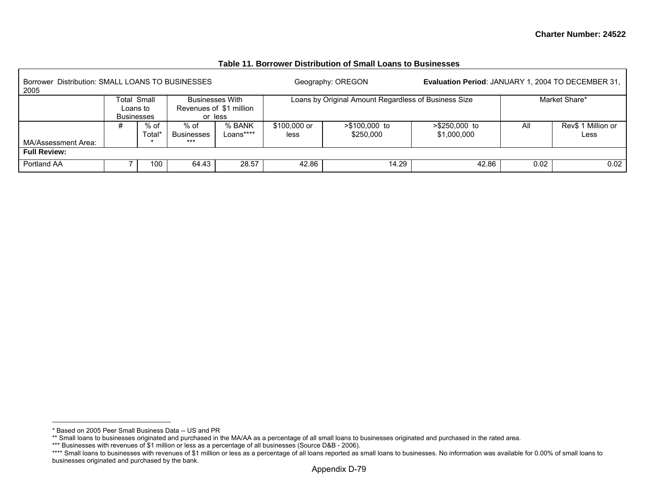| Borrower Distribution: SMALL LOANS TO BUSINESSES<br>2005 |                               |                |                                    |                                                              |                                                      | Geography: OREGON                                    | <b>Evaluation Period: JANUARY 1, 2004 TO DECEMBER 31,</b> |      |                            |
|----------------------------------------------------------|-------------------------------|----------------|------------------------------------|--------------------------------------------------------------|------------------------------------------------------|------------------------------------------------------|-----------------------------------------------------------|------|----------------------------|
|                                                          | Loans to<br><b>Businesses</b> | Total Small    |                                    | <b>Businesses With</b><br>Revenues of \$1 million<br>or less |                                                      | Loans by Original Amount Regardless of Business Size |                                                           |      | Market Share*              |
| MA/Assessment Area:                                      | #                             | % of<br>Total* | % of<br><b>Businesses</b><br>$***$ | % BANK<br>Loans****                                          | \$100,000 or<br>$> $100.000$ to<br>\$250,000<br>less |                                                      | $> $250,000$ to<br>\$1,000,000                            | All  | Rev\$ 1 Million or<br>Less |
| <b>Full Review:</b>                                      |                               |                |                                    |                                                              |                                                      |                                                      |                                                           |      |                            |
| Portland AA                                              |                               | 100            | 64.43                              | 28.57                                                        | 42.86                                                | 14.29                                                | 42.86                                                     | 0.02 | 0.02                       |

#### **Table 11. Borrower Distribution of Small Loans to Businesses**

<sup>\*</sup> Based on 2005 Peer Small Business Data -- US and PR

<sup>\*\*</sup> Small loans to businesses originated and purchased in the MA/AA as a percentage of all small loans to businesses originated and purchased in the rated area.

<sup>\*\*\*</sup> Businesses with revenues of \$1 million or less as a percentage of all businesses (Source D&B - 2006).

<sup>\*\*\*\*</sup> Small loans to businesses with revenues of \$1 million or less as a percentage of all loans reported as small loans to businesses. No information was available for 0.00% of small loans to businesses originated and purchased by the bank.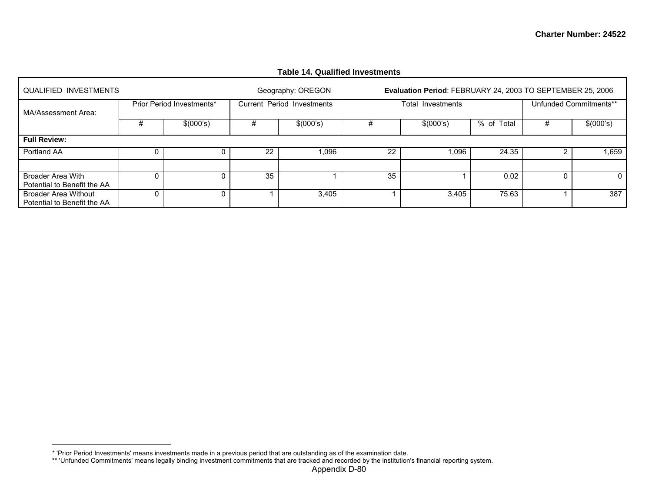|                                                            |   |                           |    | Table 14. Qualified Investments |    |                                                            |            |   |                        |
|------------------------------------------------------------|---|---------------------------|----|---------------------------------|----|------------------------------------------------------------|------------|---|------------------------|
| QUALIFIED INVESTMENTS                                      |   |                           |    | Geography: OREGON               |    | Evaluation Period: FEBRUARY 24, 2003 TO SEPTEMBER 25, 2006 |            |   |                        |
| MA/Assessment Area:                                        |   | Prior Period Investments* |    | Current Period Investments      |    | Total Investments                                          |            |   | Unfunded Commitments** |
|                                                            | # | \$(000's)                 | #  | \$(000's)                       |    | \$(000's)                                                  | % of Total | # | \$(000's)              |
| <b>Full Review:</b>                                        |   |                           |    |                                 |    |                                                            |            |   |                        |
| Portland AA                                                |   |                           | 22 | ,096                            | 22 | 0.096                                                      | 24.35      |   | 1,659                  |
|                                                            |   |                           |    |                                 |    |                                                            |            |   |                        |
| <b>Broader Area With</b><br>Potential to Benefit the AA    |   |                           | 35 |                                 | 35 |                                                            | 0.02       | 0 | 0                      |
| <b>Broader Area Without</b><br>Potential to Benefit the AA |   |                           |    | 3,405                           |    | 3,405                                                      | 75.63      |   | 387                    |

## **Table 14. Qualified Investments**

<sup>\* &#</sup>x27;Prior Period Investments' means investments made in a previous period that are outstanding as of the examination date.

<sup>\*\* &#</sup>x27;Unfunded Commitments' means legally binding investment commitments that are tracked and recorded by the institution's financial reporting system.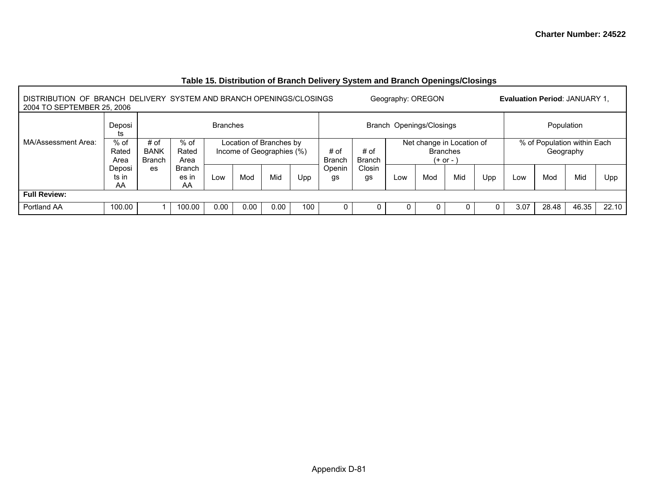| DISTRIBUTION OF BRANCH DELIVERY SYSTEM AND BRANCH OPENINGS/CLOSINGS<br>Geography: OREGON<br><b>Evaluation Period: JANUARY 1.</b><br>2004 TO SEPTEMBER 25, 2006 |                         |                                      |                                                                                 |                          |      |      |     |                       |                       |                                                             |     |     |     |                                          |       |       |       |
|----------------------------------------------------------------------------------------------------------------------------------------------------------------|-------------------------|--------------------------------------|---------------------------------------------------------------------------------|--------------------------|------|------|-----|-----------------------|-----------------------|-------------------------------------------------------------|-----|-----|-----|------------------------------------------|-------|-------|-------|
|                                                                                                                                                                | Deposi<br>ts            |                                      |                                                                                 | Branch Openings/Closings |      |      |     |                       |                       | Population                                                  |     |     |     |                                          |       |       |       |
| MA/Assessment Area:                                                                                                                                            | $%$ of<br>Rated<br>Area | # of<br><b>BANK</b><br><b>Branch</b> | $%$ of<br>Location of Branches by<br>Income of Geographies (%)<br>Rated<br>Area |                          |      |      |     | # of<br><b>Branch</b> | # of<br><b>Branch</b> | Net change in Location of<br><b>Branches</b><br>$(+ or - )$ |     |     |     | % of Population within Each<br>Geography |       |       |       |
|                                                                                                                                                                | Deposi<br>ts in<br>AA   | es                                   | <b>Branch</b><br>es in<br>AA                                                    | Low                      | Mod  | Mid  | Upp | Openin<br>gs          | Closin<br>gs          | Low                                                         | Mod | Mid | Upp | Low                                      | Mod   | Mid   | Upp   |
| <b>Full Review:</b>                                                                                                                                            |                         |                                      |                                                                                 |                          |      |      |     |                       |                       |                                                             |     |     |     |                                          |       |       |       |
| Portland AA                                                                                                                                                    | 100.00                  |                                      | 100.00                                                                          | 0.00                     | 0.00 | 0.00 | 100 | 0                     | 0                     |                                                             |     |     |     | 3.07                                     | 28.48 | 46.35 | 22.10 |

# **Table 15. Distribution of Branch Delivery System and Branch Openings/Closings**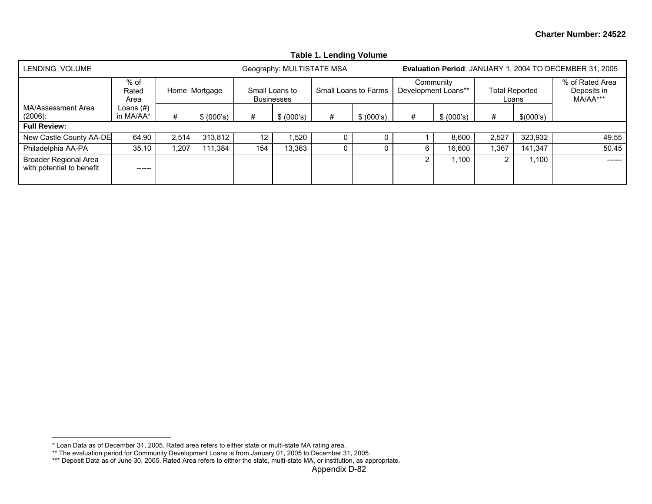|                                                           |                           |       |               |                   |                                     | Table T. Lenging Volume |                      |                |                                  |       |                                |                                                         |
|-----------------------------------------------------------|---------------------------|-------|---------------|-------------------|-------------------------------------|-------------------------|----------------------|----------------|----------------------------------|-------|--------------------------------|---------------------------------------------------------|
| LENDING VOLUME                                            |                           |       |               |                   | Geography: MULTISTATE MSA           |                         |                      |                |                                  |       |                                | Evaluation Period: JANUARY 1, 2004 TO DECEMBER 31, 2005 |
|                                                           | $%$ of<br>Rated<br>Area   |       | Home Mortgage |                   | Small Loans to<br><b>Businesses</b> |                         | Small Loans to Farms |                | Community<br>Development Loans** |       | <b>Total Reported</b><br>Loans | % of Rated Area<br>Deposits in<br>MA/AA***              |
| MA/Assessment Area<br>$(2006)$ :                          | Loans $(\#)$<br>in MA/AA* | #     | \$ (000's)    | #                 | \$ (000's)                          | #                       | \$ (000's)           | #              | \$ (000's)                       | #     | \$(000's)                      |                                                         |
| <b>Full Review:</b>                                       |                           |       |               |                   |                                     |                         |                      |                |                                  |       |                                |                                                         |
| New Castle County AA-DE                                   | 64.90                     | 2,514 | 313,812       | $12 \overline{ }$ | .520                                |                         |                      |                | 8,600                            | 2.527 | 323,932                        | 49.55                                                   |
| Philadelphia AA-PA                                        | 35.10                     | 1.207 | 111.384       | 154               | 13,363                              |                         |                      | 6              | 16.600                           | ,367  | 141.347                        | 50.45                                                   |
| <b>Broader Regional Area</b><br>with potential to benefit | ------                    |       |               |                   |                                     |                         |                      | $\overline{2}$ | 1.100                            |       | 1.100                          | -------                                                 |

## **Table 1. Lending Volume**

<sup>\*</sup> Loan Data as of December 31, 2005. Rated area refers to either state or multi-state MA rating area.

<sup>\*\*</sup> The evaluation period for Community Development Loans is from January 01, 2005 to December 31, 2005.

<sup>\*\*\*</sup> Deposit Data as of June 30, 2005. Rated Area refers to either the state, multi-state MA, or institution, as appropriate.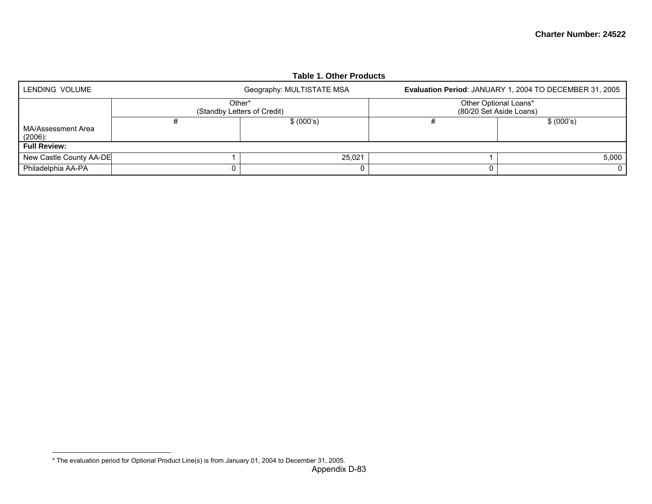|                                  |        | <b>Table 1. Other Products</b> |                       |                                                         |
|----------------------------------|--------|--------------------------------|-----------------------|---------------------------------------------------------|
| LENDING VOLUME                   |        | Geography: MULTISTATE MSA      |                       | Evaluation Period: JANUARY 1, 2004 TO DECEMBER 31, 2005 |
|                                  | Other* | (Standby Letters of Credit)    | Other Optional Loans* | (80/20 Set Aside Loans)                                 |
| MA/Assessment Area<br>$(2006)$ : |        | \$ (000's)                     |                       | \$ (000's)                                              |
| <b>Full Review:</b>              |        |                                |                       |                                                         |
| New Castle County AA-DE          |        | 25.021                         |                       | 5.000                                                   |
| Philadelphia AA-PA               |        | 0                              |                       |                                                         |

<sup>\*</sup> The evaluation period for Optional Product Line(s) is from January 01, 2004 to December 31, 2005.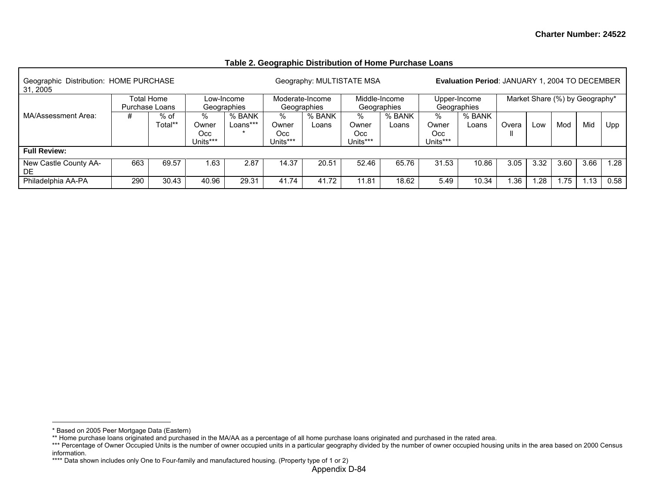### **Table 2. Geographic Distribution of Home Purchase Loans**

| Geographic Distribution: HOME PURCHASE<br>31, 2005 |                           |                 |                                |                    |                                | Geography: MULTISTATE MSA |                               |                 |                               | <b>Evaluation Period: JANUARY 1, 2004 TO DECEMBER</b> |       |      |      |      |      |
|----------------------------------------------------|---------------------------|-----------------|--------------------------------|--------------------|--------------------------------|---------------------------|-------------------------------|-----------------|-------------------------------|-------------------------------------------------------|-------|------|------|------|------|
|                                                    | Low-Income<br>Geographies | Moderate-Income | Geographies                    |                    | Middle-Income<br>Geographies   | Upper-Income              | Geographies                   |                 |                               | Market Share (%) by Geography*                        |       |      |      |      |      |
| MA/Assessment Area:                                | #                         | % of<br>Total** | ℅<br>Owner<br>Occ.<br>Units*** | % BANK<br>Loans*** | %<br>Owner<br>Occ.<br>Units*** | % BANK<br>Loans           | %<br>Owner<br>Occ<br>Units*** | % BANK<br>Loans | %<br>Owner<br>Occ<br>Units*** | % BANK<br>Loans                                       | Overa | Low  | Mod  | Mid  | Upp  |
| <b>Full Review:</b>                                |                           |                 |                                |                    |                                |                           |                               |                 |                               |                                                       |       |      |      |      |      |
| New Castle County AA-<br>DE.                       | 663                       | 69.57           | 1.63                           | 2.87               | 14.37                          | 20.51                     | 52.46                         | 65.76           | 31.53                         | 10.86                                                 | 3.05  | 3.32 | 3.60 | 3.66 | 1.28 |
| Philadelphia AA-PA                                 | 290                       | 30.43           | 40.96                          | 29.31              | 41.74                          | 41.72                     | 11.81                         | 18.62           | 5.49                          | 10.34                                                 | 1.36  | .28  | .75  | .13  | 0.58 |

<sup>\*</sup> Based on 2005 Peer Mortgage Data (Eastern)

<sup>\*\*</sup> Home purchase loans originated and purchased in the MA/AA as a percentage of all home purchase loans originated and purchased in the rated area.

<sup>\*\*\*</sup> Percentage of Owner Occupied Units is the number of owner occupied units in a particular geography divided by the number of owner occupied housing units in the area based on 2000 Census information.

<sup>\*\*\*\*</sup> Data shown includes only One to Four-family and manufactured housing. (Property type of 1 or 2)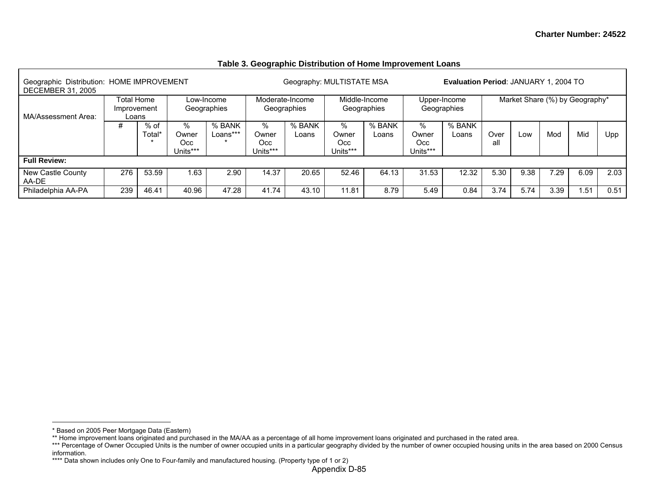| Geographic Distribution: HOME IMPROVEMENT<br><b>DECEMBER 31, 2005</b> |                                    |                  |                               |                           |                               | Geography: MULTISTATE MSA      |                               |                              |                                | <b>Evaluation Period: JANUARY 1, 2004 TO</b> |             |      |      |                                |      |
|-----------------------------------------------------------------------|------------------------------------|------------------|-------------------------------|---------------------------|-------------------------------|--------------------------------|-------------------------------|------------------------------|--------------------------------|----------------------------------------------|-------------|------|------|--------------------------------|------|
| MA/Assessment Area:                                                   | Total Home<br>Improvement<br>Loans |                  |                               | Low-Income<br>Geographies |                               | Moderate-Income<br>Geographies |                               | Middle-Income<br>Geographies |                                | Upper-Income<br>Geographies                  |             |      |      | Market Share (%) by Geography* |      |
| #                                                                     |                                    | $%$ of<br>Total* | %<br>Owner<br>Occ<br>Units*** | % BANK<br>Loans***        | %<br>Owner<br>Occ<br>Units*** | % BANK<br>Loans                | %<br>Owner<br>Occ<br>Units*** | % BANK<br>Loans              | %<br>Owner<br>Occ.<br>Units*** | % BANK<br>Loans                              | Over<br>all | Low  | Mod  | Mid                            | Upp  |
| <b>Full Review:</b>                                                   |                                    |                  |                               |                           |                               |                                |                               |                              |                                |                                              |             |      |      |                                |      |
| New Castle County<br>AA-DE                                            | 276                                | 53.59            | 1.63                          | 2.90                      | 14.37                         | 20.65                          | 52.46                         | 64.13                        | 31.53                          | 12.32                                        | 5.30        | 9.38 | 29   | 6.09                           | 2.03 |
| Philadelphia AA-PA                                                    | 239                                | 46.41            | 40.96                         | 47.28                     | 41.74                         | 43.10                          | 11.81                         | 8.79                         | 5.49                           | 0.84                                         | 3.74        | 5.74 | 3.39 | .51                            | 0.51 |

#### **Table 3. Geographic Distribution of Home Improvement Loans**

<sup>\*</sup> Based on 2005 Peer Mortgage Data (Eastern)

<sup>\*\*</sup> Home improvement loans originated and purchased in the MA/AA as a percentage of all home improvement loans originated and purchased in the rated area.

<sup>\*\*\*</sup> Percentage of Owner Occupied Units is the number of owner occupied units in a particular geography divided by the number of owner occupied housing units in the area based on 2000 Census information.

<sup>\*\*\*\*</sup> Data shown includes only One to Four-family and manufactured housing. (Property type of 1 or 2)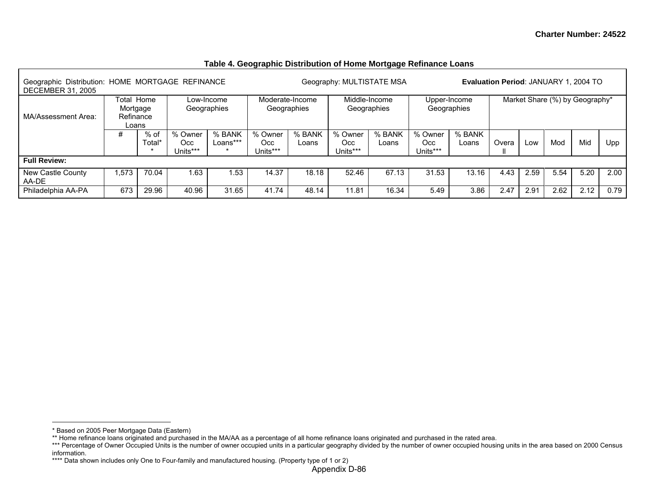| Geographic Distribution: HOME MORTGAGE REFINANCE<br><b>DECEMBER 31, 2005</b> |                                                           |        |                                                              |                           |                             |                                | Geography: MULTISTATE MSA   |                              |                             |                 | Evaluation Period: JANUARY 1, 2004 TO |      |                                |      |      |
|------------------------------------------------------------------------------|-----------------------------------------------------------|--------|--------------------------------------------------------------|---------------------------|-----------------------------|--------------------------------|-----------------------------|------------------------------|-----------------------------|-----------------|---------------------------------------|------|--------------------------------|------|------|
| MA/Assessment Area:                                                          | Total Home<br>Mortgage<br>Refinance<br>Loans<br>#<br>% of |        |                                                              | Low-Income<br>Geographies |                             | Moderate-Income<br>Geographies |                             | Middle-Income<br>Geographies | Upper-Income                | Geographies     |                                       |      | Market Share (%) by Geography* |      |      |
|                                                                              |                                                           | Total* | % BANK<br>% Owner<br>Loans***<br>Occ.<br>Units***<br>$\star$ |                           | % Owner<br>Occ.<br>Units*** | % BANK<br>Loans                | % Owner<br>Occ.<br>Units*** | % BANK<br>Loans              | % Owner<br>Occ.<br>Units*** | % BANK<br>Loans | Overa                                 | Low  | Mod                            | Mid  | Upp  |
| <b>Full Review:</b>                                                          |                                                           |        |                                                              |                           |                             |                                |                             |                              |                             |                 |                                       |      |                                |      |      |
| New Castle County<br>AA-DE                                                   | 1.573                                                     | 70.04  | 1.63                                                         | .53                       | 14.37                       | 18.18                          | 52.46                       | 67.13                        | 31.53                       | 13.16           | 4.43                                  | 2.59 | 5.54                           | 5.20 | 2.00 |
| Philadelphia AA-PA                                                           | 673                                                       | 29.96  | 40.96                                                        | 31.65                     | 41.74                       | 48.14                          | 11.81                       | 16.34                        | 5.49                        | 3.86            | 2.47                                  | 2.91 | 2.62                           | 2.12 | 0.79 |

## **Table 4. Geographic Distribution of Home Mortgage Refinance Loans**

<sup>\*</sup> Based on 2005 Peer Mortgage Data (Eastern)

<sup>\*\*</sup> Home refinance loans originated and purchased in the MA/AA as a percentage of all home refinance loans originated and purchased in the rated area.

<sup>\*\*\*</sup> Percentage of Owner Occupied Units is the number of owner occupied units in a particular geography divided by the number of owner occupied housing units in the area based on 2000 Census information.

<sup>\*\*\*\*</sup> Data shown includes only One to Four-family and manufactured housing. (Property type of 1 or 2)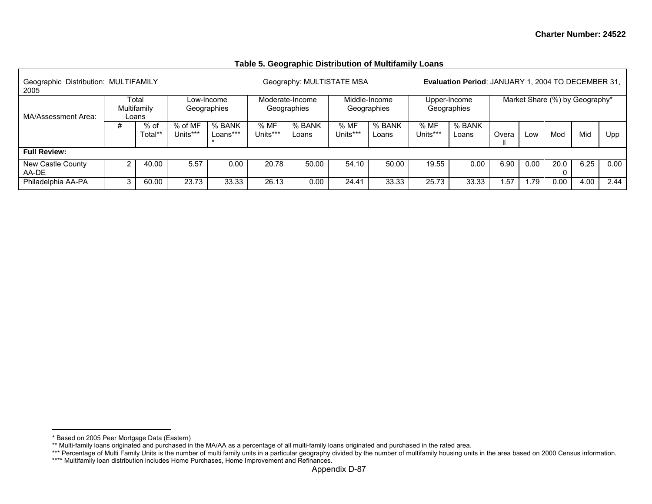#### Geographic Distribution: MULTIFAMILY Geography: MULTISTATE MSA **Evaluation Period**: JANUARY 1, 2004 TO DECEMBER 31, 2005 Total Multifamily Loans Low-Income **Geographies** Moderate-Income Geographies Middle-Income Geographies Upper-Income Geographies Market Share (%) by Geography\* MA/Assessment Area:  $#$  % of Total\*\* % of MF Units\*\*\* % BANK Loans\*\*\*\* % MF Units\*\*\* % BANK Loans % MF Units\*\*\*% BANK Loans % MF Units\*\*\* % BANK Loans | Overa ll Low | Mod | Mid | Upp **Full Review:** New Castle County AA-DE 2 40.00 5.57 0.00 20.78 50.00 54.10 50.00 19.55 0.00 6.90 0.00 20.00 6.25 0.00 Philadelphia AA-PA | 3 | 60.00 | 23.73 | 33.33 | 26.13 | 0.00 | 24.41 | 33.33 | 25.73 | 33.33 | 1.57 | 1.79 | 0.00 | 4.00 | 2.44

#### **Table 5. Geographic Distribution of Multifamily Loans**

<sup>\*</sup> Based on 2005 Peer Mortgage Data (Eastern)

<sup>\*\*</sup> Multi-family loans originated and purchased in the MA/AA as a percentage of all multi-family loans originated and purchased in the rated area.

<sup>\*\*\*</sup> Percentage of Multi Family Units is the number of multi family units in a particular geography divided by the number of multifamily housing units in the area based on 2000 Census information.

<sup>\*\*\*\*</sup> Multifamily loan distribution includes Home Purchases, Home Improvement and Refinances.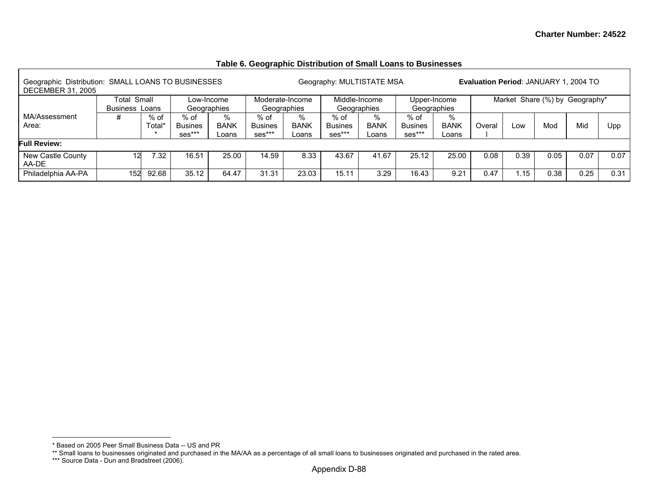## **Table 6. Geographic Distribution of Small Loans to Businesses**

| Geographic Distribution: SMALL LOANS TO BUSINESSES<br><b>DECEMBER 31, 2005</b> |                                                                                        |        |                            |                      |                                    |                                | Geography: MULTISTATE MSA        |                              |                                  |                             |        | Evaluation Period: JANUARY 1, 2004 TO |      |      |      |
|--------------------------------------------------------------------------------|----------------------------------------------------------------------------------------|--------|----------------------------|----------------------|------------------------------------|--------------------------------|----------------------------------|------------------------------|----------------------------------|-----------------------------|--------|---------------------------------------|------|------|------|
|                                                                                | Total Small<br>Low-Income<br>Geographies<br>Business Loans<br>%<br>% of<br>$%$ of<br># |        |                            |                      |                                    | Moderate-Income<br>Geographies | Geographies                      | Middle-Income                |                                  | Upper-Income<br>Geographies |        | Market Share (%) by Geography*        |      |      |      |
| MA/Assessment<br>Area:                                                         |                                                                                        | Total* | <b>Busines</b><br>$ses***$ | <b>BANK</b><br>Loans | $%$ of<br><b>Busines</b><br>ses*** | %<br><b>BANK</b><br>Loans      | % of<br><b>Busines</b><br>ses*** | $\%$<br><b>BANK</b><br>Loans | % of<br><b>Busines</b><br>ses*** | %<br><b>BANK</b><br>∟oans   | Overal | LOW                                   | Mod  | Mid  | Upp  |
| <b>Full Review:</b>                                                            |                                                                                        |        |                            |                      |                                    |                                |                                  |                              |                                  |                             |        |                                       |      |      |      |
| New Castle County<br>AA-DE                                                     | 12                                                                                     | 7.32   | 16.51                      | 25.00                | 14.59                              | 8.33                           | 43.67                            | 41.67                        | 25.12                            | 25.00                       | 0.08   | 0.39                                  | 0.05 | 0.07 | 0.07 |
| Philadelphia AA-PA                                                             | 152                                                                                    | 92.68  | 35.12                      | 64.47                | 31.31                              | 23.03                          | 15.11                            | 3.29                         | 16.43                            | 9.21                        | 0.47   | 1.15                                  | 0.38 | 0.25 | 0.31 |

<sup>\*</sup> Based on 2005 Peer Small Business Data -- US and PR

<sup>\*\*</sup> Small loans to businesses originated and purchased in the MA/AA as a percentage of all small loans to businesses originated and purchased in the rated area.

<sup>\*\*\*</sup> Source Data - Dun and Bradstreet (2006).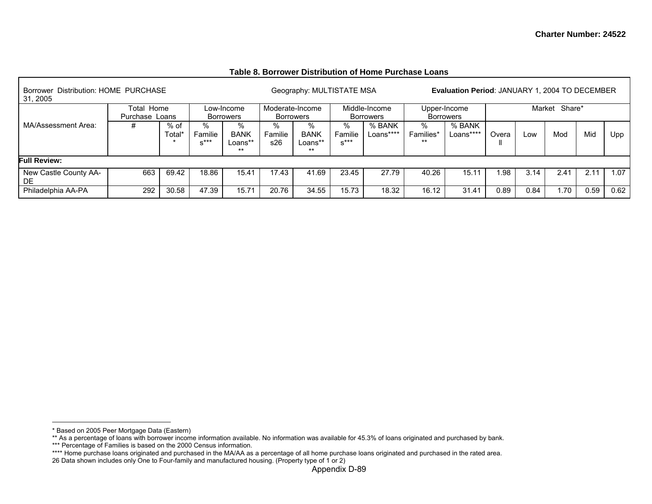|                                                  |            |            |                           | Table 0. DUITUWEL DISTINGHUIT OF HUIHE F GIURGE LUANS |              |                                                       |
|--------------------------------------------------|------------|------------|---------------------------|-------------------------------------------------------|--------------|-------------------------------------------------------|
| Borrower Distribution: HOME PURCHASE<br>31, 2005 |            |            | Geography: MULTISTATE MSA |                                                       |              | <b>Evaluation Period: JANUARY 1, 2004 TO DECEMBER</b> |
|                                                  | Total Home | Low-Income | Moderate-Income           | Middle-Income                                         | Upper-Income | Market Share*                                         |

#### **Table 8. Borrower Distribution of Home Purchase Loans**

|                       | Total Home     |        |         | Low-Income       |         | Moderate-Income |         | Middle-Income    |           | Upper-Income     |       | Market | Share* |      |      |
|-----------------------|----------------|--------|---------|------------------|---------|-----------------|---------|------------------|-----------|------------------|-------|--------|--------|------|------|
|                       | Purchase Loans |        |         | <b>Borrowers</b> |         | Borrowers       |         | <b>Borrowers</b> |           | <b>Borrowers</b> |       |        |        |      |      |
| MA/Assessment Area:   |                | % of   | %       |                  | %       | %               | ℅       | % BANK           | ℅         | % BANK           |       |        |        |      |      |
|                       |                | Total' | Familie | <b>BANK</b>      | Familie | <b>BANK</b>     | Familie | Loans****        | Families* | Loans****        | Overa | LOW    | Mod    | Mid  | Upp  |
|                       |                |        | $x***$  | Loans**          | s26     | _oans**         | $x***$  |                  | $***$     |                  |       |        |        |      |      |
|                       |                |        |         | **               |         | $***$           |         |                  |           |                  |       |        |        |      |      |
| <b>Full Review:</b>   |                |        |         |                  |         |                 |         |                  |           |                  |       |        |        |      |      |
| New Castle County AA- | 663            | 69.42  | 18.86   | 15.41            | 17.43   | 41.69           | 23.45   | 27.79            | 40.26     | 15.11            | .98   | 3.14   | 2.41   | 2.11 | 1.07 |
| DE                    |                |        |         |                  |         |                 |         |                  |           |                  |       |        |        |      |      |
| Philadelphia AA-PA    | 292            | 30.58  | 47.39   | 15.71            | 20.76   | 34.55           | 15.73   | 18.32            | 16.12     | 31.41            | 0.89  | 0.84   | 1.70   | 0.59 | 0.62 |

<sup>\*</sup> Based on 2005 Peer Mortgage Data (Eastern)

<sup>\*\*</sup> As a percentage of loans with borrower income information available. No information was available for 45.3% of loans originated and purchased by bank.

<sup>\*\*\*</sup> Percentage of Families is based on the 2000 Census information.

<sup>\*\*\*\*</sup> Home purchase loans originated and purchased in the MA/AA as a percentage of all home purchase loans originated and purchased in the rated area.

<sup>26</sup> Data shown includes only One to Four-family and manufactured housing. (Property type of 1 or 2)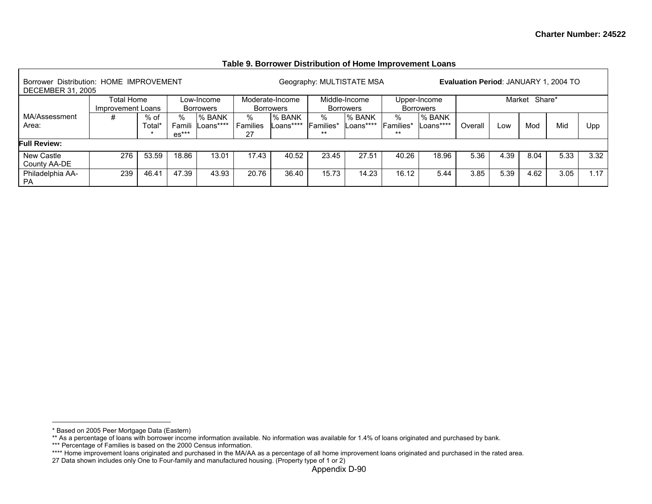| Borrower Distribution: HOME IMPROVEMENT<br><b>DECEMBER 31, 2005</b> |                                                                              |                |                  |                     |                              |                            |                                   | Geography: MULTISTATE MSA  |                                  |                            | Evaluation Period: JANUARY 1, 2004 TO |               |      |      |      |
|---------------------------------------------------------------------|------------------------------------------------------------------------------|----------------|------------------|---------------------|------------------------------|----------------------------|-----------------------------------|----------------------------|----------------------------------|----------------------------|---------------------------------------|---------------|------|------|------|
|                                                                     | Total Home<br>Low-Income<br>Improvement Loans<br>Borrowers<br>℅<br>% of<br># |                |                  |                     | Moderate-Income<br>Borrowers |                            | Middle-Income<br><b>Borrowers</b> |                            | Upper-Income<br><b>Borrowers</b> |                            |                                       | Market Share* |      |      |      |
| MA/Assessment<br>Area:                                              |                                                                              | Total*         | Famil<br>$es***$ | % BANK<br>Loans**** | %<br>Families<br>27          | <b>% BANK</b><br>'oans**** | %<br>Families*<br>$***$           | <b>% BANK</b><br>Loans**** | %<br>Families*<br>$***$          | <b>% BANK</b><br>Loans**** | Overal                                | Low           | Mod  | Mid  | Upp  |
| ull Review:                                                         |                                                                              |                |                  |                     |                              |                            |                                   |                            |                                  |                            |                                       |               |      |      |      |
| New Castle<br>County AA-DE                                          | 276                                                                          | 53.59          | 18.86            | 13.01               | 17.43                        | 40.52                      | 23.45                             | 27.51                      | 40.26                            | 18.96                      | 5.36                                  | 4.39          | 8.04 | 5.33 | 3.32 |
| Philadelphia AA-<br><b>PA</b>                                       | 239                                                                          | $46.4^{\circ}$ | 47.39            | 43.93               | 20.76                        | 36.40                      | 15.73                             | 14.23                      | 16.12                            | 5.44                       | 3.85                                  | 5.39          | 4.62 | 3.05 | 1.17 |

## **Table 9. Borrower Distribution of Home Improvement Loans**

<sup>\*</sup> Based on 2005 Peer Mortgage Data (Eastern)

<sup>\*\*</sup> As a percentage of loans with borrower income information available. No information was available for 1.4% of loans originated and purchased by bank.

<sup>\*\*\*</sup> Percentage of Families is based on the 2000 Census information.

<sup>\*\*\*\*</sup> Home improvement loans originated and purchased in the MA/AA as a percentage of all home improvement loans originated and purchased in the rated area.

<sup>27</sup> Data shown includes only One to Four-family and manufactured housing. (Property type of 1 or 2)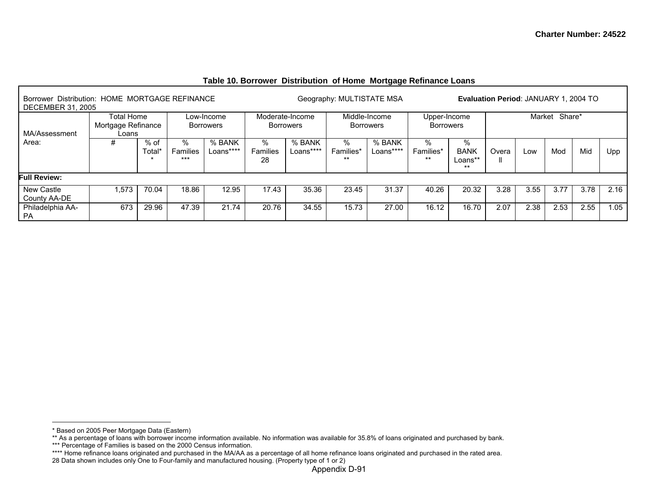| Borrower Distribution: HOME MORTGAGE REFINANCE<br><b>DECEMBER 31, 2005</b> |                                           |                            |                           |                                |                     |                                     | Geography: MULTISTATE MSA |                                   |                                  |                                      | Evaluation Period: JANUARY 1, 2004 TO |        |        |      |      |
|----------------------------------------------------------------------------|-------------------------------------------|----------------------------|---------------------------|--------------------------------|---------------------|-------------------------------------|---------------------------|-----------------------------------|----------------------------------|--------------------------------------|---------------------------------------|--------|--------|------|------|
| MA/Assessment                                                              | Total Home<br>Mortgage Refinance<br>Loans |                            |                           | Low-Income<br><b>Borrowers</b> |                     | Moderate-Income<br><b>Borrowers</b> |                           | Middle-Income<br><b>Borrowers</b> | Upper-Income<br><b>Borrowers</b> |                                      |                                       | Market | Share* |      |      |
| Area:                                                                      | #                                         | $%$ of<br>⊺otal<br>$\star$ | $\%$<br>Families<br>$***$ | % BANK<br>Loans****            | %<br>Families<br>28 | % BANK<br>Loans****                 | %<br>Families*<br>$***$   | % BANK<br>Loans****               | %<br>Families*<br>$***$          | %<br><b>BANK</b><br>Loans**<br>$***$ | Overa<br>Ш                            | LOW    | Mod    | Mid  | Upp  |
| <b>Full Review:</b>                                                        |                                           |                            |                           |                                |                     |                                     |                           |                                   |                                  |                                      |                                       |        |        |      |      |
| New Castle<br>County AA-DE                                                 | ,573                                      | 70.04                      | 18.86                     | 12.95                          | 17.43               | 35.36                               | 23.45                     | 31.37                             | 40.26                            | 20.32                                | 3.28                                  | 3.55   | 3.77   | 3.78 | 2.16 |
| Philadelphia AA-<br><b>PA</b>                                              | 673                                       | 29.96                      | 47.39                     | 21.74                          | 20.76               | 34.55                               | 15.73                     | 27.00                             | 16.12                            | 16.70                                | 2.07                                  | 2.38   | 2.53   | 2.55 | 1.05 |

## **Table 10. Borrower Distribution of Home Mortgage Refinance Loans**

<sup>\*</sup> Based on 2005 Peer Mortgage Data (Eastern)

<sup>\*\*</sup> As a percentage of loans with borrower income information available. No information was available for 35.8% of loans originated and purchased by bank.

<sup>\*\*\*</sup> Percentage of Families is based on the 2000 Census information.

<sup>\*\*\*\*</sup> Home refinance loans originated and purchased in the MA/AA as a percentage of all home refinance loans originated and purchased in the rated area.

<sup>28</sup> Data shown includes only One to Four-family and manufactured housing. (Property type of 1 or 2)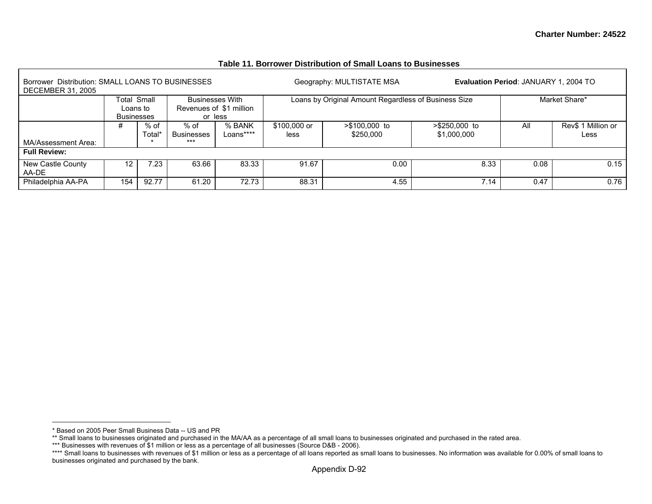| Borrower Distribution: SMALL LOANS TO BUSINESSES<br><b>DECEMBER 31, 2005</b> |                               |                |                                    |                                                              |                      | Geography: MULTISTATE MSA                            |                              | Evaluation Period: JANUARY 1, 2004 TO |                            |
|------------------------------------------------------------------------------|-------------------------------|----------------|------------------------------------|--------------------------------------------------------------|----------------------|------------------------------------------------------|------------------------------|---------------------------------------|----------------------------|
|                                                                              | Loans to<br><b>Businesses</b> | Total Small    |                                    | <b>Businesses With</b><br>Revenues of \$1 million<br>or less |                      | Loans by Original Amount Regardless of Business Size |                              |                                       | Market Share*              |
| MA/Assessment Area:                                                          | #                             | % of<br>Total* | % of<br><b>Businesses</b><br>$***$ | % BANK<br>Loans****                                          | \$100,000 or<br>less | >\$100,000 to<br>\$250,000                           | >\$250,000 to<br>\$1,000,000 | All                                   | Rev\$ 1 Million or<br>Less |
| <b>Full Review:</b>                                                          |                               |                |                                    |                                                              |                      |                                                      |                              |                                       |                            |
| New Castle County<br>AA-DE                                                   | 12                            | 7.23           | 63.66                              | 83.33                                                        | 91.67                | 0.00                                                 | 8.33                         | 0.08                                  | 0.15                       |
| Philadelphia AA-PA                                                           | 154                           | 92.77          | 61.20                              | 72.73                                                        | 88.31                | 4.55                                                 | 7.14                         | 0.47                                  | 0.76                       |

#### **Table 11. Borrower Distribution of Small Loans to Businesses**

<sup>\*</sup> Based on 2005 Peer Small Business Data -- US and PR

<sup>\*\*</sup> Small loans to businesses originated and purchased in the MA/AA as a percentage of all small loans to businesses originated and purchased in the rated area.

<sup>\*\*\*</sup> Businesses with revenues of \$1 million or less as a percentage of all businesses (Source D&B - 2006).

<sup>\*\*\*\*</sup> Small loans to businesses with revenues of \$1 million or less as a percentage of all loans reported as small loans to businesses. No information was available for 0.00% of small loans to businesses originated and purchased by the bank.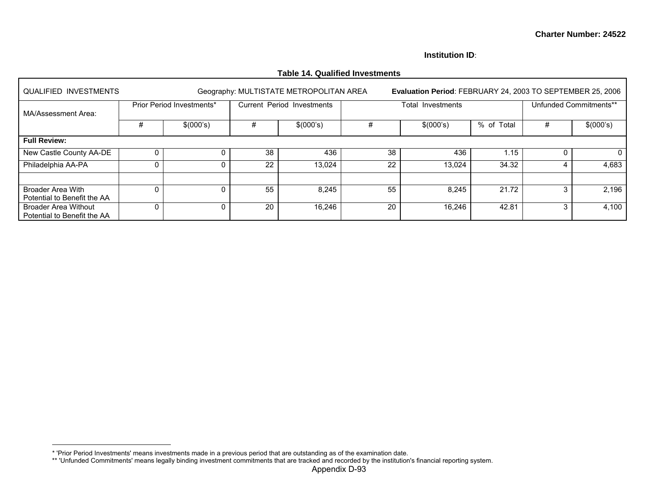#### **Institution ID**:

| <b>QUALIFIED INVESTMENTS</b>                               |   |                           |    | Geography: MULTISTATE METROPOLITAN AREA |    | Evaluation Period: FEBRUARY 24, 2003 TO SEPTEMBER 25, 2006 |            |   |                        |
|------------------------------------------------------------|---|---------------------------|----|-----------------------------------------|----|------------------------------------------------------------|------------|---|------------------------|
| MA/Assessment Area:                                        |   | Prior Period Investments* |    | Current Period Investments              |    | Total Investments                                          |            |   | Unfunded Commitments** |
|                                                            | # | \$(000's)                 | #  | \$(000's)                               |    | \$(000's)                                                  | % of Total | # | \$(000's)              |
| <b>Full Review:</b>                                        |   |                           |    |                                         |    |                                                            |            |   |                        |
| New Castle County AA-DE                                    | 0 |                           | 38 | 436                                     | 38 | 436                                                        | 1.15       |   | 0                      |
| Philadelphia AA-PA                                         | 0 |                           | 22 | 13,024                                  | 22 | 13,024                                                     | 34.32      |   | 4,683                  |
|                                                            |   |                           |    |                                         |    |                                                            |            |   |                        |
| <b>Broader Area With</b><br>Potential to Benefit the AA    | 0 |                           | 55 | 8,245                                   | 55 | 8,245                                                      | 21.72      |   | 2,196                  |
| <b>Broader Area Without</b><br>Potential to Benefit the AA | 0 |                           | 20 | 16,246                                  | 20 | 16.246                                                     | 42.81      | 3 | 4,100                  |

## **Table 14. Qualified Investments**

<sup>\* &#</sup>x27;Prior Period Investments' means investments made in a previous period that are outstanding as of the examination date.

<sup>\*\* &#</sup>x27;Unfunded Commitments' means legally binding investment commitments that are tracked and recorded by the institution's financial reporting system.